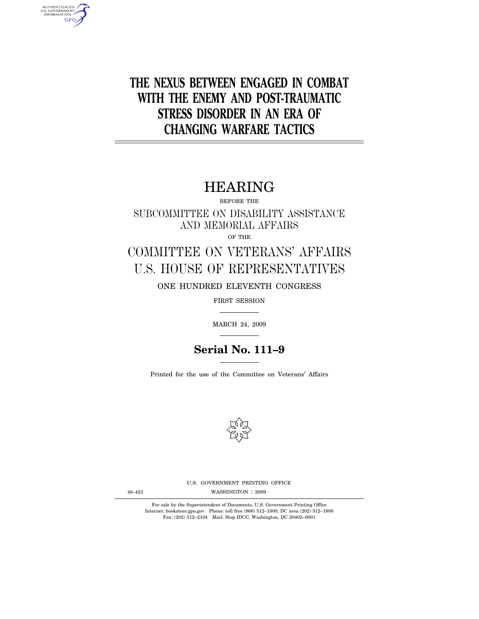**THE NEXUS BETWEEN ENGAGED IN COMBAT WITH THE ENEMY AND POST-TRAUMATIC STRESS DISORDER IN AN ERA OF CHANGING WARFARE TACTICS** 

# HEARING

BEFORE THE

SUBCOMMITTEE ON DISABILITY ASSISTANCE AND MEMORIAL AFFAIRS

OF THE

# COMMITTEE ON VETERANS' AFFAIRS U.S. HOUSE OF REPRESENTATIVES

ONE HUNDRED ELEVENTH CONGRESS

FIRST SESSION

MARCH 24, 2009

## **Serial No. 111–9**

Printed for the use of the Committee on Veterans' Affairs



U.S. GOVERNMENT PRINTING OFFICE

48–423 WASHINGTON : 2009

For sale by the Superintendent of Documents, U.S. Government Printing Office Internet: bookstore.gpo.gov Phone: toll free (866) 512–1800; DC area (202) 512–1800 Fax: (202) 512–2104 Mail: Stop IDCC, Washington, DC 20402–0001

AUTHENTICATED<br>U.S. GOVERNMENT<br>INFORMATION **GPO**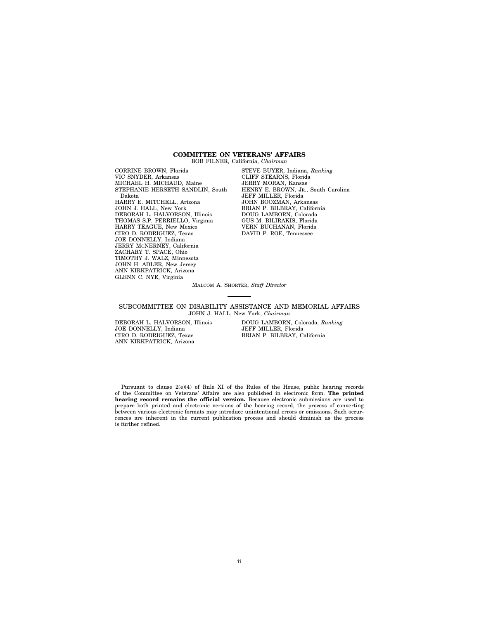#### **COMMITTEE ON VETERANS' AFFAIRS**  BOB FILNER, California, *Chairman*

CORRINE BROWN, Florida VIC SNYDER, Arkansas MICHAEL H. MICHAUD, Maine STEPHANIE HERSETH SANDLIN, South Dakota HARRY E. MITCHELL, Arizona JOHN J. HALL, New York DEBORAH L. HALVORSON, Illinois THOMAS S.P. PERRIELLO, Virginia HARRY TEAGUE, New Mexico CIRO D. RODRIGUEZ, Texas JOE DONNELLY, Indiana JERRY MCNERNEY, California ZACHARY T. SPACE, Ohio TIMOTHY J. WALZ, Minnesota JOHN H. ADLER, New Jersey ANN KIRKPATRICK, Arizona GLENN C. NYE, Virginia

STEVE BUYER, Indiana, *Ranking*  CLIFF STEARNS, Florida JERRY MORAN, Kansas HENRY E. BROWN, JR., South Carolina JEFF MILLER, Florida JOHN BOOZMAN, Arkansas BRIAN P. BILBRAY, California DOUG LAMBORN, Colorado GUS M. BILIRAKIS, Florida VERN BUCHANAN, Florida DAVID P. ROE, Tennessee

MALCOM A. SHORTER, *Staff Director* 

#### SUBCOMMITTEE ON DISABILITY ASSISTANCE AND MEMORIAL AFFAIRS JOHN J. HALL, New York, *Chairman*

DEBORAH L. HALVORSON, Illinois JOE DONNELLY, Indiana CIRO D. RODRIGUEZ, Texas ANN KIRKPATRICK, Arizona

DOUG LAMBORN, Colorado, *Ranking*  JEFF MILLER, Florida BRIAN P. BILBRAY, California

Pursuant to clause 2(e)(4) of Rule XI of the Rules of the House, public hearing records of the Committee on Veterans' Affairs are also published in electronic form. **The printed hearing record remains the official version.** Because electronic submissions are used to prepare both printed and electronic versions of the hearing record, the process of converting between various electronic formats may introduce unintentional errors or omissions. Such occurrences are inherent in the current publication process and should diminish as the process is further refined.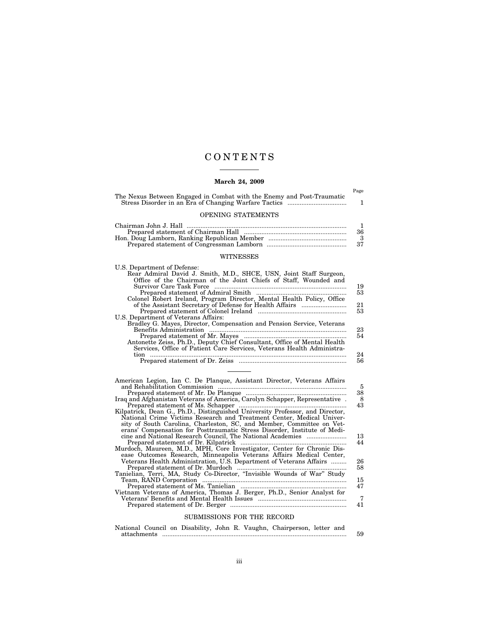### C O N T E N T S  $\frac{1}{\sqrt{2\pi}}\left(\frac{1}{\sqrt{2\pi}}\right)^{2}=\frac{1}{2\sqrt{2\pi}}\left(\frac{1}{\sqrt{2\pi}}\right)^{2}=\frac{1}{2\sqrt{2\pi}}\left(\frac{1}{\sqrt{2\pi}}\right)^{2}=\frac{1}{2\sqrt{2\pi}}\left(\frac{1}{\sqrt{2\pi}}\right)^{2}=\frac{1}{2\sqrt{2\pi}}\left(\frac{1}{\sqrt{2\pi}}\right)^{2}=\frac{1}{2\sqrt{2\pi}}\left(\frac{1}{\sqrt{2\pi}}\right)^{2}=\frac{1}{2\sqrt{2\pi}}\left(\frac{1}{\sqrt{$

#### **March 24, 2009**

| The Nexus Between Engaged in Combat with the Enemy and Post-Traumatic | Page                    |  |  |  |  |
|-----------------------------------------------------------------------|-------------------------|--|--|--|--|
|                                                                       |                         |  |  |  |  |
| OPENING STATEMENTS                                                    |                         |  |  |  |  |
|                                                                       | -1                      |  |  |  |  |
|                                                                       | 36                      |  |  |  |  |
|                                                                       | $\overline{\mathbf{3}}$ |  |  |  |  |
|                                                                       | 37                      |  |  |  |  |

#### WITNESSES

| U.S. Department of Defense:<br>Rear Admiral David J. Smith, M.D., SHCE, USN, Joint Staff Surgeon,<br>Office of the Chairman of the Joint Chiefs of Staff, Wounded and | 19 |
|-----------------------------------------------------------------------------------------------------------------------------------------------------------------------|----|
|                                                                                                                                                                       | 53 |
| Colonel Robert Ireland, Program Director, Mental Health Policy, Office                                                                                                |    |
|                                                                                                                                                                       | 21 |
|                                                                                                                                                                       | 53 |
| U.S. Department of Veterans Affairs:                                                                                                                                  |    |
| Bradley G. Mayes, Director, Compensation and Pension Service, Veterans                                                                                                |    |
|                                                                                                                                                                       | 23 |
|                                                                                                                                                                       | 54 |
| Antonette Zeiss, Ph.D., Deputy Chief Consultant, Office of Mental Health                                                                                              |    |
| Services, Office of Patient Care Services, Veterans Health Administra-                                                                                                |    |
| tion                                                                                                                                                                  | 24 |
|                                                                                                                                                                       | 56 |
|                                                                                                                                                                       |    |

| American Legion, Ian C. De Planque, Assistant Director, Veterans Affairs      |    |
|-------------------------------------------------------------------------------|----|
|                                                                               | 5  |
|                                                                               | 38 |
| Iraq and Afghanistan Veterans of America, Carolyn Schapper, Representative.   | 8  |
| Prepared statement of Ms. Schapper                                            | 43 |
| Kilpatrick, Dean G., Ph.D., Distinguished University Professor, and Director, |    |
| National Crime Victims Research and Treatment Center, Medical Univer-         |    |
| sity of South Carolina, Charleston, SC, and Member, Committee on Vet-         |    |
| erans' Compensation for Posttraumatic Stress Disorder, Institute of Medi-     |    |
|                                                                               | 13 |
|                                                                               | 44 |
| Murdoch, Maureen, M.D., MPH, Core Investigator, Center for Chronic Dis-       |    |
| ease Outcomes Research, Minneapolis Veterans Affairs Medical Center,          |    |
| Veterans Health Administration, U.S. Department of Veterans Affairs           | 26 |
|                                                                               | 58 |
| Tanielian, Terri, MA, Study Co-Director, "Invisible Wounds of War" Study      |    |
|                                                                               | 15 |
|                                                                               | 47 |
| Vietnam Veterans of America, Thomas J. Berger, Ph.D., Senior Analyst for      |    |
|                                                                               | -7 |
|                                                                               | 41 |
|                                                                               |    |
| atiputaatana pop miin praopp                                                  |    |

#### SUBMISSIONS FOR THE RECORD

| National Council on Disability, John R. Vaughn, Chairperson, letter and |  |  |  |  |    |
|-------------------------------------------------------------------------|--|--|--|--|----|
| attachments                                                             |  |  |  |  | 59 |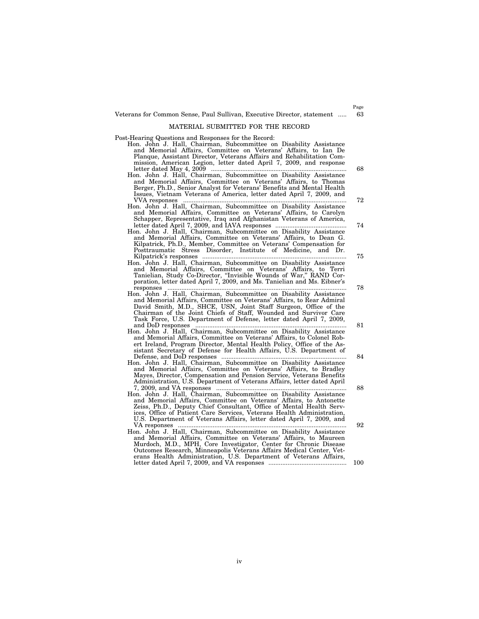Veterans for Common Sense, Paul Sullivan, Executive Director, statement ..... 63

#### MATERIAL SUBMITTED FOR THE RECORD

Post-Hearing Questions and Responses for the Record:

| Hon. John J. Hall, Chairman, Subcommittee on Disability Assistance<br>and Memorial Affairs, Committee on Veterans' Affairs, to Ian De<br>Planque, Assistant Director, Veterans Affairs and Rehabilitation Com-<br>mission, American Legion, letter dated April 7, 2009, and response                                                                            |          |
|-----------------------------------------------------------------------------------------------------------------------------------------------------------------------------------------------------------------------------------------------------------------------------------------------------------------------------------------------------------------|----------|
| Hon. John J. Hall, Chairman, Subcommittee on Disability Assistance                                                                                                                                                                                                                                                                                              | 68       |
| and Memorial Affairs, Committee on Veterans' Affairs, to Thomas<br>Berger, Ph.D., Senior Analyst for Veterans' Benefits and Mental Health<br>Issues, Vietnam Veterans of America, letter dated April 7, 2009, and                                                                                                                                               | 72       |
| Hon. John J. Hall, Chairman, Subcommittee on Disability Assistance<br>and Memorial Affairs, Committee on Veterans' Affairs, to Carolyn<br>Schapper, Representative, Iraq and Afghanistan Veterans of America,                                                                                                                                                   |          |
| Hon. John J. Hall, Chairman, Subcommittee on Disability Assistance<br>and Memorial Affairs, Committee on Veterans' Affairs, to Dean G.<br>Kilpatrick, Ph.D., Member, Committee on Veterans' Compensation for<br>Posttraumatic Stress Disorder, Institute of Medicine, and Dr.                                                                                   | 74       |
| Hon. John J. Hall, Chairman, Subcommittee on Disability Assistance<br>and Memorial Affairs, Committee on Veterans' Affairs, to Terri<br>Tanielian, Study Co-Director, "Invisible Wounds of War," RAND Cor-<br>poration, letter dated April 7, 2009, and Ms. Tanielian and Ms. Eibner's                                                                          | 75       |
| Hon. John J. Hall, Chairman, Subcommittee on Disability Assistance<br>and Memorial Affairs, Committee on Veterans' Affairs, to Rear Admiral<br>David Smith, M.D., SHCE, USN, Joint Staff Surgeon, Office of the<br>Chairman of the Joint Chiefs of Staff, Wounded and Survivor Care<br>Task Force, U.S. Department of Defense, letter dated April 7, 2009,      | 78       |
| Hon. John J. Hall, Chairman, Subcommittee on Disability Assistance<br>and Memorial Affairs, Committee on Veterans' Affairs, to Colonel Rob-<br>ert Ireland, Program Director, Mental Health Policy, Office of the As-<br>sistant Secretary of Defense for Health Affairs, U.S. Department of                                                                    | 81       |
| Hon. John J. Hall, Chairman, Subcommittee on Disability Assistance<br>and Memorial Affairs, Committee on Veterans' Affairs, to Bradley<br>Mayes, Director, Compensation and Pension Service, Veterans Benefits<br>Administration, U.S. Department of Veterans Affairs, letter dated April                                                                       | 84<br>88 |
| Hon. John J. Hall, Chairman, Subcommittee on Disability Assistance<br>and Memorial Affairs, Committee on Veterans' Affairs, to Antonette<br>Zeiss, Ph.D., Deputy Chief Consultant, Office of Mental Health Serv-<br>ices, Office of Patient Care Services, Veterans Health Administration, U.S. Department of Veterans Affairs, letter dated April 7, 2009, and |          |
| Hon. John J. Hall, Chairman, Subcommittee on Disability Assistance<br>and Memorial Affairs, Committee on Veterans' Affairs, to Maureen<br>Murdoch, M.D., MPH, Core Investigator, Center for Chronic Disease<br>Outcomes Research, Minneapolis Veterans Affairs Medical Center, Vet-<br>erans Health Administration, U.S. Department of Veterans Affairs,        | 92       |
|                                                                                                                                                                                                                                                                                                                                                                 | 100      |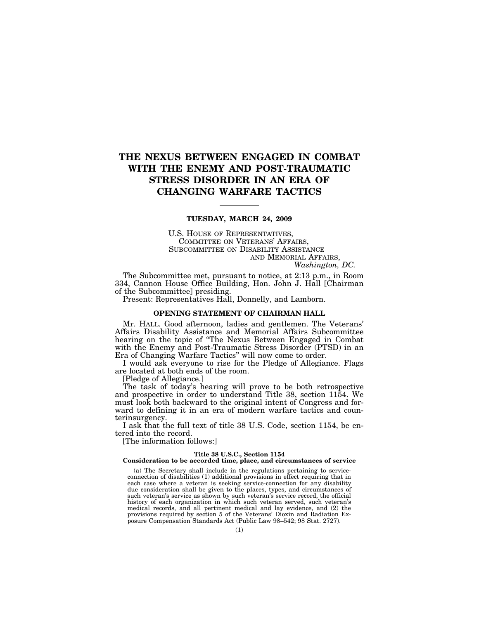### **THE NEXUS BETWEEN ENGAGED IN COMBAT WITH THE ENEMY AND POST-TRAUMATIC STRESS DISORDER IN AN ERA OF CHANGING WARFARE TACTICS**

#### **TUESDAY, MARCH 24, 2009**

U.S. HOUSE OF REPRESENTATIVES, COMMITTEE ON VETERANS' AFFAIRS, SUBCOMMITTEE ON DISABILITY ASSISTANCE AND MEMORIAL AFFAIRS, *Washington, DC.* 

The Subcommittee met, pursuant to notice, at 2:13 p.m., in Room 334, Cannon House Office Building, Hon. John J. Hall [Chairman of the Subcommittee] presiding.

Present: Representatives Hall, Donnelly, and Lamborn.

#### **OPENING STATEMENT OF CHAIRMAN HALL**

Mr. HALL. Good afternoon, ladies and gentlemen. The Veterans' Affairs Disability Assistance and Memorial Affairs Subcommittee hearing on the topic of ''The Nexus Between Engaged in Combat with the Enemy and Post-Traumatic Stress Disorder (PTSD) in an Era of Changing Warfare Tactics'' will now come to order.

I would ask everyone to rise for the Pledge of Allegiance. Flags are located at both ends of the room.

[Pledge of Allegiance.]

The task of today's hearing will prove to be both retrospective and prospective in order to understand Title 38, section 1154. We must look both backward to the original intent of Congress and forward to defining it in an era of modern warfare tactics and counterinsurgency.

I ask that the full text of title 38 U.S. Code, section 1154, be entered into the record.

[The information follows:]

#### **Title 38 U.S.C., Section 1154 Consideration to be accorded time, place, and circumstances of service**

(a) The Secretary shall include in the regulations pertaining to serviceconnection of disabilities (1) additional provisions in effect requiring that in each case where a veteran is seeking service-connection for any disability due consideration shall be given to the places, types, and circumstances of such veteran's service as shown by such veteran's service record, the official history of each organization in which such veteran served, such veteran's medical records, and all pertinent medical and lay evidence, and (2) the provisions required by section 5 of the Veterans' Dioxin and Radiation Exposure Compensation Standards Act (Public Law 98–542; 98 Stat. 2727).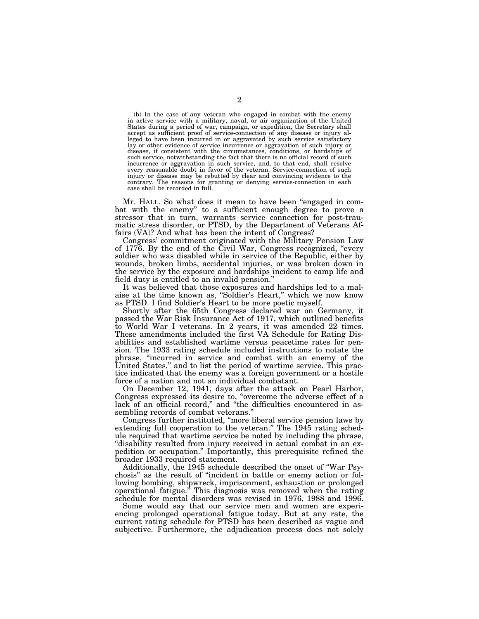(b) In the case of any veteran who engaged in combat with the enemy in active service with a military, naval, or air organization of the United States during a period of war, campaign, or expedition, the Secretary shall accept as sufficient proof of service-connection of any disease or injury alleged to have been incurred in or aggravated by such service satisfactory lay or other evidence of service incurrence or aggravation of such injury or disease, if consistent with the circumstances, conditions, or hardships of such service, notwithstanding the fact that there is no official record of such incurrence or aggravation in such service, and, to that end, shall resolve every reasonable doubt in favor of the veteran. Service-connection of such injury or disease may be rebutted by clear and convincing evidence to the contrary. The reasons for granting or denying service-connection in each case shall be recorded in full.

Mr. HALL. So what does it mean to have been ''engaged in combat with the enemy'' to a sufficient enough degree to prove a stressor that in turn, warrants service connection for post-traumatic stress disorder, or PTSD, by the Department of Veterans Affairs (VA)? And what has been the intent of Congress?

Congress' commitment originated with the Military Pension Law of 1776. By the end of the Civil War, Congress recognized, "every soldier who was disabled while in service of the Republic, either by wounds, broken limbs, accidental injuries, or was broken down in the service by the exposure and hardships incident to camp life and field duty is entitled to an invalid pension.''

It was believed that those exposures and hardships led to a malaise at the time known as, ''Soldier's Heart,'' which we now know as PTSD. I find Soldier's Heart to be more poetic myself.

Shortly after the 65th Congress declared war on Germany, it passed the War Risk Insurance Act of 1917, which outlined benefits to World War I veterans. In 2 years, it was amended 22 times. These amendments included the first VA Schedule for Rating Disabilities and established wartime versus peacetime rates for pension. The 1933 rating schedule included instructions to notate the phrase, ''incurred in service and combat with an enemy of the United States,'' and to list the period of wartime service. This practice indicated that the enemy was a foreign government or a hostile force of a nation and not an individual combatant.

On December 12, 1941, days after the attack on Pearl Harbor, Congress expressed its desire to, "overcome the adverse effect of a lack of an official record," and "the difficulties encountered in assembling records of combat veterans.

Congress further instituted, ''more liberal service pension laws by extending full cooperation to the veteran." The 1945 rating schedule required that wartime service be noted by including the phrase, ''disability resulted from injury received in actual combat in an expedition or occupation.'' Importantly, this prerequisite refined the broader 1933 required statement.

Additionally, the 1945 schedule described the onset of ''War Psychosis'' as the result of ''incident in battle or enemy action or following bombing, shipwreck, imprisonment, exhaustion or prolonged operational fatigue.'' This diagnosis was removed when the rating schedule for mental disorders was revised in 1976, 1988 and 1996.

Some would say that our service men and women are experiencing prolonged operational fatigue today. But at any rate, the current rating schedule for PTSD has been described as vague and subjective. Furthermore, the adjudication process does not solely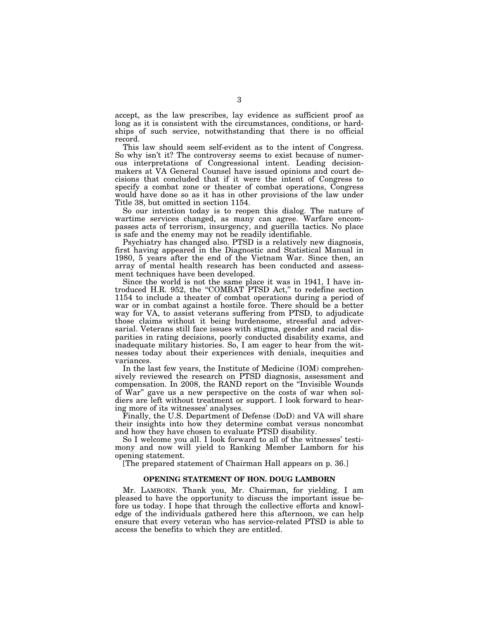accept, as the law prescribes, lay evidence as sufficient proof as long as it is consistent with the circumstances, conditions, or hardships of such service, notwithstanding that there is no official record.

This law should seem self-evident as to the intent of Congress. So why isn't it? The controversy seems to exist because of numerous interpretations of Congressional intent. Leading decisionmakers at VA General Counsel have issued opinions and court decisions that concluded that if it were the intent of Congress to specify a combat zone or theater of combat operations, Congress would have done so as it has in other provisions of the law under Title 38, but omitted in section 1154.

So our intention today is to reopen this dialog. The nature of wartime services changed, as many can agree. Warfare encompasses acts of terrorism, insurgency, and guerilla tactics. No place is safe and the enemy may not be readily identifiable.

Psychiatry has changed also. PTSD is a relatively new diagnosis, first having appeared in the Diagnostic and Statistical Manual in 1980, 5 years after the end of the Vietnam War. Since then, an array of mental health research has been conducted and assessment techniques have been developed.

Since the world is not the same place it was in 1941, I have introduced H.R. 952, the ''COMBAT PTSD Act,'' to redefine section 1154 to include a theater of combat operations during a period of war or in combat against a hostile force. There should be a better way for VA, to assist veterans suffering from PTSD, to adjudicate those claims without it being burdensome, stressful and adversarial. Veterans still face issues with stigma, gender and racial disparities in rating decisions, poorly conducted disability exams, and inadequate military histories. So, I am eager to hear from the witnesses today about their experiences with denials, inequities and variances.

In the last few years, the Institute of Medicine (IOM) comprehensively reviewed the research on PTSD diagnosis, assessment and compensation. In 2008, the RAND report on the ''Invisible Wounds of War'' gave us a new perspective on the costs of war when soldiers are left without treatment or support. I look forward to hearing more of its witnesses' analyses.

Finally, the U.S. Department of Defense (DoD) and VA will share their insights into how they determine combat versus noncombat and how they have chosen to evaluate PTSD disability.

So I welcome you all. I look forward to all of the witnesses' testimony and now will yield to Ranking Member Lamborn for his opening statement.

[The prepared statement of Chairman Hall appears on p. 36.]

#### **OPENING STATEMENT OF HON. DOUG LAMBORN**

Mr. LAMBORN. Thank you, Mr. Chairman, for yielding. I am pleased to have the opportunity to discuss the important issue before us today. I hope that through the collective efforts and knowledge of the individuals gathered here this afternoon, we can help ensure that every veteran who has service-related PTSD is able to access the benefits to which they are entitled.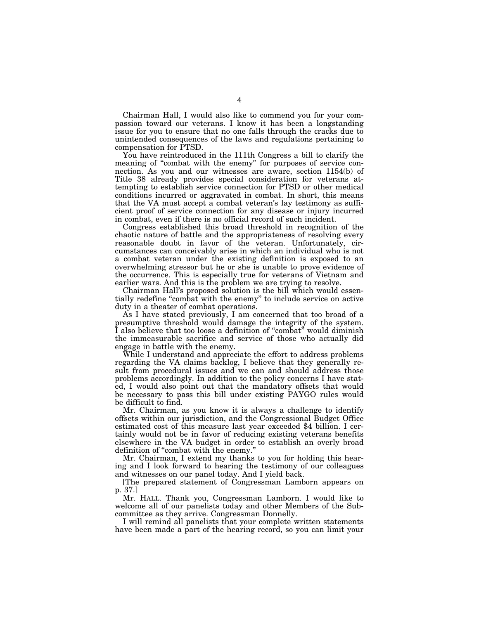Chairman Hall, I would also like to commend you for your compassion toward our veterans. I know it has been a longstanding issue for you to ensure that no one falls through the cracks due to unintended consequences of the laws and regulations pertaining to compensation for PTSD.

You have reintroduced in the 111th Congress a bill to clarify the meaning of "combat with the enemy" for purposes of service connection. As you and our witnesses are aware, section 1154(b) of Title 38 already provides special consideration for veterans attempting to establish service connection for PTSD or other medical conditions incurred or aggravated in combat. In short, this means that the VA must accept a combat veteran's lay testimony as sufficient proof of service connection for any disease or injury incurred in combat, even if there is no official record of such incident.

Congress established this broad threshold in recognition of the chaotic nature of battle and the appropriateness of resolving every reasonable doubt in favor of the veteran. Unfortunately, circumstances can conceivably arise in which an individual who is not a combat veteran under the existing definition is exposed to an overwhelming stressor but he or she is unable to prove evidence of the occurrence. This is especially true for veterans of Vietnam and earlier wars. And this is the problem we are trying to resolve.

Chairman Hall's proposed solution is the bill which would essentially redefine ''combat with the enemy'' to include service on active duty in a theater of combat operations.

As I have stated previously, I am concerned that too broad of a presumptive threshold would damage the integrity of the system. I also believe that too loose a definition of ''combat'' would diminish the immeasurable sacrifice and service of those who actually did engage in battle with the enemy.

While I understand and appreciate the effort to address problems regarding the VA claims backlog, I believe that they generally result from procedural issues and we can and should address those problems accordingly. In addition to the policy concerns I have stated, I would also point out that the mandatory offsets that would be necessary to pass this bill under existing PAYGO rules would be difficult to find.

Mr. Chairman, as you know it is always a challenge to identify offsets within our jurisdiction, and the Congressional Budget Office estimated cost of this measure last year exceeded \$4 billion. I certainly would not be in favor of reducing existing veterans benefits elsewhere in the VA budget in order to establish an overly broad definition of "combat with the enemy."

Mr. Chairman, I extend my thanks to you for holding this hearing and I look forward to hearing the testimony of our colleagues and witnesses on our panel today. And I yield back.

[The prepared statement of Congressman Lamborn appears on p. 37.]

Mr. HALL. Thank you, Congressman Lamborn. I would like to welcome all of our panelists today and other Members of the Subcommittee as they arrive. Congressman Donnelly.

I will remind all panelists that your complete written statements have been made a part of the hearing record, so you can limit your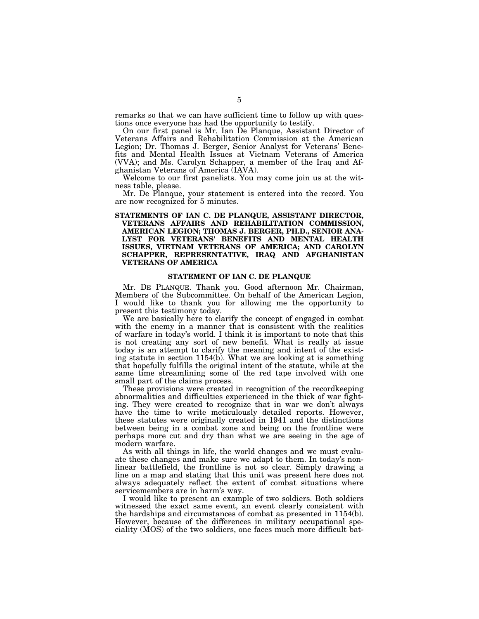remarks so that we can have sufficient time to follow up with questions once everyone has had the opportunity to testify.

On our first panel is Mr. Ian De Planque, Assistant Director of Veterans Affairs and Rehabilitation Commission at the American Legion; Dr. Thomas J. Berger, Senior Analyst for Veterans' Benefits and Mental Health Issues at Vietnam Veterans of America (VVA); and Ms. Carolyn Schapper, a member of the Iraq and Afghanistan Veterans of America (IAVA).

Welcome to our first panelists. You may come join us at the witness table, please.

Mr. De Planque, your statement is entered into the record. You are now recognized for 5 minutes.

#### **STATEMENTS OF IAN C. DE PLANQUE, ASSISTANT DIRECTOR, VETERANS AFFAIRS AND REHABILITATION COMMISSION, AMERICAN LEGION; THOMAS J. BERGER, PH.D., SENIOR ANA-LYST FOR VETERANS' BENEFITS AND MENTAL HEALTH ISSUES, VIETNAM VETERANS OF AMERICA; AND CAROLYN SCHAPPER, REPRESENTATIVE, IRAQ AND AFGHANISTAN VETERANS OF AMERICA**

#### **STATEMENT OF IAN C. DE PLANQUE**

Mr. DE PLANQUE. Thank you. Good afternoon Mr. Chairman, Members of the Subcommittee. On behalf of the American Legion, I would like to thank you for allowing me the opportunity to present this testimony today.

We are basically here to clarify the concept of engaged in combat with the enemy in a manner that is consistent with the realities of warfare in today's world. I think it is important to note that this is not creating any sort of new benefit. What is really at issue today is an attempt to clarify the meaning and intent of the existing statute in section 1154(b). What we are looking at is something that hopefully fulfills the original intent of the statute, while at the same time streamlining some of the red tape involved with one small part of the claims process.

These provisions were created in recognition of the recordkeeping abnormalities and difficulties experienced in the thick of war fighting. They were created to recognize that in war we don't always have the time to write meticulously detailed reports. However, these statutes were originally created in 1941 and the distinctions between being in a combat zone and being on the frontline were perhaps more cut and dry than what we are seeing in the age of modern warfare.

As with all things in life, the world changes and we must evaluate these changes and make sure we adapt to them. In today's nonlinear battlefield, the frontline is not so clear. Simply drawing a line on a map and stating that this unit was present here does not always adequately reflect the extent of combat situations where servicemembers are in harm's way.

I would like to present an example of two soldiers. Both soldiers witnessed the exact same event, an event clearly consistent with the hardships and circumstances of combat as presented in 1154(b). However, because of the differences in military occupational speciality (MOS) of the two soldiers, one faces much more difficult bat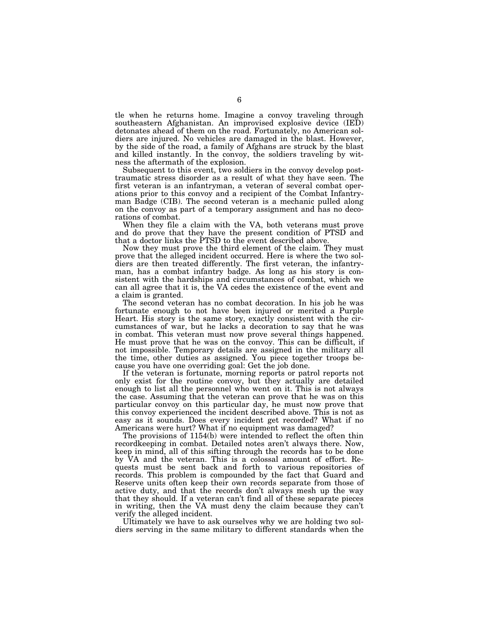tle when he returns home. Imagine a convoy traveling through southeastern Afghanistan. An improvised explosive device (IED) detonates ahead of them on the road. Fortunately, no American soldiers are injured. No vehicles are damaged in the blast. However, by the side of the road, a family of Afghans are struck by the blast and killed instantly. In the convoy, the soldiers traveling by witness the aftermath of the explosion.

Subsequent to this event, two soldiers in the convoy develop posttraumatic stress disorder as a result of what they have seen. The first veteran is an infantryman, a veteran of several combat operations prior to this convoy and a recipient of the Combat Infantryman Badge (CIB). The second veteran is a mechanic pulled along on the convoy as part of a temporary assignment and has no decorations of combat.

When they file a claim with the VA, both veterans must prove and do prove that they have the present condition of PTSD and that a doctor links the PTSD to the event described above.

Now they must prove the third element of the claim. They must prove that the alleged incident occurred. Here is where the two soldiers are then treated differently. The first veteran, the infantryman, has a combat infantry badge. As long as his story is consistent with the hardships and circumstances of combat, which we can all agree that it is, the VA cedes the existence of the event and a claim is granted.

The second veteran has no combat decoration. In his job he was fortunate enough to not have been injured or merited a Purple Heart. His story is the same story, exactly consistent with the circumstances of war, but he lacks a decoration to say that he was in combat. This veteran must now prove several things happened. He must prove that he was on the convoy. This can be difficult, if not impossible. Temporary details are assigned in the military all the time, other duties as assigned. You piece together troops because you have one overriding goal: Get the job done.

If the veteran is fortunate, morning reports or patrol reports not only exist for the routine convoy, but they actually are detailed enough to list all the personnel who went on it. This is not always the case. Assuming that the veteran can prove that he was on this particular convoy on this particular day, he must now prove that this convoy experienced the incident described above. This is not as easy as it sounds. Does every incident get recorded? What if no Americans were hurt? What if no equipment was damaged?

The provisions of 1154(b) were intended to reflect the often thin recordkeeping in combat. Detailed notes aren't always there. Now, keep in mind, all of this sifting through the records has to be done by VA and the veteran. This is a colossal amount of effort. Requests must be sent back and forth to various repositories of records. This problem is compounded by the fact that Guard and Reserve units often keep their own records separate from those of active duty, and that the records don't always mesh up the way that they should. If a veteran can't find all of these separate pieces in writing, then the VA must deny the claim because they can't verify the alleged incident.

Ultimately we have to ask ourselves why we are holding two soldiers serving in the same military to different standards when the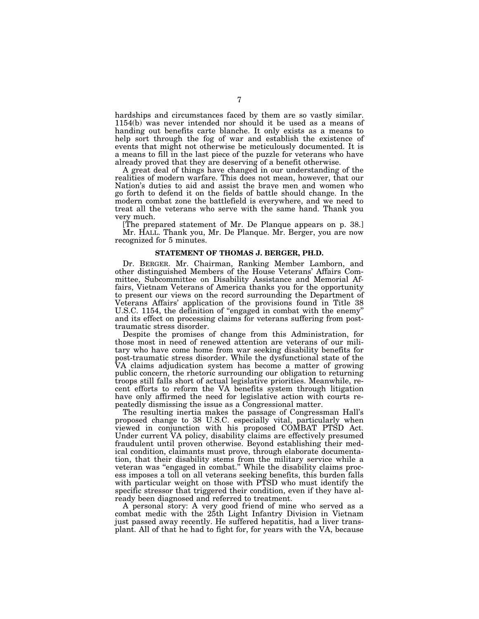hardships and circumstances faced by them are so vastly similar. 1154(b) was never intended nor should it be used as a means of handing out benefits carte blanche. It only exists as a means to help sort through the fog of war and establish the existence of events that might not otherwise be meticulously documented. It is a means to fill in the last piece of the puzzle for veterans who have already proved that they are deserving of a benefit otherwise.

A great deal of things have changed in our understanding of the realities of modern warfare. This does not mean, however, that our Nation's duties to aid and assist the brave men and women who go forth to defend it on the fields of battle should change. In the modern combat zone the battlefield is everywhere, and we need to treat all the veterans who serve with the same hand. Thank you very much.

[The prepared statement of Mr. De Planque appears on p. 38.] Mr. HALL. Thank you, Mr. De Planque. Mr. Berger, you are now recognized for 5 minutes.

#### **STATEMENT OF THOMAS J. BERGER, PH.D.**

Dr. BERGER. Mr. Chairman, Ranking Member Lamborn, and other distinguished Members of the House Veterans' Affairs Committee, Subcommittee on Disability Assistance and Memorial Affairs, Vietnam Veterans of America thanks you for the opportunity to present our views on the record surrounding the Department of Veterans Affairs' application of the provisions found in Title 38 U.S.C. 1154, the definition of ''engaged in combat with the enemy'' and its effect on processing claims for veterans suffering from posttraumatic stress disorder.

Despite the promises of change from this Administration, for those most in need of renewed attention are veterans of our military who have come home from war seeking disability benefits for post-traumatic stress disorder. While the dysfunctional state of the VA claims adjudication system has become a matter of growing public concern, the rhetoric surrounding our obligation to returning troops still falls short of actual legislative priorities. Meanwhile, recent efforts to reform the VA benefits system through litigation have only affirmed the need for legislative action with courts repeatedly dismissing the issue as a Congressional matter.

The resulting inertia makes the passage of Congressman Hall's proposed change to 38 U.S.C. especially vital, particularly when viewed in conjunction with his proposed COMBAT PTSD Act. Under current VA policy, disability claims are effectively presumed fraudulent until proven otherwise. Beyond establishing their medical condition, claimants must prove, through elaborate documentation, that their disability stems from the military service while a veteran was "engaged in combat." While the disability claims process imposes a toll on all veterans seeking benefits, this burden falls with particular weight on those with PTSD who must identify the specific stressor that triggered their condition, even if they have already been diagnosed and referred to treatment.

A personal story: A very good friend of mine who served as a combat medic with the 25th Light Infantry Division in Vietnam just passed away recently. He suffered hepatitis, had a liver transplant. All of that he had to fight for, for years with the VA, because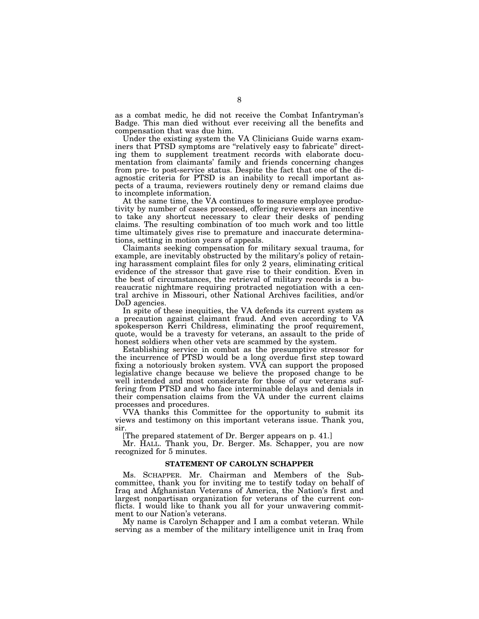as a combat medic, he did not receive the Combat Infantryman's Badge. This man died without ever receiving all the benefits and compensation that was due him.

Under the existing system the VA Clinicians Guide warns examiners that PTSD symptoms are "relatively easy to fabricate" directing them to supplement treatment records with elaborate documentation from claimants' family and friends concerning changes from pre- to post-service status. Despite the fact that one of the diagnostic criteria for PTSD is an inability to recall important aspects of a trauma, reviewers routinely deny or remand claims due to incomplete information.

At the same time, the VA continues to measure employee productivity by number of cases processed, offering reviewers an incentive to take any shortcut necessary to clear their desks of pending claims. The resulting combination of too much work and too little time ultimately gives rise to premature and inaccurate determinations, setting in motion years of appeals.

Claimants seeking compensation for military sexual trauma, for example, are inevitably obstructed by the military's policy of retaining harassment complaint files for only 2 years, eliminating critical evidence of the stressor that gave rise to their condition. Even in the best of circumstances, the retrieval of military records is a bureaucratic nightmare requiring protracted negotiation with a central archive in Missouri, other National Archives facilities, and/or DoD agencies.

In spite of these inequities, the VA defends its current system as a precaution against claimant fraud. And even according to VA spokesperson Kerri Childress, eliminating the proof requirement, quote, would be a travesty for veterans, an assault to the pride of honest soldiers when other vets are scammed by the system.

Establishing service in combat as the presumptive stressor for the incurrence of PTSD would be a long overdue first step toward fixing a notoriously broken system. VVA can support the proposed legislative change because we believe the proposed change to be well intended and most considerate for those of our veterans suffering from PTSD and who face interminable delays and denials in their compensation claims from the VA under the current claims processes and procedures.

VVA thanks this Committee for the opportunity to submit its views and testimony on this important veterans issue. Thank you, sir.

[The prepared statement of Dr. Berger appears on p. 41.]

Mr. HALL. Thank you, Dr. Berger. Ms. Schapper, you are now recognized for 5 minutes.

#### **STATEMENT OF CAROLYN SCHAPPER**

Ms. SCHAPPER. Mr. Chairman and Members of the Subcommittee, thank you for inviting me to testify today on behalf of Iraq and Afghanistan Veterans of America, the Nation's first and largest nonpartisan organization for veterans of the current conflicts. I would like to thank you all for your unwavering commitment to our Nation's veterans.

My name is Carolyn Schapper and I am a combat veteran. While serving as a member of the military intelligence unit in Iraq from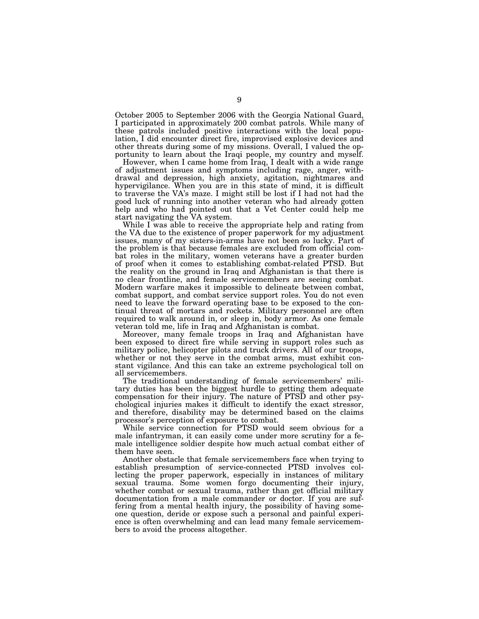October 2005 to September 2006 with the Georgia National Guard, I participated in approximately 200 combat patrols. While many of these patrols included positive interactions with the local population, I did encounter direct fire, improvised explosive devices and other threats during some of my missions. Overall, I valued the opportunity to learn about the Iraqi people, my country and myself.

However, when I came home from Iraq, I dealt with a wide range of adjustment issues and symptoms including rage, anger, withdrawal and depression, high anxiety, agitation, nightmares and hypervigilance. When you are in this state of mind, it is difficult to traverse the VA's maze. I might still be lost if I had not had the good luck of running into another veteran who had already gotten help and who had pointed out that a Vet Center could help me start navigating the VA system.

While I was able to receive the appropriate help and rating from the VA due to the existence of proper paperwork for my adjustment issues, many of my sisters-in-arms have not been so lucky. Part of the problem is that because females are excluded from official combat roles in the military, women veterans have a greater burden of proof when it comes to establishing combat-related PTSD. But the reality on the ground in Iraq and Afghanistan is that there is no clear frontline, and female servicemembers are seeing combat. Modern warfare makes it impossible to delineate between combat, combat support, and combat service support roles. You do not even need to leave the forward operating base to be exposed to the continual threat of mortars and rockets. Military personnel are often required to walk around in, or sleep in, body armor. As one female veteran told me, life in Iraq and Afghanistan is combat.

Moreover, many female troops in Iraq and Afghanistan have been exposed to direct fire while serving in support roles such as military police, helicopter pilots and truck drivers. All of our troops, whether or not they serve in the combat arms, must exhibit constant vigilance. And this can take an extreme psychological toll on all servicemembers.

The traditional understanding of female servicemembers' military duties has been the biggest hurdle to getting them adequate compensation for their injury. The nature of PTSD and other psychological injuries makes it difficult to identify the exact stressor, and therefore, disability may be determined based on the claims processor's perception of exposure to combat.

While service connection for PTSD would seem obvious for a male infantryman, it can easily come under more scrutiny for a female intelligence soldier despite how much actual combat either of them have seen.

Another obstacle that female servicemembers face when trying to establish presumption of service-connected PTSD involves collecting the proper paperwork, especially in instances of military sexual trauma. Some women forgo documenting their injury, whether combat or sexual trauma, rather than get official military documentation from a male commander or doctor. If you are suffering from a mental health injury, the possibility of having someone question, deride or expose such a personal and painful experience is often overwhelming and can lead many female servicemembers to avoid the process altogether.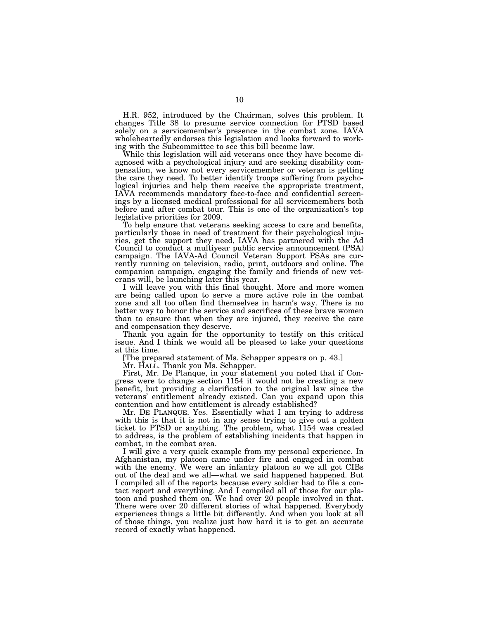H.R. 952, introduced by the Chairman, solves this problem. It changes Title 38 to presume service connection for PTSD based solely on a servicemember's presence in the combat zone. IAVA wholeheartedly endorses this legislation and looks forward to working with the Subcommittee to see this bill become law.

While this legislation will aid veterans once they have become diagnosed with a psychological injury and are seeking disability compensation, we know not every servicemember or veteran is getting the care they need. To better identify troops suffering from psychological injuries and help them receive the appropriate treatment, IAVA recommends mandatory face-to-face and confidential screenings by a licensed medical professional for all servicemembers both before and after combat tour. This is one of the organization's top legislative priorities for 2009.

To help ensure that veterans seeking access to care and benefits, particularly those in need of treatment for their psychological injuries, get the support they need, IAVA has partnered with the Ad Council to conduct a multiyear public service announcement (PSA) campaign. The IAVA-Ad Council Veteran Support PSAs are currently running on television, radio, print, outdoors and online. The companion campaign, engaging the family and friends of new veterans will, be launching later this year.

I will leave you with this final thought. More and more women are being called upon to serve a more active role in the combat zone and all too often find themselves in harm's way. There is no better way to honor the service and sacrifices of these brave women than to ensure that when they are injured, they receive the care and compensation they deserve.

Thank you again for the opportunity to testify on this critical issue. And I think we would all be pleased to take your questions at this time.

[The prepared statement of Ms. Schapper appears on p. 43.]

Mr. HALL. Thank you Ms. Schapper.

First, Mr. De Planque, in your statement you noted that if Congress were to change section 1154 it would not be creating a new benefit, but providing a clarification to the original law since the veterans' entitlement already existed. Can you expand upon this contention and how entitlement is already established?

Mr. DE PLANQUE. Yes. Essentially what I am trying to address with this is that it is not in any sense trying to give out a golden ticket to PTSD or anything. The problem, what  $1154$  was created to address, is the problem of establishing incidents that happen in combat, in the combat area.

I will give a very quick example from my personal experience. In Afghanistan, my platoon came under fire and engaged in combat with the enemy. We were an infantry platoon so we all got CIBs out of the deal and we all—what we said happened happened. But I compiled all of the reports because every soldier had to file a contact report and everything. And I compiled all of those for our platoon and pushed them on. We had over 20 people involved in that. There were over 20 different stories of what happened. Everybody experiences things a little bit differently. And when you look at all of those things, you realize just how hard it is to get an accurate record of exactly what happened.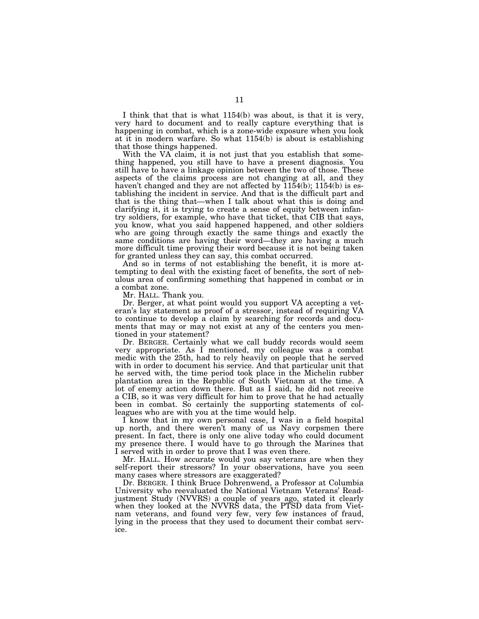I think that that is what 1154(b) was about, is that it is very, very hard to document and to really capture everything that is happening in combat, which is a zone-wide exposure when you look at it in modern warfare. So what 1154(b) is about is establishing that those things happened.

With the VA claim, it is not just that you establish that something happened, you still have to have a present diagnosis. You still have to have a linkage opinion between the two of those. These aspects of the claims process are not changing at all, and they haven't changed and they are not affected by  $1154(b)$ ;  $1154(b)$  is establishing the incident in service. And that is the difficult part and that is the thing that—when I talk about what this is doing and clarifying it, it is trying to create a sense of equity between infantry soldiers, for example, who have that ticket, that CIB that says, you know, what you said happened happened, and other soldiers who are going through exactly the same things and exactly the same conditions are having their word—they are having a much more difficult time proving their word because it is not being taken for granted unless they can say, this combat occurred.

And so in terms of not establishing the benefit, it is more attempting to deal with the existing facet of benefits, the sort of nebulous area of confirming something that happened in combat or in a combat zone.

Mr. HALL. Thank you.

Dr. Berger, at what point would you support VA accepting a veteran's lay statement as proof of a stressor, instead of requiring VA to continue to develop a claim by searching for records and documents that may or may not exist at any of the centers you mentioned in your statement?

Dr. BERGER. Certainly what we call buddy records would seem very appropriate. As I mentioned, my colleague was a combat medic with the 25th, had to rely heavily on people that he served with in order to document his service. And that particular unit that he served with, the time period took place in the Michelin rubber plantation area in the Republic of South Vietnam at the time. A lot of enemy action down there. But as I said, he did not receive a CIB, so it was very difficult for him to prove that he had actually been in combat. So certainly the supporting statements of colleagues who are with you at the time would help.

I know that in my own personal case, I was in a field hospital up north, and there weren't many of us Navy corpsmen there present. In fact, there is only one alive today who could document my presence there. I would have to go through the Marines that I served with in order to prove that I was even there.

Mr. HALL. How accurate would you say veterans are when they self-report their stressors? In your observations, have you seen many cases where stressors are exaggerated?

Dr. BERGER. I think Bruce Dohrenwend, a Professor at Columbia University who reevaluated the National Vietnam Veterans' Readjustment Study (NVVRS) a couple of years ago, stated it clearly when they looked at the NVVRS data, the PTSD data from Vietnam veterans, and found very few, very few instances of fraud, lying in the process that they used to document their combat service.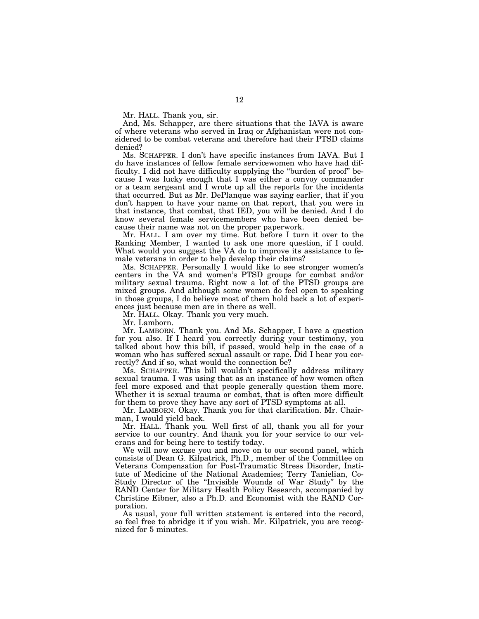Mr. HALL. Thank you, sir.

And, Ms. Schapper, are there situations that the IAVA is aware of where veterans who served in Iraq or Afghanistan were not considered to be combat veterans and therefore had their PTSD claims denied?

Ms. SCHAPPER. I don't have specific instances from IAVA. But I do have instances of fellow female servicewomen who have had difficulty. I did not have difficulty supplying the ''burden of proof'' because I was lucky enough that I was either a convoy commander or a team sergeant and I wrote up all the reports for the incidents that occurred. But as Mr. DePlanque was saying earlier, that if you don't happen to have your name on that report, that you were in that instance, that combat, that IED, you will be denied. And I do know several female servicemembers who have been denied because their name was not on the proper paperwork.

Mr. HALL. I am over my time. But before I turn it over to the Ranking Member, I wanted to ask one more question, if I could. What would you suggest the VA do to improve its assistance to female veterans in order to help develop their claims?

Ms. SCHAPPER. Personally I would like to see stronger women's centers in the VA and women's PTSD groups for combat and/or military sexual trauma. Right now a lot of the PTSD groups are mixed groups. And although some women do feel open to speaking in those groups, I do believe most of them hold back a lot of experiences just because men are in there as well.

Mr. HALL. Okay. Thank you very much.

Mr. Lamborn.

Mr. LAMBORN. Thank you. And Ms. Schapper, I have a question for you also. If I heard you correctly during your testimony, you talked about how this bill, if passed, would help in the case of a woman who has suffered sexual assault or rape. Did I hear you correctly? And if so, what would the connection be?

Ms. SCHAPPER. This bill wouldn't specifically address military sexual trauma. I was using that as an instance of how women often feel more exposed and that people generally question them more. Whether it is sexual trauma or combat, that is often more difficult for them to prove they have any sort of PTSD symptoms at all.

Mr. LAMBORN. Okay. Thank you for that clarification. Mr. Chairman, I would yield back.

Mr. HALL. Thank you. Well first of all, thank you all for your service to our country. And thank you for your service to our veterans and for being here to testify today.

We will now excuse you and move on to our second panel, which consists of Dean G. Kilpatrick, Ph.D., member of the Committee on Veterans Compensation for Post-Traumatic Stress Disorder, Institute of Medicine of the National Academies; Terry Tanielian, Co-Study Director of the ''Invisible Wounds of War Study'' by the RAND Center for Military Health Policy Research, accompanied by Christine Eibner, also a Ph.D. and Economist with the RAND Corporation.

As usual, your full written statement is entered into the record, so feel free to abridge it if you wish. Mr. Kilpatrick, you are recognized for 5 minutes.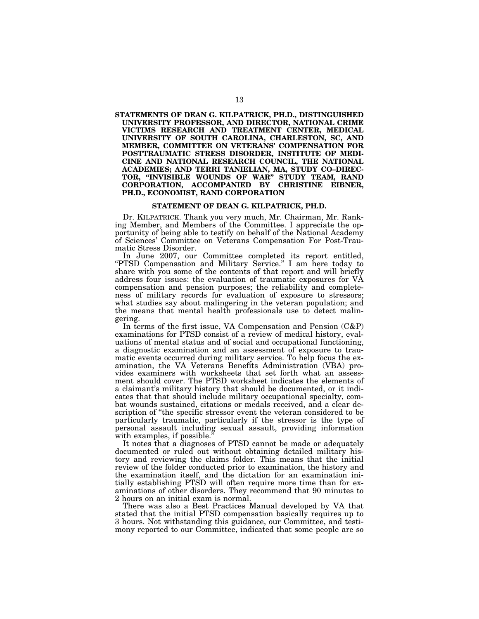#### **STATEMENTS OF DEAN G. KILPATRICK, PH.D., DISTINGUISHED UNIVERSITY PROFESSOR, AND DIRECTOR, NATIONAL CRIME VICTIMS RESEARCH AND TREATMENT CENTER, MEDICAL UNIVERSITY OF SOUTH CAROLINA, CHARLESTON, SC, AND MEMBER, COMMITTEE ON VETERANS' COMPENSATION FOR POSTTRAUMATIC STRESS DISORDER, INSTITUTE OF MEDI-CINE AND NATIONAL RESEARCH COUNCIL, THE NATIONAL ACADEMIES; AND TERRI TANIELIAN, MA, STUDY CO–DIREC-TOR, ''INVISIBLE WOUNDS OF WAR'' STUDY TEAM, RAND CORPORATION, ACCOMPANIED BY CHRISTINE EIBNER, PH.D., ECONOMIST, RAND CORPORATION**

#### **STATEMENT OF DEAN G. KILPATRICK, PH.D.**

Dr. KILPATRICK. Thank you very much, Mr. Chairman, Mr. Ranking Member, and Members of the Committee. I appreciate the opportunity of being able to testify on behalf of the National Academy of Sciences' Committee on Veterans Compensation For Post-Traumatic Stress Disorder.

In June 2007, our Committee completed its report entitled, ''PTSD Compensation and Military Service.'' I am here today to share with you some of the contents of that report and will briefly address four issues: the evaluation of traumatic exposures for VA compensation and pension purposes; the reliability and completeness of military records for evaluation of exposure to stressors; what studies say about malingering in the veteran population; and the means that mental health professionals use to detect malingering.

In terms of the first issue, VA Compensation and Pension (C&P) examinations for PTSD consist of a review of medical history, evaluations of mental status and of social and occupational functioning, a diagnostic examination and an assessment of exposure to traumatic events occurred during military service. To help focus the examination, the VA Veterans Benefits Administration (VBA) provides examiners with worksheets that set forth what an assessment should cover. The PTSD worksheet indicates the elements of a claimant's military history that should be documented, or it indicates that that should include military occupational specialty, combat wounds sustained, citations or medals received, and a clear description of "the specific stressor event the veteran considered to be particularly traumatic, particularly if the stressor is the type of personal assault including sexual assault, providing information with examples, if possible.<sup>'</sup>

It notes that a diagnoses of PTSD cannot be made or adequately documented or ruled out without obtaining detailed military history and reviewing the claims folder. This means that the initial review of the folder conducted prior to examination, the history and the examination itself, and the dictation for an examination initially establishing PTSD will often require more time than for examinations of other disorders. They recommend that 90 minutes to 2 hours on an initial exam is normal.

There was also a Best Practices Manual developed by VA that stated that the initial PTSD compensation basically requires up to 3 hours. Not withstanding this guidance, our Committee, and testimony reported to our Committee, indicated that some people are so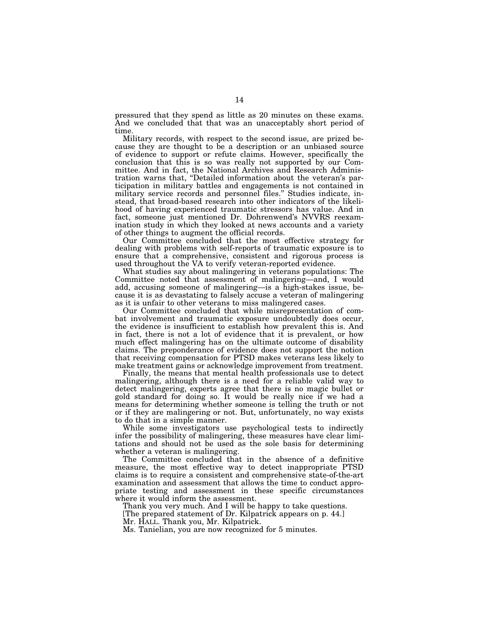pressured that they spend as little as 20 minutes on these exams. And we concluded that that was an unacceptably short period of time.

Military records, with respect to the second issue, are prized because they are thought to be a description or an unbiased source of evidence to support or refute claims. However, specifically the conclusion that this is so was really not supported by our Committee. And in fact, the National Archives and Research Administration warns that, ''Detailed information about the veteran's participation in military battles and engagements is not contained in military service records and personnel files.'' Studies indicate, instead, that broad-based research into other indicators of the likelihood of having experienced traumatic stressors has value. And in fact, someone just mentioned Dr. Dohrenwend's NVVRS reexamination study in which they looked at news accounts and a variety of other things to augment the official records.

Our Committee concluded that the most effective strategy for dealing with problems with self-reports of traumatic exposure is to ensure that a comprehensive, consistent and rigorous process is used throughout the VA to verify veteran-reported evidence.

What studies say about malingering in veterans populations: The Committee noted that assessment of malingering—and, I would add, accusing someone of malingering—is a high-stakes issue, because it is as devastating to falsely accuse a veteran of malingering as it is unfair to other veterans to miss malingered cases.

Our Committee concluded that while misrepresentation of combat involvement and traumatic exposure undoubtedly does occur, the evidence is insufficient to establish how prevalent this is. And in fact, there is not a lot of evidence that it is prevalent, or how much effect malingering has on the ultimate outcome of disability claims. The preponderance of evidence does not support the notion that receiving compensation for PTSD makes veterans less likely to make treatment gains or acknowledge improvement from treatment.

Finally, the means that mental health professionals use to detect malingering, although there is a need for a reliable valid way to detect malingering, experts agree that there is no magic bullet or gold standard for doing so. It would be really nice if we had a means for determining whether someone is telling the truth or not or if they are malingering or not. But, unfortunately, no way exists to do that in a simple manner.

While some investigators use psychological tests to indirectly infer the possibility of malingering, these measures have clear limitations and should not be used as the sole basis for determining whether a veteran is malingering.

The Committee concluded that in the absence of a definitive measure, the most effective way to detect inappropriate PTSD claims is to require a consistent and comprehensive state-of-the-art examination and assessment that allows the time to conduct appropriate testing and assessment in these specific circumstances where it would inform the assessment.

Thank you very much. And I will be happy to take questions.

[The prepared statement of Dr. Kilpatrick appears on p. 44.]

Mr. HALL. Thank you, Mr. Kilpatrick.

Ms. Tanielian, you are now recognized for 5 minutes.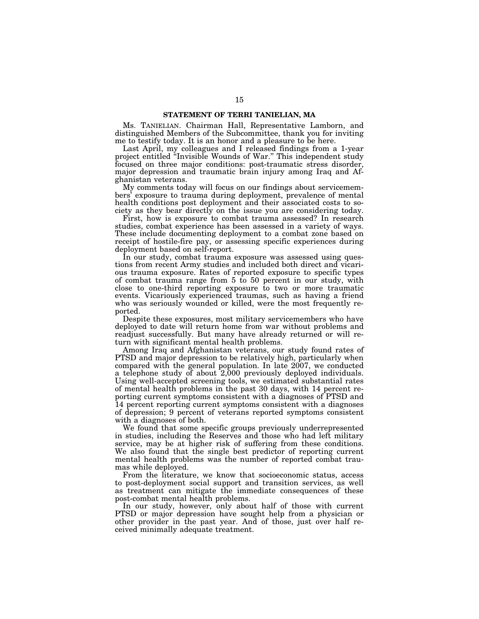#### **STATEMENT OF TERRI TANIELIAN, MA**

Ms. TANIELIAN. Chairman Hall, Representative Lamborn, and distinguished Members of the Subcommittee, thank you for inviting me to testify today. It is an honor and a pleasure to be here.

Last April, my colleagues and I released findings from a 1-year project entitled ''Invisible Wounds of War.'' This independent study focused on three major conditions: post-traumatic stress disorder, major depression and traumatic brain injury among Iraq and Afghanistan veterans.

My comments today will focus on our findings about servicemembers' exposure to trauma during deployment, prevalence of mental health conditions post deployment and their associated costs to society as they bear directly on the issue you are considering today.

First, how is exposure to combat trauma assessed? In research studies, combat experience has been assessed in a variety of ways. These include documenting deployment to a combat zone based on receipt of hostile-fire pay, or assessing specific experiences during deployment based on self-report.

In our study, combat trauma exposure was assessed using questions from recent Army studies and included both direct and vicarious trauma exposure. Rates of reported exposure to specific types of combat trauma range from 5 to 50 percent in our study, with close to one-third reporting exposure to two or more traumatic events. Vicariously experienced traumas, such as having a friend who was seriously wounded or killed, were the most frequently reported.

Despite these exposures, most military servicemembers who have deployed to date will return home from war without problems and readjust successfully. But many have already returned or will return with significant mental health problems.

Among Iraq and Afghanistan veterans, our study found rates of PTSD and major depression to be relatively high, particularly when compared with the general population. In late 2007, we conducted a telephone study of about 2,000 previously deployed individuals. Using well-accepted screening tools, we estimated substantial rates of mental health problems in the past 30 days, with 14 percent reporting current symptoms consistent with a diagnoses of PTSD and 14 percent reporting current symptoms consistent with a diagnoses of depression; 9 percent of veterans reported symptoms consistent with a diagnoses of both.

We found that some specific groups previously underrepresented in studies, including the Reserves and those who had left military service, may be at higher risk of suffering from these conditions. We also found that the single best predictor of reporting current mental health problems was the number of reported combat traumas while deployed.

From the literature, we know that socioeconomic status, access to post-deployment social support and transition services, as well as treatment can mitigate the immediate consequences of these post-combat mental health problems.

In our study, however, only about half of those with current PTSD or major depression have sought help from a physician or other provider in the past year. And of those, just over half received minimally adequate treatment.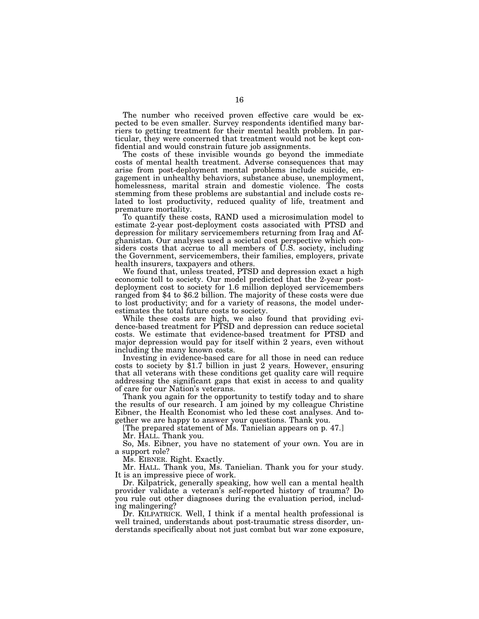The number who received proven effective care would be expected to be even smaller. Survey respondents identified many barriers to getting treatment for their mental health problem. In particular, they were concerned that treatment would not be kept confidential and would constrain future job assignments.

The costs of these invisible wounds go beyond the immediate costs of mental health treatment. Adverse consequences that may arise from post-deployment mental problems include suicide, engagement in unhealthy behaviors, substance abuse, unemployment, homelessness, marital strain and domestic violence. The costs stemming from these problems are substantial and include costs related to lost productivity, reduced quality of life, treatment and premature mortality.

To quantify these costs, RAND used a microsimulation model to estimate 2-year post-deployment costs associated with PTSD and depression for military servicemembers returning from Iraq and Afghanistan. Our analyses used a societal cost perspective which considers costs that accrue to all members of U.S. society, including the Government, servicemembers, their families, employers, private health insurers, taxpayers and others.

We found that, unless treated, PTSD and depression exact a high economic toll to society. Our model predicted that the 2-year postdeployment cost to society for 1.6 million deployed servicemembers ranged from \$4 to \$6.2 billion. The majority of these costs were due to lost productivity; and for a variety of reasons, the model underestimates the total future costs to society.

While these costs are high, we also found that providing evidence-based treatment for PTSD and depression can reduce societal costs. We estimate that evidence-based treatment for PTSD and major depression would pay for itself within 2 years, even without including the many known costs.<br>Investing in evidence-based care for all those in need can reduce

costs to society by \$1.7 billion in just 2 years. However, ensuring that all veterans with these conditions get quality care will require addressing the significant gaps that exist in access to and quality of care for our Nation's veterans.

Thank you again for the opportunity to testify today and to share the results of our research. I am joined by my colleague Christine Eibner, the Health Economist who led these cost analyses. And together we are happy to answer your questions. Thank you.

[The prepared statement of Ms. Tanielian appears on p. 47.]

Mr. HALL. Thank you.

So, Ms. Eibner, you have no statement of your own. You are in a support role?

Ms. EIBNER. Right. Exactly.

Mr. HALL. Thank you, Ms. Tanielian. Thank you for your study. It is an impressive piece of work.

Dr. Kilpatrick, generally speaking, how well can a mental health provider validate a veteran's self-reported history of trauma? Do you rule out other diagnoses during the evaluation period, including malingering?

Dr. KILPATRICK. Well, I think if a mental health professional is well trained, understands about post-traumatic stress disorder, understands specifically about not just combat but war zone exposure,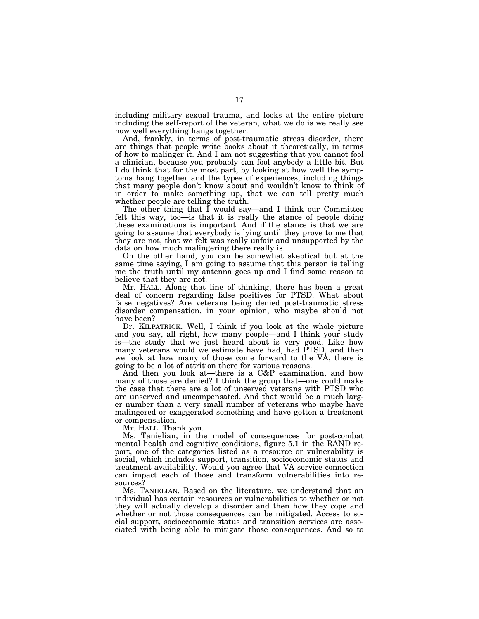including military sexual trauma, and looks at the entire picture including the self-report of the veteran, what we do is we really see how well everything hangs together.

And, frankly, in terms of post-traumatic stress disorder, there are things that people write books about it theoretically, in terms of how to malinger it. And I am not suggesting that you cannot fool a clinician, because you probably can fool anybody a little bit. But I do think that for the most part, by looking at how well the symptoms hang together and the types of experiences, including things that many people don't know about and wouldn't know to think of in order to make something up, that we can tell pretty much whether people are telling the truth.

The other thing that  $\tilde{I}$  would say—and I think our Committee felt this way, too—is that it is really the stance of people doing these examinations is important. And if the stance is that we are going to assume that everybody is lying until they prove to me that they are not, that we felt was really unfair and unsupported by the data on how much malingering there really is.

On the other hand, you can be somewhat skeptical but at the same time saying, I am going to assume that this person is telling me the truth until my antenna goes up and I find some reason to believe that they are not.

Mr. HALL. Along that line of thinking, there has been a great deal of concern regarding false positives for PTSD. What about false negatives? Are veterans being denied post-traumatic stress disorder compensation, in your opinion, who maybe should not have been?

Dr. KILPATRICK. Well, I think if you look at the whole picture and you say, all right, how many people—and I think your study is—the study that we just heard about is very good. Like how many veterans would we estimate have had, had PTSD, and then we look at how many of those come forward to the VA, there is going to be a lot of attrition there for various reasons.

And then you look at—there is a C&P examination, and how many of those are denied? I think the group that—one could make the case that there are a lot of unserved veterans with PTSD who are unserved and uncompensated. And that would be a much larger number than a very small number of veterans who maybe have malingered or exaggerated something and have gotten a treatment or compensation.

Mr. HALL. Thank you.

Ms. Tanielian, in the model of consequences for post-combat mental health and cognitive conditions, figure 5.1 in the RAND report, one of the categories listed as a resource or vulnerability is social, which includes support, transition, socioeconomic status and treatment availability. Would you agree that VA service connection can impact each of those and transform vulnerabilities into resources?

Ms. TANIELIAN. Based on the literature, we understand that an individual has certain resources or vulnerabilities to whether or not they will actually develop a disorder and then how they cope and whether or not those consequences can be mitigated. Access to social support, socioeconomic status and transition services are associated with being able to mitigate those consequences. And so to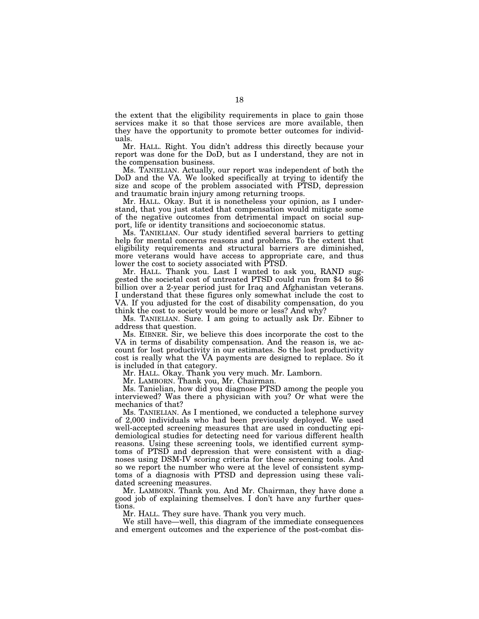the extent that the eligibility requirements in place to gain those services make it so that those services are more available, then they have the opportunity to promote better outcomes for individuals.

Mr. HALL. Right. You didn't address this directly because your report was done for the DoD, but as I understand, they are not in the compensation business.

Ms. TANIELIAN. Actually, our report was independent of both the DoD and the VA. We looked specifically at trying to identify the size and scope of the problem associated with PTSD, depression and traumatic brain injury among returning troops.

Mr. HALL. Okay. But it is nonetheless your opinion, as I understand, that you just stated that compensation would mitigate some of the negative outcomes from detrimental impact on social support, life or identity transitions and socioeconomic status.

Ms. TANIELIAN. Our study identified several barriers to getting help for mental concerns reasons and problems. To the extent that eligibility requirements and structural barriers are diminished, more veterans would have access to appropriate care, and thus lower the cost to society associated with PTSD.

Mr. HALL. Thank you. Last I wanted to ask you, RAND suggested the societal cost of untreated PTSD could run from \$4 to \$6 billion over a 2-year period just for Iraq and Afghanistan veterans. I understand that these figures only somewhat include the cost to VA. If you adjusted for the cost of disability compensation, do you think the cost to society would be more or less? And why?

Ms. TANIELIAN. Sure. I am going to actually ask Dr. Eibner to address that question.

Ms. EIBNER. Sir, we believe this does incorporate the cost to the VA in terms of disability compensation. And the reason is, we account for lost productivity in our estimates. So the lost productivity cost is really what the VA payments are designed to replace. So it is included in that category.

Mr. HALL. Okay. Thank you very much. Mr. Lamborn.

Mr. LAMBORN. Thank you, Mr. Chairman.

Ms. Tanielian, how did you diagnose PTSD among the people you interviewed? Was there a physician with you? Or what were the mechanics of that?

Ms. TANIELIAN. As I mentioned, we conducted a telephone survey of 2,000 individuals who had been previously deployed. We used well-accepted screening measures that are used in conducting epidemiological studies for detecting need for various different health reasons. Using these screening tools, we identified current symptoms of PTSD and depression that were consistent with a diagnoses using DSM-IV scoring criteria for these screening tools. And so we report the number who were at the level of consistent symptoms of a diagnosis with PTSD and depression using these validated screening measures.

Mr. LAMBORN. Thank you. And Mr. Chairman, they have done a good job of explaining themselves. I don't have any further questions.

Mr. HALL. They sure have. Thank you very much.

We still have—well, this diagram of the immediate consequences and emergent outcomes and the experience of the post-combat dis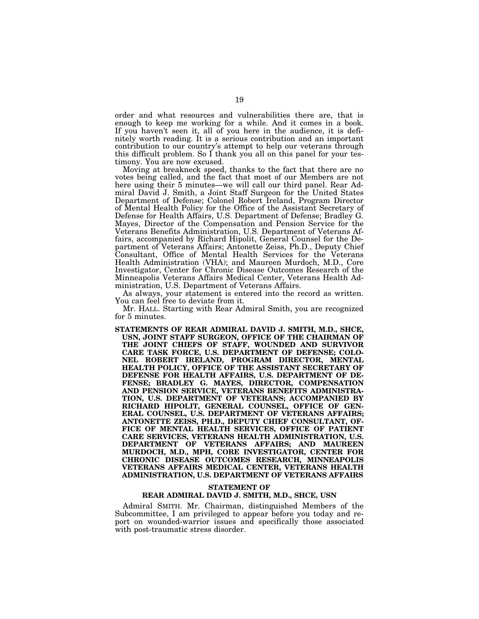order and what resources and vulnerabilities there are, that is enough to keep me working for a while. And it comes in a book. If you haven't seen it, all of you here in the audience, it is definitely worth reading. It is a serious contribution and an important contribution to our country's attempt to help our veterans through this difficult problem. So I thank you all on this panel for your testimony. You are now excused.

Moving at breakneck speed, thanks to the fact that there are no votes being called, and the fact that most of our Members are not here using their 5 minutes—we will call our third panel. Rear Admiral David J. Smith, a Joint Staff Surgeon for the United States Department of Defense; Colonel Robert Ireland, Program Director of Mental Health Policy for the Office of the Assistant Secretary of Defense for Health Affairs, U.S. Department of Defense; Bradley G. Mayes, Director of the Compensation and Pension Service for the Veterans Benefits Administration, U.S. Department of Veterans Affairs, accompanied by Richard Hipolit, General Counsel for the Department of Veterans Affairs; Antonette Zeiss, Ph.D., Deputy Chief Consultant, Office of Mental Health Services for the Veterans Health Administration (VHA); and Maureen Murdoch, M.D., Core Investigator, Center for Chronic Disease Outcomes Research of the Minneapolis Veterans Affairs Medical Center, Veterans Health Administration, U.S. Department of Veterans Affairs.

As always, your statement is entered into the record as written. You can feel free to deviate from it.

Mr. HALL. Starting with Rear Admiral Smith, you are recognized for 5 minutes.

**STATEMENTS OF REAR ADMIRAL DAVID J. SMITH, M.D., SHCE, USN, JOINT STAFF SURGEON, OFFICE OF THE CHAIRMAN OF THE JOINT CHIEFS OF STAFF, WOUNDED AND SURVIVOR CARE TASK FORCE, U.S. DEPARTMENT OF DEFENSE; COLO-NEL ROBERT IRELAND, PROGRAM DIRECTOR, MENTAL HEALTH POLICY, OFFICE OF THE ASSISTANT SECRETARY OF DEFENSE FOR HEALTH AFFAIRS, U.S. DEPARTMENT OF DE-FENSE; BRADLEY G. MAYES, DIRECTOR, COMPENSATION AND PENSION SERVICE, VETERANS BENEFITS ADMINISTRA-TION, U.S. DEPARTMENT OF VETERANS; ACCOMPANIED BY RICHARD HIPOLIT, GENERAL COUNSEL, OFFICE OF GEN-ERAL COUNSEL, U.S. DEPARTMENT OF VETERANS AFFAIRS; ANTONETTE ZEISS, PH.D., DEPUTY CHIEF CONSULTANT, OF-FICE OF MENTAL HEALTH SERVICES, OFFICE OF PATIENT CARE SERVICES, VETERANS HEALTH ADMINISTRATION, U.S. DEPARTMENT OF VETERANS AFFAIRS; AND MAUREEN MURDOCH, M.D., MPH, CORE INVESTIGATOR, CENTER FOR CHRONIC DISEASE OUTCOMES RESEARCH, MINNEAPOLIS VETERANS AFFAIRS MEDICAL CENTER, VETERANS HEALTH ADMINISTRATION, U.S. DEPARTMENT OF VETERANS AFFAIRS** 

#### **STATEMENT OF REAR ADMIRAL DAVID J. SMITH, M.D., SHCE, USN**

Admiral SMITH. Mr. Chairman, distinguished Members of the Subcommittee, I am privileged to appear before you today and report on wounded-warrior issues and specifically those associated with post-traumatic stress disorder.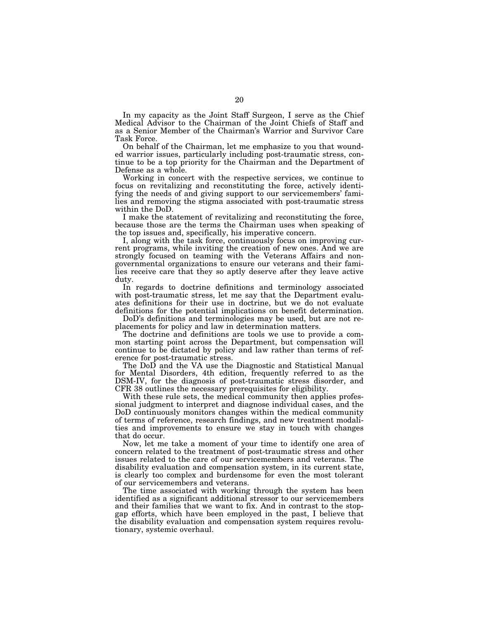In my capacity as the Joint Staff Surgeon, I serve as the Chief Medical Advisor to the Chairman of the Joint Chiefs of Staff and as a Senior Member of the Chairman's Warrior and Survivor Care Task Force.

On behalf of the Chairman, let me emphasize to you that wounded warrior issues, particularly including post-traumatic stress, continue to be a top priority for the Chairman and the Department of Defense as a whole.

Working in concert with the respective services, we continue to focus on revitalizing and reconstituting the force, actively identifying the needs of and giving support to our servicemembers' families and removing the stigma associated with post-traumatic stress within the DoD.

I make the statement of revitalizing and reconstituting the force, because those are the terms the Chairman uses when speaking of the top issues and, specifically, his imperative concern.

I, along with the task force, continuously focus on improving current programs, while inviting the creation of new ones. And we are strongly focused on teaming with the Veterans Affairs and nongovernmental organizations to ensure our veterans and their families receive care that they so aptly deserve after they leave active duty.

In regards to doctrine definitions and terminology associated with post-traumatic stress, let me say that the Department evaluates definitions for their use in doctrine, but we do not evaluate definitions for the potential implications on benefit determination.

DoD's definitions and terminologies may be used, but are not replacements for policy and law in determination matters.

The doctrine and definitions are tools we use to provide a common starting point across the Department, but compensation will continue to be dictated by policy and law rather than terms of reference for post-traumatic stress.

The DoD and the VA use the Diagnostic and Statistical Manual for Mental Disorders, 4th edition, frequently referred to as the DSM-IV, for the diagnosis of post-traumatic stress disorder, and CFR 38 outlines the necessary prerequisites for eligibility.

With these rule sets, the medical community then applies professional judgment to interpret and diagnose individual cases, and the DoD continuously monitors changes within the medical community of terms of reference, research findings, and new treatment modalities and improvements to ensure we stay in touch with changes that do occur.

Now, let me take a moment of your time to identify one area of concern related to the treatment of post-traumatic stress and other issues related to the care of our servicemembers and veterans. The disability evaluation and compensation system, in its current state, is clearly too complex and burdensome for even the most tolerant of our servicemembers and veterans.

The time associated with working through the system has been identified as a significant additional stressor to our servicemembers and their families that we want to fix. And in contrast to the stopgap efforts, which have been employed in the past, I believe that the disability evaluation and compensation system requires revolutionary, systemic overhaul.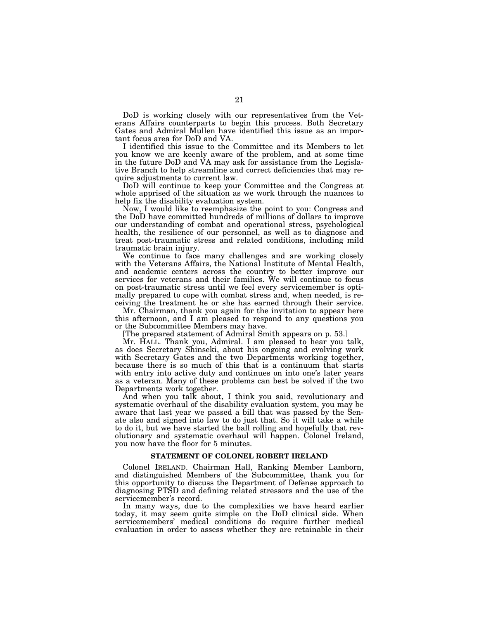DoD is working closely with our representatives from the Veterans Affairs counterparts to begin this process. Both Secretary Gates and Admiral Mullen have identified this issue as an important focus area for DoD and VA.

I identified this issue to the Committee and its Members to let you know we are keenly aware of the problem, and at some time in the future DoD and VA may ask for assistance from the Legislative Branch to help streamline and correct deficiencies that may require adjustments to current law.

DoD will continue to keep your Committee and the Congress at whole apprised of the situation as we work through the nuances to help fix the disability evaluation system.

Now, I would like to reemphasize the point to you: Congress and the DoD have committed hundreds of millions of dollars to improve our understanding of combat and operational stress, psychological health, the resilience of our personnel, as well as to diagnose and treat post-traumatic stress and related conditions, including mild traumatic brain injury.

We continue to face many challenges and are working closely with the Veterans Affairs, the National Institute of Mental Health, and academic centers across the country to better improve our services for veterans and their families. We will continue to focus on post-traumatic stress until we feel every servicemember is optimally prepared to cope with combat stress and, when needed, is receiving the treatment he or she has earned through their service.

Mr. Chairman, thank you again for the invitation to appear here this afternoon, and I am pleased to respond to any questions you or the Subcommittee Members may have.

[The prepared statement of Admiral Smith appears on p. 53.]

Mr. HALL. Thank you, Admiral. I am pleased to hear you talk, as does Secretary Shinseki, about his ongoing and evolving work with Secretary Gates and the two Departments working together, because there is so much of this that is a continuum that starts with entry into active duty and continues on into one's later years as a veteran. Many of these problems can best be solved if the two Departments work together.

And when you talk about, I think you said, revolutionary and systematic overhaul of the disability evaluation system, you may be aware that last year we passed a bill that was passed by the Senate also and signed into law to do just that. So it will take a while to do it, but we have started the ball rolling and hopefully that revolutionary and systematic overhaul will happen. Colonel Ireland, you now have the floor for 5 minutes.

#### **STATEMENT OF COLONEL ROBERT IRELAND**

Colonel IRELAND. Chairman Hall, Ranking Member Lamborn, and distinguished Members of the Subcommittee, thank you for this opportunity to discuss the Department of Defense approach to diagnosing PTSD and defining related stressors and the use of the servicemember's record.

In many ways, due to the complexities we have heard earlier today, it may seem quite simple on the DoD clinical side. When servicemembers' medical conditions do require further medical evaluation in order to assess whether they are retainable in their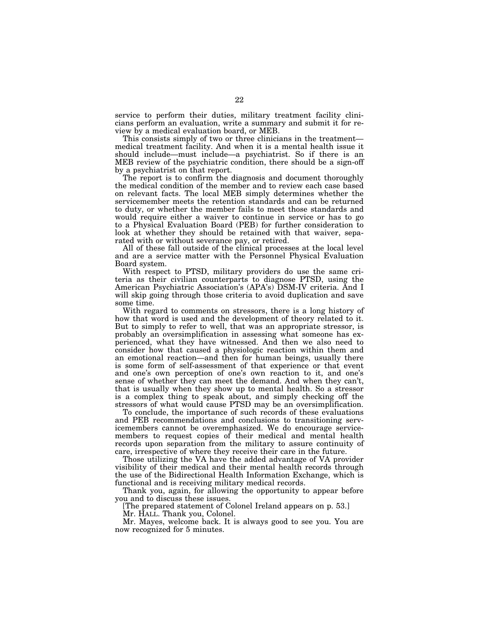service to perform their duties, military treatment facility clinicians perform an evaluation, write a summary and submit it for review by a medical evaluation board, or MEB.

This consists simply of two or three clinicians in the treatment medical treatment facility. And when it is a mental health issue it should include—must include—a psychiatrist. So if there is an MEB review of the psychiatric condition, there should be a sign-off by a psychiatrist on that report.

The report is to confirm the diagnosis and document thoroughly the medical condition of the member and to review each case based on relevant facts. The local MEB simply determines whether the servicemember meets the retention standards and can be returned to duty, or whether the member fails to meet those standards and would require either a waiver to continue in service or has to go to a Physical Evaluation Board (PEB) for further consideration to look at whether they should be retained with that waiver, separated with or without severance pay, or retired.

All of these fall outside of the clinical processes at the local level and are a service matter with the Personnel Physical Evaluation Board system.

With respect to PTSD, military providers do use the same criteria as their civilian counterparts to diagnose PTSD, using the American Psychiatric Association's (APA's) DSM-IV criteria. And I will skip going through those criteria to avoid duplication and save some time.

With regard to comments on stressors, there is a long history of how that word is used and the development of theory related to it. But to simply to refer to well, that was an appropriate stressor, is probably an oversimplification in assessing what someone has experienced, what they have witnessed. And then we also need to consider how that caused a physiologic reaction within them and an emotional reaction—and then for human beings, usually there is some form of self-assessment of that experience or that event and one's own perception of one's own reaction to it, and one's sense of whether they can meet the demand. And when they can't, that is usually when they show up to mental health. So a stressor is a complex thing to speak about, and simply checking off the stressors of what would cause PTSD may be an oversimplification.

To conclude, the importance of such records of these evaluations and PEB recommendations and conclusions to transitioning servicemembers cannot be overemphasized. We do encourage servicemembers to request copies of their medical and mental health records upon separation from the military to assure continuity of care, irrespective of where they receive their care in the future.

Those utilizing the VA have the added advantage of VA provider visibility of their medical and their mental health records through the use of the Bidirectional Health Information Exchange, which is functional and is receiving military medical records.

Thank you, again, for allowing the opportunity to appear before you and to discuss these issues.

[The prepared statement of Colonel Ireland appears on p. 53.]

Mr. HALL. Thank you, Colonel.

Mr. Mayes, welcome back. It is always good to see you. You are now recognized for 5 minutes.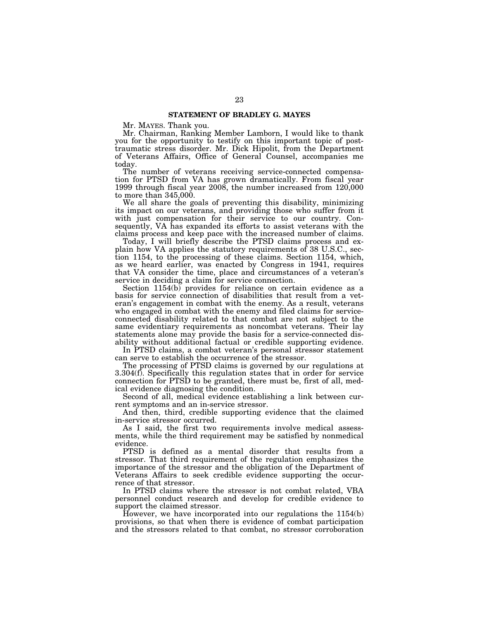#### **STATEMENT OF BRADLEY G. MAYES**

Mr. MAYES. Thank you.

Mr. Chairman, Ranking Member Lamborn, I would like to thank you for the opportunity to testify on this important topic of posttraumatic stress disorder. Mr. Dick Hipolit, from the Department of Veterans Affairs, Office of General Counsel, accompanies me today.

The number of veterans receiving service-connected compensation for PTSD from VA has grown dramatically. From fiscal year 1999 through fiscal year 2008, the number increased from 120,000 to more than 345,000.

We all share the goals of preventing this disability, minimizing its impact on our veterans, and providing those who suffer from it with just compensation for their service to our country. Consequently, VA has expanded its efforts to assist veterans with the claims process and keep pace with the increased number of claims.

Today, I will briefly describe the PTSD claims process and explain how VA applies the statutory requirements of 38 U.S.C., section 1154, to the processing of these claims. Section 1154, which, as we heard earlier, was enacted by Congress in 1941, requires that VA consider the time, place and circumstances of a veteran's service in deciding a claim for service connection.

Section 1154(b) provides for reliance on certain evidence as a basis for service connection of disabilities that result from a veteran's engagement in combat with the enemy. As a result, veterans who engaged in combat with the enemy and filed claims for serviceconnected disability related to that combat are not subject to the same evidentiary requirements as noncombat veterans. Their lay statements alone may provide the basis for a service-connected disability without additional factual or credible supporting evidence.

In PTSD claims, a combat veteran's personal stressor statement can serve to establish the occurrence of the stressor.

The processing of PTSD claims is governed by our regulations at 3.304(f). Specifically this regulation states that in order for service connection for PTSD to be granted, there must be, first of all, medical evidence diagnosing the condition.

Second of all, medical evidence establishing a link between current symptoms and an in-service stressor.

And then, third, credible supporting evidence that the claimed in-service stressor occurred.

As I said, the first two requirements involve medical assessments, while the third requirement may be satisfied by nonmedical evidence.

PTSD is defined as a mental disorder that results from a stressor. That third requirement of the regulation emphasizes the importance of the stressor and the obligation of the Department of Veterans Affairs to seek credible evidence supporting the occurrence of that stressor.

In PTSD claims where the stressor is not combat related, VBA personnel conduct research and develop for credible evidence to support the claimed stressor.

However, we have incorporated into our regulations the  $1154(b)$ provisions, so that when there is evidence of combat participation and the stressors related to that combat, no stressor corroboration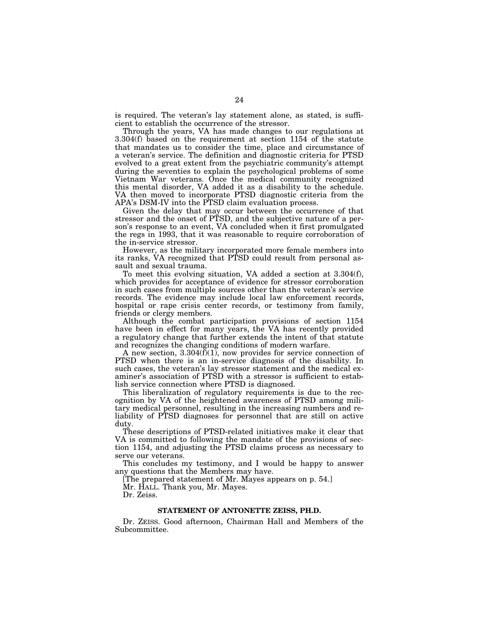is required. The veteran's lay statement alone, as stated, is sufficient to establish the occurrence of the stressor.

Through the years, VA has made changes to our regulations at 3.304(f) based on the requirement at section 1154 of the statute that mandates us to consider the time, place and circumstance of a veteran's service. The definition and diagnostic criteria for PTSD evolved to a great extent from the psychiatric community's attempt during the seventies to explain the psychological problems of some Vietnam War veterans. Once the medical community recognized this mental disorder, VA added it as a disability to the schedule. VA then moved to incorporate PTSD diagnostic criteria from the APA's DSM-IV into the PTSD claim evaluation process.

Given the delay that may occur between the occurrence of that stressor and the onset of PTSD, and the subjective nature of a person's response to an event, VA concluded when it first promulgated the regs in 1993, that it was reasonable to require corroboration of the in-service stressor.

However, as the military incorporated more female members into its ranks, VA recognized that PTSD could result from personal assault and sexual trauma.

To meet this evolving situation, VA added a section at 3.304(f), which provides for acceptance of evidence for stressor corroboration in such cases from multiple sources other than the veteran's service records. The evidence may include local law enforcement records, hospital or rape crisis center records, or testimony from family, friends or clergy members.

Although the combat participation provisions of section 1154 have been in effect for many years, the VA has recently provided a regulatory change that further extends the intent of that statute and recognizes the changing conditions of modern warfare.

A new section,  $3.304(\tilde{f})(1)$ , now provides for service connection of PTSD when there is an in-service diagnosis of the disability. In such cases, the veteran's lay stressor statement and the medical examiner's association of PTSD with a stressor is sufficient to establish service connection where PTSD is diagnosed.

This liberalization of regulatory requirements is due to the recognition by VA of the heightened awareness of PTSD among military medical personnel, resulting in the increasing numbers and reliability of PTSD diagnoses for personnel that are still on active duty.

These descriptions of PTSD-related initiatives make it clear that VA is committed to following the mandate of the provisions of section 1154, and adjusting the PTSD claims process as necessary to serve our veterans.

This concludes my testimony, and I would be happy to answer any questions that the Members may have.

[The prepared statement of Mr. Mayes appears on p. 54.]

Mr. HALL. Thank you, Mr. Mayes.

Dr. Zeiss.

#### **STATEMENT OF ANTONETTE ZEISS, PH.D.**

Dr. ZEISS. Good afternoon, Chairman Hall and Members of the Subcommittee.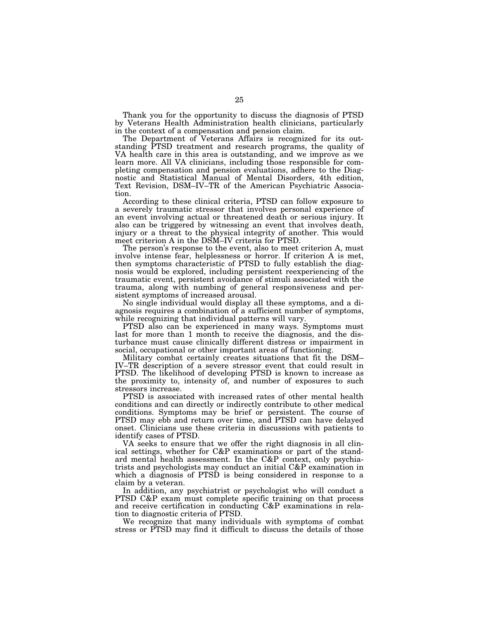Thank you for the opportunity to discuss the diagnosis of PTSD by Veterans Health Administration health clinicians, particularly in the context of a compensation and pension claim.

The Department of Veterans Affairs is recognized for its outstanding PTSD treatment and research programs, the quality of VA health care in this area is outstanding, and we improve as we learn more. All VA clinicians, including those responsible for completing compensation and pension evaluations, adhere to the Diagnostic and Statistical Manual of Mental Disorders, 4th edition, Text Revision, DSM–IV–TR of the American Psychiatric Association.

According to these clinical criteria, PTSD can follow exposure to a severely traumatic stressor that involves personal experience of an event involving actual or threatened death or serious injury. It also can be triggered by witnessing an event that involves death, injury or a threat to the physical integrity of another. This would meet criterion A in the DSM–IV criteria for PTSD.

The person's response to the event, also to meet criterion A, must involve intense fear, helplessness or horror. If criterion A is met, then symptoms characteristic of PTSD to fully establish the diagnosis would be explored, including persistent reexperiencing of the traumatic event, persistent avoidance of stimuli associated with the trauma, along with numbing of general responsiveness and persistent symptoms of increased arousal.

No single individual would display all these symptoms, and a diagnosis requires a combination of a sufficient number of symptoms, while recognizing that individual patterns will vary.

PTSD also can be experienced in many ways. Symptoms must last for more than 1 month to receive the diagnosis, and the disturbance must cause clinically different distress or impairment in social, occupational or other important areas of functioning.

Military combat certainly creates situations that fit the DSM– IV–TR description of a severe stressor event that could result in PTSD. The likelihood of developing PTSD is known to increase as the proximity to, intensity of, and number of exposures to such stressors increase.

PTSD is associated with increased rates of other mental health conditions and can directly or indirectly contribute to other medical conditions. Symptoms may be brief or persistent. The course of PTSD may ebb and return over time, and PTSD can have delayed onset. Clinicians use these criteria in discussions with patients to identify cases of PTSD.

VA seeks to ensure that we offer the right diagnosis in all clinical settings, whether for C&P examinations or part of the standard mental health assessment. In the C&P context, only psychiatrists and psychologists may conduct an initial C&P examination in which a diagnosis of PTSD is being considered in response to a claim by a veteran.

In addition, any psychiatrist or psychologist who will conduct a PTSD C&P exam must complete specific training on that process and receive certification in conducting C&P examinations in relation to diagnostic criteria of PTSD.

We recognize that many individuals with symptoms of combat stress or PTSD may find it difficult to discuss the details of those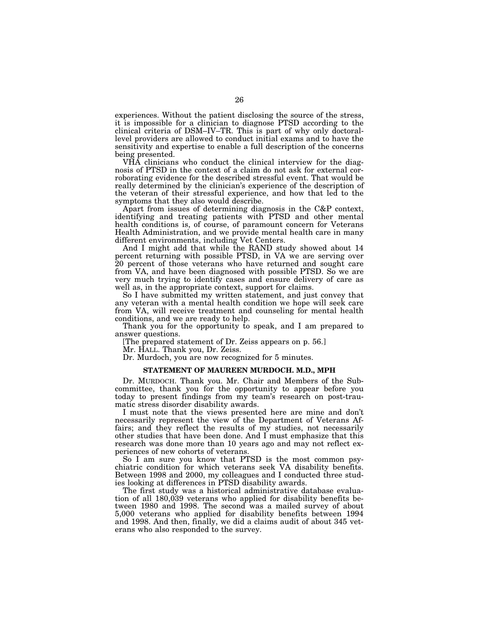experiences. Without the patient disclosing the source of the stress, it is impossible for a clinician to diagnose PTSD according to the clinical criteria of DSM–IV–TR. This is part of why only doctorallevel providers are allowed to conduct initial exams and to have the sensitivity and expertise to enable a full description of the concerns being presented.

VHA clinicians who conduct the clinical interview for the diagnosis of PTSD in the context of a claim do not ask for external corroborating evidence for the described stressful event. That would be really determined by the clinician's experience of the description of the veteran of their stressful experience, and how that led to the symptoms that they also would describe.

Apart from issues of determining diagnosis in the C&P context, identifying and treating patients with PTSD and other mental health conditions is, of course, of paramount concern for Veterans Health Administration, and we provide mental health care in many different environments, including Vet Centers.

And I might add that while the RAND study showed about 14 percent returning with possible PTSD, in VA we are serving over 20 percent of those veterans who have returned and sought care from VA, and have been diagnosed with possible PTSD. So we are very much trying to identify cases and ensure delivery of care as well as, in the appropriate context, support for claims.

So I have submitted my written statement, and just convey that any veteran with a mental health condition we hope will seek care from VA, will receive treatment and counseling for mental health conditions, and we are ready to help.

Thank you for the opportunity to speak, and I am prepared to answer questions.

[The prepared statement of Dr. Zeiss appears on p. 56.]

Mr. HALL. Thank you, Dr. Zeiss.

Dr. Murdoch, you are now recognized for 5 minutes.

#### **STATEMENT OF MAUREEN MURDOCH. M.D., MPH**

Dr. MURDOCH. Thank you. Mr. Chair and Members of the Subcommittee, thank you for the opportunity to appear before you today to present findings from my team's research on post-traumatic stress disorder disability awards.

I must note that the views presented here are mine and don't necessarily represent the view of the Department of Veterans Affairs; and they reflect the results of my studies, not necessarily other studies that have been done. And I must emphasize that this research was done more than 10 years ago and may not reflect experiences of new cohorts of veterans.

So I am sure you know that PTSD is the most common psychiatric condition for which veterans seek VA disability benefits. Between 1998 and 2000, my colleagues and I conducted three studies looking at differences in PTSD disability awards.

The first study was a historical administrative database evaluation of all 180,039 veterans who applied for disability benefits between 1980 and 1998. The second was a mailed survey of about 5,000 veterans who applied for disability benefits between 1994 and 1998. And then, finally, we did a claims audit of about 345 veterans who also responded to the survey.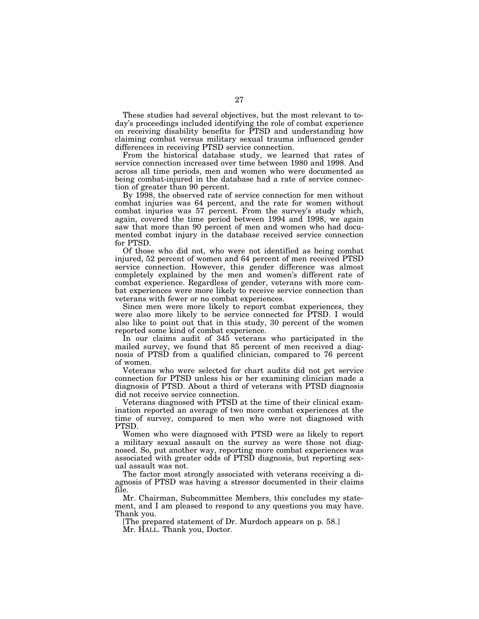These studies had several objectives, but the most relevant to today's proceedings included identifying the role of combat experience on receiving disability benefits for PTSD and understanding how claiming combat versus military sexual trauma influenced gender differences in receiving PTSD service connection.

From the historical database study, we learned that rates of service connection increased over time between 1980 and 1998. And across all time periods, men and women who were documented as being combat-injured in the database had a rate of service connection of greater than 90 percent.

By 1998, the observed rate of service connection for men without combat injuries was 64 percent, and the rate for women without combat injuries was 57 percent. From the survey's study which, again, covered the time period between 1994 and 1998, we again saw that more than 90 percent of men and women who had documented combat injury in the database received service connection for PTSD.

Of those who did not, who were not identified as being combat injured, 52 percent of women and 64 percent of men received PTSD service connection. However, this gender difference was almost completely explained by the men and women's different rate of combat experience. Regardless of gender, veterans with more combat experiences were more likely to receive service connection than veterans with fewer or no combat experiences.

Since men were more likely to report combat experiences, they were also more likely to be service connected for PTSD. I would also like to point out that in this study, 30 percent of the women reported some kind of combat experience.

In our claims audit of 345 veterans who participated in the mailed survey, we found that 85 percent of men received a diagnosis of PTSD from a qualified clinician, compared to 76 percent of women.

Veterans who were selected for chart audits did not get service connection for PTSD unless his or her examining clinician made a diagnosis of PTSD. About a third of veterans with PTSD diagnosis did not receive service connection.

Veterans diagnosed with PTSD at the time of their clinical examination reported an average of two more combat experiences at the time of survey, compared to men who were not diagnosed with PTSD.

Women who were diagnosed with PTSD were as likely to report a military sexual assault on the survey as were those not diagnosed. So, put another way, reporting more combat experiences was associated with greater odds of PTSD diagnosis, but reporting sexual assault was not.

The factor most strongly associated with veterans receiving a diagnosis of PTSD was having a stressor documented in their claims file.

Mr. Chairman, Subcommittee Members, this concludes my statement, and I am pleased to respond to any questions you may have. Thank you.

[The prepared statement of Dr. Murdoch appears on p. 58.] Mr. HALL. Thank you, Doctor.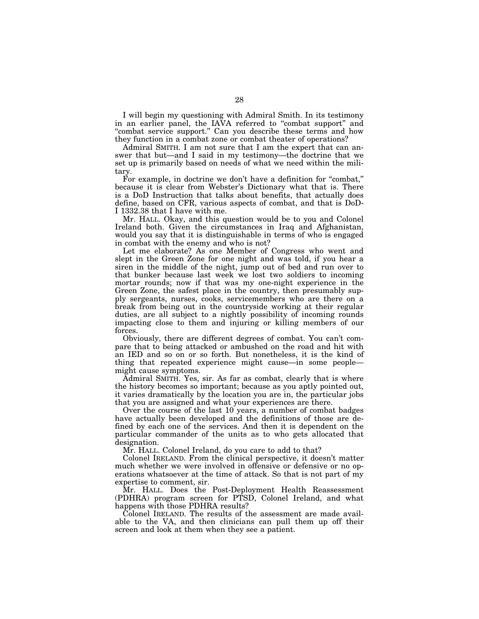I will begin my questioning with Admiral Smith. In its testimony in an earlier panel, the IAVA referred to ''combat support'' and ''combat service support.'' Can you describe these terms and how they function in a combat zone or combat theater of operations?

Admiral SMITH. I am not sure that I am the expert that can answer that but—and I said in my testimony—the doctrine that we set up is primarily based on needs of what we need within the military.

For example, in doctrine we don't have a definition for "combat," because it is clear from Webster's Dictionary what that is. There is a DoD Instruction that talks about benefits, that actually does define, based on CFR, various aspects of combat, and that is DoD-I 1332.38 that I have with me.

Mr. HALL. Okay, and this question would be to you and Colonel Ireland both. Given the circumstances in Iraq and Afghanistan, would you say that it is distinguishable in terms of who is engaged in combat with the enemy and who is not?

Let me elaborate? As one Member of Congress who went and slept in the Green Zone for one night and was told, if you hear a siren in the middle of the night, jump out of bed and run over to that bunker because last week we lost two soldiers to incoming mortar rounds; now if that was my one-night experience in the Green Zone, the safest place in the country, then presumably supply sergeants, nurses, cooks, servicemembers who are there on a break from being out in the countryside working at their regular duties, are all subject to a nightly possibility of incoming rounds impacting close to them and injuring or killing members of our forces.

Obviously, there are different degrees of combat. You can't compare that to being attacked or ambushed on the road and hit with an IED and so on or so forth. But nonetheless, it is the kind of thing that repeated experience might cause—in some people might cause symptoms.

Admiral SMITH. Yes, sir. As far as combat, clearly that is where the history becomes so important; because as you aptly pointed out, it varies dramatically by the location you are in, the particular jobs that you are assigned and what your experiences are there.

Over the course of the last 10 years, a number of combat badges have actually been developed and the definitions of those are defined by each one of the services. And then it is dependent on the particular commander of the units as to who gets allocated that designation.

Mr. HALL. Colonel Ireland, do you care to add to that?

Colonel IRELAND. From the clinical perspective, it doesn't matter much whether we were involved in offensive or defensive or no operations whatsoever at the time of attack. So that is not part of my expertise to comment, sir.

Mr. HALL. Does the Post-Deployment Health Reassessment (PDHRA) program screen for PTSD, Colonel Ireland, and what happens with those PDHRA results?

Colonel IRELAND. The results of the assessment are made available to the VA, and then clinicians can pull them up off their screen and look at them when they see a patient.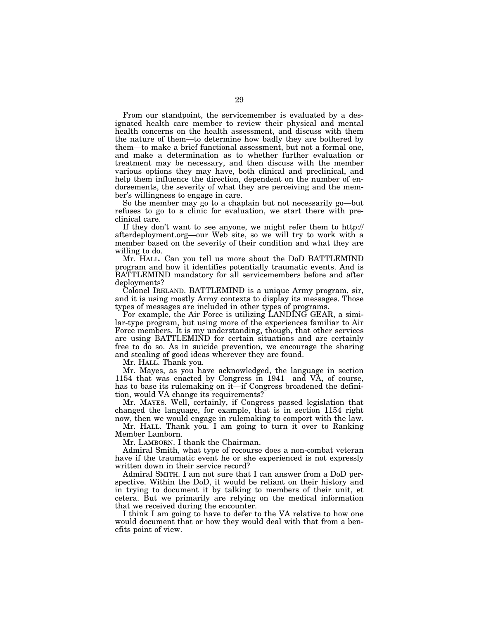From our standpoint, the servicemember is evaluated by a designated health care member to review their physical and mental health concerns on the health assessment, and discuss with them the nature of them—to determine how badly they are bothered by them—to make a brief functional assessment, but not a formal one, and make a determination as to whether further evaluation or treatment may be necessary, and then discuss with the member various options they may have, both clinical and preclinical, and help them influence the direction, dependent on the number of endorsements, the severity of what they are perceiving and the member's willingness to engage in care.

So the member may go to a chaplain but not necessarily go—but refuses to go to a clinic for evaluation, we start there with preclinical care.

If they don't want to see anyone, we might refer them to http:// afterdeployment.org—our Web site, so we will try to work with a member based on the severity of their condition and what they are willing to do.

Mr. HALL. Can you tell us more about the DoD BATTLEMIND program and how it identifies potentially traumatic events. And is BATTLEMIND mandatory for all servicemembers before and after deployments?

Colonel IRELAND. BATTLEMIND is a unique Army program, sir, and it is using mostly Army contexts to display its messages. Those types of messages are included in other types of programs.

For example, the Air Force is utilizing LANDING GEAR, a similar-type program, but using more of the experiences familiar to Air Force members. It is my understanding, though, that other services are using BATTLEMIND for certain situations and are certainly free to do so. As in suicide prevention, we encourage the sharing and stealing of good ideas wherever they are found.

Mr. HALL. Thank you.

Mr. Mayes, as you have acknowledged, the language in section 1154 that was enacted by Congress in 1941—and VA, of course, has to base its rulemaking on it—if Congress broadened the definition, would VA change its requirements?

Mr. MAYES. Well, certainly, if Congress passed legislation that changed the language, for example, that is in section 1154 right now, then we would engage in rulemaking to comport with the law.

Mr. HALL. Thank you. I am going to turn it over to Ranking Member Lamborn.

Mr. LAMBORN. I thank the Chairman.

Admiral Smith, what type of recourse does a non-combat veteran have if the traumatic event he or she experienced is not expressly written down in their service record?

Admiral SMITH. I am not sure that I can answer from a DoD perspective. Within the DoD, it would be reliant on their history and in trying to document it by talking to members of their unit, et cetera. But we primarily are relying on the medical information that we received during the encounter.

I think I am going to have to defer to the VA relative to how one would document that or how they would deal with that from a benefits point of view.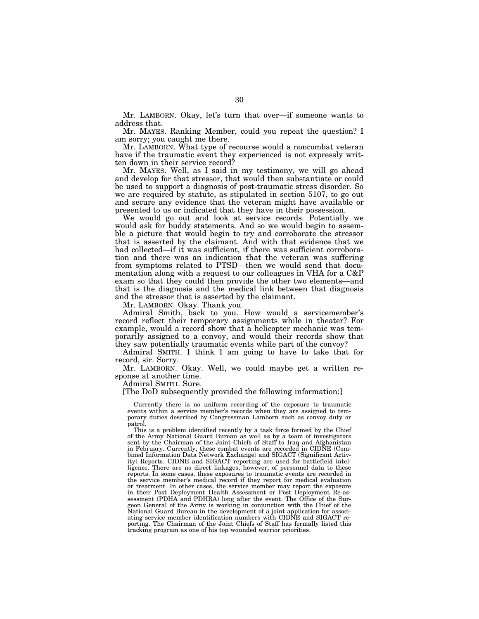Mr. LAMBORN. Okay, let's turn that over—if someone wants to address that.

Mr. MAYES. Ranking Member, could you repeat the question? I am sorry; you caught me there.

Mr. LAMBORN. What type of recourse would a noncombat veteran have if the traumatic event they experienced is not expressly written down in their service record?

Mr. MAYES. Well, as I said in my testimony, we will go ahead and develop for that stressor, that would then substantiate or could be used to support a diagnosis of post-traumatic stress disorder. So we are required by statute, as stipulated in section 5107, to go out and secure any evidence that the veteran might have available or presented to us or indicated that they have in their possession.

We would go out and look at service records. Potentially we would ask for buddy statements. And so we would begin to assemble a picture that would begin to try and corroborate the stressor that is asserted by the claimant. And with that evidence that we had collected—if it was sufficient, if there was sufficient corroboration and there was an indication that the veteran was suffering from symptoms related to PTSD—then we would send that documentation along with a request to our colleagues in VHA for a C&P exam so that they could then provide the other two elements—and that is the diagnosis and the medical link between that diagnosis and the stressor that is asserted by the claimant.

Mr. LAMBORN. Okay. Thank you.

Admiral Smith, back to you. How would a servicemember's record reflect their temporary assignments while in theater? For example, would a record show that a helicopter mechanic was temporarily assigned to a convoy, and would their records show that they saw potentially traumatic events while part of the convoy?

Admiral SMITH. I think I am going to have to take that for record, sir. Sorry.

Mr. LAMBORN. Okay. Well, we could maybe get a written response at another time.

Admiral SMITH. Sure.

[The DoD subsequently provided the following information:]

Currently there is no uniform recording of the exposure to traumatic events within a service member's records when they are assigned to temporary duties described by Congressman Lamborn such as convoy duty or patrol.

This is a problem identified recently by a task force formed by the Chief of the Army National Guard Bureau as well as by a team of investigators sent by the Chairman of the Joint Chiefs of Staff to Iraq and Afghanistan in February. Currently, these combat events are recorded in CIDNE (Combined Information Data Network Exchange) and SIGACT (Significant Activity) Reports. CIDNE and SIGACT reporting are used for battlefield intelligence. There are no direct linkages, however, of personnel data to these reports. In some cases, these exposures to traumatic events are recorded in the service member's medical record if they report for medical evaluation or treatment. In other cases, the service member may report the exposure in their Post Deployment Health Assessment or Post Deployment Re-assessment (PDHA and PDHRA) long after the event. The Office of the Surgeon General of the Army is working in conjunction with the Chief of the National Guard Bureau in the development of a joint application for associating service member identification numbers with CIDNE and SIGACT reporting. The Chairman of the Joint Chiefs of Staff has formally listed this tracking program as one of his top wounded warrior priorities.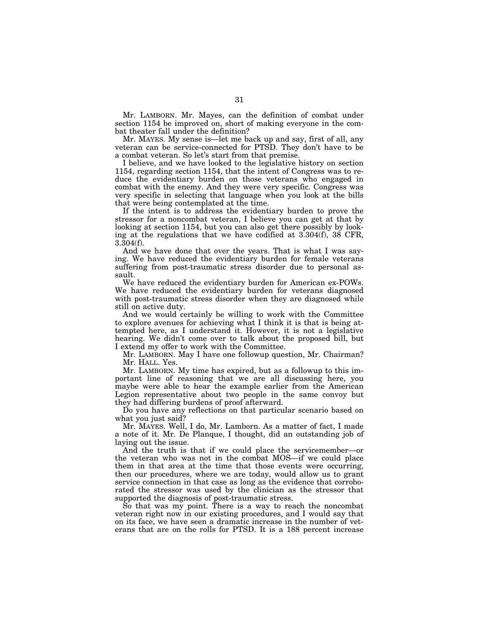Mr. LAMBORN. Mr. Mayes, can the definition of combat under section 1154 be improved on, short of making everyone in the combat theater fall under the definition?

Mr. MAYES. My sense is—let me back up and say, first of all, any veteran can be service-connected for PTSD. They don't have to be a combat veteran. So let's start from that premise.

I believe, and we have looked to the legislative history on section 1154, regarding section 1154, that the intent of Congress was to reduce the evidentiary burden on those veterans who engaged in combat with the enemy. And they were very specific. Congress was very specific in selecting that language when you look at the bills that were being contemplated at the time.

If the intent is to address the evidentiary burden to prove the stressor for a noncombat veteran, I believe you can get at that by looking at section 1154, but you can also get there possibly by looking at the regulations that we have codified at 3.304(f), 38 CFR,  $3.304(f)$ .

And we have done that over the years. That is what I was saying. We have reduced the evidentiary burden for female veterans suffering from post-traumatic stress disorder due to personal assault.

We have reduced the evidentiary burden for American ex-POWs. We have reduced the evidentiary burden for veterans diagnosed with post-traumatic stress disorder when they are diagnosed while still on active duty.

And we would certainly be willing to work with the Committee to explore avenues for achieving what I think it is that is being attempted here, as I understand it. However, it is not a legislative hearing. We didn't come over to talk about the proposed bill, but I extend my offer to work with the Committee.

Mr. LAMBORN. May I have one followup question, Mr. Chairman? Mr. HALL. Yes.

Mr. LAMBORN. My time has expired, but as a followup to this important line of reasoning that we are all discussing here, you maybe were able to hear the example earlier from the American Legion representative about two people in the same convoy but they had differing burdens of proof afterward.

Do you have any reflections on that particular scenario based on what you just said?

Mr. MAYES. Well, I do, Mr. Lamborn. As a matter of fact, I made a note of it. Mr. De Planque, I thought, did an outstanding job of laying out the issue.

And the truth is that if we could place the servicemember—or the veteran who was not in the combat MOS—if we could place them in that area at the time that those events were occurring, then our procedures, where we are today, would allow us to grant service connection in that case as long as the evidence that corroborated the stressor was used by the clinician as the stressor that supported the diagnosis of post-traumatic stress.

So that was my point. There is a way to reach the noncombat veteran right now in our existing procedures, and I would say that on its face, we have seen a dramatic increase in the number of veterans that are on the rolls for PTSD. It is a 188 percent increase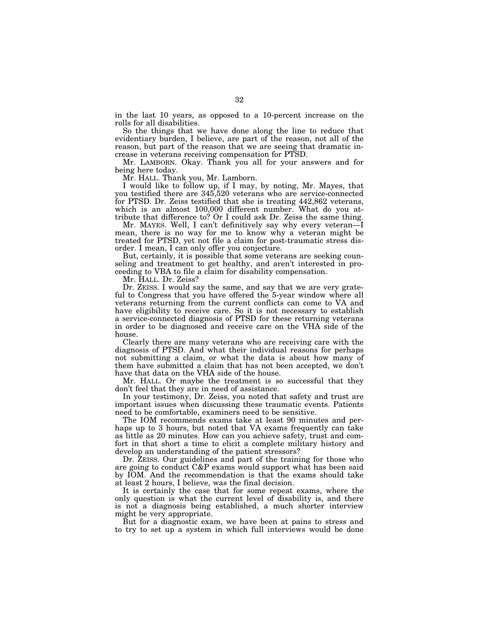in the last 10 years, as opposed to a 10-percent increase on the rolls for all disabilities.

So the things that we have done along the line to reduce that evidentiary burden, I believe, are part of the reason, not all of the reason, but part of the reason that we are seeing that dramatic increase in veterans receiving compensation for PTSD.

Mr. LAMBORN. Okay. Thank you all for your answers and for being here today.

Mr. HALL. Thank you, Mr. Lamborn.

I would like to follow up, if I may, by noting, Mr. Mayes, that you testified there are 345,520 veterans who are service-connected for PTSD. Dr. Zeiss testified that she is treating 442,862 veterans, which is an almost 100,000 different number. What do you attribute that difference to? Or I could ask Dr. Zeiss the same thing.

Mr. MAYES. Well, I can't definitively say why every veteran—I mean, there is no way for me to know why a veteran might be treated for PTSD, yet not file a claim for post-traumatic stress disorder. I mean, I can only offer you conjecture.

But, certainly, it is possible that some veterans are seeking counseling and treatment to get healthy, and aren't interested in proceeding to VBA to file a claim for disability compensation.

Mr. HALL. Dr. Zeiss?

Dr. ZEISS. I would say the same, and say that we are very grateful to Congress that you have offered the 5-year window where all veterans returning from the current conflicts can come to VA and have eligibility to receive care. So it is not necessary to establish a service-connected diagnosis of PTSD for these returning veterans in order to be diagnosed and receive care on the VHA side of the house.

Clearly there are many veterans who are receiving care with the diagnosis of PTSD. And what their individual reasons for perhaps not submitting a claim, or what the data is about how many of them have submitted a claim that has not been accepted, we don't have that data on the VHA side of the house.

Mr. HALL. Or maybe the treatment is so successful that they don't feel that they are in need of assistance.

In your testimony, Dr. Zeiss, you noted that safety and trust are important issues when discussing these traumatic events. Patients need to be comfortable, examiners need to be sensitive.

The IOM recommends exams take at least 90 minutes and perhaps up to 3 hours, but noted that VA exams frequently can take as little as 20 minutes. How can you achieve safety, trust and comfort in that short a time to elicit a complete military history and develop an understanding of the patient stressors?

Dr. ZEISS. Our guidelines and part of the training for those who are going to conduct C&P exams would support what has been said by IOM. And the recommendation is that the exams should take at least 2 hours, I believe, was the final decision.

It is certainly the case that for some repeat exams, where the only question is what the current level of disability is, and there is not a diagnosis being established, a much shorter interview might be very appropriate.

But for a diagnostic exam, we have been at pains to stress and to try to set up a system in which full interviews would be done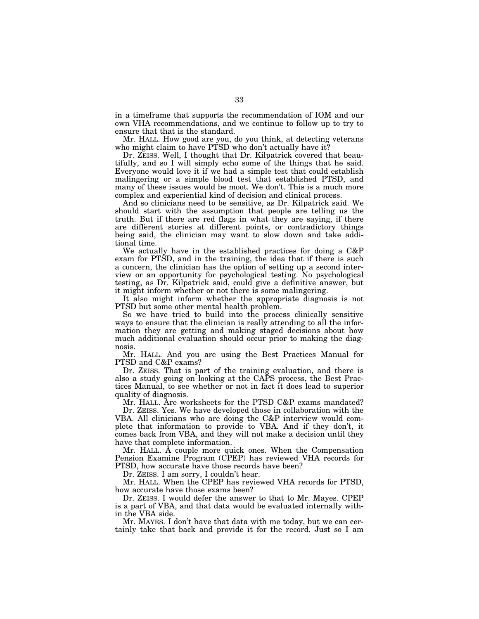in a timeframe that supports the recommendation of IOM and our own VHA recommendations, and we continue to follow up to try to ensure that that is the standard.

Mr. HALL. How good are you, do you think, at detecting veterans who might claim to have PTSD who don't actually have it?

Dr. ZEISS. Well, I thought that Dr. Kilpatrick covered that beautifully, and so I will simply echo some of the things that he said. Everyone would love it if we had a simple test that could establish malingering or a simple blood test that established PTSD, and many of these issues would be moot. We don't. This is a much more complex and experiential kind of decision and clinical process.

And so clinicians need to be sensitive, as Dr. Kilpatrick said. We should start with the assumption that people are telling us the truth. But if there are red flags in what they are saying, if there are different stories at different points, or contradictory things being said, the clinician may want to slow down and take additional time.

We actually have in the established practices for doing a C&P exam for PTSD, and in the training, the idea that if there is such a concern, the clinician has the option of setting up a second interview or an opportunity for psychological testing. No psychological testing, as Dr. Kilpatrick said, could give a definitive answer, but it might inform whether or not there is some malingering.

It also might inform whether the appropriate diagnosis is not PTSD but some other mental health problem.

So we have tried to build into the process clinically sensitive ways to ensure that the clinician is really attending to all the information they are getting and making staged decisions about how much additional evaluation should occur prior to making the diagnosis.

Mr. HALL. And you are using the Best Practices Manual for PTSD and C&P exams?

Dr. ZEISS. That is part of the training evaluation, and there is also a study going on looking at the CAPS process, the Best Practices Manual, to see whether or not in fact it does lead to superior quality of diagnosis.

Mr. HALL. Are worksheets for the PTSD C&P exams mandated?

Dr. ZEISS. Yes. We have developed those in collaboration with the VBA. All clinicians who are doing the C&P interview would complete that information to provide to VBA. And if they don't, it comes back from VBA, and they will not make a decision until they have that complete information.

Mr. HALL. A couple more quick ones. When the Compensation Pension Examine Program (CPEP) has reviewed VHA records for PTSD, how accurate have those records have been?

Dr. ZEISS. I am sorry, I couldn't hear.

Mr. HALL. When the CPEP has reviewed VHA records for PTSD, how accurate have those exams been?

Dr. ZEISS. I would defer the answer to that to Mr. Mayes. CPEP is a part of VBA, and that data would be evaluated internally within the VBA side.

Mr. MAYES. I don't have that data with me today, but we can certainly take that back and provide it for the record. Just so I am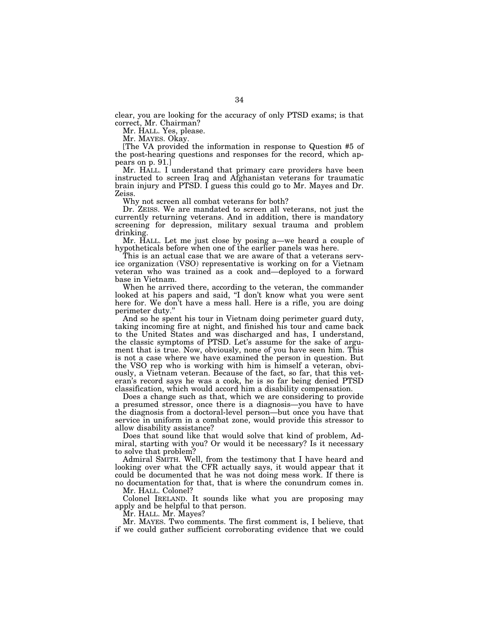clear, you are looking for the accuracy of only PTSD exams; is that correct, Mr. Chairman?

Mr. HALL. Yes, please.

Mr. MAYES. Okay.

[The VA provided the information in response to Question #5 of the post-hearing questions and responses for the record, which appears on p. 91.]

Mr. HALL. I understand that primary care providers have been instructed to screen Iraq and Afghanistan veterans for traumatic brain injury and PTSD. I guess this could go to Mr. Mayes and Dr. Zeiss.

Why not screen all combat veterans for both?

Dr. ZEISS. We are mandated to screen all veterans, not just the currently returning veterans. And in addition, there is mandatory screening for depression, military sexual trauma and problem drinking.

Mr. HALL. Let me just close by posing a—we heard a couple of hypotheticals before when one of the earlier panels was here.

This is an actual case that we are aware of that a veterans service organization (VSO) representative is working on for a Vietnam veteran who was trained as a cook and—deployed to a forward base in Vietnam.

When he arrived there, according to the veteran, the commander looked at his papers and said, "I don't know what you were sent here for. We don't have a mess hall. Here is a rifle, you are doing perimeter duty.''

And so he spent his tour in Vietnam doing perimeter guard duty, taking incoming fire at night, and finished his tour and came back to the United States and was discharged and has, I understand, the classic symptoms of PTSD. Let's assume for the sake of argument that is true. Now, obviously, none of you have seen him. This is not a case where we have examined the person in question. But the VSO rep who is working with him is himself a veteran, obviously, a Vietnam veteran. Because of the fact, so far, that this veteran's record says he was a cook, he is so far being denied PTSD classification, which would accord him a disability compensation.

Does a change such as that, which we are considering to provide a presumed stressor, once there is a diagnosis—you have to have the diagnosis from a doctoral-level person—but once you have that service in uniform in a combat zone, would provide this stressor to allow disability assistance?

Does that sound like that would solve that kind of problem, Admiral, starting with you? Or would it be necessary? Is it necessary to solve that problem?

Admiral SMITH. Well, from the testimony that I have heard and looking over what the CFR actually says, it would appear that it could be documented that he was not doing mess work. If there is no documentation for that, that is where the conundrum comes in.

Mr. HALL. Colonel?

Colonel IRELAND. It sounds like what you are proposing may apply and be helpful to that person.

Mr. HALL. Mr. Mayes?

Mr. MAYES. Two comments. The first comment is, I believe, that if we could gather sufficient corroborating evidence that we could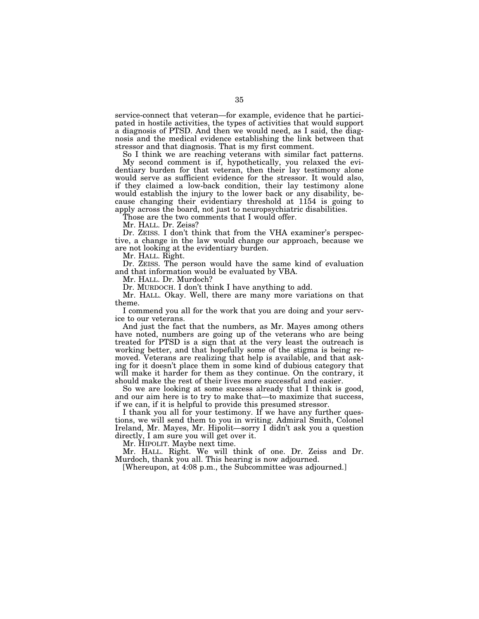service-connect that veteran—for example, evidence that he participated in hostile activities, the types of activities that would support a diagnosis of PTSD. And then we would need, as I said, the diagnosis and the medical evidence establishing the link between that stressor and that diagnosis. That is my first comment.

So I think we are reaching veterans with similar fact patterns.

My second comment is if, hypothetically, you relaxed the evidentiary burden for that veteran, then their lay testimony alone would serve as sufficient evidence for the stressor. It would also, if they claimed a low-back condition, their lay testimony alone would establish the injury to the lower back or any disability, because changing their evidentiary threshold at 1154 is going to apply across the board, not just to neuropsychiatric disabilities.

Those are the two comments that I would offer.

Mr. HALL. Dr. Zeiss?

Dr. ZEISS. I don't think that from the VHA examiner's perspective, a change in the law would change our approach, because we are not looking at the evidentiary burden.

Mr. HALL. Right.

Dr. ZEISS. The person would have the same kind of evaluation and that information would be evaluated by VBA.

Mr. HALL. Dr. Murdoch?

Dr. MURDOCH. I don't think I have anything to add.

Mr. HALL. Okay. Well, there are many more variations on that theme.

I commend you all for the work that you are doing and your service to our veterans.

And just the fact that the numbers, as Mr. Mayes among others have noted, numbers are going up of the veterans who are being treated for PTSD is a sign that at the very least the outreach is working better, and that hopefully some of the stigma is being removed. Veterans are realizing that help is available, and that asking for it doesn't place them in some kind of dubious category that will make it harder for them as they continue. On the contrary, it should make the rest of their lives more successful and easier.

So we are looking at some success already that I think is good, and our aim here is to try to make that—to maximize that success, if we can, if it is helpful to provide this presumed stressor.

I thank you all for your testimony. If we have any further questions, we will send them to you in writing. Admiral Smith, Colonel Ireland, Mr. Mayes, Mr. Hipolit—sorry I didn't ask you a question directly, I am sure you will get over it.

Mr. HIPOLIT. Maybe next time.

Mr. HALL. Right. We will think of one. Dr. Zeiss and Dr. Murdoch, thank you all. This hearing is now adjourned.

[Whereupon, at 4:08 p.m., the Subcommittee was adjourned.]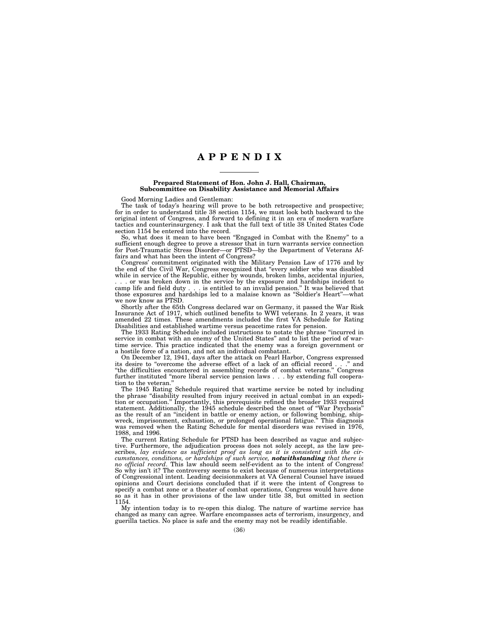# **A P P E N D I X**

#### **Prepared Statement of Hon. John J. Hall, Chairman, Subcommittee on Disability Assistance and Memorial Affairs**

Good Morning Ladies and Gentleman:

The task of today's hearing will prove to be both retrospective and prospective; for in order to understand title 38 section 1154, we must look both backward to the original intent of Congress, and forward to defining it in an era of modern warfare tactics and counterinsurgency. I ask that the full text of title 38 United States Code section 1154 be entered into the record.

So, what does it mean to have been ''Engaged in Combat with the Enemy'' to a sufficient enough degree to prove a stressor that in turn warrants service connection for Post-Traumatic Stress Disorder—or PTSD—by the Department of Veterans Affairs and what has been the intent of Congress?

Congress' commitment originated with the Military Pension Law of 1776 and by the end of the Civil War, Congress recognized that ''every soldier who was disabled while in service of the Republic, either by wounds, broken limbs, accidental injuries,

. . . or was broken down in the service by the exposure and hardships incident to camp life and field duty . . . is entitled to an invalid pension." It was believed that those exposures and hardships led to a malaise known as ''Soldier's Heart''—what we now know as PTSD.

Shortly after the 65th Congress declared war on Germany, it passed the War Risk Insurance Act of 1917, which outlined benefits to WWI veterans. In 2 years, it was amended 22 times. These amendments included the first VA Schedule for Rating Disabilities and established wartime versus peacetime rates for pension.

The 1933 Rating Schedule included instructions to notate the phrase ''incurred in service in combat with an enemy of the United States'' and to list the period of wartime service. This practice indicated that the enemy was a foreign government or a hostile force of a nation, and not an individual combatant.

On December 12, 1941, days after the attack on Pearl Harbor, Congress expressed its desire to "overcome the adverse effect of a lack of an official record . . ." and ''the difficulties encountered in assembling records of combat veterans.'' Congress further instituted "more liberal service pension laws . . . by extending full cooperation to the veteran.

The 1945 Rating Schedule required that wartime service be noted by including the phrase ''disability resulted from injury received in actual combat in an expedition or occupation.'' Importantly, this prerequisite refined the broader 1933 required statement. Additionally, the 1945 schedule described the onset of ''War Psychosis'' as the result of an ''incident in battle or enemy action, or following bombing, shipwreck, imprisonment, exhaustion, or prolonged operational fatigue.'' This diagnosis was removed when the Rating Schedule for mental disorders was revised in 1976, 1988, and 1996.

The current Rating Schedule for PTSD has been described as vague and subjective. Furthermore, the adjudication process does not solely accept, as the law prescribes, lay evidence as sufficient proof as long as it is consistent with the cir*cumstances, conditions, or hardships of such service, notwithstanding that there is no official record*. This law should seem self-evident as to the intent of Congress! So why isn't it? The controversy seems to exist because of numerous interpretations of Congressional intent. Leading decisionmakers at VA General Counsel have issued opinions and Court decisions concluded that if it were the intent of Congress to specify a combat zone or a theater of combat operations, Congress would have done so as it has in other provisions of the law under title 38, but omitted in section 1154.

My intention today is to re-open this dialog. The nature of wartime service has changed as many can agree. Warfare encompasses acts of terrorism, insurgency, and guerilla tactics. No place is safe and the enemy may not be readily identifiable.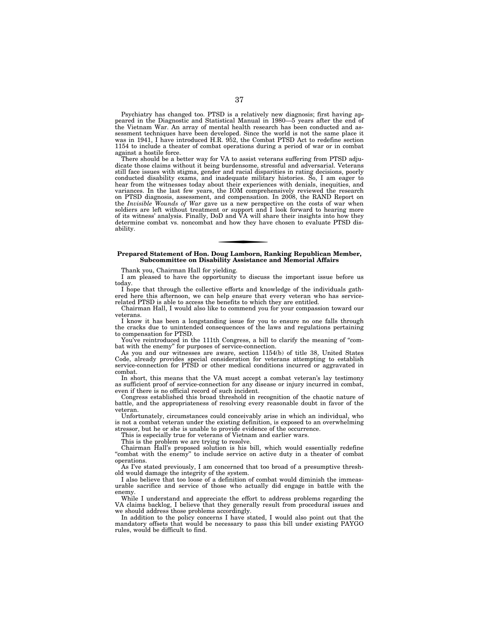Psychiatry has changed too. PTSD is a relatively new diagnosis; first having appeared in the Diagnostic and Statistical Manual in 1980—5 years after the end of the Vietnam War. An array of mental health research has been conducted and assessment techniques have been developed. Since the world is not the same place it was in 1941, I have introduced H.R. 952, the Combat PTSD Act to redefine section 1154 to include a theater of combat operations during a period of war or in combat against a hostile force.

There should be a better way for VA to assist veterans suffering from PTSD adjudicate those claims without it being burdensome, stressful and adversarial. Veterans still face issues with stigma, gender and racial disparities in rating decisions, poorly conducted disability exams, and inadequate military histories. So, I am eager to hear from the witnesses today about their experiences with denials, inequities, and variances. In the last few years, the IOM comprehensively reviewed the research on PTSD diagnosis, assessment, and compensation. In 2008, the RAND Report on the *Invisible Wounds of War* gave us a new perspective on the costs of war when soldiers are left without treatment or support and I look forward to hearing more of its witness' analysis. Finally, DoD and VA will share their insights into how they determine combat vs. noncombat and how they have chosen to evaluate PTSD disability.

#### **Prepared Statement of Hon. Doug Lamborn, Ranking Republican Member, Subcommittee on Disability Assistance and Memorial Affairs**

Thank you, Chairman Hall for yielding.

I am pleased to have the opportunity to discuss the important issue before us today.

I hope that through the collective efforts and knowledge of the individuals gathered here this afternoon, we can help ensure that every veteran who has servicerelated PTSD is able to access the benefits to which they are entitled.

Chairman Hall, I would also like to commend you for your compassion toward our veterans.

I know it has been a longstanding issue for you to ensure no one falls through the cracks due to unintended consequences of the laws and regulations pertaining to compensation for PTSD.

You've reintroduced in the 111th Congress, a bill to clarify the meaning of "combat with the enemy'' for purposes of service-connection.

As you and our witnesses are aware, section 1154(b) of title 38, United States Code, already provides special consideration for veterans attempting to establish service-connection for PTSD or other medical conditions incurred or aggravated in combat.

In short, this means that the VA must accept a combat veteran's lay testimony as sufficient proof of service-connection for any disease or injury incurred in combat, even if there is no official record of such incident.

Congress established this broad threshold in recognition of the chaotic nature of battle, and the appropriateness of resolving every reasonable doubt in favor of the veteran.

Unfortunately, circumstances could conceivably arise in which an individual, who is not a combat veteran under the existing definition, is exposed to an overwhelming stressor, but he or she is unable to provide evidence of the occurrence.

This is especially true for veterans of Vietnam and earlier wars.

This is the problem we are trying to resolve.

Chairman Hall's proposed solution is his bill, which would essentially redefine ''combat with the enemy'' to include service on active duty in a theater of combat operations.

As I've stated previously, I am concerned that too broad of a presumptive threshold would damage the integrity of the system.

I also believe that too loose of a definition of combat would diminish the immeasurable sacrifice and service of those who actually did engage in battle with the enemy.

While I understand and appreciate the effort to address problems regarding the VA claims backlog, I believe that they generally result from procedural issues and we should address those problems accordingly.

In addition to the policy concerns I have stated, I would also point out that the mandatory offsets that would be necessary to pass this bill under existing PAYGO rules, would be difficult to find.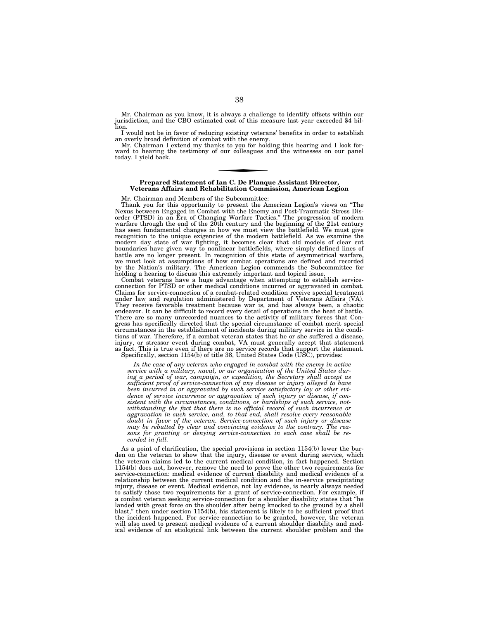Mr. Chairman as you know, it is always a challenge to identify offsets within our jurisdiction, and the CBO estimated cost of this measure last year exceeded \$4 billion.

I would not be in favor of reducing existing veterans' benefits in order to establish an overly broad definition of combat with the enemy. Mr. Chairman I extend my thanks to you for holding this hearing and I look for-

ward to hearing the testimony of our colleagues and the witnesses on our panel today. I yield back.

#### **Prepared Statement of Ian C. De Planque Assistant Director, Veterans Affairs and Rehabilitation Commission, American Legion**

Mr. Chairman and Members of the Subcommittee:

Thank you for this opportunity to present the American Legion's views on ''The Nexus between Engaged in Combat with the Enemy and Post-Traumatic Stress Disorder (PTSD) in an Era of Changing Warfare Tactics.'' The progression of modern warfare through the end of the 20th century and the beginning of the 21st century has seen fundamental changes in how we must view the battlefield. We must give recognition to the unique exigencies of the modern battlefield. As we examine the modern day state of war fighting, it becomes clear that old models of clear cut boundaries have given way to nonlinear battlefields, where simply defined lines of battle are no longer present. In recognition of this state of asymmetrical warfare, we must look at assumptions of how combat operations are defined and recorded by the Nation's military. The American Legion commends the Subcommittee for holding a hearing to discuss this extremely important and topical issue.

Combat veterans have a huge advantage when attempting to establish serviceconnection for PTSD or other medical conditions incurred or aggravated in combat. Claims for service-connection of a combat-related condition receive special treatment under law and regulation administered by Department of Veterans Affairs (VA). They receive favorable treatment because war is, and has always been, a chaotic endeavor. It can be difficult to record every detail of operations in the heat of battle. There are so many unrecorded nuances to the activity of military forces that Congress has specifically directed that the special circumstance of combat merit special circumstances in the establishment of incidents during military service in the conditions of war. Therefore, if a combat veteran states that he or she suffered a disease, injury, or stressor event during combat, VA must generally accept that statement as fact. This is true even if there are no service records that support the statement. Specifically, section 1154(b) of title 38, United States Code (USC), provides:

*In the case of any veteran who engaged in combat with the enemy in active service with a military, naval, or air organization of the United States during a period of war, campaign, or expedition, the Secretary shall accept as sufficient proof of service-connection of any disease or injury alleged to have*  been incurred in or aggravated by such service satisfactory lay or other evi*dence of service incurrence or aggravation of such injury or disease, if consistent with the circumstances, conditions, or hardships of such service, not*withstanding the fact that there is no official record of such incurrence or *aggravation in such service, and, to that end, shall resolve every reasonable doubt in favor of the veteran. Service-connection of such injury or disease may be rebutted by clear and convincing evidence to the contrary. The reasons for granting or denying service-connection in each case shall be recorded in full.* 

As a point of clarification, the special provisions in section 1154(b) lower the burden on the veteran to show that the injury, disease or event during service, which the veteran claims led to the current medical condition, in fact happened. Section 1154(b) does not, however, remove the need to prove the other two requirements for service-connection: medical evidence of current disability and medical evidence of a relationship between the current medical condition and the in-service precipitating injury, disease or event. Medical evidence, not lay evidence, is nearly always needed to satisfy those two requirements for a grant of service-connection. For example, if a combat veteran seeking service-connection for a shoulder disability states that ' landed with great force on the shoulder after being knocked to the ground by a shell blast,'' then under section 1154(b), his statement is likely to be sufficient proof that the incident happened. For service-connection to be granted, however, the veteran will also need to present medical evidence of a current shoulder disability and medical evidence of an etiological link between the current shoulder problem and the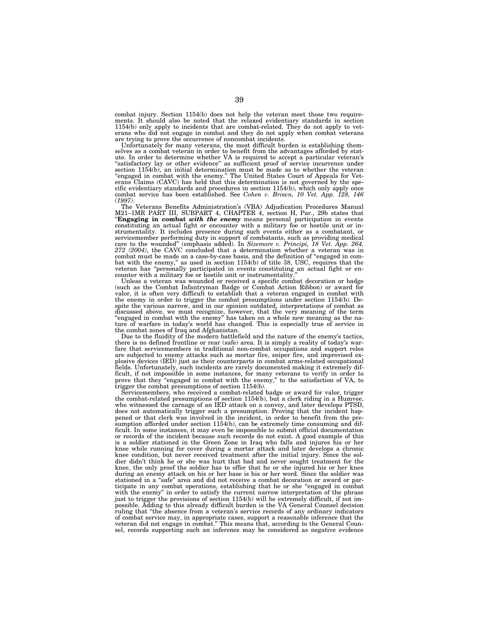combat injury. Section 1154(b) does not help the veteran meet those two requirements. It should also be noted that the relaxed evidentiary standards in section 1154(b) only apply to incidents that are combat-related. They do not apply to veterans who did not engage in combat and they do not apply when combat veterans are trying to prove the occurrence of noncombat incidents.

Unfortunately for many veterans, the most difficult burden is establishing themselves as a combat veteran in order to benefit from the advantages afforded by statute. In order to determine whether VA is required to accept a particular veteran's ''satisfactory lay or other evidence'' as sufficient proof of service incurrence under section 1154(b), an initial determination must be made as to whether the veteran "engaged in combat with the enemy." The United States Court of Appeals for Veterans Claims (CAVC) has held that this determination is not governed by the spe-cific evidentiary standards and procedures in section 1154(b), which only apply once combat service has been established. See *Cohen v. Brown, 10 Vet. App. 128, 146* 

*(1997)*. The Veterans Benefits Administration's (VBA) Adjudication Procedures Manual M21–1MR PART III, SUBPART 4, CHAPTER 4, section H, Par., 29b states that ''**Engaging in combat** *with the enemy* means personal participation in events constituting an actual fight or encounter with a military foe or hostile unit or instrumentality. It includes presence during such events either as a combatant, or servicemember performing duty in support of combatants, such as providing medical care to the wounded'' (emphasis added). In *Sizemore v. Principi, 18 Vet. App. 264, 272 (2004)*, the CAVC concluded that a determination whether a veteran was in combat must be made on a case-by-case basis, and the definition of ''engaged in com-bat with the enemy,'' as used in section 1154(b) of title 38, USC, requires that the veteran has ''personally participated in events constituting an actual fight or encounter with a military foe or hostile unit or instrumentality.

Unless a veteran was wounded or received a specific combat decoration or badge (such as the Combat Infantryman Badge or Combat Action Ribbon) or award for valor, it is often very difficult to establish that a veteran engaged in combat with the enemy in order to trigger the combat presumptions under section 1154(b). Despite the various narrow, and in our opinion outdated, interpretations of combat as discussed above, we must recognize, however, that the very meaning of the term ''engaged in combat with the enemy'' has taken on a whole new meaning as the nature of warfare in today's world has changed. This is especially true of service in

the combat zones of Iraq and Afghanistan. Due to the fluidity of the modern battlefield and the nature of the enemy's tactics, there is no defined frontline or rear (safe) area. It is simply a reality of today's warfare that servicemembers in traditional non-combat occupations and support roles are subjected to enemy attacks such as mortar fire, sniper fire, and improvised explosive devices (IED) just as their counterparts in combat arms-related occupational fields. Unfortunately, such incidents are rarely documented making it extremely difficult, if not impossible in some instances, for many veterans to verify in order to prove that they ''engaged in combat with the enemy,'' to the satisfaction of VA, to trigger the combat presumptions of section 1154(b).

Servicemembers, who received a combat-related badge or award for valor, trigger the combat-related presumptions of section 1154(b), but a clerk riding in a Humvee, who witnessed the carnage of an IED attack on a convoy, and later develops PTSD, does not automatically trigger such a presumption. Proving that the incident happened or that clerk was involved in the incident, in order to benefit from the presumption afforded under section 1154(b), can be extremely time consuming and difficult. In some instances, it may even be impossible to submit official documentation or records of the incident because such records do not exist. A good example of this is a soldier stationed in the Green Zone in Iraq who falls and injures his or her knee while running for cover during a mortar attack and later develops a chronic knee condition, but never received treatment after the initial injury. Since the soldier didn't think he or she was hurt that bad and never sought treatment for the knee, the only proof the soldier has to offer that he or she injured his or her knee during an enemy attack on his or her base is his or her word. Since the soldier was stationed in a ''safe'' area and did not receive a combat decoration or award or participate in any combat operations, establishing that he or she ''engaged in combat with the enemy" in order to satisfy the current narrow interpretation of the phrase just to trigger the provisions of section 1154(b) will be extremely difficult, if not impossible. Adding to this already difficult burden is the VA General Counsel decision ruling that ''the absence from a veteran's service records of any ordinary indicators of combat service may, in appropriate cases, support a reasonable inference that the veteran did not engage in combat.'' This means that, according to the General Counsel, records supporting such an inference may be considered as negative evidence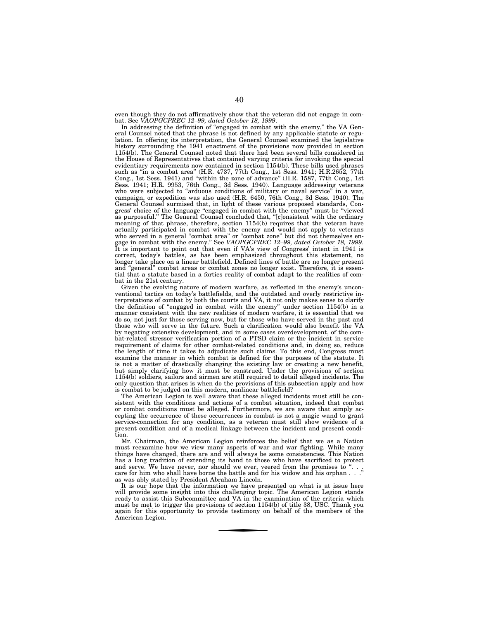even though they do not affirmatively show that the veteran did not engage in combat. See *VAOPGCPREC 12–99, dated October 18, 1999*.

In addressing the definition of ''engaged in combat with the enemy,'' the VA General Counsel noted that the phrase is not defined by any applicable statute or regulation. In offering its interpretation, the General Counsel examined the legislative history surrounding the 1941 enactment of the provisions now provided in section 1154(b). The General Counsel noted that there had been several bills considered in the House of Representatives that contained varying criteria for invoking the special evidentiary requirements now contained in section 1154(b). These bills used phrases such as "in a combat area" (H.R. 4737, 77th Cong., 1st Sess. 1941; H.R.2652, 77th Cong., 1st Sess. 1941) and ''within the zone of advance'' (H.R. 1587, 77th Cong., 1st Sess. 1941; H.R. 9953, 76th Cong., 3d Sess. 1940). Language addressing veterans who were subjected to "arduous conditions of military or naval service" in a war, campaign, or expedition was also used (H.R. 6450, 76th Cong., 3d Sess. 1940). The General Counsel surmised that, in light of these various proposed standards, Congress' choice of the language ''engaged in combat with the enemy'' must be ''viewed as purposeful.'' The General Counsel concluded that, ''[c]onsistent with the ordinary meaning of that phrase, therefore, section 1154(b) requires that the veteran have actually participated in combat with the enemy and would not apply to veterans who served in a general ''combat area'' or ''combat zone'' but did not themselves engage in combat with the enemy.'' See *VAOPGCPREC 12–99, dated October 18, 1999*. It is important to point out that even if VA's view of Congress' intent in 1941 is correct, today's battles, as has been emphasized throughout this statement, no longer take place on a linear battlefield. Defined lines of battle are no longer present and "general" combat areas or combat zones no longer exist. Therefore, it is essential that a statute based in a forties reality of combat adapt to the realities of combat in the 21st century.

Given the evolving nature of modern warfare, as reflected in the enemy's unconventional tactics on today's battlefields, and the outdated and overly restrictive interpretations of combat by both the courts and VA, it not only makes sense to clarify the definition of ''engaged in combat with the enemy'' under section 1154(b) in a manner consistent with the new realities of modern warfare, it is essential that we do so, not just for those serving now, but for those who have served in the past and those who will serve in the future. Such a clarification would also benefit the VA by negating extensive development, and in some cases overdevelopment, of the combat-related stressor verification portion of a PTSD claim or the incident in service requirement of claims for other combat-related conditions and, in doing so, reduce the length of time it takes to adjudicate such claims. To this end, Congress must examine the manner in which combat is defined for the purposes of the statute. It is not a matter of drastically changing the existing law or creating a new benefit, but simply clarifying how it must be construed. Under the provisions of section 1154(b) soldiers, sailors and airmen are still required to detail alleged incidents. The only question that arises is when do the provisions of this subsection apply and how is combat to be judged on this modern, nonlinear battlefield?

The American Legion is well aware that these alleged incidents must still be consistent with the conditions and actions of a combat situation, indeed that combat or combat conditions must be alleged. Furthermore, we are aware that simply accepting the occurrence of these occurrences in combat is not a magic wand to grant service-connection for any condition, as a veteran must still show evidence of a present condition and of a medical linkage between the incident and present condition.

Mr. Chairman, the American Legion reinforces the belief that we as a Nation must reexamine how we view many aspects of war and war fighting. While many things have changed, there are and will always be some consistencies. This Nation has a long tradition of extending its hand to those who have sacrificed to protect and serve. We have never, nor should we ever, veered from the promises to "... care for him who shall have borne the battle and for his widow and his orphan . . .'' as was ably stated by President Abraham Lincoln.

It is our hope that the information we have presented on what is at issue here will provide some insight into this challenging topic. The American Legion stands ready to assist this Subcommittee and VA in the examination of the criteria which must be met to trigger the provisions of section 1154(b) of title 38, USC. Thank you again for this opportunity to provide testimony on behalf of the members of the American Legion.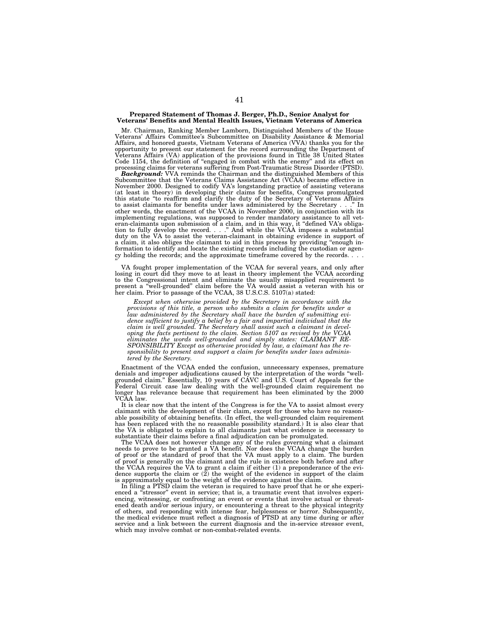### **Prepared Statement of Thomas J. Berger, Ph.D., Senior Analyst for Veterans' Benefits and Mental Health Issues, Vietnam Veterans of America**

Mr. Chairman, Ranking Member Lamborn, Distinguished Members of the House Veterans' Affairs Committee's Subcommittee on Disability Assistance & Memorial Affairs, and honored guests, Vietnam Veterans of America (VVA) thanks you for the opportunity to present our statement for the record surrounding the Department of Veterans Affairs (VA) application of the provisions found in Title 38 United States Code 1154, the definition of ''engaged in combat with the enemy'' and its effect on processing claims for veterans suffering from Post-Traumatic Stress Disorder (PTSD).

**Background:** VVA reminds the Chairman and the distinguished Members of this Subcommittee that the Veterans Claims Assistance Act (VCAA) became effective in November 2000. Designed to codify VA's longstanding practice of assisting veterans (at least in theory) in developing their claims for benefits, Congress promulgated this statute ''to reaffirm and clarify the duty of the Secretary of Veterans Affairs to assist claimants for benefits under laws administered by the Secretary . . .'' In other words, the enactment of the VCAA in November 2000, in conjunction with its implementing regulations, was supposed to render mandatory assistance to all veteran-claimants upon submission of a claim, and in this way, it ''defined VA's obligation to fully develop the record. . . .'' And while the VCAA imposes a substantial duty on the VA to assist the veteran-claimant in obtaining evidence in support of a claim, it also obliges the claimant to aid in this process by providing ''enough information to identify and locate the existing records including the custodian or agency holding the records; and the approximate timeframe covered by the records. ''

VA fought proper implementation of the VCAA for several years, and only after losing in court did they move to at least in theory implement the VCAA according to the Congressional intent and eliminate the usually misapplied requirement to present a ''well-grounded'' claim before the VA would assist a veteran with his or her claim. Prior to passage of the VCAA, 38 U.S.C.S. 5107(a) stated:

*Except when otherwise provided by the Secretary in accordance with the provisions of this title, a person who submits a claim for benefits under a law administered by the Secretary shall have the burden of submitting evidence sufficient to justify a belief by a fair and impartial individual that the claim is well grounded. The Secretary shall assist such a claimant in developing the facts pertinent to the claim. Section 5107 as revised by the VCAA eliminates the words well-grounded and simply states: CLAIMANT RE-SPONSIBILITY Except as otherwise provided by law, a claimant has the responsibility to present and support a claim for benefits under laws administered by the Secretary.* 

Enactment of the VCAA ended the confusion, unnecessary expenses, premature denials and improper adjudications caused by the interpretation of the words ''wellgrounded claim.'' Essentially, 10 years of CAVC and U.S. Court of Appeals for the Federal Circuit case law dealing with the well-grounded claim requirement no longer has relevance because that requirement has been eliminated by the 2000 VCAA law.

It is clear now that the intent of the Congress is for the VA to assist almost every claimant with the development of their claim, except for those who have no reasonable possibility of obtaining benefits. (In effect, the well-grounded claim requirement has been replaced with the no reasonable possibility standard.) It is also clear that the VA is obligated to explain to all claimants just what evidence is necessary to substantiate their claims before a final adjudication can be promulgated.

The VCAA does not however change any of the rules governing what a claimant needs to prove to be granted a VA benefit. Nor does the VCAA change the burden of proof or the standard of proof that the VA must apply to a claim. The burden of proof is generally on the claimant and the rule in existence both before and after the VCAA requires the VA to grant a claim if either (1) a preponderance of the evidence supports the claim or  $(2)$  the weight of the evidence in support of the claim is approximately equal to the weight of the evidence against the claim.

In filing a PTSD claim the veteran is required to have proof that he or she experienced a "stressor" event in service; that is, a traumatic event that involves experiencing, witnessing, or confronting an event or events that involve actual or threatened death and/or serious injury, or encountering a threat to the physical integrity of others, and responding with intense fear, helplessness or horror. Subsequently, the medical evidence must reflect a diagnosis of PTSD at any time during or after service and a link between the current diagnosis and the in-service stressor event, which may involve combat or non-combat-related events.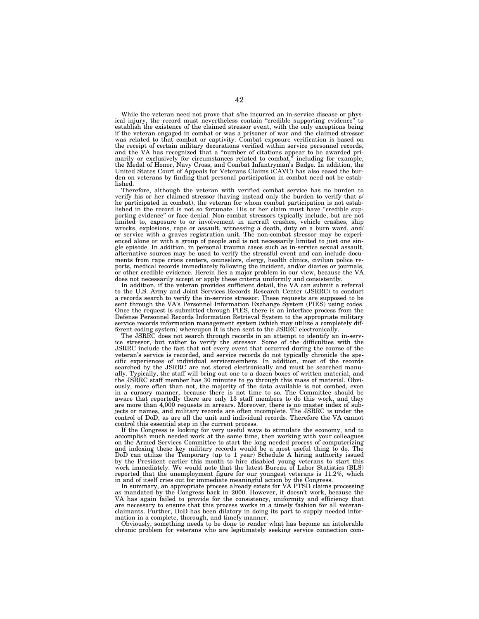While the veteran need not prove that s/he incurred an in-service disease or physical injury, the record must nevertheless contain "credible supporting evidence" to establish the existence of the claimed stressor event, with the only exceptions being if the veteran engaged in combat or was a prisoner of war and the claimed stressor was related to that combat or captivity. Combat exposure verification is based on the receipt of certain military decorations verified within service personnel records, and the VA has recognized that a ''number of citations appear to be awarded primarily or exclusively for circumstances related to combat,<sup>\*</sup> including for example, the Medal of Honor, Navy Cross, and Combat Infantryman's Badge. In addition, the United States Court of Appeals for Veterans Claims (CAVC) has also eased the burden on veterans by finding that personal participation in combat need not be established.

Therefore, although the veteran with verified combat service has no burden to verify his or her claimed stressor (having instead only the burden to verify that s/ he participated in combat), the veteran for whom combat participation is not established in the record is not so fortunate. His or her claim must have "credible supporting evidence'' or face denial. Non-combat stressors typically include, but are not limited to, exposure to or involvement in aircraft crashes, vehicle crashes, ship wrecks, explosions, rape or assault, witnessing a death, duty on a burn ward, and/ or service with a graves registration unit. The non-combat stressor may be experienced alone or with a group of people and is not necessarily limited to just one single episode. In addition, in personal trauma cases such as in-service sexual assault, alternative sources may be used to verify the stressful event and can include documents from rape crisis centers, counselors, clergy, health clinics, civilian police reports, medical records immediately following the incident, and/or diaries or journals, or other credible evidence. Herein lies a major problem in our view, because the VA does not necessarily accept or apply these criteria uniformly and consistently.

In addition, if the veteran provides sufficient detail, the VA can submit a referral to the U.S. Army and Joint Services Records Research Center (JSRRC) to conduct a records search to verify the in-service stressor. These requests are supposed to be sent through the VA's Personnel Information Exchange System (PIES) using codes. Once the request is submitted through PIES, there is an interface process from the Defense Personnel Records Information Retrieval System to the appropriate military service records information management system (which may utilize a completely different coding system) whereupon it is then sent to the JSRRC electronically.

The JSRRC does not search through records in an attempt to identify an in-service stressor, but rather to verify the stressor. Some of the difficulties with the JSRRC include the fact that not every event that occurred during the course of the veteran's service is recorded, and service records do not typically chronicle the specific experiences of individual servicemembers. In addition, most of the records searched by the JSRRC are not stored electronically and must be searched manually. Typically, the staff will bring out one to a dozen boxes of written material, and the JSRRC staff member has 30 minutes to go through this mass of material. Obviously, more often than not, the majority of the data available is not combed, even in a cursory manner, because there is not time to so. The Committee should be aware that reportedly there are only 13 staff members to do this work, and they are more than 4,000 requests in arrears. Moreover, there is no master index of subjects or names, and military records are often incomplete. The JSRRC is under the control of DoD, as are all the unit and individual records. Therefore the VA cannot control this essential step in the current process.

If the Congress is looking for very useful ways to stimulate the economy, and to accomplish much needed work at the same time, then working with your colleagues on the Armed Services Committee to start the long needed process of computerizing and indexing these key military records would be a most useful thing to do. The DoD can utilize the Temporary (up to 1 year) Schedule A hiring authority issued by the President earlier this month to hire disabled young veterans to start this work immediately. We would note that the latest Bureau of Labor Statistics (BLS) reported that the unemployment figure for our youngest veterans is 11.2%, which in and of itself cries out for immediate meaningful action by the Congress.

In summary, an appropriate process already exists for VA PTSD claims processing as mandated by the Congress back in 2000. However, it doesn't work, because the VA has again failed to provide for the consistency, uniformity and efficiency that are necessary to ensure that this process works in a timely fashion for all veteranclaimants. Further, DoD has been dilatory in doing its part to supply needed information in a complete, thorough, and timely manner.

Obviously, something needs to be done to render what has become an intolerable chronic problem for veterans who are legitimately seeking service connection com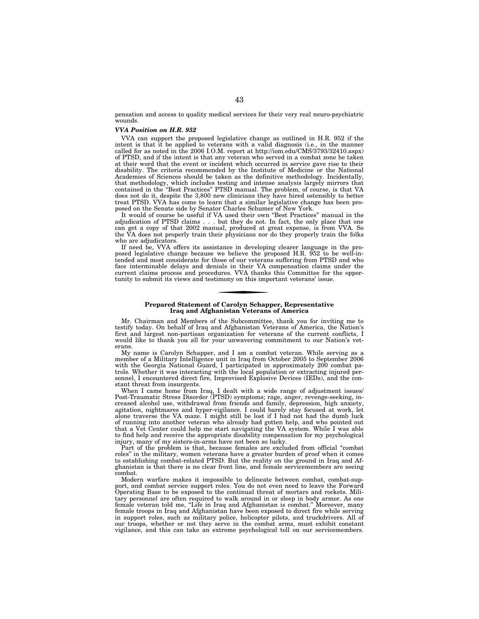pensation and access to quality medical services for their very real neuro-psychiatric wounds.

## *VVA Position on H.R. 952*

VVA can support the proposed legislative change as outlined in H.R. 952 if the intent is that it be applied to veterans with a valid diagnosis (i.e., in the manner called for as noted in the 2006 I.O.M. report at http://iom.edu/CMS/3793/32410.aspx) of PTSD, and if the intent is that any veteran who served in a combat zone be taken at their word that the event or incident which occurred in service gave rise to their disability. The criteria recommended by the Institute of Medicine or the National Academies of Sciences should be taken as the definitive methodology. Incidentally, that methodology, which includes testing and intense analysis largely mirrors that contained in the ''Best Practices'' PTSD manual. The problem, of course, is that VA does not do it, despite the 3,800 new clinicians they have hired ostensibly to better treat PTSD. VVA has come to learn that a similar legislative change has been proposed on the Senate side by Senator Charles Schumer of New York.

It would of course be useful if VA used their own ''Best Practices'' manual in the adjudication of PTSD claims . . . but they do not. In fact, the only place that one can get a copy of that 2002 manual, produced at great expense, is from VVA. So the VA does not properly train their physicians nor do they properly train the folks who are adjudicators.

If need be, VVA offers its assistance in developing clearer language in the proposed legislative change because we believe the proposed H.R. 952 to be well-intended and most considerate for those of our veterans suffering from PTSD and who face interminable delays and denials in their VA compensation claims under the current claims process and procedures. VVA thanks this Committee for the opportunity to submit its views and testimony on this important veterans' issue.

#### **Prepared Statement of Carolyn Schapper, Representative Iraq and Afghanistan Veterans of America**

Mr. Chairman and Members of the Subcommittee, thank you for inviting me to testify today. On behalf of Iraq and Afghanistan Veterans of America, the Nation's first and largest non-partisan organization for veterans of the current conflicts, I would like to thank you all for your unwavering commitment to our Nation's veterans.

My name is Carolyn Schapper, and I am a combat veteran. While serving as a member of a Military Intelligence unit in Iraq from October 2005 to September 2006 with the Georgia National Guard, I participated in approximately 200 combat patrols. Whether it was interacting with the local population or extracting injured personnel, I encountered direct fire, Improvised Explosive Devices (IEDs), and the constant threat from insurgents.

When I came home from Iraq, I dealt with a wide range of adjustment issues/ Post-Traumatic Stress Disorder (PTSD) symptoms; rage, anger, revenge-seeking, increased alcohol use, withdrawal from friends and family, depression, high anxiety, agitation, nightmares and hyper-vigilance. I could barely stay focused at work, let alone traverse the VA maze. I might still be lost if I had not had the dumb luck of running into another veteran who already had gotten help, and who pointed out that a Vet Center could help me start navigating the VA system. While I was able to find help and receive the appropriate disability compensation for my psychological injury, many of my sisters-in-arms have not been so lucky.

Part of the problem is that, because females are excluded from official ''combat roles'' in the military, women veterans have a greater burden of proof when it comes to establishing combat-related PTSD. But the reality on the ground in Iraq and Afghanistan is that there is no clear front line, and female servicemembers are seeing combat.

Modern warfare makes it impossible to delineate between combat, combat-support, and combat service support roles. You do not even need to leave the Forward Operating Base to be exposed to the continual threat of mortars and rockets. Military personnel are often required to walk around in or sleep in body armor. As one female veteran told me, ''Life in Iraq and Afghanistan is combat.'' Moreover, many female troops in Iraq and Afghanistan have been exposed to direct fire while serving in support roles, such as military police, helicopter pilots, and truckdrivers. All of our troops, whether or not they serve in the combat arms, must exhibit constant vigilance, and this can take an extreme psychological toll on our servicemembers.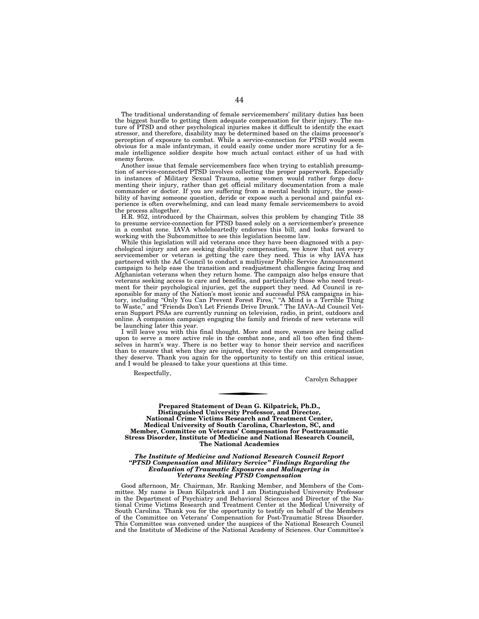The traditional understanding of female servicemembers' military duties has been the biggest hurdle to getting them adequate compensation for their injury. The nature of PTSD and other psychological injuries makes it difficult to identify the exact stressor, and therefore, disability may be determined based on the claims processor's perception of exposure to combat. While a service-connection for PTSD would seem obvious for a male infantryman, it could easily come under more scrutiny for a female intelligence soldier despite how much actual contact either of us had with enemy forces.

Another issue that female servicemembers face when trying to establish presumption of service-connected PTSD involves collecting the proper paperwork. Especially in instances of Military Sexual Trauma, some women would rather forgo documenting their injury, rather than get official military documentation from a male commander or doctor. If you are suffering from a mental health injury, the possibility of having someone question, deride or expose such a personal and painful experience is often overwhelming, and can lead many female servicemembers to avoid the process altogether.

H.R. 952, introduced by the Chairman, solves this problem by changing Title 38 to presume service-connection for PTSD based solely on a servicemember's presence in a combat zone. IAVA wholeheartedly endorses this bill, and looks forward to working with the Subcommittee to see this legislation become law.

While this legislation will aid veterans once they have been diagnosed with a psychological injury and are seeking disability compensation, we know that not every servicemember or veteran is getting the care they need. This is why IAVA has partnered with the Ad Council to conduct a multiyear Public Service Announcement campaign to help ease the transition and readjustment challenges facing Iraq and Afghanistan veterans when they return home. The campaign also helps ensure that veterans seeking access to care and benefits, and particularly those who need treatment for their psychological injuries, get the support they need. Ad Council is responsible for many of the Nation's most iconic and successful PSA campaigns in history, including ''Only You Can Prevent Forest Fires,'' ''A Mind is a Terrible Thing to Waste,'' and ''Friends Don't Let Friends Drive Drunk.'' The IAVA–Ad Council Veteran Support PSAs are currently running on television, radio, in print, outdoors and online. A companion campaign engaging the family and friends of new veterans will be launching later this year.

I will leave you with this final thought. More and more, women are being called upon to serve a more active role in the combat zone, and all too often find themselves in harm's way. There is no better way to honor their service and sacrifices than to ensure that when they are injured, they receive the care and compensation they deserve. Thank you again for the opportunity to testify on this critical issue, and I would be pleased to take your questions at this time.

Respectfully,

Carolyn Schapper

**Prepared Statement of Dean G. Kilpatrick, Ph.D., Distinguished University Professor, and Director, National Crime Victims Research and Treatment Center, Medical University of South Carolina, Charleston, SC, and Member, Committee on Veterans' Compensation for Posttraumatic Stress Disorder, Institute of Medicine and National Research Council, The National Academies** 

*The Institute of Medicine and National Research Council Report ''PTSD Compensation and Military Service'' Findings Regarding the Evaluation of Traumatic Exposures and Malingering in Veterans Seeking PTSD Compensation* 

Good afternoon, Mr. Chairman, Mr. Ranking Member, and Members of the Committee. My name is Dean Kilpatrick and I am Distinguished University Professor in the Department of Psychiatry and Behavioral Sciences and Director of the National Crime Victims Research and Treatment Center at the Medical University of South Carolina. Thank you for the opportunity to testify on behalf of the Members of the Committee on Veterans' Compensation for Post-Traumatic Stress Disorder. This Committee was convened under the auspices of the National Research Council and the Institute of Medicine of the National Academy of Sciences. Our Committee's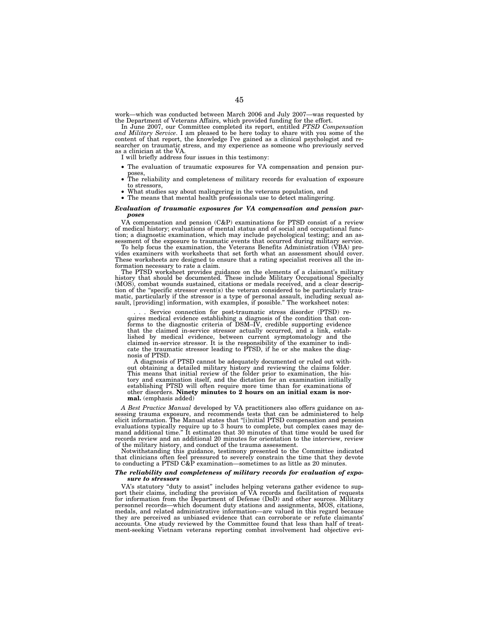work—which was conducted between March 2006 and July 2007—was requested by the Department of Veterans Affairs, which provided funding for the effort.

In June 2007, our Committee completed its report, entitled *PTSD Compensation and Military Service*. I am pleased to be here today to share with you some of the content of that report, the knowledge I've gained as a clinical psychologist and researcher on traumatic stress, and my experience as someone who previously served as a clinician at the VA.

I will briefly address four issues in this testimony:

- The evaluation of traumatic exposures for VA compensation and pension pur-
- poses,<br>• The reliability and completeness of military records for evaluation of exposure<br>to stressors.
- What studies say about malingering in the veterans population, and The means that mental health professionals use to detect malingering.

# *Evaluation of traumatic exposures for VA compensation and pension purposes*

VA compensation and pension (C&P) examinations for PTSD consist of a review of medical history; evaluations of mental status and of social and occupational function; a diagnostic examination, which may include psychological testing; and an assessment of the exposure to traumatic events that occurred during military service. To help focus the examination, the Veterans Benefits Administration (VBA) pro-

vides examiners with worksheets that set forth what an assessment should cover. These worksheets are designed to ensure that a rating specialist receives all the information necessary to rate a claim.

The PTSD worksheet provides guidance on the elements of a claimant's military history that should be documented. These include Military Occupational Specialty (MOS), combat wounds sustained, citations or medals received, and a clear description of the ''specific stressor event(s) the veteran considered to be particularly traumatic, particularly if the stressor is a type of personal assault, including sexual assault, [providing] information, with examples, if possible.'' The worksheet notes:

. Service connection for post-traumatic stress disorder (PTSD) requires medical evidence establishing a diagnosis of the condition that con-forms to the diagnostic criteria of DSM–IV, credible supporting evidence that the claimed in-service stressor actually occurred, and a link, estab-lished by medical evidence, between current symptomatology and the claimed in-service stressor. It is the responsibility of the examiner to indi-cate the traumatic stressor leading to PTSD, if he or she makes the diagnosis of PTSD.

A diagnosis of PTSD cannot be adequately documented or ruled out without obtaining a detailed military history and reviewing the claims folder. This means that initial review of the folder prior to examination, the history and examination itself, and the dictation for an examination initially establishing PTSD will often require more time than for examinations of other disorders. **Ninety minutes to 2 hours on an initial exam is normal.** (emphasis added)

*A Best Practice Manual* developed by VA practitioners also offers guidance on assessing trauma exposure, and recommends tests that can be administered to help elicit information. The Manual states that ''[i]nitial PTSD compensation and pension evaluations typically require up to 3 hours to complete, but complex cases may de-mand additional time.'' It estimates that 30 minutes of that time would be used for records review and an additional 20 minutes for orientation to the interview, review of the military history, and conduct of the trauma assessment.

Notwithstanding this guidance, testimony presented to the Committee indicated that clinicians often feel pressured to severely constrain the time that they devote to conducting a PTSD C&P examination—sometimes to as little as 20 minutes.

#### *The reliability and completeness of military records for evaluation of exposure to stressors*

VA's statutory "duty to assist" includes helping veterans gather evidence to support their claims, including the provision of  $\bar{V}A$  records and facilitation of requests for information from the Department of Defense (DoD) and other sources. Military personnel records—which document duty stations and assignments, MOS, citations, medals, and related administrative information—are valued in this regard because they are perceived as unbiased evidence that can corroborate or refute claimants' accounts. One study reviewed by the Committee found that less than half of treatment-seeking Vietnam veterans reporting combat involvement had objective evi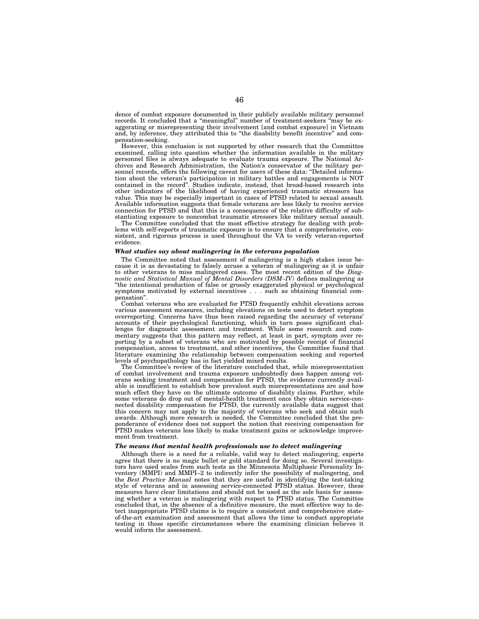dence of combat exposure documented in their publicly available military personnel records. It concluded that a ''meaningful'' number of treatment-seekers ''may be exaggerating or misrepresenting their involvement [and combat exposure] in Vietnam and, by inference, they attributed this to "the disability benefit incentive" and compensation-seeking.

However, this conclusion is not supported by other research that the Committee examined, calling into question whether the information available in the military personnel files is always adequate to evaluate trauma exposure. The National Archives and Research Administration, the Nation's conservator of the military personnel records, offers the following caveat for users of these data: "Detailed information about the veteran's participation in military battles and engagements is NOT contained in the record''. Studies indicate, instead, that broad-based research into other indicators of the likelihood of having experienced traumatic stressors has value. This may be especially important in cases of PTSD related to sexual assault. Available information suggests that female veterans are less likely to receive service connection for PTSD and that this is a consequence of the relative difficulty of substantiating exposure to noncombat traumatic stressors like military sexual assault.

The Committee concluded that the most effective strategy for dealing with problems with self-reports of traumatic exposure is to ensure that a comprehensive, consistent, and rigorous process is used throughout the VA to verify veteran-reported evidence.

#### *What studies say about malingering in the veterans population*

The Committee noted that assessment of malingering is a high stakes issue because it is as devastating to falsely accuse a veteran of malingering as it is unfair to other veterans to miss malingered cases. The most recent edition of the *Diag*nostic and Statistical Manual of Mental Disorders (DSM–IV) defines malingering as ''the intentional production of false or grossly exaggerated physical or psychological symptoms motivated by external incentives . . . such as obtaining financial compensation''.

Combat veterans who are evaluated for PTSD frequently exhibit elevations across various assessment measures, including elevations on tests used to detect symptom overreporting. Concerns have thus been raised regarding the accuracy of veterans' accounts of their psychological functioning, which in turn poses significant challenges for diagnostic assessment and treatment. While some research and commentary suggests that this pattern may reflect, at least in part, symptom over reporting by a subset of veterans who are motivated by possible receipt of financial compensation, access to treatment, and other incentives, the Committee found that literature examining the relationship between compensation seeking and reported levels of psychopathology has in fact yielded mixed results.

The Committee's review of the literature concluded that, while misrepresentation of combat involvement and trauma exposure undoubtedly does happen among veterans seeking treatment and compensation for PTSD, the evidence currently available is insufficient to establish how prevalent such misrepresentations are and how much effect they have on the ultimate outcome of disability claims. Further, while some veterans do drop out of mental-health treatment once they obtain service-connected disability compensation for PTSD, the currently available data suggest that this concern may not apply to the majority of veterans who seek and obtain such awards. Although more research is needed, the Committee concluded that the preponderance of evidence does not support the notion that receiving compensation for PTSD makes veterans less likely to make treatment gains or acknowledge improvement from treatment.

# *The means that mental health professionals use to detect malingering*

Although there is a need for a reliable, valid way to detect malingering, experts agree that there is no magic bullet or gold standard for doing so. Several investigators have used scales from such tests as the Minnesota Multiphasic Personality Inventory (MMPI) and MMPI–2 to indirectly infer the possibility of malingering, and the *Best Practice Manual* notes that they are useful in identifying the test-taking style of veterans and in assessing service-connected PTSD status. However, these measures have clear limitations and should not be used as the sole basis for assessing whether a veteran is malingering with respect to PTSD status. The Committee concluded that, in the absence of a definitive measure, the most effective way to detect inappropriate PTSD claims is to require a consistent and comprehensive stateof-the-art examination and assessment that allows the time to conduct appropriate testing in those specific circumstances where the examining clinician believes it would inform the assessment.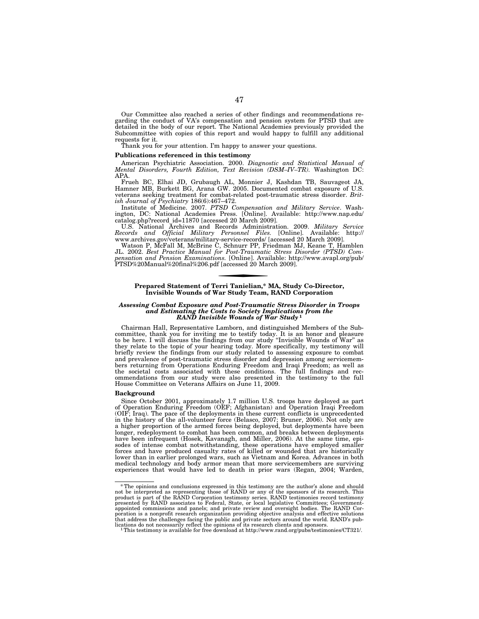Our Committee also reached a series of other findings and recommendations regarding the conduct of VA's compensation and pension system for PTSD that are detailed in the body of our report. The National Academies previously provided the Subcommittee with copies of this report and would happy to fulfill any additional requests for it.

Thank you for your attention. I'm happy to answer your questions.

#### **Publications referenced in this testimony**

American Psychiatric Association. 2000. *Diagnostic and Statistical Manual of Mental Disorders, Fourth Edition, Text Revision (DSM–IV–TR).* Washington DC: APA.

Frueh BC, Elhai JD, Grubaugh AL, Monnier J, Kashdan TB, Sauvageot JA, Hamner MB, Burkett BG, Arana GW. 2005. Documented combat exposure of U.S. veterans seeking treatment for combat-related post-traumatic stress disorder. *British Journal of Psychiatry* 186(6):467–472.

Institute of Medicine. 2007. *PTSD Compensation and Military Service*. Washington, DC: National Academies Press. [Online]. Available: http://www.nap.edu/ catalog.php?record\_id=11870 [accessed 20 March 2009].

U.S. National Archives and Records Administration. 2009. *Military Service Records and Official Military Personnel Files.* [Online]. Available: http:// www.archives.gov/veterans/military-service-records/ [accessed 20 March 2009].

Watson P, McFall M, McBrine C, Schnurr PP, Friedman MJ, Keane T, Hamblen JL. 2002. *Best Practice Manual for Post-Traumatic Stress Disorder (PTSD) Compensation and Pension Examinations.* [Online]. Available: http://www.avapl.org/pub/ PTSD%20Manual%20final%206.pdf [accessed 20 March 2009].

# f **Prepared Statement of Terri Tanielian,\* MA, Study Co-Director, Invisible Wounds of War Study Team, RAND Corporation**

# *Assessing Combat Exposure and Post-Traumatic Stress Disorder in Troops and Estimating the Costs to Society Implications from the RAND Invisible Wounds of War Study* **1**

Chairman Hall, Representative Lamborn, and distinguished Members of the Subcommittee, thank you for inviting me to testify today. It is an honor and pleasure to be here. I will discuss the findings from our study ''Invisible Wounds of War'' as they relate to the topic of your hearing today. More specifically, my testimony will briefly review the findings from our study related to assessing exposure to combat and prevalence of post-traumatic stress disorder and depression among servicemembers returning from Operations Enduring Freedom and Iraqi Freedom; as well as the societal costs associated with these conditions. The full findings and recommendations from our study were also presented in the testimony to the full House Committee on Veterans Affairs on June 11, 2009.

# **Background**

Since October 2001, approximately 1.7 million U.S. troops have deployed as part of Operation Enduring Freedom (OEF; Afghanistan) and Operation Iraqi Freedom (OIF; Iraq). The pace of the deployments in these current conflicts is unprecedented in the history of the all-volunteer force (Belasco, 2007; Bruner, 2006). Not only are a higher proportion of the armed forces being deployed, but deployments have been longer, redeployment to combat has been common, and breaks between deployments have been infrequent (Hosek, Kavanagh, and Miller, 2006). At the same time, episodes of intense combat notwithstanding, these operations have employed smaller forces and have produced casualty rates of killed or wounded that are historically lower than in earlier prolonged wars, such as Vietnam and Korea. Advances in both medical technology and body armor mean that more servicemembers are surviving experiences that would have led to death in prior wars (Regan, 2004; Warden,

<sup>\*</sup> The opinions and conclusions expressed in this testimony are the author's alone and should not be interpreted as representing those of RAND or any of the sponsors of its research. This<br>product is part of the RAND Corporation testimony series. RAND testimonies record testimony<br>presented by RAND associates to Fede appointed commissions and panels; and private review and oversight bodies. The RAND Cor-<br>poration is a nonprofit research organization providing objective analysis and effective solutions<br>that address the challenges facing lications do not necessarily reflect the opinions of its research clients and sponsors. 1This testimony is available for free download at http://www.rand.org/pubs/testimonies/CT321/.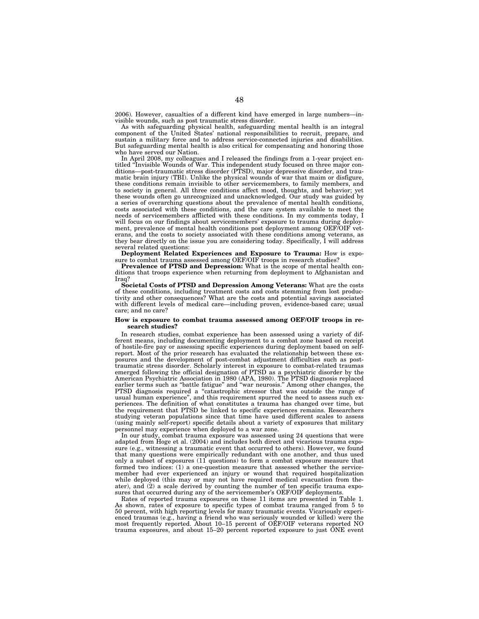2006). However, casualties of a different kind have emerged in large numbers—invisible wounds, such as post traumatic stress disorder.

As with safeguarding physical health, safeguarding mental health is an integral component of the United States' national responsibilities to recruit, prepare, and sustain a military force and to address service-connected injuries and disabilities. But safeguarding mental health is also critical for compensating and honoring those who have served our Nation.

In April 2008, my colleagues and I released the findings from a 1-year project entitled ''Invisible Wounds of War. This independent study focused on three major conditions—post-traumatic stress disorder (PTSD), major depressive disorder, and traumatic brain injury (TBI). Unlike the physical wounds of war that maim or disfigure, these conditions remain invisible to other servicemembers, to family members, and to society in general. All three conditions affect mood, thoughts, and behavior; yet these wounds often go unrecognized and unacknowledged. Our study was guided by a series of overarching questions about the prevalence of mental health conditions, costs associated with these conditions, and the care system available to meet the needs of servicemembers afflicted with these conditions. In my comments today, I will focus on our findings about servicemembers' exposure to trauma during deployment, prevalence of mental health conditions post deployment among OEF/OIF veterans, and the costs to society associated with these conditions among veterans, as they bear directly on the issue you are considering today. Specifically, I will address several related questions:

**Deployment Related Experiences and Exposure to Trauma:** How is exposure to combat trauma assessed among OEF/OIF troops in research studies?

**Prevalence of PTSD and Depression:** What is the scope of mental health conditions that troops experience when returning from deployment to Afghanistan and Iraq?

**Societal Costs of PTSD and Depression Among Veterans:** What are the costs of these conditions, including treatment costs and costs stemming from lost productivity and other consequences? What are the costs and potential savings associated with different levels of medical care—including proven, evidence-based care; usual care; and no care?

#### **How is exposure to combat trauma assessed among OEF/OIF troops in research studies?**

In research studies, combat experience has been assessed using a variety of different means, including documenting deployment to a combat zone based on receipt of hostile-fire pay or assessing specific experiences during deployment based on selfreport. Most of the prior research has evaluated the relationship between these exposures and the development of post-combat adjustment difficulties such as posttraumatic stress disorder. Scholarly interest in exposure to combat-related traumas emerged following the official designation of PTSD as a psychiatric disorder by the American Psychiatric Association in 1980 (APA, 1980). The PTSD diagnosis replaced earlier terms such as ''battle fatigue'' and ''war neurosis.'' Among other changes, the PTSD diagnosis required a ''catastrophic stressor that was outside the range of usual human experience'', and this requirement spurred the need to assess such experiences. The definition of what constitutes a trauma has changed over time, but the requirement that PTSD be linked to specific experiences remains. Researchers studying veteran populations since that time have used different scales to assess (using mainly self-report) specific details about a variety of exposures that military personnel may experience when deployed to a war zone.

In our study, combat trauma exposure was assessed using 24 questions that were adapted from Hoge et al. (2004) and includes both direct and vicarious trauma exposure (e.g., witnessing a traumatic event that occurred to others). However, we found that many questions were empirically redundant with one another, and thus used only a subset of exposures (11 questions) to form a combat exposure measure that formed two indices: (1) a one-question measure that assessed whether the servicemember had ever experienced an injury or wound that required hospitalization while deployed (this may or may not have required medical evacuation from theater), and  $(2)$  a scale derived by counting the number of ten specific trauma exposures that occurred during any of the servicemember's OEF/OIF deployments.

Rates of reported trauma exposures on these 11 items are presented in Table 1. As shown, rates of exposure to specific types of combat trauma ranged from 5 to 50 percent, with high reporting levels for many traumatic events. Vicariously experienced traumas (e.g., having a friend who was seriously wounded or killed) were the most frequently reported. About 10–15 percent of OEF/OIF veterans reported NO trauma exposures, and about 15–20 percent reported exposure to just ONE event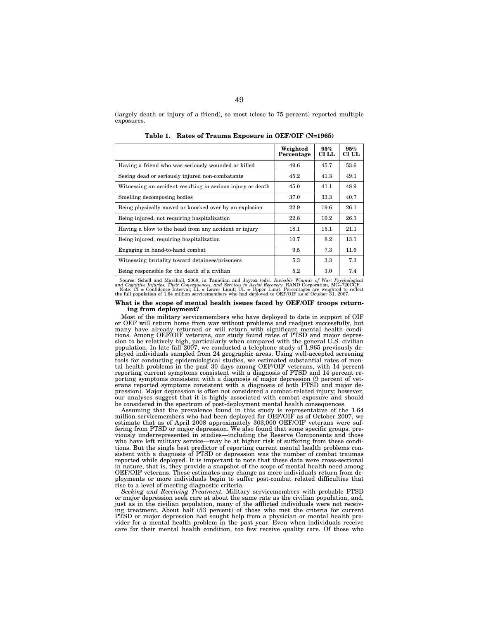(largely death or injury of a friend), so most (close to 75 percent) reported multiple exposures.

|                                                             | Weighted<br>Percentage | 95%<br>CI LL | 95%<br>CI UL |
|-------------------------------------------------------------|------------------------|--------------|--------------|
| Having a friend who was seriously wounded or killed         | 49.6                   | 45.7         | 53.6         |
| Seeing dead or seriously injured non-combatants             | 45.2                   | 41.3         | 49.1         |
| Witnessing an accident resulting in serious injury or death | 45.0                   | 41.1         | 48.9         |
| Smelling decomposing bodies                                 | 37.0                   | 33.3         | 40.7         |
| Being physically moved or knocked over by an explosion      | 22.9                   | 19.6         | 26.1         |
| Being injured, not requiring hospitalization                | 22.8                   | 19.2         | 26.3         |
| Having a blow to the head from any accident or injury       | 18.1                   | 15.1         | 21.1         |
| Being injured, requiring hospitalization                    | 10.7                   | 8.2          | 13.1         |
| Engaging in hand-to-hand combat                             | 9.5                    | 7.3          | 11.6         |
| Witnessing brutality toward detainees/prisoners             | 5.3                    | 3.3          | 7.3          |
| Being responsible for the death of a civilian               | 5.2                    | 3.0          | 7.4          |

**Table 1. Rates of Trauma Exposure in OEF/OIF (N=1965)** 

Source: Schell and Marshall, 2008, in Tanielian and Jaycox (eds). *Invisible Wounds of War: Psychological* and Cognitive Injuries, Their Consequences, and Services to Assist Recovery. RAND Corporation, MG-720CCF.<br>Note: CI

#### **What is the scope of mental health issues faced by OEF/OIF troops returning from deployment?**

Most of the military servicemembers who have deployed to date in support of OIF or OEF will return home from war without problems and readjust successfully, but many have already returned or will return with significant mental health conditions. Among OEF/OIF veterans, our study found rates of PTSD and major depression to be relatively high, particularly when compared with the general U.S. civilian population. In late fall 2007, we conducted a telephone study of 1,965 previously deployed individuals sampled from 24 geographic areas. Using well-accepted screening tools for conducting epidemiological studies, we estimated substantial rates of mental health problems in the past 30 days among OEF/OIF veterans, with 14 percent reporting current symptoms consistent with a diagnosis of PTSD and 14 percent reporting symptoms consistent with a diagnosis of major depression (9 percent of veterans reported symptoms consistent with a diagnosis of both PTSD and major depression). Major depression is often not considered a combat-related injury; however, our analyses suggest that it is highly associated with combat exposure and should be considered in the spectrum of post-deployment mental health consequences.

Assuming that the prevalence found in this study is representative of the 1.64 million servicemembers who had been deployed for OEF/OIF as of October 2007, we estimate that as of April 2008 approximately 303,000 OEF/OIF veterans were suffering from PTSD or major depression. We also found that some specific groups, previously underrepresented in studies—including the Reserve Components and those who have left military service—may be at higher risk of suffering from these conditions. But the single best predictor of reporting current mental health problems consistent with a diagnosis of PTSD or depression was the number of combat traumas reported while deployed. It is important to note that these data were cross-sectional in nature, that is, they provide a snapshot of the scope of mental health need among OEF/OIF veterans. These estimates may change as more individuals return from deployments or more individuals begin to suffer post-combat related difficulties that rise to a level of meeting diagnostic criteria.

*Seeking and Receiving Treatment.* Military servicemembers with probable PTSD or major depression seek care at about the same rate as the civilian population, and, just as in the civilian population, many of the afflicted individuals were not receiving treatment. About half (53 percent) of those who met the criteria for current PTSD or major depression had sought help from a physician or mental health pro-vider for a mental health problem in the past year. Even when individuals receive care for their mental health condition, too few receive quality care. Of those who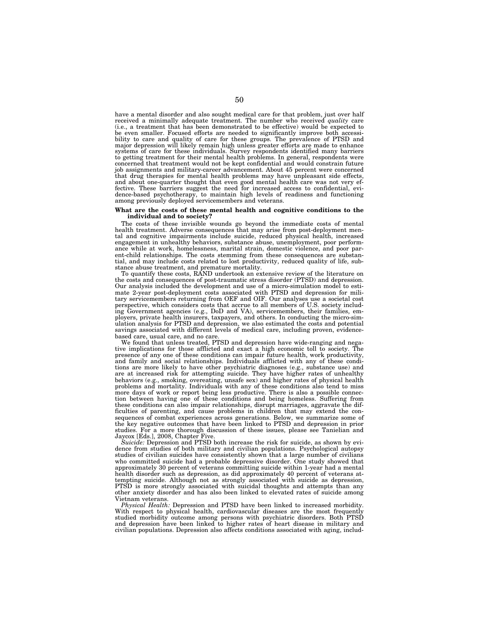have a mental disorder and also sought medical care for that problem, just over half received a minimally adequate treatment. The number who received *quality* care (i.e., a treatment that has been demonstrated to be effective) would be expected to be even smaller. Focused efforts are needed to significantly improve both accessibility to care and quality of care for these groups. The prevalence of PTSD and major depression will likely remain high unless greater efforts are made to enhance systems of care for these individuals. Survey respondents identified many barriers to getting treatment for their mental health problems. In general, respondents were concerned that treatment would not be kept confidential and would constrain future job assignments and military-career advancement. About 45 percent were concerned that drug therapies for mental health problems may have unpleasant side effects, and about one-quarter thought that even good mental health care was not very ef-fective. These barriers suggest the need for increased access to confidential, evidence-based psychotherapy, to maintain high levels of readiness and functioning among previously deployed servicemembers and veterans.

#### **What are the costs of these mental health and cognitive conditions to the individual and to society?**

The costs of these invisible wounds go beyond the immediate costs of mental health treatment. Adverse consequences that may arise from post-deployment mental and cognitive impairments include suicide, reduced physical health, increased engagement in unhealthy behaviors, substance abuse, unemployment, poor performance while at work, homelessness, marital strain, domestic violence, and poor parent-child relationships. The costs stemming from these consequences are substantial, and may include costs related to lost productivity, reduced quality of life, substance abuse treatment, and premature mortality.

To quantify these costs, RAND undertook an extensive review of the literature on the costs and consequences of post-traumatic stress disorder (PTSD) and depression. Our analysis included the development and use of a micro-simulation model to estimate 2-year post-deployment costs associated with PTSD and depression for military servicemembers returning from OEF and OIF. Our analyses use a societal cost perspective, which considers costs that accrue to all members of U.S. society including Government agencies (e.g., DoD and VA), servicemembers, their families, employers, private health insurers, taxpayers, and others. In conducting the micro-simulation analysis for PTSD and depression, we also estimated the costs and potential savings associated with different levels of medical care, including proven, evidencebased care, usual care, and no care.

We found that unless treated, PTSD and depression have wide-ranging and negative implications for those afflicted and exact a high economic toll to society. The presence of any one of these conditions can impair future health, work productivity, and family and social relationships. Individuals afflicted with any of these conditions are more likely to have other psychiatric diagnoses (e.g., substance use) and are at increased risk for attempting suicide. They have higher rates of unhealthy behaviors (e.g., smoking, overeating, unsafe sex) and higher rates of physical health problems and mortality. Individuals with any of these conditions also tend to miss more days of work or report being less productive. There is also a possible connection between having one of these conditions and being homeless. Suffering from these conditions can also impair relationships, disrupt marriages, aggravate the difficulties of parenting, and cause problems in children that may extend the consequences of combat experiences across generations. Below, we summarize some of the key negative outcomes that have been linked to PTSD and depression in prior studies. For a more thorough discussion of these issues, please see Tanielian and Jaycox [Eds.], 2008, Chapter Five.

*Suicide:* Depression and PTSD both increase the risk for suicide, as shown by evidence from studies of both military and civilian populations. Psychological autopsy studies of civilian suicides have consistently shown that a large number of civilians who committed suicide had a probable depressive disorder. One study showed that approximately 30 percent of veterans committing suicide within 1-year had a mental health disorder such as depression, as did approximately 40 percent of veterans attempting suicide. Although not as strongly associated with suicide as depression, PTSD is more strongly associated with suicidal thoughts and attempts than any other anxiety disorder and has also been linked to elevated rates of suicide among Vietnam veterans.

*Physical Health:* Depression and PTSD have been linked to increased morbidity. With respect to physical health, cardiovascular diseases are the most frequently studied morbidity outcome among persons with psychiatric disorders. Both PTSD and depression have been linked to higher rates of heart disease in military and civilian populations. Depression also affects conditions associated with aging, includ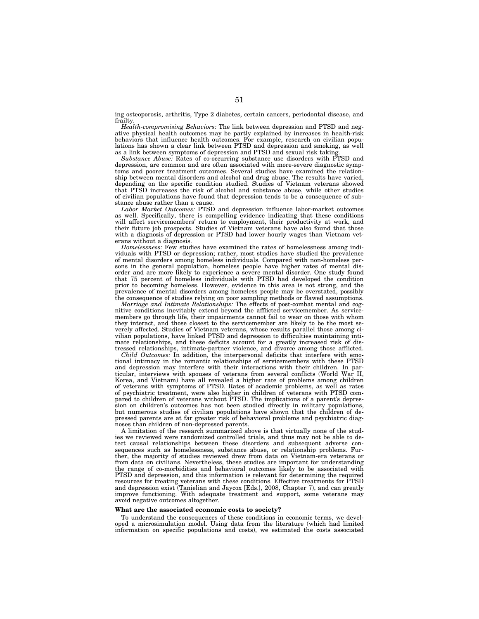ing osteoporosis, arthritis, Type 2 diabetes, certain cancers, periodontal disease, and frailty.

*Health-compromising Behaviors:* The link between depression and PTSD and negative physical health outcomes may be partly explained by increases in health-risk behaviors that influence health outcomes. For example, research on civilian populations has shown a clear link between PTSD and depression and smoking, as well as a link between symptoms of depression and PTSD and sexual risk taking.

*Substance Abuse:* Rates of co-occurring substance use disorders with PTSD and depression, are common and are often associated with more-severe diagnostic symptoms and poorer treatment outcomes. Several studies have examined the relationship between mental disorders and alcohol and drug abuse. The results have varied, depending on the specific condition studied. Studies of Vietnam veterans showed that PTSD increases the risk of alcohol and substance abuse, while other studies of civilian populations have found that depression tends to be a consequence of substance abuse rather than a cause.

*Labor Market Outcomes:* PTSD and depression influence labor-market outcomes as well. Specifically, there is compelling evidence indicating that these conditions will affect servicemembers' return to employment, their productivity at work, and their future job prospects. Studies of Vietnam veterans have also found that those with a diagnosis of depression or PTSD had lower hourly wages than Vietnam veterans without a diagnosis.

*Homelessness:* Few studies have examined the rates of homelessness among individuals with PTSD or depression; rather, most studies have studied the prevalence of mental disorders among homeless individuals. Compared with non-homeless persons in the general population, homeless people have higher rates of mental disorder and are more likely to experience a severe mental disorder. One study found that 75 percent of homeless individuals with PTSD had developed the condition prior to becoming homeless. However, evidence in this area is not strong, and the prevalence of mental disorders among homeless people may be overstated, possibly the consequence of studies relying on poor sampling methods or flawed assumptions.

*Marriage and Intimate Relationships:* The effects of post-combat mental and cognitive conditions inevitably extend beyond the afflicted servicemember. As servicemembers go through life, their impairments cannot fail to wear on those with whom they interact, and those closest to the servicemember are likely to be the most severely affected. Studies of Vietnam veterans, whose results parallel those among civilian populations, have linked PTSD and depression to difficulties maintaining intimate relationships, and these deficits account for a greatly increased risk of distressed relationships, intimate-partner violence, and divorce among those afflicted.

*Child Outcomes:* In addition, the interpersonal deficits that interfere with emotional intimacy in the romantic relationships of servicemembers with these PTSD and depression may interfere with their interactions with their children. In particular, interviews with spouses of veterans from several conflicts (World War II, Korea, and Vietnam) have all revealed a higher rate of problems among children of veterans with symptoms of PTSD. Rates of academic problems, as well as rates of psychiatric treatment, were also higher in children of veterans with PTSD compared to children of veterans without PTSD. The implications of a parent's depression on children's outcomes has not been studied directly in military populations, but numerous studies of civilian populations have shown that the children of depressed parents are at far greater risk of behavioral problems and psychiatric diagnoses than children of non-depressed parents.

A limitation of the research summarized above is that virtually none of the studies we reviewed were randomized controlled trials, and thus may not be able to detect causal relationships between these disorders and subsequent adverse consequences such as homelessness, substance abuse, or relationship problems. Further, the majority of studies reviewed drew from data on Vietnam-era veterans or from data on civilians. Nevertheless, these studies are important for understanding the range of co-morbidities and behavioral outcomes likely to be associated with PTSD and depression, and this information is relevant for determining the required resources for treating veterans with these conditions. Effective treatments for PTSD and depression exist (Tanielian and Jaycox [Eds.}, 2008, Chapter 7), and can greatly improve functioning. With adequate treatment and support, some veterans may avoid negative outcomes altogether.

#### **What are the associated economic costs to society?**

To understand the consequences of these conditions in economic terms, we developed a microsimulation model. Using data from the literature (which had limited information on specific populations and costs), we estimated the costs associated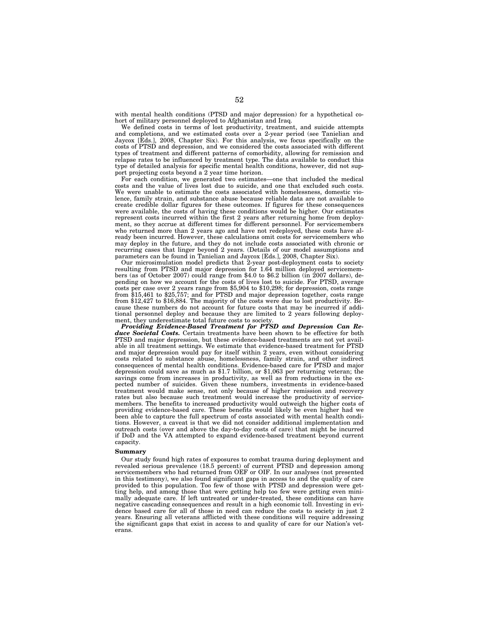with mental health conditions (PTSD and major depression) for a hypothetical cohort of military personnel deployed to Afghanistan and Iraq.

We defined costs in terms of lost productivity, treatment, and suicide attempts and completions, and we estimated costs over a 2-year period (see Tanielian and Jaycox [Eds.], 2008, Chapter Six). For this analysis, we focus specifically on the costs of PTSD and depression, and we considered the costs associated with different types of treatment and different patterns of comorbidity, allowing for remission and relapse rates to be influenced by treatment type. The data available to conduct this type of detailed analysis for specific mental health conditions, however, did not support projecting costs beyond a 2 year time horizon.

For each condition, we generated two estimates—one that included the medical costs and the value of lives lost due to suicide, and one that excluded such costs. We were unable to estimate the costs associated with homelessness, domestic violence, family strain, and substance abuse because reliable data are not available to create credible dollar figures for these outcomes. If figures for these consequences were available, the costs of having these conditions would be higher. Our estimates represent costs incurred within the first 2 years after returning home from deployment, so they accrue at different times for different personnel. For servicemembers who returned more than 2 years ago and have not redeployed, these costs have already been incurred. However, these calculations omit costs for servicemembers who may deploy in the future, and they do not include costs associated with chronic or recurring cases that linger beyond 2 years. (Details of our model assumptions and parameters can be found in Tanielian and Jaycox [Eds.], 2008, Chapter Six).

Our microsimulation model predicts that 2-year post-deployment costs to society resulting from PTSD and major depression for 1.64 million deployed servicemembers (as of October 2007) could range from \$4.0 to \$6.2 billion (in 2007 dollars), depending on how we account for the costs of lives lost to suicide. For PTSD, average costs per case over 2 years range from \$5,904 to \$10,298; for depression, costs range from \$15,461 to \$25,757; and for PTSD and major depression together, costs range from \$12,427 to \$16,884. The majority of the costs were due to lost productivity. Because these numbers do not account for future costs that may be incurred if additional personnel deploy and because they are limited to 2 years following deployment, they underestimate total future costs to society.

*Providing Evidence-Based Treatment for PTSD and Depression Can Reduce Societal Costs.* Certain treatments have been shown to be effective for both PTSD and major depression, but these evidence-based treatments are not yet available in all treatment settings. We estimate that evidence-based treatment for PTSD and major depression would pay for itself within 2 years, even without considering costs related to substance abuse, homelessness, family strain, and other indirect consequences of mental health conditions. Evidence-based care for PTSD and major depression could save as much as \$1.7 billion, or \$1,063 per returning veteran; the savings come from increases in productivity, as well as from reductions in the expected number of suicides. Given these numbers, investments in evidence-based treatment would make sense, not only because of higher remission and recovery rates but also because such treatment would increase the productivity of servicemembers. The benefits to increased productivity would outweigh the higher costs of providing evidence-based care. These benefits would likely be even higher had we been able to capture the full spectrum of costs associated with mental health conditions. However, a caveat is that we did not consider additional implementation and outreach costs (over and above the day-to-day costs of care) that might be incurred if DoD and the VA attempted to expand evidence-based treatment beyond current capacity.

#### **Summary**

Our study found high rates of exposures to combat trauma during deployment and revealed serious prevalence (18.5 percent) of current PTSD and depression among servicemembers who had returned from OEF or OIF. In our analyses (not presented in this testimony), we also found significant gaps in access to and the quality of care provided to this population. Too few of those with PTSD and depression were getting help, and among those that were getting help too few were getting even minimally adequate care. If left untreated or under-treated, these conditions can have negative cascading consequences and result in a high economic toll. Investing in evidence based care for all of those in need can reduce the costs to society in just 2 years. Ensuring all veterans afflicted with these conditions will require addressing the significant gaps that exist in access to and quality of care for our Nation's veterans.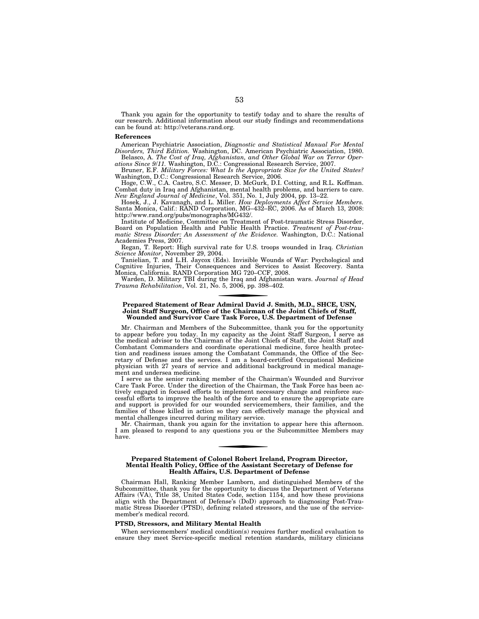Thank you again for the opportunity to testify today and to share the results of our research. Additional information about our study findings and recommendations can be found at: http://veterans.rand.org.

#### **References**

American Psychiatric Association, *Diagnostic and Statistical Manual For Mental Disorders, Third Edition.* Washington, DC. American Psychiatric Association, 1980. Belasco, A. *The Cost of Iraq, Afghanistan, and Other Global War on Terror Oper-*

*ations Since 9*/*11.* Washington, D.C.: Congressional Research Service, 2007.

Bruner, E.F. *Military Forces: What Is the Appropriate Size for the United States?*  Washington, D.C.: Congressional Research Service, 2006.

Hoge, C.W., C.A. Castro, S.C. Messer, D. McGurk, D.I. Cotting, and R.L. Koffman. Combat duty in Iraq and Afghanistan, mental health problems, and barriers to care. *New England Journal of Medicine*, Vol. 351, No. 1, July 2004, pp. 13–22.

Hosek, J., J. Kavanagh, and L. Miller. *How Deployments Affect Service Members.*  Santa Monica, Calif.: RAND Corporation, MG–432–RC, 2006. As of March 13, 2008: http://www.rand.org/pubs/monographs/MG432/.

Institute of Medicine, Committee on Treatment of Post-traumatic Stress Disorder, Board on Population Health and Public Health Practice. *Treatment of Post-traumatic Stress Disorder: An Assessment of the Evidence.* Washington, D.C.: National Academies Press, 2007.

Regan, T. Report: High survival rate for U.S. troops wounded in Iraq. *Christian Science Monitor*, November 29, 2004.

Tanielian, T. and L.H. Jaycox (Eds). Invisible Wounds of War: Psychological and Cognitive Injuries, Their Consequences and Services to Assist Recovery. Santa Monica, California. RAND Corporation MG 720–CCF, 2008.

Warden, D. Military TBI during the Iraq and Afghanistan wars. *Journal of Head Trauma Rehabilitation*, Vol. 21, No. 5, 2006, pp. 398–402.

# f **Prepared Statement of Rear Admiral David J. Smith, M.D., SHCE, USN, Joint Staff Surgeon, Office of the Chairman of the Joint Chiefs of Staff, Wounded and Survivor Care Task Force, U.S. Department of Defense**

Mr. Chairman and Members of the Subcommittee, thank you for the opportunity to appear before you today. In my capacity as the Joint Staff Surgeon, I serve as the medical advisor to the Chairman of the Joint Chiefs of Staff, the Joint Staff and Combatant Commanders and coordinate operational medicine, force health protection and readiness issues among the Combatant Commands, the Office of the Secretary of Defense and the services. I am a board-certified Occupational Medicine physician with 27 years of service and additional background in medical management and undersea medicine.

I serve as the senior ranking member of the Chairman's Wounded and Survivor Care Task Force. Under the direction of the Chairman, the Task Force has been actively engaged in focused efforts to implement necessary change and reinforce successful efforts to improve the health of the force and to ensure the appropriate care and support is provided for our wounded servicemembers, their families, and the families of those killed in action so they can effectively manage the physical and mental challenges incurred during military service.

Mr. Chairman, thank you again for the invitation to appear here this afternoon. I am pleased to respond to any questions you or the Subcommittee Members may have.

#### **Prepared Statement of Colonel Robert Ireland, Program Director, Mental Health Policy, Office of the Assistant Secretary of Defense for Health Affairs, U.S. Department of Defense**

Chairman Hall, Ranking Member Lamborn, and distinguished Members of the Subcommittee, thank you for the opportunity to discuss the Department of Veterans Affairs (VA), Title 38, United States Code, section 1154, and how these provisions align with the Department of Defense's (DoD) approach to diagnosing Post-Traumatic Stress Disorder (PTSD), defining related stressors, and the use of the servicemember's medical record.

# **PTSD, Stressors, and Military Mental Health**

When servicemembers' medical condition(s) requires further medical evaluation to ensure they meet Service-specific medical retention standards, military clinicians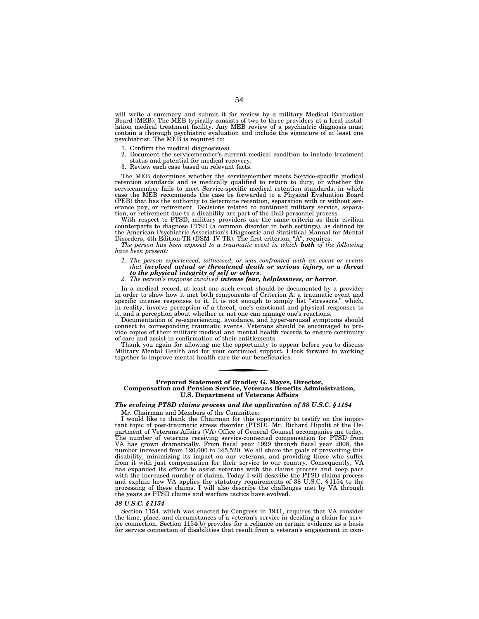will write a summary and submit it for review by a military Medical Evaluation Board (MEB). The MEB typically consists of two to three providers at a local instal-lation medical treatment facility. Any MEB review of a psychiatric diagnosis must contain a thorough psychiatric evaluation and include the signature of at least one psychiatrist. The MEB is required to:

- Confirm the medical diagnosis(es).
- 2. Document the servicemember's current medical condition to include treatment status and potential for medical recovery.
- 3. Review each case based on relevant facts.

The MEB determines whether the servicemember meets Service-specific medical retention standards and is medically qualified to return to duty, or whether the servicemember fails to meet Service-specific medical retention standards, in which case the MEB recommends the case be forwarded to a Physical Evaluation Board (PEB) that has the authority to determine retention, separation with or without severance pay, or retirement. Decisions related to continued military service, separation, or retirement due to a disability are part of the DoD personnel process.

With respect to PTSD, military providers use the same criteria as their civilian counterparts to diagnose PTSD (a common disorder in both settings), as defined by the American Psychiatric Association's Diagnostic and Statistical Manual for Mental Disorders, 4th Edition-TR (DSM–IV TR). The first criterion, "A", requires:

*The person has been exposed to a traumatic event in which both of the following have been present:* 

- *1. The person experienced, witnessed, or was confronted with an event or events that involved actual or threatened death or serious injury, or a threat to the physical integrity of self or others*.
- *2. The person's response involved intense fear, helplessness, or horror*.

In a medical record, at least one such event should be documented by a provider in order to show how it met both components of Criterion A: a traumatic event and specific intense responses to it. It is not enough to simply list "stressors." which. specific intense responses to it. It is not enough to simply list "stressors," in reality, involve perception of a threat, one's emotional and physical responses to it, and a perception about whether or not one can manage one's reactions.

Documentation of re-experiencing, avoidance, and hyper-arousal symptoms should connect to corresponding traumatic events. Veterans should be encouraged to provide copies of their military medical and mental health records to ensure continuity of care and assist in confirmation of their entitlements.

Thank you again for allowing me the opportunity to appear before you to discuss Military Mental Health and for your continued support. I look forward to working together to improve mental health care for our beneficiaries.

#### **Prepared Statement of Bradley G. Mayes, Director, Compensation and Pension Service, Veterans Benefits Administration, U.S. Department of Veterans Affairs**

# *The evolving PTSD claims process and the application of 38 U.S.C. § 1154*  Mr. Chairman and Members of the Committee:

I would like to thank the Chairman for this opportunity to testify on the important topic of post-traumatic stress disorder (PTSD). Mr. Richard Hipolit of the Department of Veterans Affairs (VA) Office of General Counsel accompanies me today. The number of veterans receiving service-connected compensation for PTSD from VA has grown dramatically. From fiscal year 1999 through fiscal year 2008, the number increased from 120,000 to 345,520. We all share the goals of preventing this disability, minimizing its impact on our veterans, and providing those who suffer from it with just compensation for their service to our country. Consequently, VA has expanded its efforts to assist veterans with the claims process and keep pace with the increased number of claims. Today I will describe the PTSD claims process and explain how VA applies the statutory requirements of 38 U.S.C. § 1154 to the processing of these claims. I will also describe the challenges met by VA through the years as PTSD claims and warfare tactics have evolved.

#### *38 U.S.C. § 1154*

Section 1154, which was enacted by Congress in 1941, requires that VA consider the time, place, and circumstances of a veteran's service in deciding a claim for service connection. Section 1154(b) provides for a reliance on certain evidence as a basis for service connection of disabilities that result from a veteran's engagement in com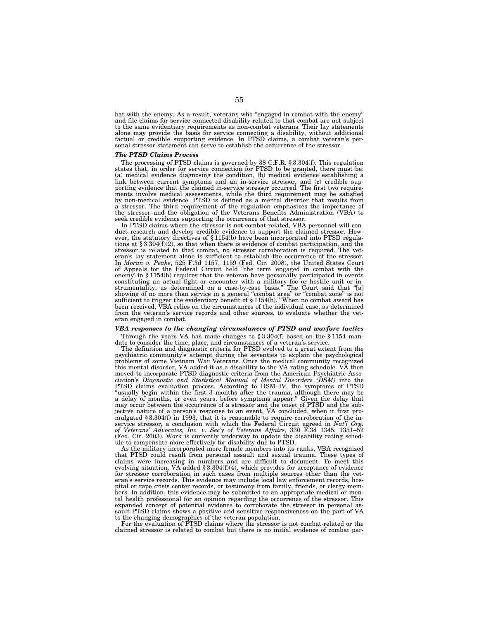bat with the enemy. As a result, veterans who "engaged in combat with the enemy' and file claims for service-connected disability related to that combat are not subject to the same evidentiary requirements as non-combat veterans. Their lay statements alone may provide the basis for service connecting a disability, without additional factual or credible supporting evidence. In PTSD claims, a combat veteran's personal stressor statement can serve to establish the occurrence of the stressor.

## *The PTSD Claims Process*

The processing of PTSD claims is governed by 38 C.F.R. § 3.304(f). This regulation states that, in order for service connection for PTSD to be granted, there must be: (a) medical evidence diagnosing the condition, (b) medical evidence establishing a link between current symptoms and an in-service stressor, and (c) credible supporting evidence that the claimed in-service stressor occurred. The first two requirements involve medical assessments, while the third requirement may be satisfied by non-medical evidence. PTSD is defined as a mental disorder that results from a stressor. The third requirement of the regulation emphasizes the importance of the stressor and the obligation of the Veterans Benefits Administration (VBA) to seek credible evidence supporting the occurrence of that stressor.

In PTSD claims where the stressor is not combat-related, VBA personnel will conduct research and develop credible evidence to support the claimed stressor. However, the statutory directives of § 1154(b) have been incorporated into PTSD regulations at § 3.304(f)(2), so that when there is evidence of combat participation, and the stressor is related to that combat, no stressor corroboration is required. The veteran's lay statement alone is sufficient to establish the occurrence of the stressor. In *Moran v. Peake*, 525 F.3d 1157, 1159 (Fed. Cir. 2008), the United States Court of Appeals for the Federal Circuit held ''the term 'engaged in combat with the enemy' in § 1154(b) requires that the veteran have personally participated in events constituting an actual fight or encounter with a military foe or hostile unit or instrumentality, as determined on a case-by-case basis.'' The Court said that ''[a] showing of no more than service in a general ''combat area'' or ''combat zone'' is not sufficient to trigger the evidentiary benefit of §1154(b)." When no combat award has been received, VBA relies on the circumstances of the individual case, as determined from the veteran's service records and other sources, to evaluate whether the veteran engaged in combat.

# *VBA responses to the changing circumstances of PTSD and warfare tactics*

Through the years VA has made changes to  $\S 3.304(f)$  based on the  $\S 1154$  mandate to consider the time, place, and circumstances of a veteran's service.

The definition and diagnostic criteria for PTSD evolved to a great extent from the psychiatric community's attempt during the seventies to explain the psychological problems of some Vietnam War Veterans. Once the medical community recognized this mental disorder, VA added it as a disability to the VA rating schedule. VA then moved to incorporate PTSD diagnostic criteria from the American Psychiatric Association's *Diagnostic and Statistical Manual of Mental Disorders (DSM)* into the PTSD claims evaluation process. According to DSM–IV, the symptoms of PTSD ''usually begin within the first 3 months after the trauma, although there may be a delay of months, or even years, before symptoms appear.'' Given the delay that may occur between the occurrence of a stressor and the onset of PTSD and the subjective nature of a person's response to an event, VA concluded, when it first promulgated § 3.304(f) in 1993, that it is reasonable to require corroboration of the inservice stressor, a conclusion with which the Federal Circuit agreed in *Nat'l Org. of Veterans' Advocates, Inc. v. Sec'y of Veterans Affairs*, 330 F.3d 1345, 1351–52 (Fed. Cir. 2003). Work is currently underway to update the disability rating schedule to compensate more effectively for disability due to PTSD.

As the military incorporated more female members into its ranks, VBA recognized that PTSD could result from personal assault and sexual trauma. These types of claims were increasing in numbers and are difficult to document. To meet this evolving situation, VA added § 3.304(f)(4), which provides for acceptance of evidence for stressor corroboration in such cases from multiple sources other than the veteran's service records. This evidence may include local law enforcement records, hospital or rape crisis center records, or testimony from family, friends, or clergy members. In addition, this evidence may be submitted to an appropriate medical or mental health professional for an opinion regarding the occurrence of the stressor. This expanded concept of potential evidence to corroborate the stressor in personal assault PTSD claims shows a positive and sensitive responsiveness on the part of VA

to the changing demographics of the veteran population. For the evaluation of PTSD claims where the stressor is not combat-related or the claimed stressor is related to combat but there is no initial evidence of combat par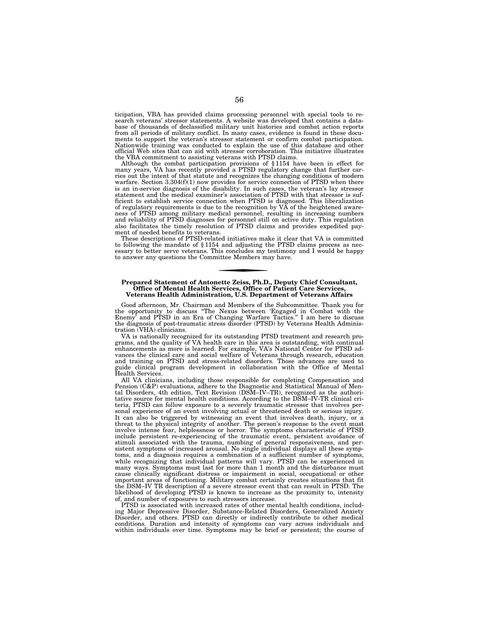ticipation, VBA has provided claims processing personnel with special tools to research veterans' stressor statements. A website was developed that contains a database of thousands of declassified military unit histories and combat action reports from all periods of military conflict. In many cases, evidence is found in these documents to support the veteran's stressor statement or confirm combat participation. Nationwide training was conducted to explain the use of this database and other official Web sites that can aid with stressor corroboration. This initiative illustrates the VBA commitment to assisting veterans with PTSD claims.

Although the combat participation provisions of § 1154 have been in effect for many years, VA has recently provided a PTSD regulatory change that further carries out the intent of that statute and recognizes the changing conditions of modern warfare. Section  $3.304(f)(1)$  now provides for service connection of PTSD when there is an in-service diagnosis of the disability. In such cases, the veteran's lay stressor statement and the medical examiner's association of PTSD with that stressor is sufficient to establish service connection when PTSD is diagnosed. This liberalization of regulatory requirements is due to the recognition by VA of the heightened awareness of PTSD among military medical personnel, resulting in increasing numbers and reliability of PTSD diagnoses for personnel still on active duty. This regulation also facilitates the timely resolution of PTSD claims and provides expedited payment of needed benefits to veterans.

These descriptions of PTSD-related initiatives make it clear that VA is committed to following the mandate of § 1154 and adjusting the PTSD claims process as necessary to better serve veterans. This concludes my testimony and I would be happy to answer any questions the Committee Members may have.

#### **Prepared Statement of Antonette Zeiss, Ph.D., Deputy Chief Consultant, Office of Mental Health Services, Office of Patient Care Services, Veterans Health Administration, U.S. Department of Veterans Affairs**

Good afternoon, Mr. Chairman and Members of the Subcommittee. Thank you for the opportunity to discuss ''The Nexus between 'Engaged in Combat with the Enemy' and PTSD in an Era of Changing Warfare Tactics.'' I am here to discuss the diagnosis of post-traumatic stress disorder (PTSD) by Veterans Health Administration (VHA) clinicians.

VA is nationally recognized for its outstanding PTSD treatment and research programs, and the quality of VA health care in this area is outstanding, with continual enhancements as more is learned. For example, VA's National Center for PTSD advances the clinical care and social welfare of Veterans through research, education and training on PTSD and stress-related disorders. Those advances are used to guide clinical program development in collaboration with the Office of Mental Health Services.

All VA clinicians, including those responsible for completing Compensation and Pension (C&P) evaluations, adhere to the Diagnostic and Statistical Manual of Mental Disorders, 4th edition, Text Revision (DSM–IV–TR), recognized as the authoritative source for mental health conditions. According to the DSM–IV-TR clinical criteria, PTSD can follow exposure to a severely traumatic stressor that involves personal experience of an event involving actual or threatened death or serious injury. It can also be triggered by witnessing an event that involves death, injury, or a threat to the physical integrity of another. The person's response to the event must involve intense fear, helplessness or horror. The symptoms characteristic of PTSD include persistent re-experiencing of the traumatic event, persistent avoidance of stimuli associated with the trauma, numbing of general responsiveness, and persistent symptoms of increased arousal. No single individual displays all these symptoms, and a diagnosis requires a combination of a sufficient number of symptoms, while recognizing that individual patterns will vary. PTSD can be experienced in many ways. Symptoms must last for more than 1 month and the disturbance must cause clinically significant distress or impairment in social, occupational or other important areas of functioning. Military combat certainly creates situations that fit the DSM–IV TR description of a severe stressor event that can result in PTSD. The likelihood of developing PTSD is known to increase as the proximity to, intensity of, and number of exposures to such stressors increase.

PTSD is associated with increased rates of other mental health conditions, including Major Depressive Disorder, Substance-Related Disorders, Generalized Anxiety Disorder, and others. PTSD can directly or indirectly contribute to other medical conditions. Duration and intensity of symptoms can vary across individuals and within individuals over time. Symptoms may be brief or persistent; the course of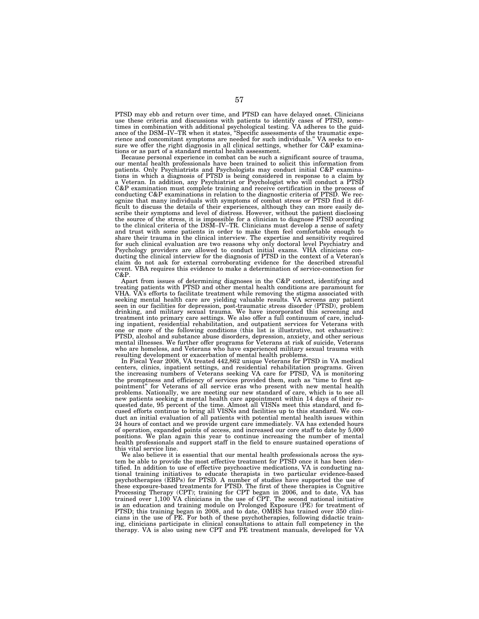PTSD may ebb and return over time, and PTSD can have delayed onset. Clinicians use these criteria and discussions with patients to identify cases of PTSD, sometimes in combination with additional psychological testing. VA adheres to the guidance of the DSM–IV–TR when it states, "Specific assessments sure we offer the right diagnosis in all clinical settings, whether for C&P examinations or as part of a standard mental health assessment.

Because personal experience in combat can be such a significant source of trauma, our mental health professionals have been trained to solicit this information from patients. Only Psychiatrists and Psychologists may conduct initial C&P examinations in which a diagnosis of PTSD is being considered in response to a claim by a Veteran. In addition, any Psychiatrist or Psychologist who will conduct a PTSD C&P examination must complete training and receive certification in the process of conducting C&P examinations in relation to the diagnostic criteria of PTSD. We recognize that many individuals with symptoms of combat stress or PTSD find it difficult to discuss the details of their experiences, although they can more easily describe their symptoms and level of distress. However, without the patient disclosing the source of the stress, it is impossible for a clinician to diagnose PTSD according to the clinical criteria of the DSM–IV–TR. Clinicians must develop a sense of safety and trust with some patients in order to make them feel comfortable enough to share their trauma in the clinical interview. The expertise and sensitivity required for such clinical evaluation are two reasons why only doctoral level Psychiatry and Psychology providers are allowed to conduct initial exams. VHA clinicians conducting the clinical interview for the diagnosis of PTSD in the context of a Veteran's claim do not ask for external corroborating evidence for the described stressful event. VBA requires this evidence to make a determination of service-connection for C&P.

Apart from issues of determining diagnoses in the C&P context, identifying and treating patients with PTSD and other mental health conditions are paramount for VHA. VA's efforts to facilitate treatment while removing the stigma associated with seeking mental health care are yielding valuable results. VA screens any patient seen in our facilities for depression, post-traumatic stress disorder (PTSD), problem drinking, and military sexual trauma. We have incorporated this screening and treatment into primary care settings. We also offer a full continuum of care, including inpatient, residential rehabilitation, and outpatient services for Veterans with one or more of the following conditions (this list is illustrative, not exhaustive): PTSD, alcohol and substance abuse disorders, depression, anxiety, and other serious mental illnesses. We further offer programs for Veterans at risk of suicide, Veterans who are homeless, and Veterans who have experienced military sexual trauma with resulting development or exacerbation of mental health problems.

In Fiscal Year 2008, VA treated 442,862 unique Veterans for PTSD in VA medical centers, clinics, inpatient settings, and residential rehabilitation programs. Given the increasing numbers of Veterans seeking VA care for PTSD, VA is monitoring the promptness and efficiency of services provided them, such as ''time to first appointment'' for Veterans of all service eras who present with new mental health problems. Nationally, we are meeting our new standard of care, which is to see all new patients seeking a mental health care appointment within 14 days of their requested date, 95 percent of the time. Almost all VISNs meet this standard, and focused efforts continue to bring all VISNs and facilities up to this standard. We conduct an initial evaluation of all patients with potential mental health issues within 24 hours of contact and we provide urgent care immediately. VA has extended hours of operation, expanded points of access, and increased our core staff to date by 5,000 positions. We plan again this year to continue increasing the number of mental health professionals and support staff in the field to ensure sustained operations of this vital service line.

We also believe it is essential that our mental health professionals across the system be able to provide the most effective treatment for PTSD once it has been identified. In addition to use of effective psychoactive medications, VA is conducting national training initiatives to educate therapists in two particular evidence-based psychotherapies (EBPs) for PTSD. A number of studies have supported the use of these exposure-based treatments for PTSD. The first of these therapies is Cognitive Processing Therapy (CPT); training for CPT began in 2006, and to date, VA has trained over 1,100 VA clinicians in the use of CPT. The second national initiative is an education and training module on Prolonged Exposure (PE) for treatment of PTSD; this training began in 2008, and to date, OMHS has trained over 350 clinicians in the use of PE. For both of these psychotherapies, following didactic train-ing, clinicians participate in clinical consultations to attain full competency in the therapy. VA is also using new CPT and PE treatment manuals, developed for VA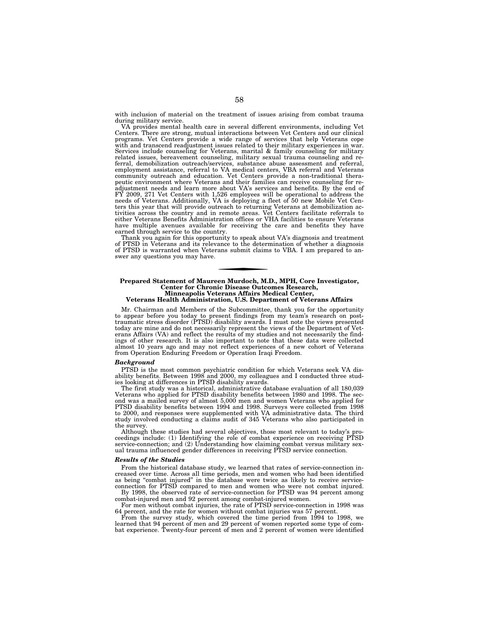with inclusion of material on the treatment of issues arising from combat trauma during military service.

VA provides mental health care in several different environments, including Vet Centers. There are strong, mutual interactions between Vet Centers and our clinical programs. Vet Centers provide a wide range of services that help Veterans cope with and transcend readjustment issues related to their military experiences in war. Services include counseling for Veterans, marital & family counseling for military related issues, bereavement counseling, military sexual trauma counseling and referral, demobilization outreach/services, substance abuse assessment and referral, employment assistance, referral to VA medical centers, VBA referral and Veterans community outreach and education. Vet Centers provide a non-traditional therapeutic environment where Veterans and their families can receive counseling for readjustment needs and learn more about VA's services and benefits. By the end of FY 2009, 271 Vet Centers with 1,526 employees will be operational to address the needs of Veterans. Additionally, VA is deploying a fleet of 50 new Mobile Vet Centers this year that will provide outreach to returning Veterans at demobilization ac-tivities across the country and in remote areas. Vet Centers facilitate referrals to either Veterans Benefits Administration offices or VHA facilities to ensure Veterans have multiple avenues available for receiving the care and benefits they have earned through service to the country.

Thank you again for this opportunity to speak about VA's diagnosis and treatment of PTSD in Veterans and its relevance to the determination of whether a diagnosis of PTSD is warranted when Veterans submit claims to VBA. I am prepared to answer any questions you may have.

# **Prepared Statement of Maureen Murdoch, M.D., MPH, Core Investigator, Center for Chronic Disease Outcomes Research, Minneapolis Veterans Affairs Medical Center, Veterans Health Administration, U.S. Department of Veterans Affairs**

Mr. Chairman and Members of the Subcommittee, thank you for the opportunity to appear before you today to present findings from my team's research on post-traumatic stress disorder (PTSD) disability awards. I must note the views presented today are mine and do not necessarily represent the views of the Department of Veterans Affairs (VA) and reflect the results of my studies and not necessarily the findings of other research. It is also important to note that these data were collected almost 10 years ago and may not reflect experiences of a new cohort of Veterans from Operation Enduring Freedom or Operation Iraqi Freedom.

#### *Background*

PTSD is the most common psychiatric condition for which Veterans seek VA dis-ability benefits. Between 1998 and 2000, my colleagues and I conducted three studies looking at differences in PTSD disability awards.

The first study was a historical, administrative database evaluation of all 180,039 Veterans who applied for PTSD disability benefits between 1980 and 1998. The second was a mailed survey of almost 5,000 men and women Veterans who applied for PTSD disability benefits between 1994 and 1998. Surveys were collected from 1998 to 2000, and responses were supplemented with VA administrative data. The third study involved conducting a claims audit of 345 Veterans who also participated in the survey.

Although these studies had several objectives, those most relevant to today's proceedings include: (1) Identifying the role of combat experience on receiving PTSD service-connection; and (2) Understanding how claiming combat versus military sexual trauma influenced gender differences in receiving PTSD service connection.

#### *Results of the Studies*

From the historical database study, we learned that rates of service-connection increased over time. Across all time periods, men and women who had been identified as being "combat injured" in the database were twice as likely to receive serviceconnection for PTSD compared to men and women who were not combat injured.

By 1998, the observed rate of service-connection for PTSD was 94 percent among combat-injured men and 92 percent among combat-injured women.

For men without combat injuries, the rate of PTSD service-connection in 1998 was 64 percent, and the rate for women without combat injuries was 57 percent.

From the survey study, which covered the time period from 1994 to 1998, we learned that 94 percent of men and 29 percent of women reported some type of combat experience. Twenty-four percent of men and 2 percent of women were identified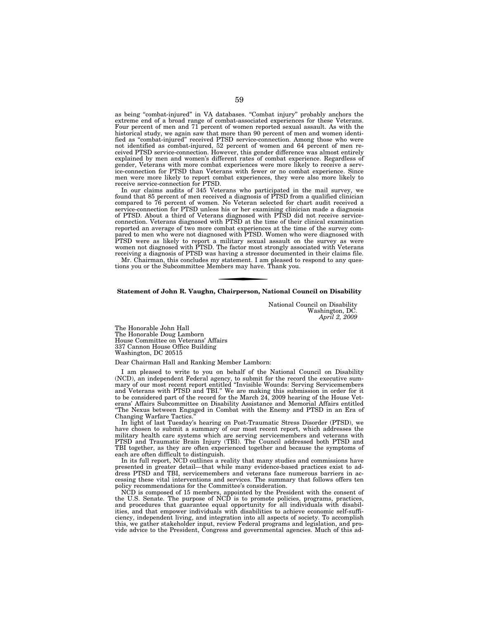as being ''combat-injured'' in VA databases. ''Combat injury'' probably anchors the extreme end of a broad range of combat-associated experiences for these Veterans. Four percent of men and 71 percent of women reported sexual assault. As with the historical study, we again saw that more than 90 percent of men and women identified as ''combat-injured'' received PTSD service-connection. Among those who were not identified as combat-injured, 52 percent of women and 64 percent of men received PTSD service-connection. However, this gender difference was almost entirely explained by men and women's different rates of combat experience. Regardless of gender, Veterans with more combat experiences were more likely to receive a service-connection for PTSD than Veterans with fewer or no combat experience. Since men were more likely to report combat experiences, they were also more likely to receive service-connection for PTSD.

In our claims audits of 345 Veterans who participated in the mail survey, we found that 85 percent of men received a diagnosis of PTSD from a qualified clinician compared to 76 percent of women. No Veteran selected for chart audit received a service-connection for PTSD unless his or her examining clinician made a diagnosis of PTSD. About a third of Veterans diagnosed with PTSD did not receive serviceconnection. Veterans diagnosed with PTSD at the time of their clinical examination reported an average of two more combat experiences at the time of the survey compared to men who were not diagnosed with PTSD. Women who were diagnosed with PTSD were as likely to report a military sexual assault on the survey as were women not diagnosed with PTSD. The factor most strongly associated with Veterans receiving a diagnosis of PTSD was having a stressor documented in their claims file. Mr. Chairman, this concludes my statement. I am pleased to respond to any ques-

tions you or the Subcommittee Members may have. Thank you.

# **Statement of John R. Vaughn, Chairperson, National Council on Disability**

National Council on Disability Washington, DC. *April 2, 2009* 

The Honorable John Hall The Honorable Doug Lamborn House Committee on Veterans' Affairs 337 Cannon House Office Building Washington, DC 20515

Dear Chairman Hall and Ranking Member Lamborn:

I am pleased to write to you on behalf of the National Council on Disability (NCD), an independent Federal agency, to submit for the record the executive summary of our most recent report entitled ''Invisible Wounds: Serving Servicemembers and Veterans with PTSD and TBI.'' We are making this submission in order for it to be considered part of the record for the March 24, 2009 hearing of the House Veterans' Affairs Subcommittee on Disability Assistance and Memorial Affairs entitled ''The Nexus between Engaged in Combat with the Enemy and PTSD in an Era of Changing Warfare Tactics.

In light of last Tuesday's hearing on Post-Traumatic Stress Disorder (PTSD), we have chosen to submit a summary of our most recent report, which addresses the military health care systems which are serving servicemembers and veterans with PTSD and Traumatic Brain Injury (TBI). The Council addressed both PTSD and TBI together, as they are often experienced together and because the symptoms of each are often difficult to distinguish.

In its full report, NCD outlines a reality that many studies and commissions have presented in greater detail—that while many evidence-based practices exist to address PTSD and TBI, servicemembers and veterans face numerous barriers in accessing these vital interventions and services. The summary that follows offers ten policy recommendations for the Committee's consideration.

NCD is composed of 15 members, appointed by the President with the consent of the U.S. Senate. The purpose of NCD is to promote policies, programs, practices, and procedures that guarantee equal opportunity for all individuals with disabilities, and that empower individuals with disabilities to achieve economic self-sufficiency, independent living, and integration into all aspects of society. To accomplish this, we gather stakeholder input, review Federal programs and legislation, and provide advice to the President, Congress and governmental agencies. Much of this ad-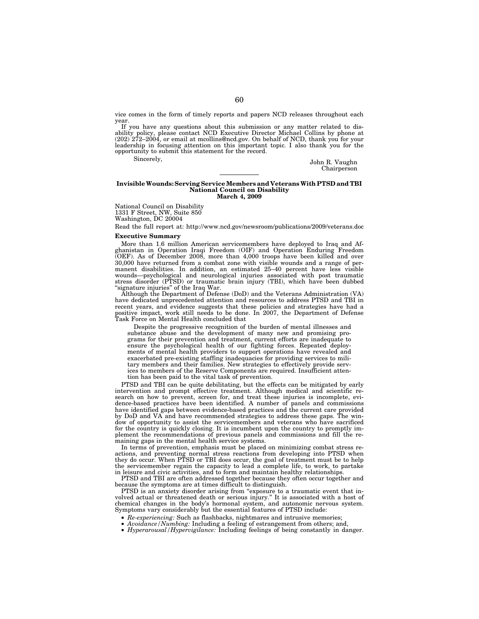vice comes in the form of timely reports and papers NCD releases throughout each year.

If you have any questions about this submission or any matter related to disability policy, please contact NCD Executive Director Michael Collins by phone at (202) 272–2004, or email at mcollins@ncd.gov. On behalf of NCD, leadership in focusing attention on this important topic. I also thank you for the opportunity to submit this statement for the record.

Sincerely, John R. Vaughn Chairperson

## **Invisible Wounds: Serving Service Members and Veterans With PTSD and TBI National Council on Disability March 4, 2009**

National Council on Disability 1331 F Street, NW, Suite 850 Washington, DC 20004

Read the full report at: http://www.ncd.gov/newsroom/publications/2009/veterans.doc

#### **Executive Summary**

More than 1.6 million American servicemembers have deployed to Iraq and Afghanistan in Operation Iraqi Freedom (OIF) and Operation Enduring Freedom (OEF). As of December 2008, more than 4,000 troops have been killed and over 30,000 have returned from a combat zone with visible wounds and a range of permanent disabilities. In addition, an estimated 25–40 percent have less visible wounds—psychological and neurological injuries associated with post traumatic stress disorder (PTSD) or traumatic brain injury (TBI), which have been dubbed ''signature injuries'' of the Iraq War.

Although the Department of Defense (DoD) and the Veterans Administration (VA) have dedicated unprecedented attention and resources to address PTSD and TBI in recent years, and evidence suggests that these policies and strategies have had a positive impact, work still needs to be done. In 2007, the Department of Defense Task Force on Mental Health concluded that

Despite the progressive recognition of the burden of mental illnesses and substance abuse and the development of many new and promising programs for their prevention and treatment, current efforts are inadequate to ensure the psychological health of our fighting forces. Repeated deployments of mental health providers to support operations have revealed and exacerbated pre-existing staffing inadequacies for providing services to military members and their families. New strategies to effectively provide services to members of the Reserve Components are required. Insufficient attention has been paid to the vital task of prevention.

PTSD and TBI can be quite debilitating, but the effects can be mitigated by early intervention and prompt effective treatment. Although medical and scientific research on how to prevent, screen for, and treat these injuries is incomplete, evidence-based practices have been identified. A number of panels and commissions have identified gaps between evidence-based practices and the current care provided by DoD and VA and have recommended strategies to address these gaps. The window of opportunity to assist the servicemembers and veterans who have sacrificed for the country is quickly closing. It is incumbent upon the country to promptly implement the recommendations of previous panels and commissions and fill the remaining gaps in the mental health service systems.

In terms of prevention, emphasis must be placed on minimizing combat stress reactions, and preventing normal stress reactions from developing into PTSD when they do occur. When PTSD or TBI does occur, the goal of treatment must be to help the servicemember regain the capacity to lead a complete life, to work, to partake in leisure and civic activities, and to form and maintain healthy relationships.

PTSD and TBI are often addressed together because they often occur together and because the symptoms are at times difficult to distinguish.

PTSD is an anxiety disorder arising from "exposure to a traumatic event that involved actual or threatened death or serious injury.'' It is associated with a host of chemical changes in the body's hormonal system, and autonomic nervous system. Symptoms vary considerably but the essential features of PTSD include:

- *Re-experiencing:* Such as flashbacks, nightmares and intrusive memories;
- *Avoidance/Numbing:* Including a feeling of estrangement from others; and,
- *Hyperarousal/Hypervigilance:* Including feelings of being constantly in danger.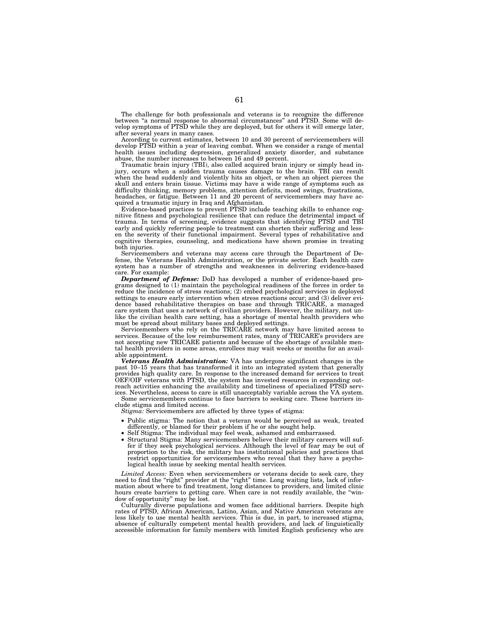The challenge for both professionals and veterans is to recognize the difference between ''a normal response to abnormal circumstances'' and PTSD. Some will develop symptoms of PTSD while they are deployed, but for others it will emerge later, after several years in many cases.

According to current estimates, between 10 and 30 percent of servicemembers will develop PTSD within a year of leaving combat. When we consider a range of mental health issues including depression, generalized anxiety disorder, and substance abuse, the number increases to between 16 and 49 percent.

Traumatic brain injury (TBI), also called acquired brain injury or simply head injury, occurs when a sudden trauma causes damage to the brain. TBI can result when the head suddenly and violently hits an object, or when an object pierces the skull and enters brain tissue. Victims may have a wide range of symptoms such as difficulty thinking, memory problems, attention deficits, mood swings, frustrations, headaches, or fatigue. Between 11 and 20 percent of servicemembers may have acquired a traumatic injury in Iraq and Afghanistan.

Evidence-based practices to prevent PTSD include teaching skills to enhance cognitive fitness and psychological resilience that can reduce the detrimental impact of trauma. In terms of screening, evidence suggests that identifying PTSD and TBI early and quickly referring people to treatment can shorten their suffering and lessen the severity of their functional impairment. Several types of rehabilitative and cognitive therapies, counseling, and medications have shown promise in treating both injuries.

Servicemembers and veterans may access care through the Department of Defense, the Veterans Health Administration, or the private sector. Each health care system has a number of strengths and weaknesses in delivering evidence-based care. For example:

*Department of Defense:* DoD has developed a number of evidence-based programs designed to (1) maintain the psychological readiness of the forces in order to reduce the incidence of stress reactions; (2) embed psychological services in deployed settings to ensure early intervention when stress reactions occur; and (3) deliver evidence based rehabilitative therapies on base and through TRICARE, a managed care system that uses a network of civilian providers. However, the military, not unlike the civilian health care setting, has a shortage of mental health providers who must be spread about military bases and deployed settings.

Servicemembers who rely on the TRICARE network may have limited access to services. Because of the low reimbursement rates, many of TRICARE's providers are not accepting new TRICARE patients and because of the shortage of available mental health providers in some areas, enrollees may wait weeks or months for an available appointment.

*Veterans Health Administration:* VA has undergone significant changes in the past 10–15 years that has transformed it into an integrated system that generally provides high quality care. In response to the increased demand for services to treat OEF/OIF veterans with PTSD, the system has invested resources in expanding outreach activities enhancing the availability and timeliness of specialized PTSD services. Nevertheless, access to care is still unacceptably variable across the VA system.

Some servicemembers continue to face barriers to seeking care. These barriers include stigma and limited access.

*Stigma:* Servicemembers are affected by three types of stigma:

- Public stigma: The notion that a veteran would be perceived as weak, treated differently, or blamed for their problem if he or she sought help.
- Self Stigma: The individual may feel weak, ashamed and embarrassed.
- Structural Stigma: Many servicemembers believe their military careers will suffer if they seek psychological services. Although the level of fear may be out of proportion to the risk, the military has institutional policies and practices that restrict opportunities for servicemembers who reveal that they have a psychological health issue by seeking mental health services.

*Limited Access:* Even when servicemembers or veterans decide to seek care, they need to find the "right" provider at the "right" time. Long waiting lists, lack of information about where to find treatment, long distances to providers, and limited clinic hours create barriers to getting care. When care is not readily available, the ''window of opportunity'' may be lost.

Culturally diverse populations and women face additional barriers. Despite high rates of PTSD, African American, Latino, Asian, and Native American veterans are less likely to use mental health services. This is due, in part, to increased stigma, absence of culturally competent mental health providers, and lack of linguistically accessible information for family members with limited English proficiency who are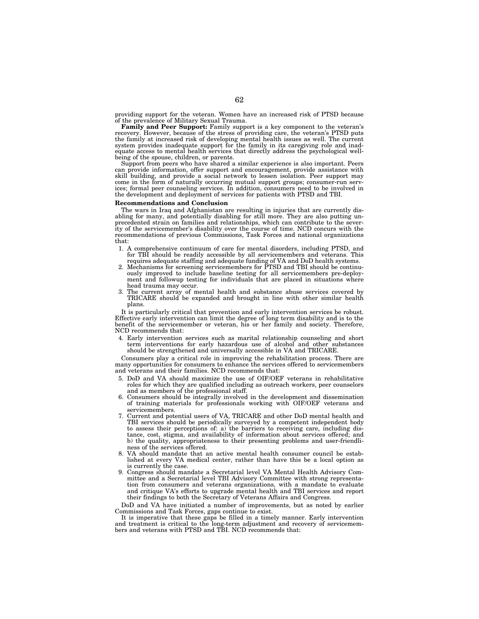providing support for the veteran. Women have an increased risk of PTSD because of the prevalence of Military Sexual Trauma.

**Family and Peer Support:** Family support is a key component to the veteran's recovery. However, because of the stress of providing care, the veteran's PTSD puts the family at increased risk of developing mental health issues as well. The current system provides inadequate support for the family in its caregiving role and inadequate access to mental health services that directly address the psychological well-being of the spouse, children, or parents.

Support from peers who have shared a similar experience is also important. Peers can provide information, offer support and encouragement, provide assistance with skill building, and provide a social network to lessen isolation. Peer support may come in the form of naturally occurring mutual support groups; consumer-run services; formal peer counseling services. In addition, consumers need to be involved in the development and deployment of services for patients with PTSD and TBI.

#### **Recommendations and Conclusion**

The wars in Iraq and Afghanistan are resulting in injuries that are currently disabling for many, and potentially disabling for still more. They are also putting unprecedented strain on families and relationships, which can contribute to the severity of the servicemember's disability over the course of time. NCD concurs with the recommendations of previous Commissions, Task Forces and national organizations that:

- 1. A comprehensive continuum of care for mental disorders, including PTSD, and for TBI should be readily accessible by all servicemembers and veterans. This
- requires adequate staffing and adequate funding of VA and DoD health systems. 2. Mechanisms for screening servicemembers for PTSD and TBI should be continuously improved to include baseline testing for all servicemembers pre-deployment and followup testing for individuals that are placed in situations where head trauma may occur.
- 3. The current array of mental health and substance abuse services covered by TRICARE should be expanded and brought in line with other similar health plans.

It is particularly critical that prevention and early intervention services be robust. Effective early intervention can limit the degree of long term disability and is to the benefit of the servicemember or veteran, his or her family and society. Therefore, NCD recommends that:

4. Early intervention services such as marital relationship counseling and short term interventions for early hazardous use of alcohol and other substances should be strengthened and universally accessible in VA and TRICARE.

Consumers play a critical role in improving the rehabilitation process. There are many opportunities for consumers to enhance the services offered to servicemembers and veterans and their families. NCD recommends that:

- 5. DoD and VA should maximize the use of OIF/OEF veterans in rehabilitative roles for which they are qualified including as outreach workers, peer counselors and as members of the professional staff.
- 6. Consumers should be integrally involved in the development and dissemination of training materials for professionals working with OIF/OEF veterans and servicemembers.
- 7. Current and potential users of VA, TRICARE and other DoD mental health and TBI services should be periodically surveyed by a competent independent body to assess their perceptions of: a) the barriers to receiving care, including distance, cost, stigma, and availability of information about services offered; and b) the quality, appropriateness to their presenting problems and user-friendliness of the services offered.
- 8. VA should mandate that an active mental health consumer council be established at every VA medical center, rather than have this be a local option as is currently the case.
- 9. Congress should mandate a Secretarial level VA Mental Health Advisory Committee and a Secretarial level TBI Advisory Committee with strong representation from consumers and veterans organizations, with a mandate to evaluate and critique VA's efforts to upgrade mental health and TBI services and report their findings to both the Secretary of Veterans Affairs and Congress.

DoD and VA have initiated a number of improvements, but as noted by earlier Commissions and Task Forces, gaps continue to exist.

It is imperative that these gaps be filled in a timely manner. Early intervention and treatment is critical to the long-term adjustment and recovery of servicemembers and veterans with PTSD and TBI. NCD recommends that: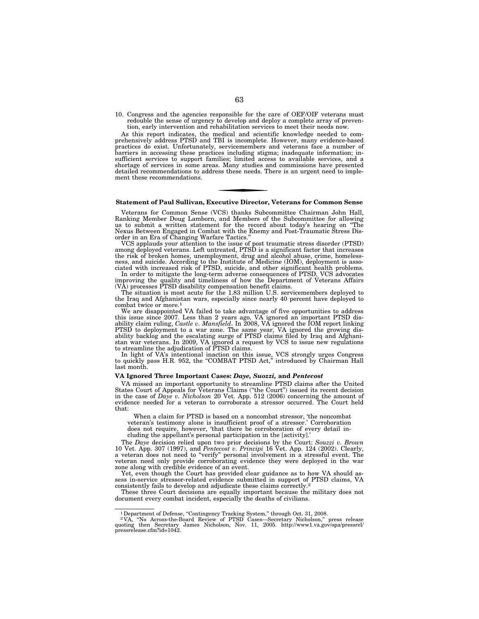10. Congress and the agencies responsible for the care of OEF/OIF veterans must redouble the sense of urgency to develop and deploy a complete array of prevention, early intervention and rehabilitation services to meet their needs now.

As this report indicates, the medical and scientific knowledge needed to com-prehensively address PTSD and TBI is incomplete. However, many evidence-based practices do exist. Unfortunately, servicemembers and veterans face a number of barriers in accessing these practices including stigma; inadequate information; in-sufficient services to support families; limited access to available services, and a shortage of services in some areas. Many studies and commissions have presented detailed recommendations to address these needs. There is an urgent need to implement these recommendations.

## **Statement of Paul Sullivan, Executive Director, Veterans for Common Sense**

Veterans for Common Sense (VCS) thanks Subcommittee Chairman John Hall, Ranking Member Doug Lamborn, and Members of the Subcommittee for allowing us to submit a written statement for the record about today's hearing on ''The Nexus Between Engaged in Combat with the Enemy and Post-Traumatic Stress Disorder in an Era of Changing Warfare Tactics.''

VCS applauds your attention to the issue of post traumatic stress disorder (PTSD) among deployed veterans. Left untreated, PTSD is a significant factor that increases the risk of broken homes, unemployment, drug and alcohol abuse, crime, homelessness, and suicide. According to the Institute of Medicine (IOM), deployment is associated with increased risk of PTSD, suicide, and other significant health problems.

In order to mitigate the long-term adverse consequences of PTSD, VCS advocates improving the quality and timeliness of how the Department of Veterans Affairs (VA) processes PTSD disability compensation benefit claims.

The situation is most acute for the 1.83 million U.S. servicemembers deployed to the Iraq and Afghanistan wars, especially since nearly 40 percent have deployed to combat twice or more.<sup>1</sup>

We are disappointed VA failed to take advantage of five opportunities to address this issue since 2007. Less than 2 years ago, VA ignored an important PTSD dis-ability claim ruling, *Castle v. Mansfield*. In 2008, VA ignored the IOM report linking PTSD to deployment to a war zone. The same year, VA ignored the growing disability backlog and the escalating surge of PTSD claims filed by Iraq and Afghanistan war veterans. In 2009, VA ignored a request by VCS to issue n to streamline the adjudication of PTSD claims.

In light of VA's intentional inaction on this issue, VCS strongly urges Congress to quickly pass H.R. 952, the ''COMBAT PTSD Act,'' introduced by Chairman Hall last month.

#### **VA Ignored Three Important Cases:** *Daye, Suozzi,* **and** *Pentecost*

VA missed an important opportunity to streamline PTSD claims after the United States Court of Appeals for Veterans Claims (''the Court'') issued its recent decision in the case of *Daye v. Nicholson* 20 Vet. App. 512 (2006) concerning the amount of evidence needed for a veteran to corroborate a stressor occurred. The Court held that:

When a claim for PTSD is based on a noncombat stressor, 'the noncombat veteran's testimony alone is insufficient proof of a stressor.' Corroboration does not require, however, 'that there be corroboration of every detail including the appellant's personal participation in the [activity].'

The *Daye* decision relied upon two prior decisions by the Court: *Souzzi v. Brown*  10 Vet. App. 307 (1997), and *Pentecost v. Principi* 16 Vet. App. 124 (2002). Clearly, a veteran does not need to ''verify'' personal involvement in a stressful event. The veteran need only provide corroborating evidence they were deployed in the war

zone along with credible evidence of an event. Yet, even though the Court has provided clear guidance as to how VA should assess in-service stressor-related evidence submitted in support of PTSD claims, VA consistently fails to develop and adjudicate these claims correctly.2

These three Court decisions are equally important because the military does not document every combat incident, especially the deaths of civilians.

 $^1$ Department of Defense, "Contingency Tracking System," through Oct. 31, 2008.<br>  $^2 \text{VA}$ , "No Across-the-Board Review of PTSD Cases—Secretary Nicholson," press release quoting then Secretary James Nicholson, Nov. 11, 2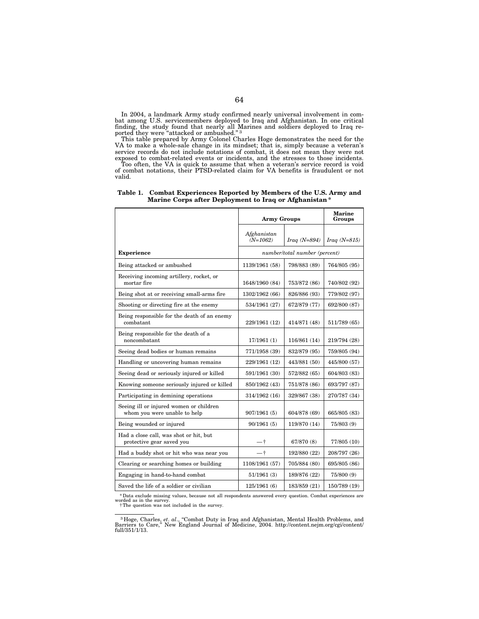In 2004, a landmark Army study confirmed nearly universal involvement in combat among U.S. servicemembers deployed to Iraq and Afghanistan. In one critical finding, the study found that nearly all Marines and soldiers deployed to Iraq reported they were "attacked or ambushed."<sup>3</sup>

This table prepared by Army Colonel Charles Hoge demonstrates the need for the VA to make a whole-sale change in its mindset; that is, simply because a veteran's service records do not include notations of combat, it does not mean they were not exposed to combat-related events or incidents, and the stresses to those incidents.

Too often, the VA is quick to assume that when a veteran's service record is void of combat notations, their PTSD-related claim for VA benefits is fraudulent or not valid.

|                                                                         | <b>Army Groups</b>            |                | Marine<br>Groups   |  |
|-------------------------------------------------------------------------|-------------------------------|----------------|--------------------|--|
|                                                                         | Afghanistan<br>$(N=1062)$     | Iraq $(N=894)$ | $Iraq$ ( $N=815$ ) |  |
| <b>Experience</b>                                                       | number/total number (percent) |                |                    |  |
| Being attacked or ambushed                                              | 1139/1961 (58)                | 798/883 (89)   | 764/805 (95)       |  |
| Receiving incoming artillery, rocket, or<br>mortar fire                 | 1648/1960 (84)                | 753/872 (86)   | 740/802 (92)       |  |
| Being shot at or receiving small-arms fire                              | 1302/1962 (66)                | 826/886 (93)   | 779/802 (97)       |  |
| Shooting or directing fire at the enemy                                 | 534/1961 (27)                 | 672/879 (77)   | 692/800 (87)       |  |
| Being responsible for the death of an enemy<br>combatant                | 229/1961 (12)                 | 414/871 (48)   | 511/789 (65)       |  |
| Being responsible for the death of a<br>noncombatant                    | 17/1961(1)                    | 116/861 (14)   | 219/794 (28)       |  |
| Seeing dead bodies or human remains                                     | 771/1958 (39)                 | 832/879 (95)   | 759/805 (94)       |  |
| Handling or uncovering human remains                                    | 229/1961 (12)                 | 443/881 (50)   | 445/800 (57)       |  |
| Seeing dead or seriously injured or killed                              | 591/1961 (30)                 | 572/882 (65)   | 604/803 (83)       |  |
| Knowing someone seriously injured or killed                             | 850/1962 (43)                 | 751/878 (86)   | 693/797 (87)       |  |
| Participating in demining operations                                    | 314/1962 (16)                 | 329/867 (38)   | 270/787 (34)       |  |
| Seeing ill or injured women or children<br>whom you were unable to help | 907/1961 (5)                  | 604/878 (69)   | 665/805 (83)       |  |
| Being wounded or injured                                                | 90/1961(5)                    | 119/870 (14)   | 75/803 (9)         |  |
| Had a close call, was shot or hit, but<br>protective gear saved you     | —†                            | 67/870 (8)     | 77/805 (10)        |  |
| Had a buddy shot or hit who was near you                                | $-$ †                         | 192/880 (22)   | 208/797 (26)       |  |
| Clearing or searching homes or building                                 | 1108/1961 (57)                | 705/884 (80)   | 695/805 (86)       |  |
| Engaging in hand-to-hand combat                                         | 51/1961(3)                    | 189/876 (22)   | 75/800 (9)         |  |
| Saved the life of a soldier or civilian                                 | 125/1961 (6)                  | 183/859 (21)   | 150/789 (19)       |  |

**Table 1. Combat Experiences Reported by Members of the U.S. Army and Marine Corps after Deployment to Iraq or Afghanistan \*** 

\* Data exclude missing values, because not all respondents answered every question. Combat experiences are worded as in the survey. † The question was not included in the survey.

<sup>3</sup> Hoge, Charles, *et. al.*, "Combat Duty in Iraq and Afghanistan, Mental Health Problems, and Barriers to Care," New England Journal of Medicine, 2004. http://content.nejm.org/cgi/content/ full/351/1/13.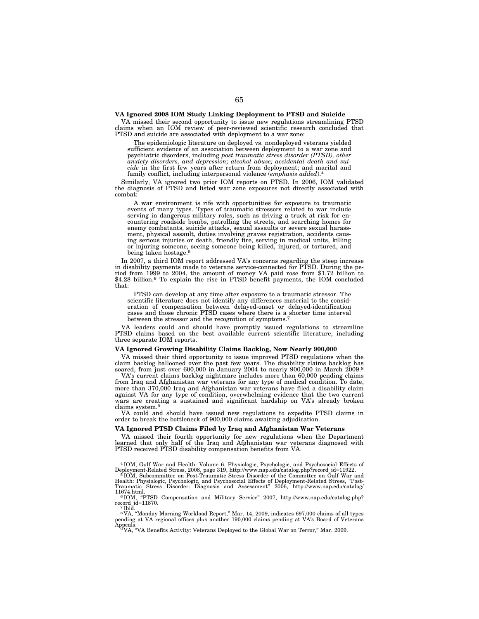# **VA Ignored 2008 IOM Study Linking Deployment to PTSD and Suicide**

VA missed their second opportunity to issue new regulations streamlining PTSD claims when an IOM review of peer-reviewed scientific research concluded that PTSD and suicide are associated with deployment to a war zone:

The epidemiologic literature on deployed vs. nondeployed veterans yielded sufficient evidence of an association between deployment to a war zone and psychiatric disorders, including *post traumatic stress disorder (PTSD), other anxiety disorders, and depression; alcohol abuse; accidental death and suicide* in the first few years after return from deployment; and marital and family conflict, including interpersonal violence (*emphasis added*).4

Similarly, VA ignored two prior IOM reports on PTSD. In 2006, IOM validated the diagnosis of PTSD and listed war zone exposures not directly associated with combat:

A war environment is rife with opportunities for exposure to traumatic events of many types. Types of traumatic stressors related to war include serving in dangerous military roles, such as driving a truck at risk for encountering roadside bombs, patrolling the streets, and searching homes for enemy combatants, suicide attacks, sexual assaults or severe sexual harassment, physical assault, duties involving graves registration, accidents caus-ing serious injuries or death, friendly fire, serving in medical units, killing or injuring someone, seeing someone being killed, injured, or tortured, and being taken hostage.5

In 2007, a third IOM report addressed VA's concerns regarding the steep increase in disability payments made to veterans service-connected for PTSD. During the pe-riod from 1999 to 2004, the amount of money VA paid rose from \$1.72 billion to \$4.28 billion.6 To explain the rise in PTSD benefit payments, the IOM concluded that:

PTSD can develop at any time after exposure to a traumatic stressor. The scientific literature does not identify any differences material to the consideration of compensation between delayed-onset or delayed-identification cases and those chronic PTSD cases where there is a shorter time interval between the stressor and the recognition of symptoms.7

VA leaders could and should have promptly issued regulations to streamline PTSD claims based on the best available current scientific literature, including three separate IOM reports.

# **VA Ignored Growing Disability Claims Backlog, Now Nearly 900,000**

VA missed their third opportunity to issue improved PTSD regulations when the claim backlog ballooned over the past few years. The disability claims backlog has soared, from just over 600,000 in January 2004 to nearly 900,000 in March 2009.8

VA's current claims backlog nightmare includes more than 60,000 pending claims from Iraq and Afghanistan war veterans for any type of medical condition. To date, more than 370,000 Iraq and Afghanistan war veterans have filed a disability claim against VA for any type of condition, overwhelming evidence that the two current wars are creating a sustained and significant hardship on VA's already broken claims system.9

VA could and should have issued new regulations to expedite PTSD claims in order to break the bottleneck of 900,000 claims awaiting adjudication.

# **VA Ignored PTSD Claims Filed by Iraq and Afghanistan War Veterans**

VA missed their fourth opportunity for new regulations when the Department learned that only half of the Iraq and Afghanistan war veterans diagnosed with PTSD received PTSD disability compensation benefits from VA.

 $410M$ , Gulf War and Health: Volume 6. Physiologic, Psychologic, and Psychosocial Effects of Deployment-Related Stress, 2008, page 319, http://www.nap.edu/catalog.php?record\_id=11922.

Deployment-Related Stress, 2008, page 319, http://www.nap.edu/catalog.php?record\_id=11922.<br><sup>5</sup>IOM, Subcommittee on Post-Traumatic Stress Disorder of the Committee on Gulf War and<br>Health: Physiologic, Psychologic, and Psych 11674.html.<br>
<sup>6</sup> IOM, "PTSD Compensation and Military Service" 2007, http://www.nap.edu/catalog.php?

record id=11870.<br> $\frac{7 \text{Ibi}}{1 \text{Ibi}}$ 

<sup>8</sup> VA, ''Monday Morning Workload Report,'' Mar. 14, 2009, indicates 697,000 claims of all types pending at VA regional offices plus another 190,000 claims pending at VA's Board of Veterans Appeals. 9 VA, "VA Benefits Activity: Veterans Deployed to the Global War on Terror," Mar. 2009.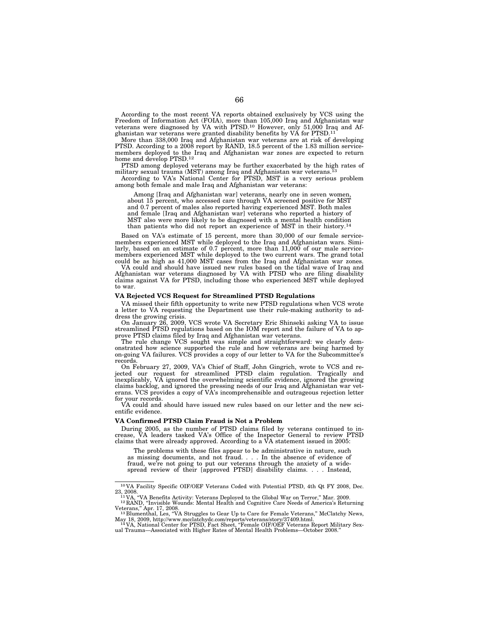According to the most recent VA reports obtained exclusively by VCS using the Freedom of Information Act (FOIA), more than 105,000 Iraq and Afghanistan war veterans were diagnosed by VA with PTSD.10 However, only 51,000 Iraq and Afghanistan war veterans were granted disability benefits by VA for PTSD.<sup>11</sup>

More than 338,000 Iraq and Afghanistan war veterans are at risk of developing PTSD. According to a 2008 report by RAND, 18.5 percent of the 1.83 million servicemembers deployed to the Iraq and Afghanistan war zones are expected to return home and develop PTSD.<sup>12</sup>

PTSD among deployed veterans may be further exacerbated by the high rates of military sexual trauma (MST) among Iraq and Afghanistan war veterans.13

According to VA's National Center for PTSD, MST is a very serious problem among both female and male Iraq and Afghanistan war veterans:

Among [Iraq and Afghanistan war] veterans, nearly one in seven women, about 15 percent, who accessed care through VA screened positive for MST and 0.7 percent of males also reported having experienced MST. Both males and female [Iraq and Afghanistan war] veterans who reported a history of MST also were more likely to be diagnosed with a mental health condition than patients who did not report an experience of MST in their history.14

Based on VA's estimate of 15 percent, more than 30,000 of our female servicemembers experienced MST while deployed to the Iraq and Afghanistan wars. Similarly, based on an estimate of 0.7 percent, more than 11,000 of our male servicemembers experienced MST while deployed to the two current wars. The grand total could be as high as 41,000 MST cases from the Iraq and Afghanistan war zones.

VA could and should have issued new rules based on the tidal wave of Iraq and Afghanistan war veterans diagnosed by VA with PTSD who are filing disability claims against VA for PTSD, including those who experienced MST while deployed to war.

# **VA Rejected VCS Request for Streamlined PTSD Regulations**

VA missed their fifth opportunity to write new PTSD regulations when VCS wrote a letter to VA requesting the Department use their rule-making authority to address the growing crisis.

On January 26, 2009, VCS wrote VA Secretary Eric Shinseki asking VA to issue streamlined PTSD regulations based on the IOM report and the failure of VA to approve PTSD claims filed by Iraq and Afghanistan war veterans.

The rule change VCS sought was simple and straightforward: we clearly demonstrated how science supported the rule and how veterans are being harmed by on-going VA failures. VCS provides a copy of our letter to VA for the Subcommittee's records.

On February 27, 2009, VA's Chief of Staff, John Gingrich, wrote to VCS and rejected our request for streamlined PTSD claim regulation. Tragically and inexplicably, VA ignored the overwhelming scientific evidence, ignored the growing claims backlog, and ignored the pressing needs of our Iraq and Afghanistan war veterans. VCS provides a copy of VA's incomprehensible and outrageous rejection letter for your records.

VA could and should have issued new rules based on our letter and the new scientific evidence.

### **VA Confirmed PTSD Claim Fraud is Not a Problem**

During 2005, as the number of PTSD claims filed by veterans continued to increase, VA leaders tasked VA's Office of the Inspector General to review PTSD claims that were already approved. According to a VA statement issued in 2005:

The problems with these files appear to be administrative in nature, such as missing documents, and not fraud. . . . In the absence of evidence of fraud, we're not going to put our veterans through the anxiety of a widespread review of their [approved PTSD] disability claims. . . . Instead,

<sup>10</sup> VA Facility Specific OIF/OEF Veterans Coded with Potential PTSD, 4th Qt FY 2008, Dec.

<sup>23, 2008.&</sup>lt;br>11 VA, "VA Benefits Activity: Veterans Deployed to the Global War on Terror," Mar. 2009.<br>12 RAND, "Invisible Wounds: Mental Health and Cognitive Care Needs of America's Returning

Veterans,'' Apr. 17, 2008. 13 Blumenthal, Les, ''VA Struggles to Gear Up to Care for Female Veterans,'' McClatchy News,

May 18, 2009, http://www.mcclatchydc.com/reports/veterans/story/37409.html.<br>14 VA, National Center for PTSD, Fact Sheet, "Female OIF/OEF Veterans Report Military Sex-<br>14 Trauma—Associated with Higher Rates of Mental Healt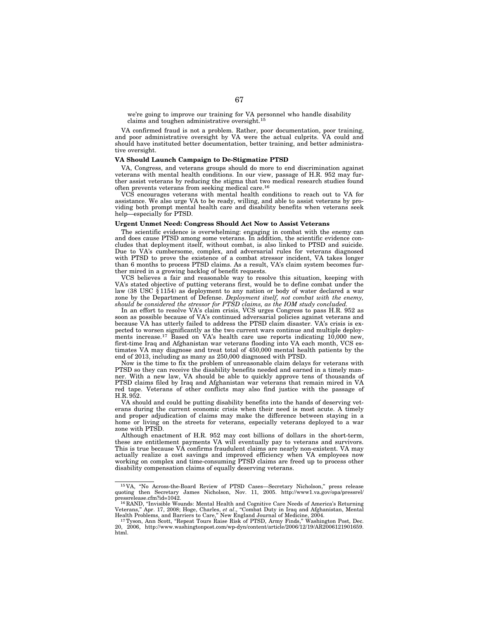we're going to improve our training for VA personnel who handle disability claims and toughen administrative oversight.15

VA confirmed fraud is not a problem. Rather, poor documentation, poor training, and poor administrative oversight by VA were the actual culprits. VA could and should have instituted better documentation, better training, and better administrative oversight.

#### **VA Should Launch Campaign to De-Stigmatize PTSD**

VA, Congress, and veterans groups should do more to end discrimination against veterans with mental health conditions. In our view, passage of H.R. 952 may further assist veterans by reducing the stigma that two medical research studies found often prevents veterans from seeking medical care.16

VCS encourages veterans with mental health conditions to reach out to VA for assistance. We also urge VA to be ready, willing, and able to assist veterans by providing both prompt mental health care and disability benefits when veterans seek help—especially for PTSD.

# **Urgent Unmet Need: Congress Should Act Now to Assist Veterans**

The scientific evidence is overwhelming: engaging in combat with the enemy can and does cause PTSD among some veterans. In addition, the scientific evidence concludes that deployment itself, without combat, is also linked to PTSD and suicide. Due to VA's cumbersome, complex, and adversarial rules for veterans diagnosed with PTSD to prove the existence of a combat stressor incident, VA takes longer than 6 months to process PTSD claims. As a result, VA's claim system becomes further mired in a growing backlog of benefit requests.

VCS believes a fair and reasonable way to resolve this situation, keeping with VA's stated objective of putting veterans first, would be to define combat under the law (38 USC § 1154) as deployment to any nation or body of water declared a war zone by the Department of Defense. *Deployment itself, not combat with the enemy, should be considered the stressor for PTSD claims, as the IOM study concluded.* 

In an effort to resolve VA's claim crisis, VCS urges Congress to pass H.R. 952 as soon as possible because of VA's continued adversarial policies against veterans and because VA has utterly failed to address the PTSD claim disaster. VA's crisis is expected to worsen significantly as the two current wars continue and multiple deploy-ments increase.17 Based on VA's health care use reports indicating 10,000 new, first-time Iraq and Afghanistan war veterans flooding into VA each month, VCS estimates VA may diagnose and treat total of 450,000 mental health patients by the end of 2013, including as many as 250,000 diagnosed with PTSD.

Now is the time to fix the problem of unreasonable claim delays for veterans with PTSD so they can receive the disability benefits needed and earned in a timely manner. With a new law, VA should be able to quickly approve tens of thousands of PTSD claims filed by Iraq and Afghanistan war veterans that remain mired in VA red tape. Veterans of other conflicts may also find justice with the passage of H.R. 952.

VA should and could be putting disability benefits into the hands of deserving veterans during the current economic crisis when their need is most acute. A timely and proper adjudication of claims may make the difference between staying in a home or living on the streets for veterans, especially veterans deployed to a war zone with PTSD.

Although enactment of H.R. 952 may cost billions of dollars in the short-term, these are entitlement payments VA will eventually pay to veterans and survivors. This is true because VA confirms fraudulent claims are nearly non-existent. VA may actually realize a cost savings and improved efficiency when VA employees now working on complex and time-consuming PTSD claims are freed up to process other disability compensation claims of equally deserving veterans.

<sup>&</sup>lt;sup>15</sup>VA, "No Across-the-Board Review of PTSD Cases—Secretary Nicholson," press release quoting then Secretary James Nicholson, Nov. 11, 2005. http://www1.va.gov/opa/pressrel/<br>pressrelease.cfm?id=1042.<br><sup>16</sup>RAND, "Invisible

Veterans," Apr. 17, 2008; Hoge, Charles, *et al.*, "Combat Duty in Iraq and Afghanistan, Mental<br>Health Problems, and Barriers to Care," New England Journal of Medicine, 2004.<br><sup>17</sup> Tyson, Ann Scott, "Repeat Tours Raise Risk

html.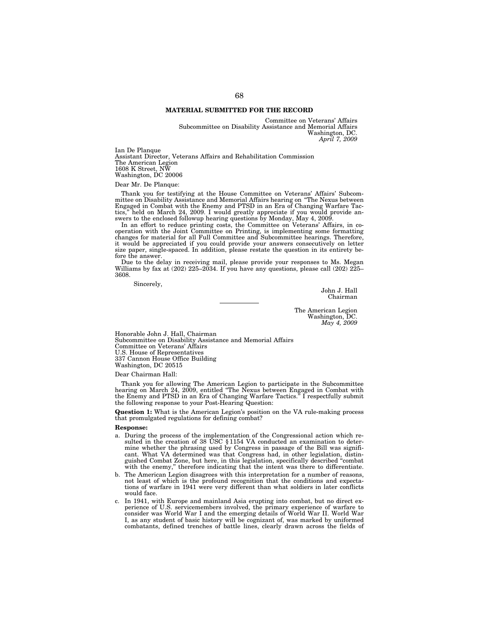# **MATERIAL SUBMITTED FOR THE RECORD**

Committee on Veterans' Affairs Subcommittee on Disability Assistance and Memorial Affairs Washington, DC. *April 7, 2009* 

Ian De Planque Assistant Director, Veterans Affairs and Rehabilitation Commission The American Legion 1608 K Street, NW Washington, DC 20006

# Dear Mr. De Planque:

Thank you for testifying at the House Committee on Veterans' Affairs' Subcommittee on Disability Assistance and Memorial Affairs hearing on ''The Nexus between Engaged in Combat with the Enemy and PTSD in an Era of Changing Warfare Tactics,'' held on March 24, 2009. I would greatly appreciate if you would provide answers to the enclosed followup hearing questions by Monday, May 4, 2009. In an effort to reduce printing costs, the Committee on Veterans' Affairs, in co-

operation with the Joint Committee on Printing, is implementing some formatting changes for material for all Full Committee and Subcommittee hearings. Therefore, it would be appreciated if you could provide your answers consecutively on letter size paper, single-spaced. In addition, please restate the question in its entirety before the answer.

Due to the delay in receiving mail, please provide your responses to Ms. Megan Williams by fax at (202) 225-2034. If you have any questions, please call (202) 225-3608.

Sincerely,

John J. Hall Chairman

The American Legion Washington, DC. *May 4, 2009* 

Honorable John J. Hall, Chairman Subcommittee on Disability Assistance and Memorial Affairs Committee on Veterans' Affairs U.S. House of Representatives 337 Cannon House Office Building Washington, DC 20515

Dear Chairman Hall:

Thank you for allowing The American Legion to participate in the Subcommittee hearing on March 24, 2009, entitled ''The Nexus between Engaged in Combat with the Enemy and PTSD in an Era of Changing Warfare Tactics.<sup>8</sup> I respectfully submit the following response to your Post-Hearing Question:

**Question 1:** What is the American Legion's position on the VA rule-making process that promulgated regulations for defining combat?

#### **Response:**

- a. During the process of the implementation of the Congressional action which resulted in the creation of 38 USC § 1154 VA conducted an examination to determine whether the phrasing used by Congress in passage of the Bill was significant. What VA determined was that Congress had, in other legislation, distinguished Combat Zone, but here, in this legislation, specifically described ''combat with the enemy," therefore indicating that the intent was there to differentiate.
- b. The American Legion disagrees with this interpretation for a number of reasons, not least of which is the profound recognition that the conditions and expectations of warfare in 1941 were very different than what soldiers in later conflicts would face.
- c. In 1941, with Europe and mainland Asia erupting into combat, but no direct experience of U.S. servicemembers involved, the primary experience of warfare to consider was World War I and the emerging details of World War II. World War I, as any student of basic history will be cognizant of, was marked by uniformed combatants, defined trenches of battle lines, clearly drawn across the fields of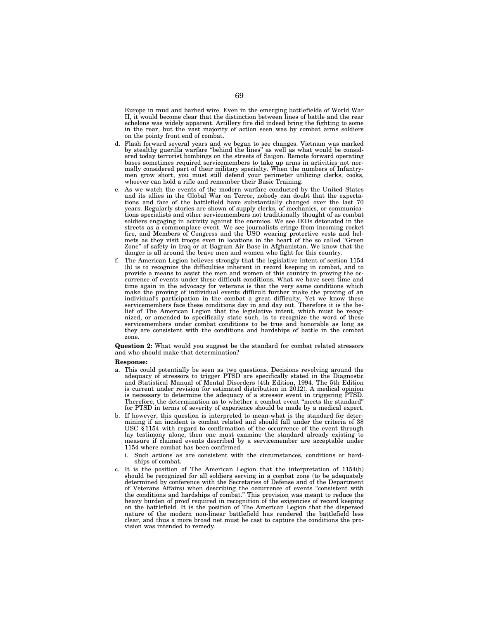Europe in mud and barbed wire. Even in the emerging battlefields of World War II, it would become clear that the distinction between lines of battle and the rear echelons was widely apparent. Artillery fire did indeed bring the fighting to some in the rear, but the vast majority of action seen was by combat arms soldiers on the pointy front end of combat.

- d. Flash forward several years and we began to see changes. Vietnam was marked by stealthy guerilla warfare ''behind the lines'' as well as what would be considered today terrorist bombings on the streets of Saigon. Remote forward operating bases sometimes required servicemembers to take up arms in activities not normally considered part of their military specialty. When the numbers of Infantrymen grow short, you must still defend your perimeter utilizing clerks, cooks, whoever can hold a rifle and remember their Basic Training.
- e. As we watch the events of the modern warfare conducted by the United States and its allies in the Global War on Terror, nobody can doubt that the expectations and face of the battlefield have substantially changed over the last 70 years. Regularly stories are shown of supply clerks, of mechanics, or communications specialists and other servicemembers not traditionally thought of as combat soldiers engaging in activity against the enemies. We see IEDs detonated in the streets as a commonplace event. We see journalists cringe from incoming rocket fire, and Members of Congress and the USO wearing protective vests and helmets as they visit troops even in locations in the heart of the so called ''Green Zone'' of safety in Iraq or at Bagram Air Base in Afghanistan. We know that the danger is all around the brave men and women who fight for this country.
- f. The American Legion believes strongly that the legislative intent of section 1154 (b) is to recognize the difficulties inherent in record keeping in combat, and to provide a means to assist the men and women of this country in proving the occurrence of events under these difficult conditions. What we have seen time and time again in the advocacy for veterans is that the very same conditions which make the proving of individual events difficult further make the proving of an individual's participation in the combat a great difficulty. Yet we know these servicemembers face these conditions day in and day out. Therefore it is the belief of The American Legion that the legislative intent, which must be recognized, or amended to specifically state such, is to recognize the word of these servicemembers under combat conditions to be true and honorable as long as they are consistent with the conditions and hardships of battle in the combat zone.

**Question 2:** What would you suggest be the standard for combat related stressors and who should make that determination?

#### **Response:**

- a. This could potentially be seen as two questions. Decisions revolving around the adequacy of stressors to trigger PTSD are specifically stated in the Diagnostic and Statistical Manual of Mental Disorders (4th Edition, 1994. The 5th Edition is current under revision for estimated distribution in 2012). A medical opinion is necessary to determine the adequacy of a stressor event in triggering PTSD. Therefore, the determination as to whether a combat event ''meets the standard'' for PTSD in terms of severity of experience should be made by a medical expert.
- b. If however, this question is interpreted to mean-what is the standard for determining if an incident is combat related and should fall under the criteria of 38 USC § 1154 with regard to confirmation of the occurrence of the event through lay testimony alone, then one must examine the standard already existing to measure if claimed events described by a servicemember are acceptable under 1154 where combat has been confirmed.
	- i. Such actions as are consistent with the circumstances, conditions or hardships of combat.
- c. It is the position of The American Legion that the interpretation of 1154(b) should be recognized for all soldiers serving in a combat zone (to be adequately determined by conference with the Secretaries of Defense and of the Department of Veterans Affairs) when describing the occurrence of events ''consistent with the conditions and hardships of combat.'' This provision was meant to reduce the heavy burden of proof required in recognition of the exigencies of record keeping on the battlefield. It is the position of The American Legion that the dispersed nature of the modern non-linear battlefield has rendered the battlefield less clear, and thus a more broad net must be cast to capture the conditions the provision was intended to remedy.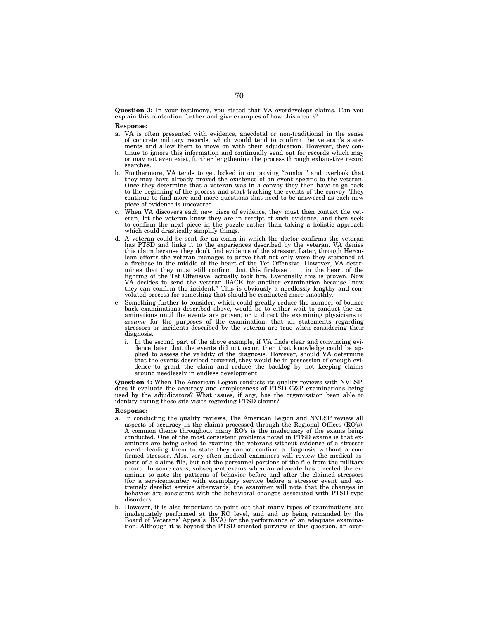**Question 3:** In your testimony, you stated that VA overdevelops claims. Can you explain this contention further and give examples of how this occurs?

# **Response:**

- a. VA is often presented with evidence, anecdotal or non-traditional in the sense of concrete military records, which would tend to confirm the veteran's statements and allow them to move on with their adjudication. However, they continue to ignore this information and continually send out for records which may or may not even exist, further lengthening the process through exhaustive record searches.
- b. Furthermore, VA tends to get locked in on proving ''combat'' and overlook that they may have already proved the existence of an event specific to the veteran. Once they determine that a veteran was in a convoy they then have to go back to the beginning of the process and start tracking the events of the convoy. They continue to find more and more questions that need to be answered as each new piece of evidence is uncovered.
- When VA discovers each new piece of evidence, they must then contact the veteran, let the veteran know they are in receipt of such evidence, and then seek to confirm the next piece in the puzzle rather than taking a holistic approach which could drastically simplify things.
- d. A veteran could be sent for an exam in which the doctor confirms the veteran has PTSD and links it to the experiences described by the veteran. VA denies this claim because they don't find evidence of the stressor. Later, through Herculean efforts the veteran manages to prove that not only were they stationed at a firebase in the middle of the heart of the Tet Offensive. However, VA determines that they must still confirm that this firebase . . . in the heart of the fighting of the Tet Offensive, actually took fire. Eventually this is proven. Now VA decides to send the veteran BACK for another examination because ''now they can confirm the incident.'' This is obviously a needlessly lengthy and convoluted process for something that should be conducted more smoothly.
- Something further to consider, which could greatly reduce the number of bounce back examinations described above, would be to either wait to conduct the examinations until the events are proven, or to direct the examining physicians to assume for the purposes of the examination, that all statements regarding stressors or incidents described by the veteran are true when considering their diagnosis.
	- i. In the second part of the above example, if VA finds clear and convincing evidence later that the events did not occur, then that knowledge could be applied to assess the validity of the diagnosis. However, should VA determine that the events described occurred, they would be in possession of enough evidence to grant the claim and reduce the backlog by not keeping claims around needlessly in endless development.

**Question 4:** When The American Legion conducts its quality reviews with NVLSP, does it evaluate the accuracy and completeness of PTSD C&P examinations being used by the adjudicators? What issues, if any, has the organization been able to identify during these site visits regarding PTSD claims?

#### **Response:**

- a. In conducting the quality reviews, The American Legion and NVLSP review all aspects of accuracy in the claims processed through the Regional Offices (RO's). A common theme throughout many RO's is the inadequacy of the exams being conducted. One of the most consistent problems noted in PTSD exams is that examiners are being asked to examine the veterans without evidence of a stressor event—leading them to state they cannot confirm a diagnosis without a confirmed stressor. Also, very often medical examiners will review the medical aspects of a claims file, but not the personnel portions of the file from the military record. In some cases, subsequent exams when an advocate has directed the examiner to note the patterns of behavior before and after the claimed stressors (for a servicemember with exemplary service before a stressor event and extremely derelict service afterwards) the examiner will note that the changes in behavior are consistent with the behavioral changes associated with PTSD type disorders.
- b. However, it is also important to point out that many types of examinations are inadequately performed at the RO level, and end up being remanded by the Board of Veterans' Appeals (BVA) for the performance of an adequate examina-tion. Although it is beyond the PTSD oriented purview of this question, an over-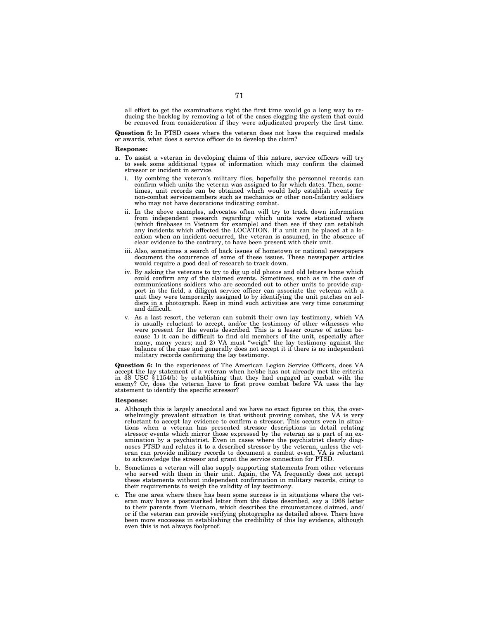all effort to get the examinations right the first time would go a long way to reducing the backlog by removing a lot of the cases clogging the system that could be removed from consideration if they were adjudicated properly the first time.

**Question 5:** In PTSD cases where the veteran does not have the required medals or awards, what does a service officer do to develop the claim?

# **Response:**

- a. To assist a veteran in developing claims of this nature, service officers will try to seek some additional types of information which may confirm the claimed stressor or incident in service.
	- i. By combing the veteran's military files, hopefully the personnel records can confirm which units the veteran was assigned to for which dates. Then, sometimes, unit records can be obtained which would help establish events for non-combat servicemembers such as mechanics or other non-Infantry soldiers who may not have decorations indicating combat.
	- ii. In the above examples, advocates often will try to track down information from independent research regarding which units were stationed where (which firebases in Vietnam for example) and then see if they can establish any incidents which affected the LOCATION. If a unit can be placed at a location when an incident occurred, the veteran is assumed, in the absence of clear evidence to the contrary, to have been present with their unit.
	- iii. Also, sometimes a search of back issues of hometown or national newspapers document the occurrence of some of these issues. These newspaper articles would require a good deal of research to track down.
	- iv. By asking the veterans to try to dig up old photos and old letters home which could confirm any of the claimed events. Sometimes, such as in the case of communications soldiers who are seconded out to other units to provide support in the field, a diligent service officer can associate the veteran with a unit they were temporarily assigned to by identifying the unit patches on soldiers in a photograph. Keep in mind such activities are very time consuming and difficult.
	- v. As a last resort, the veteran can submit their own lay testimony, which VA is usually reluctant to accept, and/or the testimony of other witnesses who were present for the events described. This is a lesser course of action because 1) it can be difficult to find old members of the unit, especially after many, many years; and 2) VA must "weigh" the lay testimony against the balance of the case and generally does not accept it if there is no independent military records confirming the lay testimony.

**Question 6:** In the experiences of The American Legion Service Officers, does VA accept the lay statement of a veteran when he/she has not already met the criteria in  $38 \text{ USC} \text{ } \& 1154(b)$  by establishing that they had engaged in combat with the enemy? Or, does the veteran have to first prove combat before VA uses the lay statement to identify the specific stressor?

#### **Response:**

- a. Although this is largely anecdotal and we have no exact figures on this, the overwhelmingly prevalent situation is that without proving combat, the VA is very reluctant to accept lay evidence to confirm a stressor. This occurs even in situations when a veteran has presented stressor descriptions in detail relating stressor events which mirror those expressed by the veteran as a part of an examination by a psychiatrist. Even in cases where the psychiatrist clearly diagnoses PTSD and relates it to a described stressor by the veteran, unless the veteran can provide military records to document a combat event, VA is reluctant to acknowledge the stressor and grant the service connection for PTSD.
- b. Sometimes a veteran will also supply supporting statements from other veterans who served with them in their unit. Again, the VA frequently does not accept these statements without independent confirmation in military records, citing to their requirements to weigh the validity of lay testimony.
- c. The one area where there has been some success is in situations where the veteran may have a postmarked letter from the dates described, say a 1968 letter to their parents from Vietnam, which describes the circumstances claimed, and/ or if the veteran can provide verifying photographs as detailed above. There have been more successes in establishing the credibility of this lay evidence, although even this is not always foolproof.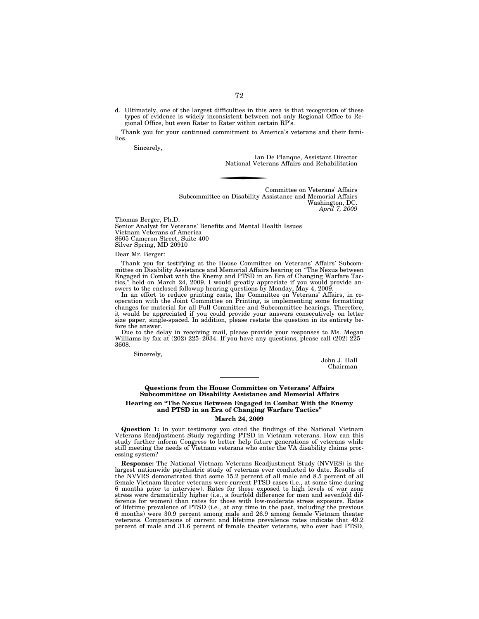d. Ultimately, one of the largest difficulties in this area is that recognition of these types of evidence is widely inconsistent between not only Regional Office to Regional Office, but even Rater to Rater within certain RP's.

Thank you for your continued commitment to America's veterans and their families.

Sincerely,

Ian De Planque, Assistant Director National Veterans Affairs and Rehabilitation

Committee on Veterans' Affairs Subcommittee on Disability Assistance and Memorial Affairs Washington, DC. *April 7, 2009* 

Thomas Berger, Ph.D. Senior Analyst for Veterans' Benefits and Mental Health Issues Vietnam Veterans of America 8605 Cameron Street, Suite 400 Silver Spring, MD 20910

# Dear Mr. Berger:

Thank you for testifying at the House Committee on Veterans' Affairs' Subcommittee on Disability Assistance and Memorial Affairs hearing on ''The Nexus between Engaged in Combat with the Enemy and PTSD in an Era of Changing Warfare Tactics,'' held on March 24, 2009. I would greatly appreciate if you would provide answers to the enclosed followup hearing questions by Monday, May 4, 2009.

In an effort to reduce printing costs, the Committee on Veterans' Affairs, in cooperation with the Joint Committee on Printing, is implementing some formatting changes for material for all Full Committee and Subcommittee hearings. Therefore, it would be appreciated if you could provide your answers consecutively on letter size paper, single-spaced. In addition, please restate the question in its entirety before the answer.

Due to the delay in receiving mail, please provide your responses to Ms. Megan Williams by fax at (202) 225–2034. If you have any questions, please call (202) 225– 3608.

Sincerely,

John J. Hall Chairman

# **Questions from the House Committee on Veterans' Affairs Subcommittee on Disability Assistance and Memorial Affairs Hearing on ''The Nexus Between Engaged in Combat With the Enemy and PTSD in an Era of Changing Warfare Tactics''**

#### **March 24, 2009**

**Question 1:** In your testimony you cited the findings of the National Vietnam Veterans Readjustment Study regarding PTSD in Vietnam veterans. How can this study further inform Congress to better help future generations of veterans while still meeting the needs of Vietnam veterans who enter the VA disability claims processing system?

**Response:** The National Vietnam Veterans Readjustment Study (NVVRS) is the largest nationwide psychiatric study of veterans ever conducted to date. Results of the NVVRS demonstrated that some 15.2 percent of all male and 8.5 percent of all female Vietnam theater veterans were current PTSD cases (i.e., at some time during 6 months prior to interview). Rates for those exposed to high levels of war zone stress were dramatically higher (i.e., a fourfold difference for men and sevenfold difference for women) than rates for those with low-moderate stress exposure. Rates of lifetime prevalence of PTSD (i.e., at any time in the past, including the previous 6 months) were 30.9 percent among male and 26.9 among female Vietnam theater veterans. Comparisons of current and lifetime prevalence rates indicate that 49.2 percent of male and 31.6 percent of female theater veterans, who ever had PTSD,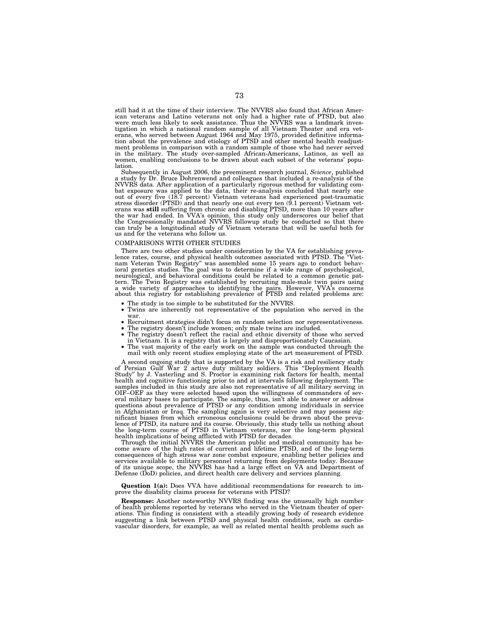still had it at the time of their interview. The NVVRS also found that African American veterans and Latino veterans not only had a higher rate of PTSD, but also were much less likely to seek assistance. Thus the NVVRS was a landmark investigation in which a national random sample of all Vietnam Theater and era vet-erans, who served between August 1964 and May 1975, provided definitive information about the prevalence and etiology of PTSD and other mental health readjustment problems in comparison with a random sample of those who had never served in the military. The study over-sampled African-Americans, Latinos, as well as women, enabling conclusions to be drawn about each subset of the veterans' population.

Subsequently in August 2006, the preeminent research journal, *Science*, published a study by Dr. Bruce Dohrenwend and colleagues that included a re-analysis of the NVVRS data. After application of a particularly rigorous method for validating combat exposure was applied to the data, their re-analysis concluded that nearly one out of every five (18.7 percent) Vietnam veterans had experienced post-traumatic stress disorder (PTSD) and that nearly one out every ten (9.1 percent) Vietnam vet-<br>erans was **still** suffering from chronic and disabling PTSD, more than 10 years after<br>the war had ended. In VVA's opinion, this study only can truly be a longitudinal study of Vietnam veterans that will be useful both for us and for the veterans who follow us.

#### COMPARISONS WITH OTHER STUDIES

There are two other studies under consideration by the VA for establishing prevalence rates, course, and physical health outcomes associated with PTSD. The ''Vietnam Veteran Twin Registry'' was assembled some 15 years ago to conduct behavioral genetics studies. The goal was to determine if a wide range of psychological, neurological, and behavioral conditions could be related to a common genetic pattern. The Twin Registry was established by recruiting male-male twin pairs using a wide variety of approaches to identifying the pairs. However, VVA's concerns about this registry for establishing prevalence of PTSD and related problems are:

- 
- The study is too simple to be substituted for the NVVRS. Twins are inherently not representative of the population who served in the
- 
- 
- Recruitment strategies didn't focus on random selection nor representativeness.<br>• The registry doesn't include women; only male twins are included.<br>• The registry doesn't reflect the racial and ethnic diversity of those
- The vast majority of the early work on the sample was conducted through the mail with only recent studies employing state of the art measurement of PTSD.

A second ongoing study that is supported by the VA is a risk and resiliency study of Persian Gulf War 2 active duty military soldiers. This ''Deployment Health Study'' by J. Vasterling and S. Proctor is examining risk factors for health, mental health and cognitive functioning prior to and at intervals following deployment. The samples included in this study are also not representative of all military serving in OIF–OEF as they were selected based upon the willingness of commanders of several military bases to participate. The sample, thus, isn't able to answer or address questions about prevalence of PTSD or any condition among individuals in service in Afghanistan or Iraq. The sampling again is very selective and may possess significant biases from which erroneous conclusions could be drawn about the prevalence of PTSD, its nature and its course. Obviously, this study tells us nothing about<br>the long-term course of PTSD in Vietnam veterans, nor the long-term physical<br>health implications of being afflicted with PTSD for decad

consequences of high stress war zone combat exposure, enabling better policies and services available to military personnel returning from deployments today. Because<br>of its unique scope, the NVVRS has had a large effect on VA and Department of<br>Defense (DoD) policies, and direct health care delivery and s

**Question 1(a):** Does VVA have additional recommendations for research to improve the disability claims process for veterans with PTSD?

**Response:** Another noteworthy NVVRS finding was the unusually high number of health problems reported by veterans who served in the Vietnam theater of operations. This finding is consistent with a steadily growing body of research evidence suggesting a link between PTSD and physical health conditions, such as cardio-vascular disorders, for example, as well as related mental health problems such as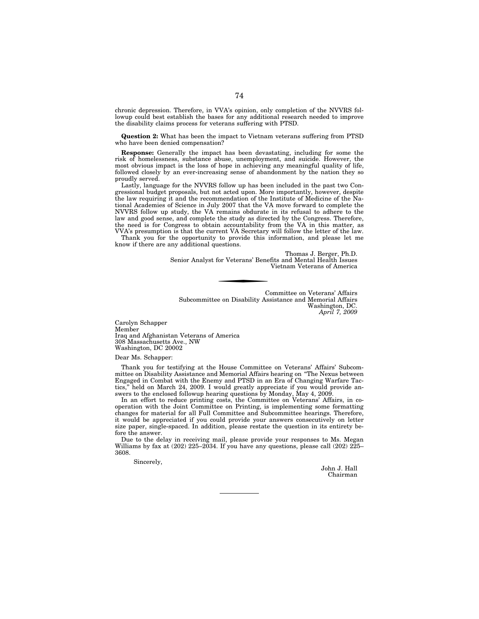chronic depression. Therefore, in VVA's opinion, only completion of the NVVRS followup could best establish the bases for any additional research needed to improve the disability claims process for veterans suffering with PTSD.

**Question 2:** What has been the impact to Vietnam veterans suffering from PTSD who have been denied compensation?

**Response:** Generally the impact has been devastating, including for some the risk of homelessness, substance abuse, unemployment, and suicide. However, the most obvious impact is the loss of hope in achieving any meaningful quality of life, followed closely by an ever-increasing sense of abandonment by the nation they so proudly served.

Lastly, language for the NVVRS follow up has been included in the past two Congressional budget proposals, but not acted upon. More importantly, however, despite the law requiring it and the recommendation of the Institute of Medicine of the National Academies of Science in July 2007 that the VA move forward to complete the NVVRS follow up study, the VA remains obdurate in its refusal to adhere to the law and good sense, and complete the study as directed by the Congress. Therefore, the need is for Congress to obtain accountability from the VA in this matter, as VVA's presumption is that the current VA Secretary will follow the letter of the law.

Thank you for the opportunity to provide this information, and please let me know if there are any additional questions.

> Thomas J. Berger, Ph.D. Senior Analyst for Veterans' Benefits and Mental Health Issues Vietnam Veterans of America

Committee on Veterans' Affairs Subcommittee on Disability Assistance and Memorial Affairs Washington, DC. *April 7, 2009* 

Carolyn Schapper Member Iraq and Afghanistan Veterans of America 308 Massachusetts Ave., NW Washington, DC 20002

Dear Ms. Schapper:

Thank you for testifying at the House Committee on Veterans' Affairs' Subcommittee on Disability Assistance and Memorial Affairs hearing on ''The Nexus between Engaged in Combat with the Enemy and PTSD in an Era of Changing Warfare Tactics,'' held on March 24, 2009. I would greatly appreciate if you would provide answers to the enclosed followup hearing questions by Monday, May 4, 2009.

In an effort to reduce printing costs, the Committee on Veterans' Affairs, in cooperation with the Joint Committee on Printing, is implementing some formatting changes for material for all Full Committee and Subcommittee hearings. Therefore, it would be appreciated if you could provide your answers consecutively on letter size paper, single-spaced. In addition, please restate the question in its entirety before the answer.

Due to the delay in receiving mail, please provide your responses to Ms. Megan Williams by fax at (202) 225–2034. If you have any questions, please call (202) 225– 3608.

Sincerely,

John J. Hall Chairman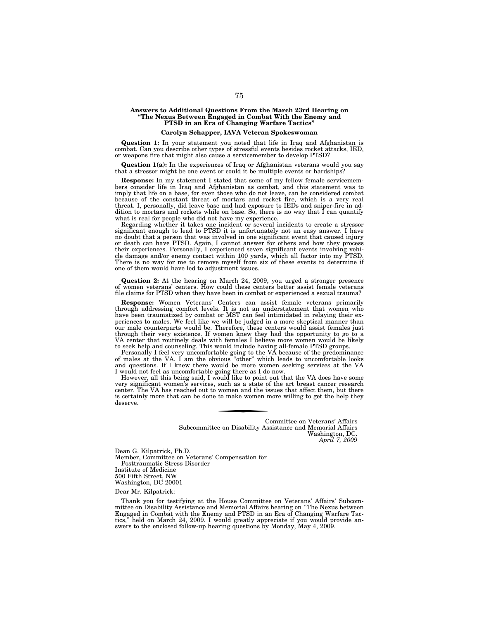# **Answers to Additional Questions From the March 23rd Hearing on ''The Nexus Between Engaged in Combat With the Enemy and PTSD in an Era of Changing Warfare Tactics''**

# **Carolyn Schapper, IAVA Veteran Spokeswoman**

**Question 1:** In your statement you noted that life in Iraq and Afghanistan is combat. Can you describe other types of stressful events besides rocket attacks, IED, or weapons fire that might also cause a servicemember to develop PTSD?

**Question 1(a):** In the experiences of Iraq or Afghanistan veterans would you say that a stressor might be one event or could it be multiple events or hardships?

**Response:** In my statement I stated that some of my fellow female servicemembers consider life in Iraq and Afghanistan as combat, and this statement was to imply that life on a base, for even those who do not leave, can be considered combat because of the constant threat of mortars and rocket fire, which is a very real threat. I, personally, did leave base and had exposure to IEDs and sniper-fire in addition to mortars and rockets while on base. So, there is no way that  $\overline{I}$  can quantify what is real for people who did not have my experience.

Regarding whether it takes one incident or several incidents to create a stressor significant enough to lead to PTSD it is unfortunately not an easy answer. I have no doubt that a person that was involved in one significant event that caused injury or death can have PTSD. Again, I cannot answer for others and how they process their experiences. Personally, I experienced seven significant events involving vehicle damage and/or enemy contact within 100 yards, which all factor into my PTSD. There is no way for me to remove myself from six of these events to determine if one of them would have led to adjustment issues.

**Question 2:** At the hearing on March 24, 2009, you urged a stronger presence of women veterans' centers. How could these centers better assist female veterans file claims for PTSD when they have been in combat or experienced a sexual trauma?

**Response:** Women Veterans' Centers can assist female veterans primarily through addressing comfort levels. It is not an understatement that women who have been traumatized by combat or MST can feel intimidated in relaying their experiences to males. We feel like we will be judged in a more skeptical manner than our male counterparts would be. Therefore, these centers would assist females just through their very existence. If women knew they had the opportunity to go to a VA center that routinely deals with females I believe more women would be likely to seek help and counseling. This would include having all-female PTSD groups.

Personally I feel very uncomfortable going to the VA because of the predominance of males at the VA. I am the obvious ''other'' which leads to uncomfortable looks and questions. If I knew there would be more women seeking services at the VA I would not feel as uncomfortable going there as I do now.

However, all this being said, I would like to point out that the VA does have some very significant women's services, such as a state of the art breast cancer research center. The VA has reached out to women and the issues that affect them, but there is certainly more that can be done to make women more willing to get the help they deserve.

> Committee on Veterans' Affairs Subcommittee on Disability Assistance and Memorial Affairs Washington, DC. *April 7, 2009*

Dean G. Kilpatrick, Ph.D. Member, Committee on Veterans' Compensation for Posttraumatic Stress Disorder Institute of Medicine 500 Fifth Street, NW Washington, DC 20001

Dear Mr. Kilpatrick:

Thank you for testifying at the House Committee on Veterans' Affairs' Subcommittee on Disability Assistance and Memorial Affairs hearing on ''The Nexus between Engaged in Combat with the Enemy and PTSD in an Era of Changing Warfare Tactics,'' held on March 24, 2009. I would greatly appreciate if you would provide an-swers to the enclosed follow-up hearing questions by Monday, May 4, 2009.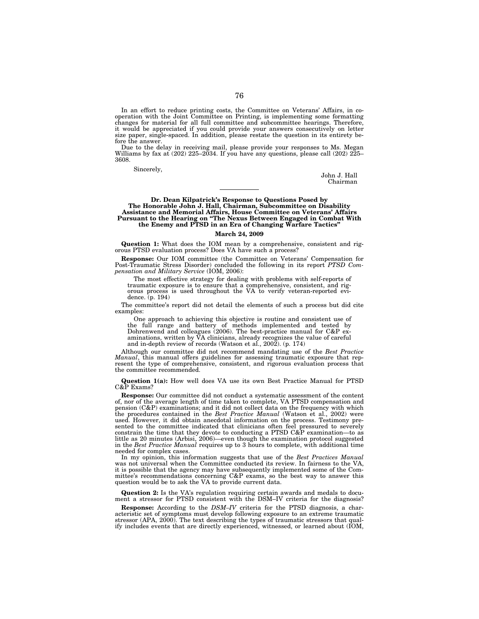In an effort to reduce printing costs, the Committee on Veterans' Affairs, in cooperation with the Joint Committee on Printing, is implementing some formatting changes for material for all full committee and subcommittee hearings. Therefore, it would be appreciated if you could provide your answers consecutively on letter size paper, single-spaced. In addition, please restate the question in its entirety before the answer.

Due to the delay in receiving mail, please provide your responses to Ms. Megan Williams by fax at (202) 225–2034. If you have any questions, please call (202) 225– 3608.

Sincerely,

John J. Hall Chairman

**Dr. Dean Kilpatrick's Response to Questions Posed by The Honorable John J. Hall, Chairman, Subcommittee on Disability Assistance and Memorial Affairs, House Committee on Veterans' Affairs Pursuant to the Hearing on ''The Nexus Between Engaged in Combat With the Enemy and PTSD in an Era of Changing Warfare Tactics''** 

# **March 24, 2009**

**Question 1:** What does the IOM mean by a comprehensive, consistent and rigorous PTSD evaluation process? Does VA have such a process?

**Response:** Our IOM committee (the Committee on Veterans' Compensation for Post-Traumatic Stress Disorder) concluded the following in its report *PTSD Compensation and Military Service* (IOM, 2006):

The most effective strategy for dealing with problems with self-reports of traumatic exposure is to ensure that a comprehensive, consistent, and rigorous process is used throughout the VA to verify veteran-reported evidence. (p. 194)

The committee's report did not detail the elements of such a process but did cite examples:

One approach to achieving this objective is routine and consistent use of the full range and battery of methods implemented and tested by Dohrenwend and colleagues (2006). The best-practice manual for C&P examinations, written by VA clinicians, already recognizes the value of careful and in-depth review of records (Watson et al., 2002). (p. 174)

Although our committee did not recommend mandating use of the *Best Practice Manual*, this manual offers guidelines for assessing traumatic exposure that represent the type of comprehensive, consistent, and rigorous evaluation process that the committee recommended.

**Question 1(a):** How well does VA use its own Best Practice Manual for PTSD C&P Exams?

**Response:** Our committee did not conduct a systematic assessment of the content of, nor of the average length of time taken to complete, VA PTSD compensation and pension (C&P) examinations; and it did not collect data on the frequency with which the procedures contained in the *Best Practice Manual* (Watson et al., 2002) were used. However, it did obtain anecdotal information on the process. Testimony presented to the committee indicated that clinicians often feel pressured to severely constrain the time that they devote to conducting a PTSD C&P examination—to as little as 20 minutes (Arbisi, 2006)—even though the examination protocol suggested in the *Best Practice Manual* requires up to 3 hours to complete, with additional time needed for complex cases.

In my opinion, this information suggests that use of the *Best Practices Manual*  was not universal when the Committee conducted its review. In fairness to the VA, it is possible that the agency may have subsequently implemented some of the Committee's recommendations concerning C&P exams, so the best way to answer this question would be to ask the VA to provide current data.

**Question 2:** Is the VA's regulation requiring certain awards and medals to docu-<br>ment a stressor for PTSD consistent with the DSM–IV criteria for the diagnosis?

**Response:** According to the *DSM–IV* criteria for the PTSD diagnosis, a characteristic set of symptoms must develop following exposure to an extreme traumatic stressor (APA, 2000). The text describing the types of traumatic stressors that qual-ify includes events that are directly experienced, witnessed, or learned about (IOM,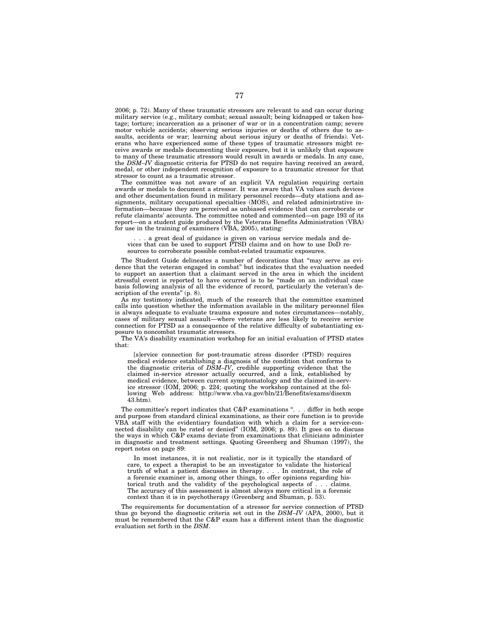2006; p. 72). Many of these traumatic stressors are relevant to and can occur during military service (e.g., military combat; sexual assault; being kidnapped or taken hostage; torture; incarceration as a prisoner of war or in a concentration camp; severe motor vehicle accidents; observing serious injuries or deaths of others due to assaults, accidents or war; learning about serious injury or deaths of friends). Veterans who have experienced some of these types of traumatic stressors might receive awards or medals documenting their exposure, but it is unlikely that exposure to many of these traumatic stressors would result in awards or medals. In any case, the *DSM–IV* diagnostic criteria for PTSD do not require having received an award, medal, or other independent recognition of exposure to a traumatic stressor for that stressor to count as a traumatic stressor.

The committee was not aware of an explicit VA regulation requiring certain awards or medals to document a stressor. It was aware that VA values such devices and other documentation found in military personnel records—duty stations and assignments, military occupational specialties (MOS), and related administrative information—because they are perceived as unbiased evidence that can corroborate or refute claimants' accounts. The committee noted and commented—on page 193 of its report—on a student guide produced by the Veterans Benefits Administration (VBA) for use in the training of examiners (VBA, 2005), stating:

a great deal of guidance is given on various service medals and devices that can be used to support PTSD claims and on how to use DoD resources to corroborate possible combat-related traumatic exposures.

The Student Guide delineates a number of decorations that ''may serve as evidence that the veteran engaged in combat'' but indicates that the evaluation needed to support an assertion that a claimant served in the area in which the incident stressful event is reported to have occurred is to be ''made on an individual case basis following analysis of all the evidence of record, particularly the veteran's description of the events" (p. 8).

As my testimony indicated, much of the research that the committee examined calls into question whether the information available in the military personnel files is always adequate to evaluate trauma exposure and notes circumstances—notably, cases of military sexual assault—where veterans are less likely to receive service connection for PTSD as a consequence of the relative difficulty of substantiating exposure to noncombat traumatic stressors.

The VA's disability examination workshop for an initial evaluation of PTSD states that:

[s]ervice connection for post-traumatic stress disorder (PTSD) requires medical evidence establishing a diagnosis of the condition that conforms to the diagnostic criteria of *DSM–IV*, credible supporting evidence that the claimed in-service stressor actually occurred, and a link, established by medical evidence, between current symptomatology and the claimed in-service stressor (IOM, 2006; p. 224; quoting the workshop contained at the following Web address: http://www.vba.va.gov/bln/21/Benefits/exams/disexm 43.htm).

The committee's report indicates that  $C\&P$  examinations "... differ in both scope and purpose from standard clinical examinations, as their core function is to provide VBA staff with the evidentiary foundation with which a claim for a service-connected disability can be rated or denied'' (IOM, 2006; p. 89). It goes on to discuss the ways in which C&P exams deviate from examinations that clinicians administer in diagnostic and treatment settings. Quoting Greenberg and Shuman (1997), the report notes on page 89:

In most instances, it is not realistic, nor is it typically the standard of care, to expect a therapist to be an investigator to validate the historical truth of what a patient discusses in therapy. . . . In contrast, the role of a forensic examiner is, among other things, to offer opinions regarding historical truth and the validity of the psychological aspects of . . . claims. The accuracy of this assessment is almost always more critical in a forensic context than it is in psychotherapy (Greenberg and Shuman, p. 53).

The requirements for documentation of a stressor for service connection of PTSD thus go beyond the diagnostic criteria set out in the *DSM–IV* (APA, 2000), but it must be remembered that the C&P exam has a different intent than the diagnostic evaluation set forth in the *DSM*.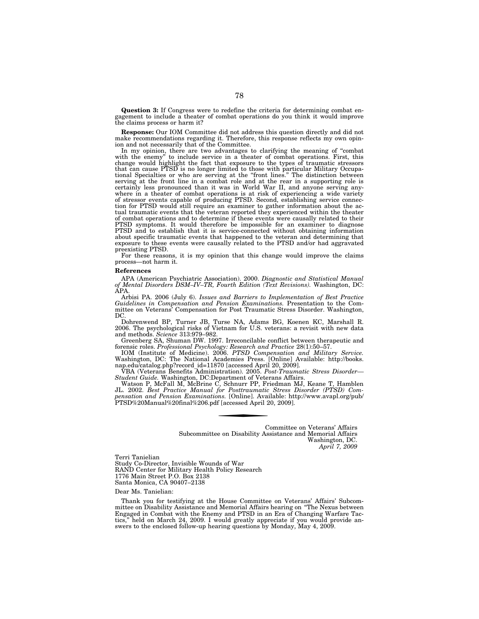**Question 3:** If Congress were to redefine the criteria for determining combat engagement to include a theater of combat operations do you think it would improve the claims process or harm it?

**Response:** Our IOM Committee did not address this question directly and did not make recommendations regarding it. Therefore, this response reflects my own opinion and not necessarily that of the Committee.

In my opinion, there are two advantages to clarifying the meaning of "combat<br>with the enemy" to include service in a theater of combat operations. First, this<br>change would highlight the fact that exposure to the types of t that can cause PTSD is no longer limited to those with particular Military Occupational Specialties or who are serving at the ''front lines.'' The distinction between serving at the front line in a combat role and at the rear in a supporting role is certainly less pronounced than it was in World War II, and anyone serving anywhere in a theater of combat operations is at risk of experiencing a wide variety of stressor events capable of producing PTSD. Second, establishing service connection for PTSD would still require an examiner to gather information about the actual traumatic events that the veteran reported they experienced within the theater of combat operations and to determine if these events were causally related to their PTSD symptoms. It would therefore be impossible for an examiner to diagnose PTSD and to establish that it is service-connected without obtaining information about specific traumatic events that happened to the veteran and determining that exposure to these events were causally related to the PTSD and/or had aggravated preexisting PTSD.

For these reasons, it is my opinion that this change would improve the claims process—not harm it.

#### **References**

APA (American Psychiatric Association). 2000. *Diagnostic and Statistical Manual of Mental Disorders DSM–IV–TR, Fourth Edition (Text Revisions).* Washington, DC: APA.

Arbisi PA. 2006 (July 6). *Issues and Barriers to Implementation of Best Practice Guidelines in Compensation and Pension Examinations.* Presentation to the Committee on Veterans' Compensation for Post Traumatic Stress Disorder. Washington, DC.

Dohrenwend BP, Turner JB, Turse NA, Adams BG, Koenen KC, Marshall R. 2006. The psychological risks of Vietnam for U.S. veterans: a revisit with new data and methods. *Science* 313:979–982.

Greenberg SA, Shuman DW. 1997. Irreconcilable conflict between therapeutic and forensic roles. *Professional Psychology: Research and Practice* 28(1):50–57.

IOM (Institute of Medicine). 2006. *PTSD Compensation and Military Service.*  Washington, DC: The National Academies Press. [Online] Available: http://books.

nap.edu/catalog.php?record\_id=11870 [accessed April 20, 2009]. VBA (Veterans Benefits Administration). 2005. *Post-Traumatic Stress Disorder— Student Guide.* Washington, DC:Department of Veterans Affairs.

Watson P, McFall M, McBrine C, Schnurr PP, Friedman MJ, Keane T, Hamblen JL. 2002. *Best Practice Manual for Posttraumatic Stress Disorder (PTSD) Compensation and Pension Examinations.* [Online]. Available: http://www.avapl.org/pub/ PTSD%20Manual%20final%206.pdf [accessed April 20, 2009].

> Committee on Veterans' Affairs Subcommittee on Disability Assistance and Memorial Affairs Washington, DC. *April 7, 2009*

Terri Tanielian Study Co-Director, Invisible Wounds of War RAND Center for Military Health Policy Research 1776 Main Street P.O. Box 2138 Santa Monica, CA 90407–2138

Dear Ms. Tanielian:

Thank you for testifying at the House Committee on Veterans' Affairs' Subcommittee on Disability Assistance and Memorial Affairs hearing on ''The Nexus between Engaged in Combat with the Enemy and PTSD in an Era of Changing Warfare Tactics,'' held on March 24, 2009. I would greatly appreciate if you would provide an-swers to the enclosed follow-up hearing questions by Monday, May 4, 2009.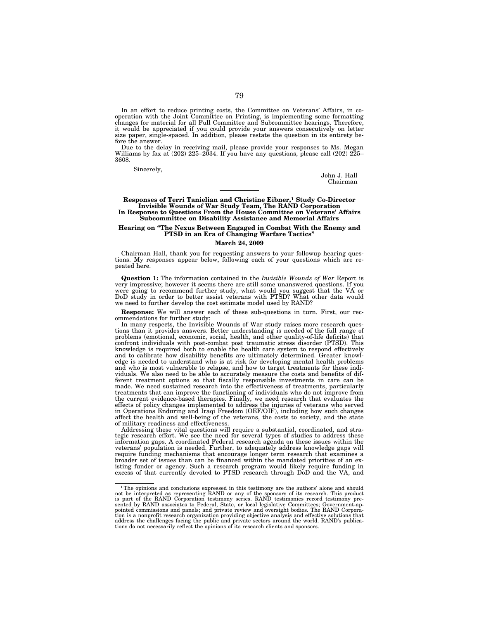In an effort to reduce printing costs, the Committee on Veterans' Affairs, in cooperation with the Joint Committee on Printing, is implementing some formatting changes for material for all Full Committee and Subcommittee hearings. Therefore, it would be appreciated if you could provide your answers consecutively on letter size paper, single-spaced. In addition, please restate the question in its entirety before the answer.

Due to the delay in receiving mail, please provide your responses to Ms. Megan Williams by fax at (202) 225–2034. If you have any questions, please call (202) 225– 3608.

Sincerely,

John J. Hall Chairman

**Responses of Terri Tanielian and Christine Eibner,1 Study Co-Director Invisible Wounds of War Study Team, The RAND Corporation In Response to Questions From the House Committee on Veterans' Affairs Subcommittee on Disability Assistance and Memorial Affairs** 

# **Hearing on ''The Nexus Between Engaged in Combat With the Enemy and PTSD in an Era of Changing Warfare Tactics''**

## **March 24, 2009**

Chairman Hall, thank you for requesting answers to your followup hearing questions. My responses appear below, following each of your questions which are repeated here.

**Question 1:** The information contained in the *Invisible Wounds of War* Report is very impressive; however it seems there are still some unanswered questions. If you were going to recommend further study, what would you suggest that the VA or DoD study in order to better assist veterans with PTSD? What other data would we need to further develop the cost estimate model used by RAND?

**Response:** We will answer each of these sub-questions in turn. First, our rec-

ommendations for further study: In many respects, the Invisible Wounds of War study raises more research questions than it provides answers. Better understanding is needed of the full range of problems (emotional, economic, social, health, and other quality-of-life deficits) that confront individuals with post-combat post traumatic stress disorder (PTSD). This knowledge is required both to enable the health care system to respond effectively and to calibrate how disability benefits are ultimately determined. Greater knowledge is needed to understand who is at risk for developing mental health problems and who is most vulnerable to relapse, and how to target treatments for these individuals. We also need to be able to accurately measure the costs and benefits of different treatment options so that fiscally responsible investments in care can be made. We need sustained research into the effectiveness o treatments that can improve the functioning of individuals who do not improve from the current evidence-based therapies. Finally, we need research that evaluates the effects of policy changes implemented to address the injuries of veterans who served in Operations Enduring and Iraqi Freedom (OEF/OIF), including how such changes affect the health and well-being of the veterans, the costs to society, and the state of military readiness and effectiveness.

Addressing these vital questions will require a substantial, coordinated, and strategic research effort. We see the need for several types of studies to address these information gaps. A coordinated Federal research agenda on these issues within the veterans' population is needed. Further, to adequately address knowledge gaps will require funding mechanisms that encourage longer term research that examines a broader set of issues than can be financed within the mandated priorities of an existing funder or agency. Such a research program would likely require funding in excess of that currently devoted to PTSD research through DoD and the VA, and

<sup>&</sup>lt;sup>1</sup>The opinions and conclusions expressed in this testimony are the authors' alone and should not be interpreted as representing RAND or any of the sponsors of its research. This product is part of the RAND Corporation testimony series. RAND testimonies record testimony presented by RAND associates to Federal, State, or local legislative Committees; Government-ap-pointed commissions and panels; and private review and oversight bodies. The RAND Corporation is a nonprofit research organization providing objective analysis and effective solutions that address the challenges facing the public and private sectors around the world. RAND's publica-tions do not necessarily reflect the opinions of its research clients and sponsors.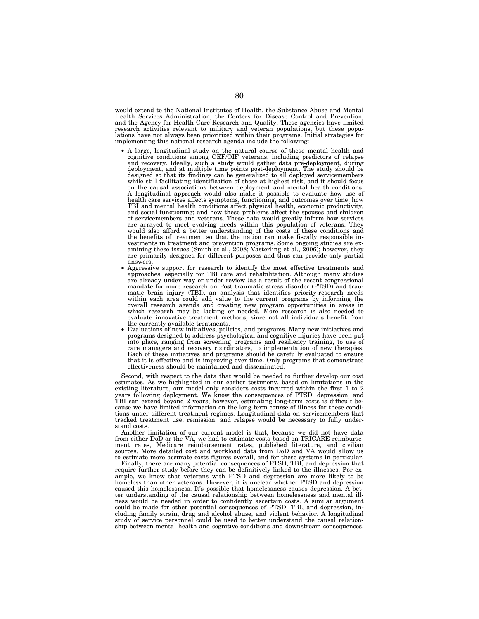would extend to the National Institutes of Health, the Substance Abuse and Mental Health Services Administration, the Centers for Disease Control and Prevention, and the Agency for Health Care Research and Quality. These agencies have limited research activities relevant to military and veteran populations, but these popu-lations have not always been prioritized within their programs. Initial strategies for implementing this national research agenda include the following:

- A large, longitudinal study on the natural course of these mental health and cognitive conditions among OEF/OIF veterans, including predictors of relapse and recovery. Ideally, such a study would gather data pre-deployment, during deployment, and at multiple time points post-deployment. The study should be designed so that its findings can be generalized to all deployed servicemembers while still facilitating identification of those at highest risk, and it should focus on the causal associations between deployment and mental health conditions. A longitudinal approach would also make it possible to evaluate how use of health care services affects symptoms, functioning, and outcomes over time; how TBI and mental health conditions affect physical health, economic productivity, and social functioning; and how these problems affect the spouses and children of servicemembers and veterans. These data would greatly inform how services are arrayed to meet evolving needs within this population of veterans. They would also afford a better understanding of the costs of these conditions and the benefits of treatment so that the nation can make fiscally responsible investments in treatment and prevention programs. Some ongoing studies are ex-amining these issues (Smith et al., 2008; Vasterling et al., 2006); however, they are primarily designed for different purposes and thus can provide only partial
- Aggressive support for research to identify the most effective treatments and approaches, especially for TBI care and rehabilitation. Although many studies are already under way or under review (as a result of the recent congressional mandate for more research on Post traumatic stress disorder (PTSD) and traumatic brain injury (TBI), an analysis that identifies priority-research needs within each area could add value to the current programs by informing the overall research agenda and creating new program opportunities in areas in which research may be lacking or needed. More research is also needed to evaluate innovative treatment methods, since not all individuals benefit from the currently available treatments.
- Evaluations of new initiatives, policies, and programs. Many new initiatives and programs designed to address psychological and cognitive injuries have been put into place, ranging from screening programs and resiliency training, to use of care managers and recovery coordinators, to implementation of new therapies. Each of these initiatives and programs should be carefully evaluated to ensure that it is effective and is improving over time. Only programs that demonstrate effectiveness should be maintained and disseminated.

Second, with respect to the data that would be needed to further develop our cost estimates. As we highlighted in our earlier testimony, based on limitations in the existing literature, our model only considers costs incurred within the first 1 to 2 years following deployment. We know the consequences of PTSD, depression, and TBI can extend beyond 2 years; however, estimating long-term costs is difficult because we have limited information on the long term course of illness for these conditions under different treatment regimes. Longitudinal data on servicemembers that tracked treatment use, remission, and relapse would be necessary to fully understand costs.

Another limitation of our current model is that, because we did not have data from either DoD or the VA, we had to estimate costs based on TRICARE reimbursement rates, Medicare reimbursement rates, published literature, and civilian sources. More detailed cost and workload data from DoD and VA would allow us to estimate more accurate costs figures overall, and for these systems in particular.

Finally, there are many potential consequences of PTSD, TBI, and depression that require further study before they can be definitively linked to the illnesses. For example, we know that veterans with PTSD and depression are more likely to be homeless than other veterans. However, it is unclear whether PTSD and depression caused this homelessness. It's possible that homelessness causes depression. A better understanding of the causal relationship between homelessness and mental illness would be needed in order to confidently ascertain costs. A similar argument could be made for other potential consequences of PTSD, TBI, and depression, including family strain, drug and alcohol abuse, and violent behavior. A longitudinal study of service personnel could be used to better understand the causal relation-ship between mental health and cognitive conditions and downstream consequences.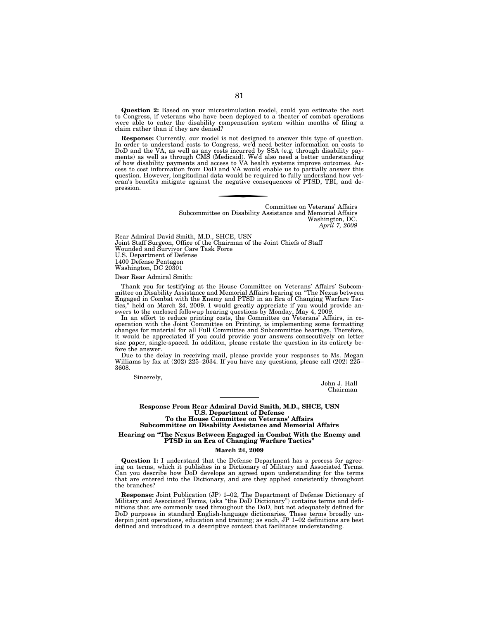**Question 2:** Based on your microsimulation model, could you estimate the cost to Congress, if veterans who have been deployed to a theater of combat operations were able to enter the disability compensation system within months of filing a claim rather than if they are denied?

**Response:** Currently, our model is not designed to answer this type of question. In order to understand costs to Congress, we'd need better information on costs to DoD and the VA, as well as any costs incurred by SSA (e.g. through disability payments) as well as through CMS (Medicaid). We'd also need a better understanding of how disability payments and access to VA health systems improve outcomes. Access to cost information from DoD and VA would enable us to partially answer this question. However, longitudinal data would be required to fully understand how veteran's benefits mitigate against the negative consequences of PTSD, TBI, and depression.

> Committee on Veterans' Affairs Subcommittee on Disability Assistance and Memorial Affairs Washington, DC. *April 7, 2009*

Rear Admiral David Smith, M.D., SHCE, USN Joint Staff Surgeon, Office of the Chairman of the Joint Chiefs of Staff Wounded and Survivor Care Task Force U.S. Department of Defense 1400 Defense Pentagon Washington, DC 20301

#### Dear Rear Admiral Smith:

Thank you for testifying at the House Committee on Veterans' Affairs' Subcommittee on Disability Assistance and Memorial Affairs hearing on ''The Nexus between Engaged in Combat with the Enemy and PTSD in an Era of Changing Warfare Tactics,'' held on March 24, 2009. I would greatly appreciate if you would provide answers to the enclosed followup hearing questions by Monday, May 4, 2009.

In an effort to reduce printing costs, the Committee on Veterans' Affairs, in cooperation with the Joint Committee on Printing, is implementing some formatting changes for material for all Full Committee and Subcommittee hearings. Therefore, it would be appreciated if you could provide your answers consecutively on letter size paper, single-spaced. In addition, please restate the question in its entirety before the answer.

Due to the delay in receiving mail, please provide your responses to Ms. Megan Williams by fax at (202) 225–2034. If you have any questions, please call (202) 225– 3608.

Sincerely,

John J. Hall Chairman

#### **Response From Rear Admiral David Smith, M.D., SHCE, USN U.S. Department of Defense To the House Committee on Veterans' Affairs Subcommittee on Disability Assistance and Memorial Affairs**

# **Hearing on ''The Nexus Between Engaged in Combat With the Enemy and PTSD in an Era of Changing Warfare Tactics''**

# **March 24, 2009**

**Question 1:** I understand that the Defense Department has a process for agreeing on terms, which it publishes in a Dictionary of Military and Associated Terms. Can you describe how DoD develops an agreed upon understanding for the terms that are entered into the Dictionary, and are they applied consistently throughout the branches?

**Response:** Joint Publication (JP) 1–02, The Department of Defense Dictionary of Military and Associated Terms, (aka ''the DoD Dictionary'') contains terms and definitions that are commonly used throughout the DoD, but not adequately defined for DoD purposes in standard English-language dictionaries. These terms broadly underpin joint operations, education and training; as such, JP 1–02 definitions are best defined and introduced in a descriptive context that facilitates understanding.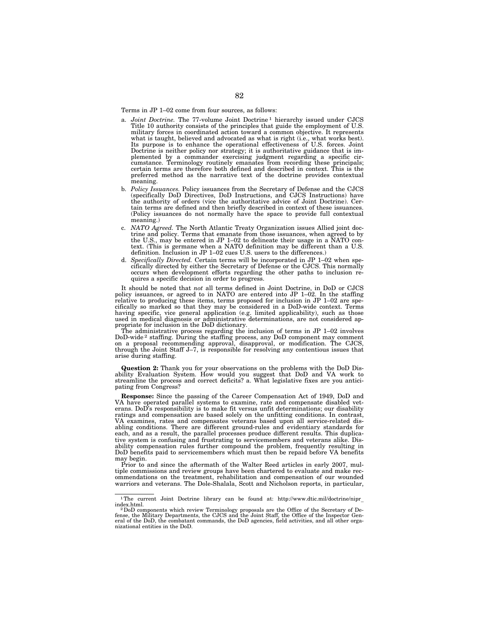Terms in JP 1–02 come from four sources, as follows:

- a. *Joint Doctrine.* The 77-volume Joint Doctrine 1 hierarchy issued under CJCS Title 10 authority consists of the principles that guide the employment of U.S. military forces in coordinated action toward a common objective. It represents what is taught, believed and advocated as what is right (i.e., what works best). Its purpose is to enhance the operational effectiveness of U.S. forces. Joint Doctrine is neither policy nor strategy; it is authoritative guidance that is implemented by a commander exercising judgment regarding a specific circumstance. Terminology routinely emanates from recording these principals; certain terms are therefore both defined and described in context. This is the preferred method as the narrative text of the doctrine provides contextual meaning.
- b. *Policy Issuances.* Policy issuances from the Secretary of Defense and the CJCS (specifically DoD Directives, DoD Instructions, and CJCS Instructions) have the authority of orders (vice the authoritative advice of Joint Doctrine). Certain terms are defined and then briefly described in context of these issuances. (Policy issuances do not normally have the space to provide full contextual meaning.)
- c. *NATO Agreed.* The North Atlantic Treaty Organization issues Allied joint doctrine and policy. Terms that emanate from those issuances, when agreed to by the U.S., may be entered in JP 1–02 to delineate their usage in a NATO context. (This is germane when a NATO definition may be different than a U definition. Inclusion in JP 1–02 cues U.S. users to the differences.)
- d. *Specifically Directed.* Certain terms will be incorporated in JP 1–02 when specifically directed by either the Secretary of Defense or the CJCS. This normally occurs when development efforts regarding the other paths to inclusion requires a specific decision in order to progress.

It should be noted that *not* all terms defined in Joint Doctrine, in DoD or CJCS policy issuances, or agreed to in NATO are entered into JP 1–02. In the staffing relative to producing these items, terms proposed for inclusion in JP 1–02 are specifically so marked so that they may be considered in a DoD-wide context. Terms having specific, vice general application (e.g. limited applicability), such as those used in medical diagnosis or administrative determinations, are not considered appropriate for inclusion in the DoD dictionary.

The administrative process regarding the inclusion of terms in JP 1–02 involves DoD-wide 2 staffing. During the staffing process, any DoD component may comment on a proposal recommending approval, disapproval, or modification. The CJCS, through the Joint Staff J–7, is responsible for resolving any contentious issues that arise during staffing.

**Question 2:** Thank you for your observations on the problems with the DoD Disability Evaluation System. How would you suggest that DoD and VA work to streamline the process and correct deficits? a. What legislative fixes are you anticipating from Congress?

**Response:** Since the passing of the Career Compensation Act of 1949, DoD and VA have operated parallel systems to examine, rate and compensate disabled veterans. DoD's responsibility is to make fit versus unfit determinations; our disability ratings and compensation are based solely on the unfitting conditions. In contrast, VA examines, rates and compensates veterans based upon all service-related disabling conditions. There are different ground-rules and evidentiary standards for each, and as a result, the parallel processes produce different results. This duplicative system is confusing and frustrating to servicemembers and veterans alike. Disability compensation rules further compound the problem, frequently resulting in DoD benefits paid to servicemembers which must then be repaid before VA benefits may begin.

Prior to and since the aftermath of the Walter Reed articles in early 2007, multiple commissions and review groups have been chartered to evaluate and make recommendations on the treatment, rehabilitation and compensation of our wounded warriors and veterans. The Dole-Shalala, Scott and Nicholson reports, in particular,

<sup>&</sup>lt;sup>1</sup>The current Joint Doctrine library can be found at: http://www.dtic.mil/doctrine/nipr\_index.html.

index.html.<br><sup>2</sup>DoD components which review Terminology proposals are the Office of the Secretary of Defense, the Military Departments, the CJCS and the Joint Staff, the Office of the Inspector General of the DoD, the comba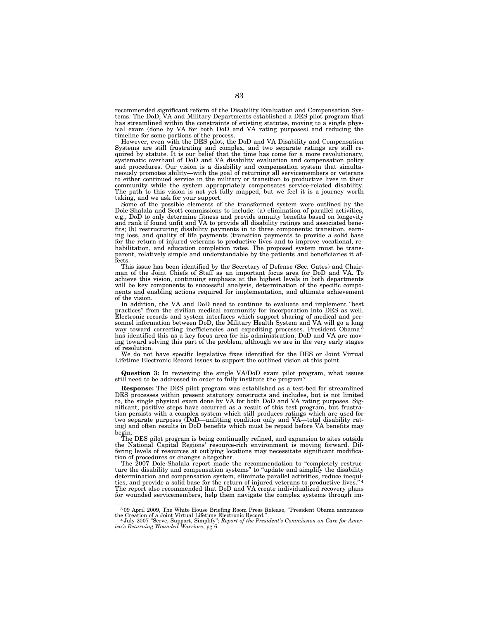recommended significant reform of the Disability Evaluation and Compensation Systems. The DoD, VA and Military Departments established a DES pilot program that has streamlined within the constraints of existing statutes, moving to a single physical exam (done by VA for both DoD and VA rating purposes) and reducing the timeline for some portions of the process.

However, even with the DES pilot, the DoD and VA Disability and Compensation Systems are still frustrating and complex, and two separate ratings are still required by statute. It is our belief that the time has come for a more revolutionary, systematic overhaul of DoD and VA disability evaluation and compensation policy and procedures. Our vision is a disability and compensation system that simultaneously promotes ability—with the goal of returning all servicemembers or veterans to either continued service in the military or transition to productive lives in their community while the system appropriately compensates service-related disability. The path to this vision is not yet fully mapped, but we feel it is a journey worth taking, and we ask for your support.

Some of the possible elements of the transformed system were outlined by the Dole-Shalala and Scott commissions to include: (a) elimination of parallel activities, e.g., DoD to only determine fitness and provide annuity benefits based on longevity and rank if found unfit and VA to provide all disability ratings and associated benefits; (b) restructuring disability payments in to three components: transition, earning loss, and quality of life payments (transition payments to provide a solid base for the return of injured veterans to productive lives and to improve vocational, rehabilitation, and education completion rates. The proposed system must be transparent, relatively simple and understandable by the patients and beneficiaries it affects.

This issue has been identified by the Secretary of Defense (Sec. Gates) and Chairman of the Joint Chiefs of Staff as an important focus area for DoD and VA. To achieve this vision, continuing emphasis at the highest levels in both departments will be key components to successful analysis, determination of the specific components and enabling actions required for implementation, and ultimate achievement of the vision.

In addition, the VA and DoD need to continue to evaluate and implement ''best practices'' from the civilian medical community for incorporation into DES as well. Electronic records and system interfaces which support sharing of medical and personnel information between DoD, the Military Health System and VA will go a long way toward correcting inefficiencies and expediting processes. President Obama 3 has identified this as a key focus area for his administration. DoD and VA are moving toward solving this part of the problem, although we are in the very early stages of resolution.

We do not have specific legislative fixes identified for the DES or Joint Virtual Lifetime Electronic Record issues to support the outlined vision at this point.

**Question 3:** In reviewing the single VA/DoD exam pilot program, what issues still need to be addressed in order to fully institute the program?

**Response:** The DES pilot program was established as a test-bed for streamlined DES processes within present statutory constructs and includes, but is not limited to, the single physical exam done by VA for both DoD and VA rating purposes. Significant, positive steps have occurred as a result of this test program, but frustration persists with a complex system which still produces ratings which are used for two separate purposes (DoD—unfitting condition only and VA—total disability rating) and often results in DoD benefits which must be repaid before VA benefits may begin.

The DES pilot program is being continually refined, and expansion to sites outside the National Capital Regions' resource-rich environment is moving forward. Differing levels of resources at outlying locations may necessitate significant modification of procedures or changes altogether.

The 2007 Dole-Shalala report made the recommendation to ''completely restructure the disability and compensation systems'' to ''update and simplify the disability determination and compensation system, eliminate parallel activities, reduce inequities, and provide a solid base for the return of injured veterans to productive lives. The report also recommended that DoD and VA create individualized recovery plans for wounded servicemembers, help them navigate the complex systems through im-

<sup>3</sup> 09 April 2009, The White House Briefing Room Press Release, ''President Obama announces

the Creation of a Joint Virtual Lifetime Electronic Record."<br>'' July 2007 "Serve, Support, Simplify"; *Report of the President's Commission on Care for Amer-*<br>i*ca's Returning Wounded Warriors*, pg 6.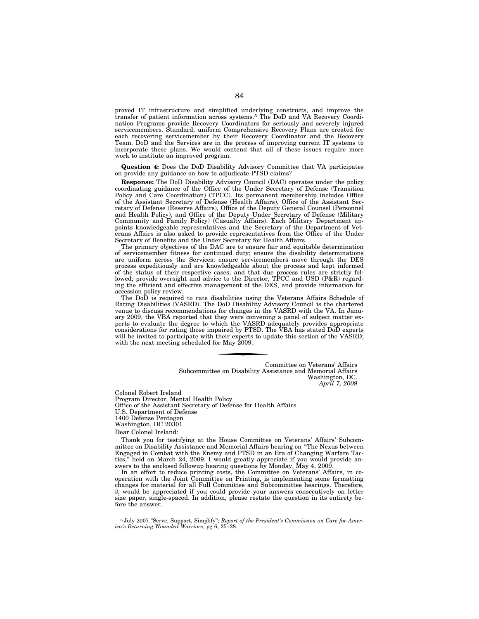proved IT infrastructure and simplified underlying constructs, and improve the transfer of patient information across systems.5 The DoD and VA Recovery Coordination Programs provide Recovery Coordinators for seriously and severely injured servicemembers. Standard, uniform Comprehensive Recovery Plans are created for each recovering servicemember by their Recovery Coordinator and the Recovery Team. DoD and the Services are in the process of improving current IT systems to incorporate these plans. We would contend that all of these issues require more work to institute an improved program.

**Question 4:** Does the DoD Disability Advisory Committee that VA participates on provide any guidance on how to adjudicate PTSD claims?

**Response:** The DoD Disability Advisory Council (DAC) operates under the policy coordinating guidance of the Office of the Under Secretary of Defense (Transition Policy and Care Coordination) (TPCC). Its permanent membership includes Office of the Assistant Secretary of Defense (Health Affairs), Office of the Assistant Secretary of Defense (Reserve Affairs), Office of the Deputy General Counsel (Personnel and Health Policy), and Office of the Deputy Under Secretary of Defense (Military Community and Family Policy) (Casualty Affairs). Each Military Department appoints knowledgeable representatives and the Secretary of the Department of Veterans Affairs is also asked to provide representatives from the Office of the Under Secretary of Benefits and the Under Secretary for Health Affairs.

The primary objectives of the DAC are to ensure fair and equitable determination of servicemember fitness for continued duty; ensure the disability determinations are uniform across the Services; ensure servicemembers move through the DES process expeditiously and are knowledgeable about the process and kept informed of the status of their respective cases, and that due process rules are strictly followed; provide oversight and advice to the Director, TPCC and USD (P&R) regarding the efficient and effective management of the DES, and provide information for accession policy review.

The DoD is required to rate disabilities using the Veterans Affairs Schedule of Rating Disabilities (VASRD). The DoD Disability Advisory Council is the chartered venue to discuss recommendations for changes in the VASRD with the VA. In January 2009, the VBA reported that they were convening a panel of subject matter experts to evaluate the degree to which the VASRD adequately provides appropriate considerations for rating those impaired by PTSD. The VBA has stated DoD experts will be invited to participate with their experts to update this section of the VASRD; with the next meeting scheduled for May 2009.

> Committee on Veterans' Affairs Subcommittee on Disability Assistance and Memorial Affairs Washington, DC. *April 7, 2009*

Colonel Robert Ireland Program Director, Mental Health Policy Office of the Assistant Secretary of Defense for Health Affairs U.S. Department of Defense 1400 Defense Pentagon Washington, DC 20301 Dear Colonel Ireland:

Thank you for testifying at the House Committee on Veterans' Affairs' Subcommittee on Disability Assistance and Memorial Affairs hearing on ''The Nexus between Engaged in Combat with the Enemy and PTSD in an Era of Changing Warfare Tactics,'' held on March 24, 2009. I would greatly appreciate if you would provide answers to the enclosed followup hearing questions by Monday, May 4, 2009.

In an effort to reduce printing costs, the Committee on Veterans' Affairs, in cooperation with the Joint Committee on Printing, is implementing some formatting changes for material for all Full Committee and Subcommittee hearings. Therefore, it would be appreciated if you could provide your answers consecutively on letter size paper, single-spaced. In addition, please restate the question in its entirety before the answer.

<sup>5</sup> July 2007 ''Serve, Support, Simplify''; *Report of the President's Commission on Care for Amer-ica's Returning Wounded Warriors*, pg 6, 25–28.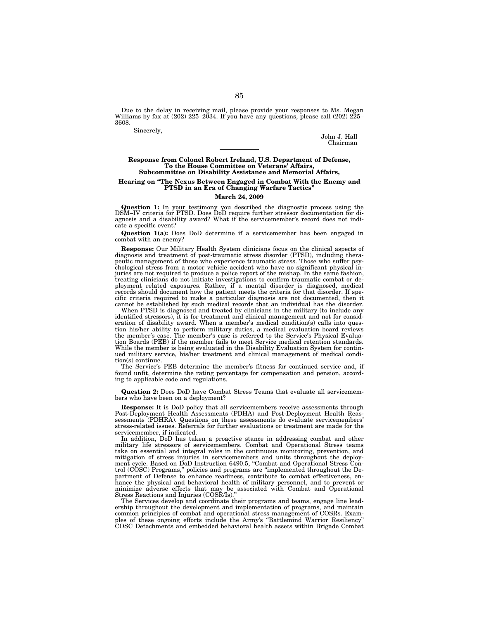Due to the delay in receiving mail, please provide your responses to Ms. Megan Williams by fax at (202) 225–2034. If you have any questions, please call (202) 225– 3608.

Sincerely,

John J. Hall Chairman

#### **Response from Colonel Robert Ireland, U.S. Department of Defense, To the House Committee on Veterans' Affairs, Subcommittee on Disability Assistance and Memorial Affairs,**

# **Hearing on ''The Nexus Between Engaged in Combat With the Enemy and PTSD in an Era of Changing Warfare Tactics''**

## **March 24, 2009**

**Question 1:** In your testimony you described the diagnostic process using the DSM–IV criteria for PTSD. Does DoD require further stressor documentation for diagnosis and a disability award? What if the servicemember's record does not indicate a specific event?

**Question 1(a):** Does DoD determine if a servicemember has been engaged in combat with an enemy?

**Response:** Our Military Health System clinicians focus on the clinical aspects of diagnosis and treatment of post-traumatic stress disorder (PTSD), including therapeutic management of those who experience traumatic stress. Those who suffer psychological stress from a motor vehicle accident who have no significant physical injuries are not required to produce a police report of the mishap. In the same fashion, treating clinicians do not initiate investigations to confirm traumatic combat or deployment related exposures. Rather, if a mental disorder is diagnosed, medical records should document how the patient meets the criteria for that disorder. If specific criteria required to make a particular diagnosis are not documented, then it cannot be established by such medical records that an individual has the disorder.

When PTSD is diagnosed and treated by clinicians in the military (to include any identified stressors), it is for treatment and clinical management and not for consideration of disability award. When a member's medical condition(s) calls into question his/her ability to perform military duties, a medical evaluation board reviews the member's case. The member's case is referred to the Service's Physical Evaluation Boards (PEB) if the member fails to meet Service medical retention standards. While the member is being evaluated in the Disability Evaluation System for continued military service, his/her treatment and clinical management of medical condition(s) continue.

The Service's PEB determine the member's fitness for continued service and, if found unfit, determine the rating percentage for compensation and pension, according to applicable code and regulations.

**Question 2:** Does DoD have Combat Stress Teams that evaluate all servicemembers who have been on a deployment?

**Response:** It is DoD policy that all servicemembers receive assessments through Post-Deployment Health Assessments (PDHA) and Post-Deployment Health Reassessments (PDHRA). Questions on these assessments do evaluate servicemembers' stress-related issues. Referrals for further evaluations or treatment are made for the servicemember, if indicated.

In addition, DoD has taken a proactive stance in addressing combat and other military life stressors of servicemembers. Combat and Operational Stress teams take on essential and integral roles in the continuous monitoring, prevention, and mitigation of stress injuries in servicemembers and units throughout the deployment cycle. Based on DoD Instruction 6490.5, ''Combat and Operational Stress Control (COSC) Programs,'' policies and programs are ''implemented throughout the Department of Defense to enhance readiness, contribute to combat effectiveness, enhance the physical and behavioral health of military personnel, and to prevent or minimize adverse effects that may be associated with Combat and Operational Stress Reactions and Injuries (COSR/Is).

The Services develop and coordinate their programs and teams, engage line leadership throughout the development and implementation of programs, and maintain common principles of combat and operational stress management of COSRs. Examples of these ongoing efforts include the Army's ''Battlemind Warrior Resiliency'' COSC Detachments and embedded behavioral health assets within Brigade Combat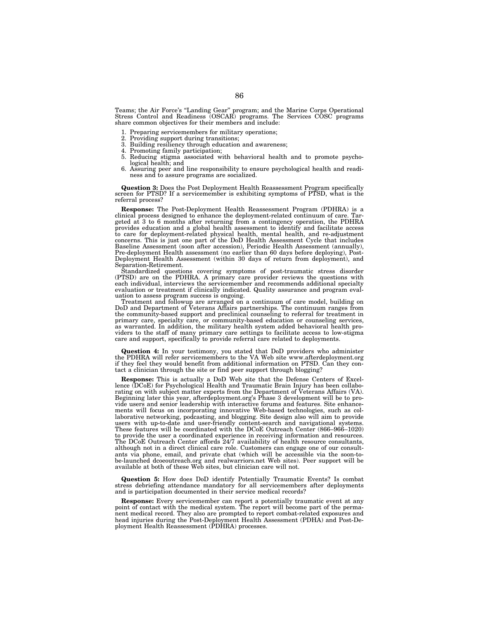Teams; the Air Force's ''Landing Gear'' program; and the Marine Corps Operational Stress Control and Readiness (OSCAR) programs. The Services COSC programs share common objectives for their members and include:

- Preparing servicemembers for military operations;
- 2. Providing support during transitions;
- 3. Building resiliency through education and awareness; 4. Promoting family participation;
- 5. Reducing stigma associated with behavioral health and to promote psychological health; and
- 6. Assuring peer and line responsibility to ensure psychological health and readiness and to assure programs are socialized.

**Question 3:** Does the Post Deployment Health Reassessment Program specifically screen for PTSD? If a servicemember is exhibiting symptoms of PTSD, what is the referral process?

**Response:** The Post-Deployment Health Reassessment Program (PDHRA) is a clinical process designed to enhance the deployment-related continuum of care. Targeted at 3 to 6 months after returning from a contingency operation, the PDHRA provides education and a global health assessment to identify and facilitate access to care for deployment-related physical health, mental health, and re-adjustment concerns. This is just one part of the DoD Health Assessment Cycle that includes Baseline Assessment (soon after accession), Periodic Health Assessment (annually), Pre-deployment Health assessment (no earlier than 60 days before deploying), Post-Deployment Health Assessment (within 30 days of return from deployment), and

Separation-Retirement. Standardized questions covering symptoms of post-traumatic stress disorder (PTSD) are on the PDHRA. A primary care provider reviews the questions with each individual, interviews the servicemember and recommends additional specialty evaluation or treatment if clinically indicated. Quality assurance and program evaluation to assess program success is ongoing.

Treatment and followup are arranged on a continuum of care model, building on DoD and Department of Veterans Affairs partnerships. The continuum ranges from the community-based support and preclinical counseling to referral for treatment in primary care, specialty care, or community-based education or counseling services, as warranted. In addition, the military health system added behavioral health providers to the staff of many primary care settings to facilitate access to low-stigma care and support, specifically to provide referral care related to deployments.

**Question 4:** In your testimony, you stated that DoD providers who administer the PDHRA will refer servicemembers to the VA Web site www.afterdeployment.org if they feel they would benefit from additional information on PT tact a clinician through the site or find peer support through blogging?

**Response:** This is actually a DoD Web site that the Defense Centers of Excellence (DCoE) for Psychological Health and Traumatic Brain Injury has been collaborating on with subject matter experts from the Department of Veterans Affairs (VA). Beginning later this year, afterdeployment.org's Phase 3 development will be to provide users and senior leadership with interactive forums and features. Site enhancements will focus on incorporating innovative Web-based technologies, such as collaborative networking, podcasting, and blogging. Site design also will aim to provide users with up-to-date and user-friendly content-search and navigational systems. These features will be coordinated with the DCoE Outreach Center (866–966–1020) to provide the user a coordinated experience in receiving information and resources. The DCoE Outreach Center affords 24/7 availability of health resource consultants, although not in a direct clinical care role. Customers can engage one of our consultants via phone, email, and private chat (which will be accessible via the soon-tobe-launched dcoeoutreach.org and realwarriors.net Web sites). Peer support will be available at both of these Web sites, but clinician care will not.

**Question 5:** How does DoD identify Potentially Traumatic Events? Is combat stress debriefing attendance mandatory for all servicemembers after deployments and is participation documented in their service medical records?

**Response:** Every servicemember can report a potentially traumatic event at any point of contact with the medical system. The report will become part of the permanent medical record. They also are prompted to report combat-related exposures and head injuries during the Post-Deployment Health Assessment (PDHA) and Post-Deployment Health Reassessment (PDHRA) processes.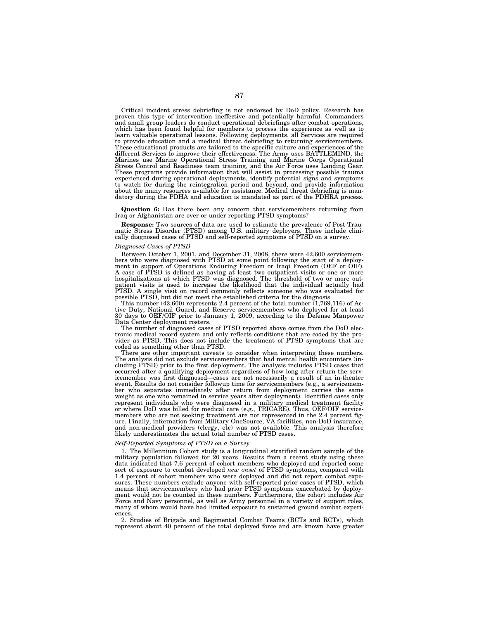Critical incident stress debriefing is not endorsed by DoD policy. Research has proven this type of intervention ineffective and potentially harmful. Commanders and small group leaders do conduct operational debriefings after combat operations, which has been found helpful for members to process the experience as well as to learn valuable operational lessons. Following deployments, all Services are required to provide education and a medical threat debriefing to returning servicemembers. These educational products are tailored to the specific culture and experiences of the different Services to improve their effectiveness. The Army uses BATTLEMIND, the Marines use Marine Operational Stress Training and Marine Corps Operational Stress Control and Readiness team training, and the Air Force uses Landing Gear. These programs provide information that will assist in processing possible trauma experienced during operational deployments, identify potential signs and symptoms to watch for during the reintegration period and beyond, and provide information about the many resources available for assistance. Medical threat debriefing is mandatory during the PDHA and education is mandated as part of the PDHRA process.

# **Question 6:** Has there been any concern that servicemembers returning from Iraq or Afghanistan are over or under reporting PTSD symptoms?

**Response:** Two sources of data are used to estimate the prevalence of Post-Traumatic Stress Disorder (PTSD) among U.S. military deployers. These include clini-cally diagnosed cases of PTSD and self-reported symptoms of PTSD on a survey.

# *Diagnosed Cases of PTSD*

Between October 1, 2001, and December 31, 2008, there were 42,600 servicemembers who were diagnosed with PTSD at some point following the start of a deploy-ment in support of Operations Enduring Freedom or Iraqi Freedom (OEF or OIF). A case of PTSD is defined as having at least two outpatient visits or one or more hospitalizations at which PTSD was diagnosed. The threshold of two or more outpatient visits is used to increase the likelihood that the individual actually had PTSD. A single visit on record commonly reflects someone who was evaluated for possible PTSD, but did not meet the established criteria for the diagnosis.

This number (42,600) represents 2.4 percent of the total number  $(1.769,116)$  of Active Duty, National Guard, and Reserve servicemembers who deployed for at least 30 days to OEF/OIF prior to January 1, 2009, according to the Defense Manpower Data Center deployment rosters.

The number of diagnosed cases of PTSD reported above comes from the DoD electronic medical record system and only reflects conditions that are coded by the provider as PTSD. This does not include the treatment of PTSD symptoms that are coded as something other than PTSD.

There are other important caveats to consider when interpreting these numbers. The analysis did not exclude servicemembers that had mental health encounters (including PTSD) prior to the first deployment. The analysis includes PTSD cases that occurred after a qualifying deployment regardless of how long after return the servicemember was first diagnosed—cases are not necessarily a result of an in-theater event. Results do not consider followup time for servicemembers (e.g., a servicemember who separates immediately after return from deployment carries the same weight as one who remained in service years after deployment). Identified cases only represent individuals who were diagnosed in a military medical treatment facility or where DoD was billed for medical care (e.g., TRICARE). Thus, OEF/OIF servicemembers who are not seeking treatment are not represented in the 2.4 percent figure. Finally, information from Military OneSource, VA facilities, non-DoD insurance, and non-medical providers (clergy, etc) was not available. This analysis therefore likely underestimates the actual total number of PTSD cases.

#### *Self-Reported Symptoms of PTSD on a Survey*

1. The Millennium Cohort study is a longitudinal stratified random sample of the military population followed for 20 years. Results from a recent study using these data indicated that 7.6 percent of cohort members who deployed and reported some sort of exposure to combat developed *new onset* of PTSD symptoms, compared with 1.4 percent of cohort members who were deployed and did not report combat exposures. These numbers exclude anyone with self-reported prior cases of PTSD, which means that servicemembers who had prior PTSD symptoms exacerbated by deployment would not be counted in these numbers. Furthermore, the cohort includes Air Force and Navy personnel, as well as Army personnel in a variety of support roles, many of whom would have had limited exposure to sustained ground combat experiences.

2. Studies of Brigade and Regimental Combat Teams (BCTs and RCTs), which represent about 40 percent of the total deployed force and are known have greater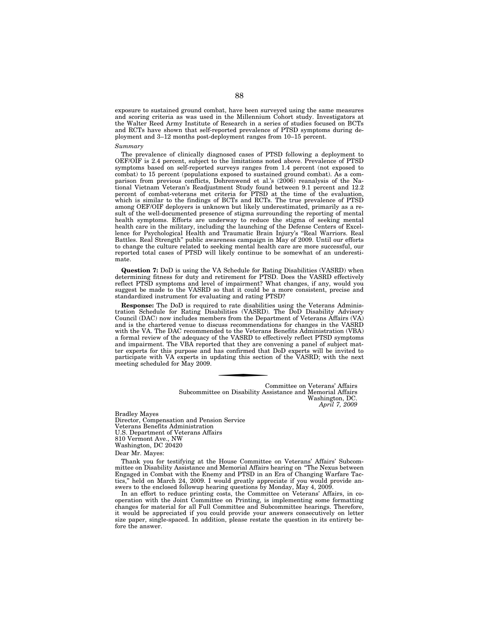exposure to sustained ground combat, have been surveyed using the same measures and scoring criteria as was used in the Millennium Cohort study. Investigators at the Walter Reed Army Institute of Research in a series of studies focused on BCTs and RCTs have shown that self-reported prevalence of PTSD symptoms during deployment and 3–12 months post-deployment ranges from 10–15 percent.

#### *Summary*

The prevalence of clinically diagnosed cases of PTSD following a deployment to OEF/OIF is 2.4 percent, subject to the limitations noted above. Prevalence of PTSD symptoms based on self-reported surveys ranges from 1.4 percent (not exposed to combat) to 15 percent (populations exposed to sustained ground combat). As a comparison from previous conflicts, Dohrenwend et al.'s (2006) reanalysis of the National Vietnam Veteran's Readjustment Study found between 9.1 percent and 12.2 percent of combat-veterans met criteria for PTSD at the time of the evaluation, which is similar to the findings of BCTs and RCTs. The true prevalence of PTSD among OEF/OIF deployers is unknown but likely underestimated, primarily as a result of the well-documented presence of stigma surrounding the reporting of mental health symptoms. Efforts are underway to reduce the stigma of seeking mental health care in the military, including the launching of the Defense Centers of Excellence for Psychological Health and Traumatic Brain Injury's ''Real Warriors. Real Battles. Real Strength'' public awareness campaign in May of 2009. Until our efforts to change the culture related to seeking mental health care are more successful, our reported total cases of PTSD will likely continue to be somewhat of an underestimate.

**Question 7:** DoD is using the VA Schedule for Rating Disabilities (VASRD) when determining fitness for duty and retirement for PTSD. Does the VASRD effectively reflect PTSD symptoms and level of impairment? What changes, if any, would you suggest be made to the VASRD so that it could be a more consistent, precise and standardized instrument for evaluating and rating PTSD?

**Response:** The DoD is required to rate disabilities using the Veterans Administration Schedule for Rating Disabilities (VASRD). The DoD Disability Advisory Council (DAC) now includes members from the Department of Veterans Affairs (VA) and is the chartered venue to discuss recommendations for changes in the VASRD with the VA. The DAC recommended to the Veterans Benefits Administration (VBA) a formal review of the adequacy of the VASRD to effectively reflect PTSD symptoms and impairment. The VBA reported that they are convening a panel of subject matter experts for this purpose and has confirmed that DoD experts will be invited to participate with VA experts in updating this section of the VASRD; with the next meeting scheduled for May 2009.

> Committee on Veterans' Affairs Subcommittee on Disability Assistance and Memorial Affairs Washington, DC. *April 7, 2009*

Bradley Mayes Director, Compensation and Pension Service Veterans Benefits Administration U.S. Department of Veterans Affairs 810 Vermont Ave., NW Washington, DC 20420

Dear Mr. Mayes:

Thank you for testifying at the House Committee on Veterans' Affairs' Subcommittee on Disability Assistance and Memorial Affairs hearing on ''The Nexus between Engaged in Combat with the Enemy and PTSD in an Era of Changing Warfare Tactics,'' held on March 24, 2009. I would greatly appreciate if you would provide answers to the enclosed followup hearing questions by Monday, May 4, 2009.

In an effort to reduce printing costs, the Committee on Veterans' Affairs, in cooperation with the Joint Committee on Printing, is implementing some formatting changes for material for all Full Committee and Subcommittee hearings. Therefore, it would be appreciated if you could provide your answers consecutively on letter size paper, single-spaced. In addition, please restate the question in its entirety before the answer.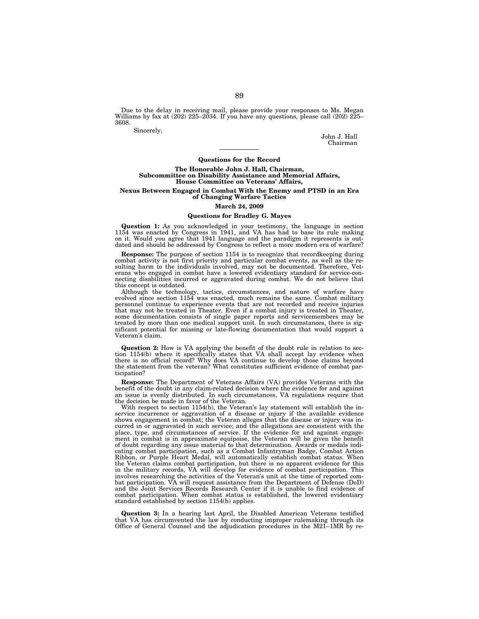Due to the delay in receiving mail, please provide your responses to Ms. Megan Williams by fax at (202) 225–2034. If you have any questions, please call (202) 225– 3608.

Sincerely,

John J. Hall Chairman

# **Questions for the Record**

#### **The Honorable John J. Hall, Chairman, Subcommittee on Disability Assistance and Memorial Affairs, House Committee on Veterans' Affairs,**

## **Nexus Between Engaged in Combat With the Enemy and PTSD in an Era of Changing Warfare Tactics**

#### **March 24, 2009**

#### **Questions for Bradley G. Mayes**

**Question 1:** As you acknowledged in your testimony, the language in section 1154 was enacted by Congress in 1941, and VA has had to base its rule making on it. Would you agree that 1941 language and the paradigm it represents is outdated and should be addressed by Congress to reflect a more modern era of warfare?

**Response:** The purpose of section 1154 is to recognize that recordkeeping during combat activity is not first priority and particular combat events, as well as the resulting harm to the individuals involved, may not be documented. Therefore, Veterans who engaged in combat have a lowered evidentiary standard for service-connecting disabilities incurred or aggravated during combat. We do not believe that this concept is outdated.

Although the technology, tactics, circumstances, and nature of warfare have evolved since section 1154 was enacted, much remains the same. Combat military personnel continue to experience events that are not recorded and receive injuries that may not be treated in Theater. Even if a combat injury is treated in Theater, some documentation consists of single paper reports and servicemembers may be treated by more than one medical support unit. In such circumstances, there is significant potential for missing or late-flowing documentation that would support a Veteran's claim.

**Question 2:** How is VA applying the benefit of the doubt rule in relation to section 1154(b) where it specifically states that VA shall accept lay evidence when there is no official record? Why does VA continue to develop those claims beyond the statement from the veteran? What constitutes sufficient evidence of combat participation?

**Response:** The Department of Veterans Affairs (VA) provides Veterans with the benefit of the doubt in any claim-related decision where the evidence for and against an issue is evenly distributed. In such circumstances, VA regulations require that the decision be made in favor of the Veteran.

With respect to section 1154(b), the Veteran's lay statement will establish the inservice incurrence or aggravation of a disease or injury if the available evidence shows engagement in combat; the Veteran alleges that the disease or injury was incurred in or aggravated in such service; and the allegations are consistent with the place, type, and circumstances of service. If the evidence for and against engagement in combat is in approximate equipoise, the Veteran will be given the benefit of doubt regarding any issue material to that determination. Awards or medals indicating combat participation, such as a Combat Infantryman Badge, Combat Action Ribbon, or Purple Heart Medal, will automatically establish combat status. When the Veteran claims combat participation, but there is no apparent evidence for this in the military records, VA will develop for evidence of combat participation. This involves researching the activities of the Veteran's unit at the time of reported combat participation. VA will request assistance from the Department of Defense (DoD) and the Joint Services Records Research Center if it is unable to find evidence of combat participation. When combat status is established, the lowered evidentiary standard established by section 1154(b) applies.

**Question 3:** In a hearing last April, the Disabled American Veterans testified that VA has circumvented the law by conducting improper rulemaking through its Office of General Counsel and the adjudication procedures in the M21–1MR by re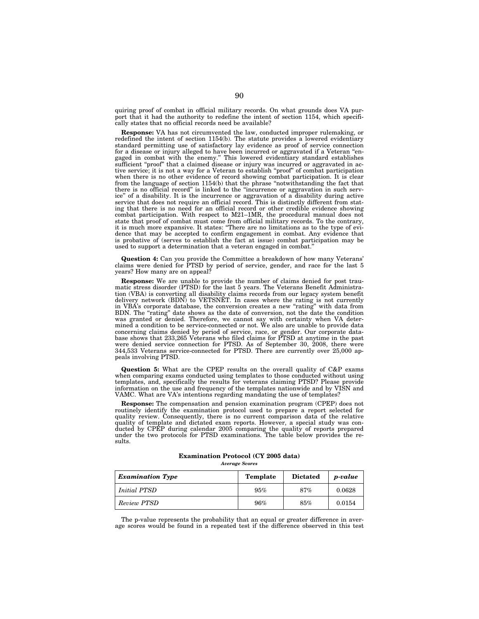quiring proof of combat in official military records. On what grounds does VA purport that it had the authority to redefine the intent of section 1154, which specifically states that no official records need be available?

**Response:** VA has not circumvented the law, conducted improper rulemaking, or redefined the intent of section 1154(b). The statute provides a lowered evidentiary standard permitting use of satisfactory lay evidence as proof of service connection for a disease or injury alleged to have been incurred or aggravated if a Veteran ''engaged in combat with the enemy.'' This lowered evidentiary standard establishes sufficient "proof" that a claimed disease or injury was incurred or aggravated in active service; it is not a way for a Veteran to establish ''proof'' of combat participation when there is no other evidence of record showing combat participation. It is clear from the language of section 1154(b) that the phrase ''notwithstanding the fact that there is no official record'' is linked to the ''incurrence or aggravation in such service'' of a disability. It is the incurrence or aggravation of a disability during active service that does not require an official record. This is distinctly different from stating that there is no need for an official record or other credible evidence showing combat participation. With respect to M21–1MR, the procedural manual does not state that proof of combat must come from official military records. To the contrary, it is much more expansive. It states: ''There are no limitations as to the type of evidence that may be accepted to confirm engagement in combat. Any evidence that is probative of (serves to establish the fact at issue) combat participation may be used to support a determination that a veteran engaged in combat.''

**Question 4:** Can you provide the Committee a breakdown of how many Veterans' claims were denied for PTSD by period of service, gender, and race for the last 5 years? How many are on appeal?

**Response:** We are unable to provide the number of claims denied for post traumatic stress disorder (PTSD) for the last 5 years. The Veterans Benefit Administration (VBA) is converting all disability claims records from our legacy system benefit delivery network (BDN) to VETSNET. In cases where the rating is not currently in VBA's corporate database, the conversion creates a new ''rating'' with data from BDN. The ''rating'' date shows as the date of conversion, not the date the condition was granted or denied. Therefore, we cannot say with certainty when VA determined a condition to be service-connected or not. We also are unable to provide data concerning claims denied by period of service, race, or gender. Our corporate database shows that 233,265 Veterans who filed claims for PTSD at anytime in the past were denied service connection for PTSD. As of September 30, 2008, there were 344,533 Veterans service-connected for PTSD. There are currently over 25,000 appeals involving PTSD.

**Question 5:** What are the CPEP results on the overall quality of C&P exams when comparing exams conducted using templates to those conducted without using templates, and, specifically the results for veterans claiming PTSD? Please provide information on the use and frequency of the templates nationwide and by VISN and VAMC. What are VA's intentions regarding mandating the use of templates?

**Response:** The compensation and pension examination program (CPEP) does not routinely identify the examination protocol used to prepare a report selected for quality review. Consequently, there is no current comparison data of the relative quality of template and dictated exam reports. However, a special study was conducted by CPEP during calendar 2005 comparing the quality of reports prepared under the two protocols for PTSD examinations. The table below provides the results.

# **Examination Protocol (CY 2005 data)**

*Average Scores* 

| <b>Examination Type</b> | Template | <b>Dictated</b> | <i>p-value</i> |
|-------------------------|----------|-----------------|----------------|
| <i>Initial PTSD</i>     | 95%      | 87%             | 0.0628         |
| Review PTSD             | 96%      | 85%             | 0.0154         |

The p-value represents the probability that an equal or greater difference in average scores would be found in a repeated test if the difference observed in this test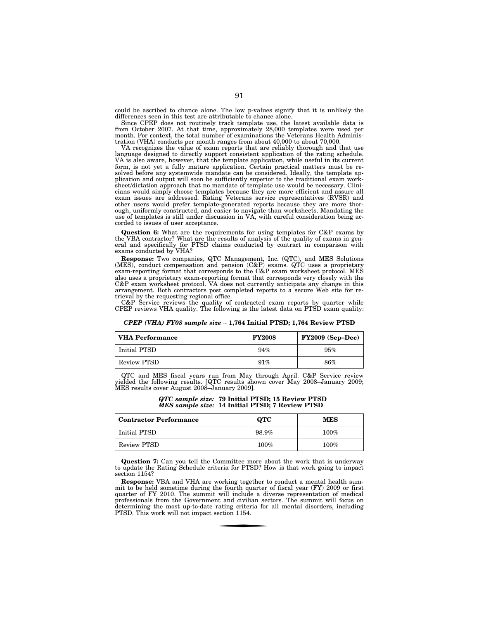could be ascribed to chance alone. The low p-values signify that it is unlikely the differences seen in this test are attributable to chance alone.

Since CPEP does not routinely track template use, the latest available data is from October 2007. At that time, approximately 28,000 templates were used per month. For context, the total number of examinations the Veterans Health Administration (VHA) conducts per month ranges from about 40,000 to about 70,000.

VA recognizes the value of exam reports that are reliably thorough and that use language designed to directly support consistent application of the rating schedule. VA is also aware, however, that the template application, while useful in its current form, is not yet a fully mature application. Certain practical matters must be resolved before any systemwide mandate can be considered. Ideally, the template application and output will soon be sufficiently superior to the traditional exam worksheet/dictation approach that no mandate of template use would be necessary. Clinicians would simply choose templates because they are more efficient and assure all exam issues are addressed. Rating Veterans service representatives (RVSR) and other users would prefer template-generated reports because they are more thorough, uniformly constructed, and easier to navigate than worksheets. Mandating the use of templates is still under discussion in VA, with careful consideration being accorded to issues of user acceptance.

**Question 6:** What are the requirements for using templates for C&P exams by the VBA contractor? What are the results of analysis of the quality of exams in general and specifically for PTSD claims conducted by contract in comparison with exams conducted by VHA?

**Response:** Two companies, QTC Management, Inc. (QTC), and MES Solutions (MES), conduct compensation and pension (C&P) exams. QTC uses a proprietary exam-reporting format that corresponds to the C&P exam worksheet protocol. MES also uses a proprietary exam-reporting format that corresponds very closely with the C&P exam worksheet protocol. VA does not currently anticipate any change in this arrangement. Both contractors post completed reports to a secure Web site for retrieval by the requesting regional office.

C&P Service reviews the quality of contracted exam reports by quarter while CPEP reviews VHA quality. The following is the latest data on PTSD exam quality:

| <b>VHA Performance</b> | <b>FY2008</b> | $FY2009$ (Sep-Dec) |
|------------------------|---------------|--------------------|
| Initial PTSD           | 94%           | 95%                |
| Review PTSD            | 91%           | 86%                |

*CPEP (VHA) FY08 sample size* ∼ **1,764 Initial PTSD; 1,764 Review PTSD** 

QTC and MES fiscal years run from May through April. C&P Service review yielded the following results. [QTC results shown cover May 2008–January 2009; MES results cover August 2008–January 2009].

| QTC sample size: 79 Initial PTSD; 15 Review PTSD |
|--------------------------------------------------|
| MES sample size: 14 Initial PTSD; 7 Review PTSD  |

| Contractor Performance | отс   | <b>MES</b> |
|------------------------|-------|------------|
| Initial PTSD           | 98.9% | $100\%$    |
| Review PTSD            | 100%  | $100\%$    |

**Question 7:** Can you tell the Committee more about the work that is underway to update the Rating Schedule criteria for PTSD? How is that work going to impact section 1154?

**Response:** VBA and VHA are working together to conduct a mental health summit to be held sometime during the fourth quarter of fiscal year (FY) 2009 or first quarter of FY 2010. The summit will include a diverse representation of medical professionals from the Government and civilian sectors. The summit will focus on determining the most up-to-date rating criteria for all mental disorders, including PTSD. This work will not impact section 1154.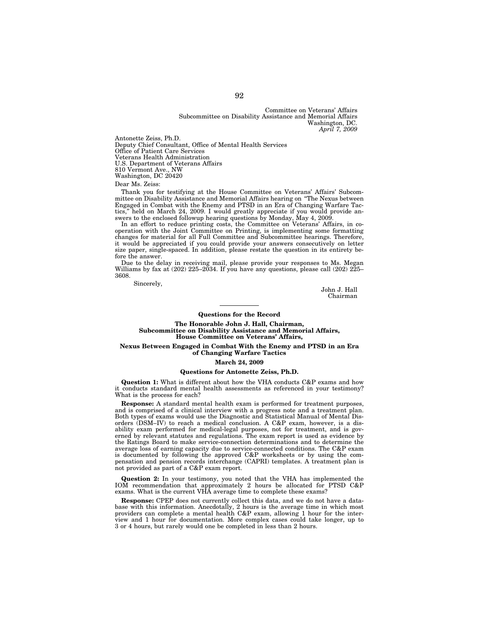Committee on Veterans' Affairs Subcommittee on Disability Assistance and Memorial Affairs Washington, DC. *April 7, 2009* 

Antonette Zeiss, Ph.D. Deputy Chief Consultant, Office of Mental Health Services Office of Patient Care Services Veterans Health Administration U.S. Department of Veterans Affairs 810 Vermont Ave., NW Washington, DC 20420

Dear Ms. Zeiss:

Thank you for testifying at the House Committee on Veterans' Affairs' Subcommittee on Disability Assistance and Memorial Affairs hearing on ''The Nexus between Engaged in Combat with the Enemy and PTSD in an Era of Changing Warfare Tactics,'' held on March 24, 2009. I would greatly appreciate if you would provide answers to the enclosed followup hearing questions by Monday, May 4, 2009.

In an effort to reduce printing costs, the Committee on Veterans' Affairs, in cooperation with the Joint Committee on Printing, is implementing some formatting changes for material for all Full Committee and Subcommittee hearings. Therefore, it would be appreciated if you could provide your answers consecutively on letter size paper, single-spaced. In addition, please restate the question in its entirety before the answer.

Due to the delay in receiving mail, please provide your responses to Ms. Megan Williams by fax at (202) 225-2034. If you have any questions, please call (202) 225-3608.

Sincerely,

John J. Hall Chairman

#### **Questions for the Record**

**The Honorable John J. Hall, Chairman, Subcommittee on Disability Assistance and Memorial Affairs, House Committee on Veterans' Affairs,** 

# **Nexus Between Engaged in Combat With the Enemy and PTSD in an Era of Changing Warfare Tactics**

#### **March 24, 2009**

#### **Questions for Antonette Zeiss, Ph.D.**

**Question 1:** What is different about how the VHA conducts C&P exams and how it conducts standard mental health assessments as referenced in your testimony? What is the process for each?

**Response:** A standard mental health exam is performed for treatment purposes, and is comprised of a clinical interview with a progress note and a treatment plan. Both types of exams would use the Diagnostic and Statistical Manual of Mental Disorders (DSM–IV) to reach a medical conclusion. A C&P exam, however, is a disability exam performed for medical-legal purposes, not for treatment, and is governed by relevant statutes and regulations. The exam report is used as evidence by the Ratings Board to make service-connection determinations and to determine the average loss of earning capacity due to service-connected conditions. The C&P exam is documented by following the approved C&P worksheets or by using the compensation and pension records interchange (CAPRI) templates. A treatment plan is not provided as part of a C&P exam report.

**Question 2:** In your testimony, you noted that the VHA has implemented the IOM recommendation that approximately 2 hours be allocated for PTSD C&P exams. What is the current VHA average time to complete these exams?

**Response:** CPEP does not currently collect this data, and we do not have a database with this information. Anecdotally, 2 hours is the average time in which most providers can complete a mental health C&P exam, allowing 1 hour for the interview and 1 hour for documentation. More complex cases could take longer, up to 3 or 4 hours, but rarely would one be completed in less than 2 hours.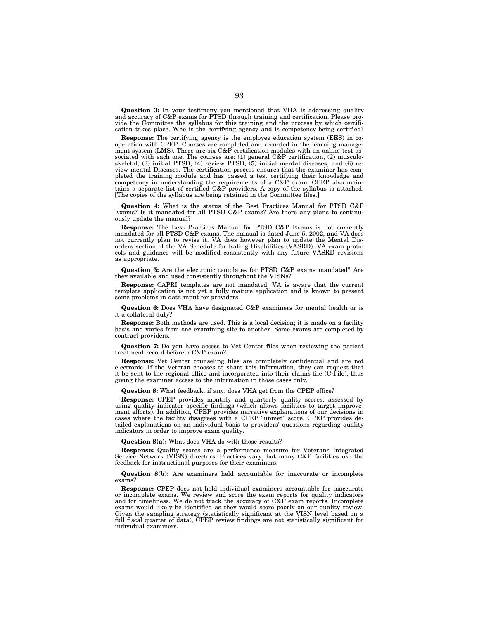**Question 3:** In your testimony you mentioned that VHA is addressing quality and accuracy of C&P exams for PTSD through training and certification. Please provide the Committee the syllabus for this training and the process by which certification takes place. Who is the certifying agency and is competency being certified?

**Response:** The certifying agency is the employee education system (EES) in cooperation with CPEP. Courses are completed and recorded in the learning management system (LMS). There are six C&P certification modules with an online test associated with each one. The courses are: (1) general C&P certification, (2) musculoskeletal, (3) initial PTSD, (4) review PTSD, (5) initial mental diseases, and (6) review mental Diseases. The certification process ensures that the examiner has completed the training module and has passed a test certifying their knowledge and competency in understanding the requirements of a C&P exam. CPEP also maintains a separate list of certified C&P providers. A copy of the syllabus is attached. [The copies of the syllabus are being retained in the Committee files.]

**Question 4:** What is the status of the Best Practices Manual for PTSD C&P Exams? Is it mandated for all PTSD C&P exams? Are there any plans to continuously update the manual?

**Response:** The Best Practices Manual for PTSD C&P Exams is not currently mandated for all PTSD C&P exams. The manual is dated June 5, 2002, and VA does not currently plan to revise it. VA does however plan to update the Mental Disorders section of the VA Schedule for Rating Disabilities (VASRD). VA exam protocols and guidance will be modified consistently with any future VASRD revisions as appropriate.

**Question 5:** Are the electronic templates for PTSD C&P exams mandated? Are they available and used consistently throughout the VISNs?

**Response:** CAPRI templates are not mandated. VA is aware that the current template application is not yet a fully mature application and is known to present some problems in data input for providers.

**Question 6:** Does VHA have designated C&P examiners for mental health or is it a collateral duty?

**Response:** Both methods are used. This is a local decision; it is made on a facility basis and varies from one examining site to another. Some exams are completed by contract providers.

**Question 7:** Do you have access to Vet Center files when reviewing the patient treatment record before a C&P exam?

**Response:** Vet Center counseling files are completely confidential and are not electronic. If the Veteran chooses to share this information, they can request that it be sent to the regional office and incorporated into their claims file (C-File), thus giving the examiner access to the information in those cases only.

**Question 8:** What feedback, if any, does VHA get from the CPEP office?

**Response:** CPEP provides monthly and quarterly quality scores, assessed by using quality indicator specific findings (which allows facilities to target improvement efforts). In addition, CPEP provides narrative explanations of our decisions in cases where the facility disagrees with a CPEP ''unmet'' score. CPEP provides detailed explanations on an individual basis to providers' questions regarding quality indicators in order to improve exam quality.

**Question 8(a):** What does VHA do with those results?

**Response:** Quality scores are a performance measure for Veterans Integrated Service Network (VISN) directors. Practices vary, but many C&P facilities use the feedback for instructional purposes for their examiners.

**Question 8(b):** Are examiners held accountable for inaccurate or incomplete exams?

**Response:** CPEP does not hold individual examiners accountable for inaccurate or incomplete exams. We review and score the exam reports for quality indicators and for timeliness. We do not track the accuracy of  $C\&P$  exam reports. Incomplete exams would likely be identified as they would score poorly on our quality review. Given the sampling strategy (statistically significant at the VISN level based on a full fiscal quarter of data), CPEP review findings are not statistically significant for individual examiners.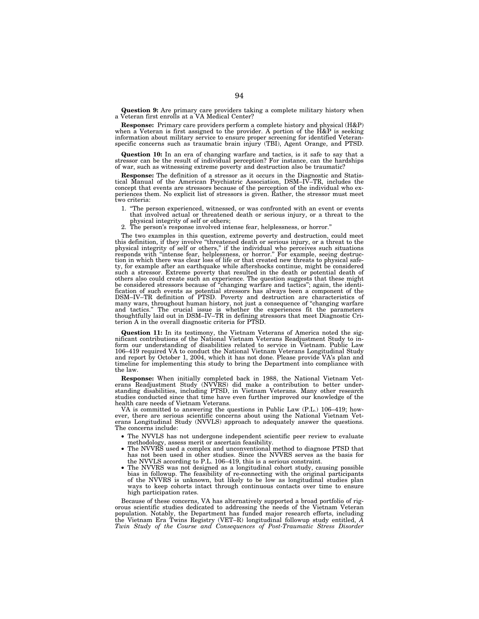**Question 9:** Are primary care providers taking a complete military history when a Veteran first enrolls at a VA Medical Center?

**Response:** Primary care providers perform a complete history and physical (H&P) when a Veteran is first assigned to the provider. A portion of the  $H\&P$  is seeking information about military service to ensure proper screening for identified Veteranspecific concerns such as traumatic brain injury (TBI), Agent Orange, and PTSD.

**Question 10:** In an era of changing warfare and tactics, is it safe to say that a stressor can be the result of individual perception? For instance, can the hardships of war, such as witnessing extreme poverty and destruction also be traumatic?

**Response:** The definition of a stressor as it occurs in the Diagnostic and Statis-tical Manual of the American Psychiatric Association, DSM–IV–TR, includes the concept that events are stressors because of the perception of the individual who experiences them. No explicit list of stressors is given. Rather, the stressor must meet two criteria:

- 1. ''The person experienced, witnessed, or was confronted with an event or events that involved actual or threatened death or serious injury, or a threat to the
- physical integrity of self or others; 2. The person's response involved intense fear, helplessness, or horror.''

The two examples in this question, extreme poverty and destruction, could meet this definition, if they involve ''threatened death or serious injury, or a threat to the physical integrity of self or others," if the individual who perceives such situations<br>responds with "intense fear, helplessness, or horror." For example, seeing destruction in which there was clear loss of life or that created new threats to physical safety, for example after an earthquake while aftershocks continue, might be considered such a stressor. Extreme poverty that resulted in the death or potential death of<br>others also could create such an experience. The question suggests that these might<br>be considered stressors because of "changing warfare and DSM-IV-TR definition of PTSD. Poverty and destruction are characteristics of many wars, throughout human history, not just a consequence of "changing warfare and tactics." The crucial issue is whether the experiences fit t

**Question 11:** In its testimony, the Vietnam Veterans of America noted the significant contributions of the National Vietnam Veterans Readjustment Study to inform our understanding of disabilities related to service in Vie 106–419 required VA to conduct the National Vietnam Veterans Longitudinal Study and report by October 1, 2004, which it has not done. Please provide VA's plan and timeline for implementing this study to bring the Department into compliance with the law.

**Response:** When initially completed back in 1988, the National Vietnam Veterans Readjustment Study (NVVRS) did make a contribution to better under-standing disabilities, including PTSD, in Vietnam Veterans. Many other research studies conducted since that time have even further improved our knowledge of the health care needs of Vietnam Veterans.

VA is committed to answering the questions in Public Law (P.L.) 106–419; however, there are serious scientific concerns about using the National Vietnam Vet-erans Longitudinal Study (NVVLS) approach to adequately answer the questions. The concerns include:

- The NVVLS has not undergone independent scientific peer review to evaluate methodology, assess merit or ascertain feasibility.
- The NVVRS used a complex and unconventional method to diagnose PTSD that has not been used in other studies. Since the NVVRS serves as the basis for the NVVLS according to P.L. 106–419, this is a serious constraint.
- The NVVRS was not designed as a longitudinal cohort study, causing possible bias in followup. The feasibility of re-connecting with the original participants of the NVVRS is unknown, but likely to be low as longitudinal studies plan ways to keep cohorts intact through continuous contacts over time to ensure high participation rates.

Because of these concerns, VA has alternatively supported a broad portfolio of rigorous scientific studies dedicated to addressing the needs of the Vietnam Veteran population. Notably, the Department has funded major research efforts, including the Vietnam Era Twins Registry (VET–R) longitudinal followup study entitled, *A Twin Study of the Course and Consequences of Post-Traumatic Stress Disorder*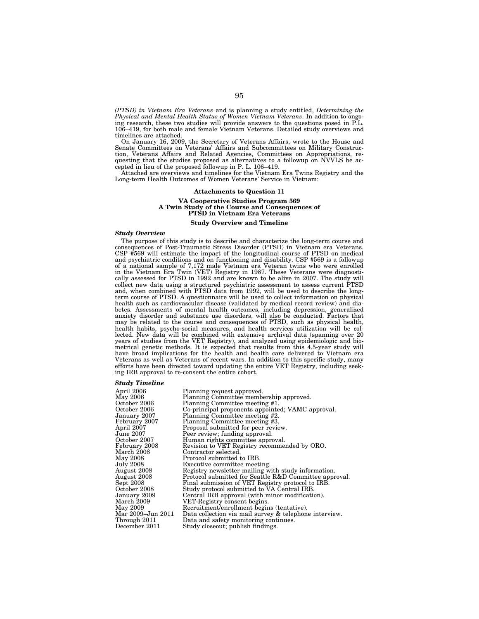*(PTSD) in Vietnam Era Veterans* and is planning a study entitled, *Determining the Physical and Mental Health Status of Women Vietnam Veterans*. In addition to ongoing research, these two studies will provide answers to the questions posed in P.L. 106–419, for both male and female Vietnam Veterans. Detailed study overviews and timelines are attached.

On January 16, 2009, the Secretary of Veterans Affairs, wrote to the House and Senate Committees on Veterans' Affairs and Subcommittees on Military Construction, Veterans Affairs and Related Agencies, Committees on Appropriations, requesting that the studies proposed as alternatives to a followup on NVVLS be accepted in lieu of the proposed followup in P. L. 106–419.

Attached are overviews and timelines for the Vietnam Era Twins Registry and the Long-term Health Outcomes of Women Veterans' Service in Vietnam:

# **Attachments to Question 11**

# **VA Cooperative Studies Program 569 A Twin Study of the Course and Consequences of PTSD in Vietnam Era Veterans Study Overview and Timeline**

# *Study Overview*

The purpose of this study is to describe and characterize the long-term course and consequences of Post-Traumatic Stress Disorder (PTSD) in Vietnam era Veterans. CSP #569 will estimate the impact of the longitudinal course of PTSD on medical and psychiatric conditions and on functioning and disability. CSP #569 is a followup of a national sample of 7,172 male Vietnam era Veteran twins who were enrolled in the Vietnam Era Twin (VET) Registry in 1987. These Veterans were diagnostically assessed for PTSD in 1992 and are known to be alive in 2007. The study will collect new data using a structured psychiatric assessment to assess current PTSD and, when combined with PTSD data from 1992, will be used to describe the longterm course of PTSD. A questionnaire will be used to collect information on physical health such as cardiovascular disease (validated by medical record review) and diabetes. Assessments of mental health outcomes, including depression, generalized anxiety disorder and substance use disorders, will also be conducted. Factors that may be related to the course and consequences of PTSD, such as physical health, health habits, psycho-social measures, and health services utilization will be collected. New data will be combined with extensive archival data (spanning over 20 years of studies from the VET Registry), and analyzed using epidemiologic and biometrical genetic methods. It is expected that results from this 4.5-year study will have broad implications for the health and health care delivered to Vietnam era Veterans as well as Veterans of recent wars. In addition to this specific study, many efforts have been directed toward updating the entire VET Registry, including seeking IRB approval to re-consent the entire cohort.

# *Study Timeline*

| April 2006        | Planning request approved.                             |
|-------------------|--------------------------------------------------------|
| May 2006          | Planning Committee membership approved.                |
| October 2006      | Planning Committee meeting #1.                         |
| October 2006      | Co-principal proponents appointed; VAMC approval.      |
| January 2007      | Planning Committee meeting #2.                         |
| February 2007     | Planning Committee meeting #3.                         |
| April 2007        | Proposal submitted for peer review.                    |
| June 2007         | Peer review; funding approval.                         |
| October 2007      | Human rights committee approval.                       |
| February 2008     | Revision to VET Registry recommended by ORO.           |
| March 2008        | Contractor selected.                                   |
| May 2008          | Protocol submitted to IRB.                             |
| July 2008         | Executive committee meeting.                           |
| August 2008       | Registry newsletter mailing with study information.    |
| August 2008       | Protocol submitted for Seattle R&D Committee approval. |
| Sept 2008         | Final submission of VET Registry protocol to IRB.      |
| October 2008      | Study protocol submitted to VA Central IRB.            |
| January 2009      | Central IRB approval (with minor modification).        |
| March 2009        | VET-Registry consent begins.                           |
| May 2009          | Recruitment/enrollment begins (tentative).             |
| Mar 2009–Jun 2011 | Data collection via mail survey & telephone interview. |
| Through 2011      | Data and safety monitoring continues.                  |
| December 2011     | Study closeout; publish findings.                      |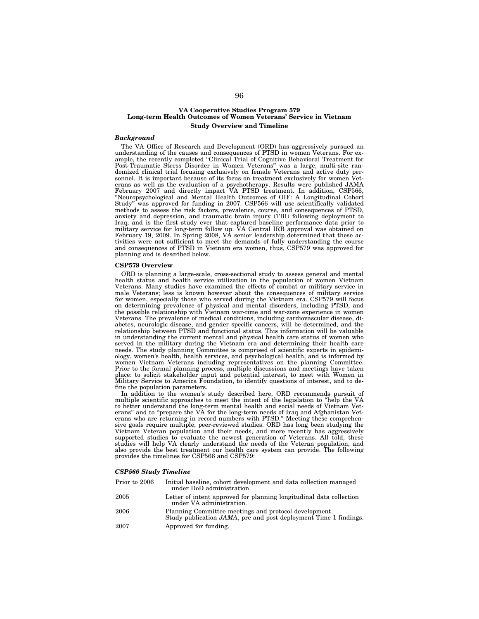# **VA Cooperative Studies Program 579 Long-term Health Outcomes of Women Veterans' Service in Vietnam Study Overview and Timeline**

# *Background*

The VA Office of Research and Development (ORD) has aggressively pursued an understanding of the causes and consequences of PTSD in women Veterans. For example, the recently completed ''Clinical Trial of Cognitive Behavioral Treatment for Post-Traumatic Stress Disorder in Women Veterans'' was a large, multi-site randomized clinical trial focusing exclusively on female Veterans and active duty personnel. It is important because of its focus on treatment exclusively for women Veterans as well as the evaluation of a psychotherapy. Results were published JAMA February 2007 and directly impact VA PTSD treatment. In addition, CSP566, ''Neuropsychological and Mental Health Outcomes of OIF: A Longitudinal Cohort Study'' was approved for funding in 2007. CSP566 will use scientifically validated methods to assess the risk factors, prevalence, course, and consequences of PTSD, anxiety and depression, and traumatic brain injury (TBI) following deployment to Iraq, and is the first study ever that captured baseline performance data prior to military service for long-term follow up. VA Central IRB approval was obtained on February 19, 2009. In Spring 2008, VA senior leadership determined that these activities were not sufficient to meet the demands of fully understanding the course and consequences of PTSD in Vietnam era women, thus, CSP579 was approved for planning and is described below.

## **CSP579 Overview**

ORD is planning a large-scale, cross-sectional study to assess general and mental health status and health service utilization in the population of women Vietnam Veterans. Many studies have examined the effects of combat or military service in male Veterans; less is known however about the consequences of military service for women, especially those who served during the Vietnam era. CSP579 will focus on determining prevalence of physical and mental disorders, including PTSD, and the possible relationship with Vietnam war-time and war-zone experience in women Veterans. The prevalence of medical conditions, including cardiovascular disease, diabetes, neurologic disease, and gender specific cancers, will be determined, and the relationship between PTSD and functional status. This information will be valuable in understanding the current mental and physical health care status of women who served in the military during the Vietnam era and determining their health care needs. The study planning Committee is comprised of scientific experts in epidemiology, women's health, health services, and psychological health, and is informed by women Vietnam Veterans including representatives on the planning Committee. Prior to the formal planning process, multiple discussions and meetings have taken place: to solicit stakeholder input and potential interest, to meet with Women in Military Service to America Foundation, to identify questions of interest, and to define the population parameters.

In addition to the women's study described here, ORD recommends pursuit of multiple scientific approaches to meet the intent of the legislation to ''help the VA to better understand the long-term mental health and social needs of Vietnam Veterans'' and to ''prepare the VA for the long-term needs of Iraq and Afghanistan Veterans who are returning in record numbers with PTSD.'' Meeting these comprehensive goals require multiple, peer-reviewed studies. ORD has long been studying the Vietnam Veteran population and their needs, and more recently has aggressively supported studies to evaluate the newest generation of Veterans. All told, these studies will help VA clearly understand the needs of the Veteran population, and also provide the best treatment our health care system can provide. The following provides the timelines for CSP566 and CSP579:

# *CSP566 Study Timeline*

| Prior to 2006 | Initial baseline, cohort development and data collection managed<br>under DoD administration.                             |
|---------------|---------------------------------------------------------------------------------------------------------------------------|
| 2005          | Letter of intent approved for planning longitudinal data collection<br>under VA administration.                           |
| 2006          | Planning Committee meetings and protocol development.<br>Study publication JAMA, pre and post deployment Time 1 findings. |
| 2007          | Approved for funding.                                                                                                     |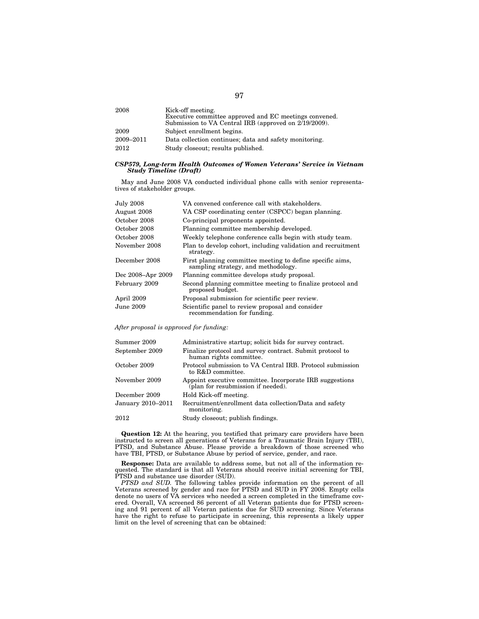| 2008      | Kick-off meeting.                                      |
|-----------|--------------------------------------------------------|
|           | Executive committee approved and EC meetings convened. |
|           | Submission to VA Central IRB (approved on 2/19/2009).  |
| 2009      | Subject enrollment begins.                             |
| 2009-2011 | Data collection continues; data and safety monitoring. |
| 2012      | Study closeout; results published.                     |

## *CSP579, Long-term Health Outcomes of Women Veterans' Service in Vietnam Study Timeline (Draft)*

May and June 2008 VA conducted individual phone calls with senior representatives of stakeholder groups.

| <b>July 2008</b>  | VA convened conference call with stakeholders.                                                   |
|-------------------|--------------------------------------------------------------------------------------------------|
| August 2008       | VA CSP coordinating center (CSPCC) began planning.                                               |
| October 2008      | Co-principal proponents appointed.                                                               |
| October 2008      | Planning committee membership developed.                                                         |
| October 2008      | Weekly telephone conference calls begin with study team.                                         |
| November 2008     | Plan to develop cohort, including validation and recruitment<br>strategy.                        |
| December 2008     | First planning committee meeting to define specific aims,<br>sampling strategy, and methodology. |
| Dec 2008-Apr 2009 | Planning committee develops study proposal.                                                      |
| February 2009     | Second planning committee meeting to finalize protocol and<br>proposed budget.                   |
| April 2009        | Proposal submission for scientific peer review.                                                  |
| June 2009         | Scientific panel to review proposal and consider<br>recommendation for funding.                  |

*After proposal is approved for funding:* 

| Administrative startup; solicit bids for survey contract.                                      |
|------------------------------------------------------------------------------------------------|
| Finalize protocol and survey contract. Submit protocol to<br>human rights committee.           |
| Protocol submission to VA Central IRB. Protocol submission<br>to R&D committee.                |
| Appoint executive committee. Incorporate IRB suggestions<br>(plan for resubmission if needed). |
| Hold Kick-off meeting.                                                                         |
| Recruitment/enrollment data collection/Data and safety<br>monitoring.                          |
| Study closeout; publish findings.                                                              |
|                                                                                                |

**Question 12:** At the hearing, you testified that primary care providers have been instructed to screen all generations of Veterans for a Traumatic Brain Injury (TBI), PTSD, and Substance Abuse. Please provide a breakdown of those screened who have TBI, PTSD, or Substance Abuse by period of service, gender, and race.

**Response:** Data are available to address some, but not all of the information requested. The standard is that all Veterans should receive initial screening for TBI, PTSD and substance use disorder (SUD).

*PTSD and SUD.* The following tables provide information on the percent of all Veterans screened by gender and race for PTSD and SUD in FY 2008. Empty cells denote no users of VA services who needed a screen completed in the timeframe covered. Overall, VA screened 86 percent of all Veteran patients due for PTSD screening and 91 percent of all Veteran patients due for SUD screening. Since Veterans have the right to refuse to participate in screening, this represents a likely upper limit on the level of screening that can be obtained: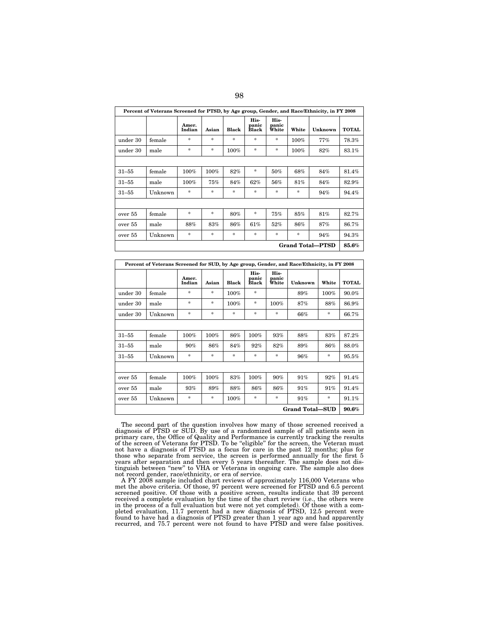| Percent of Veterans Screened for PTSD, by Age group, Gender, and Race/Ethnicity, in FY 2008 |         |                 |       |        |                        |                        |         |                         |              |
|---------------------------------------------------------------------------------------------|---------|-----------------|-------|--------|------------------------|------------------------|---------|-------------------------|--------------|
|                                                                                             |         | Amer.<br>Indian | Asian | Black  | His-<br>panic<br>Black | His-<br>panic<br>White | White   | Unknown                 | <b>TOTAL</b> |
| under 30                                                                                    | female  | *               | *     | *      | *                      | $\ast$                 | $100\%$ | 77%                     | $78.3\%$     |
| under 30                                                                                    | male    | $\ast$          | *     | 100%   | *                      | $\ast$                 | 100%    | $82\%$                  | 83.1%        |
|                                                                                             |         |                 |       |        |                        |                        |         |                         |              |
| $31 - 55$                                                                                   | female  | $100\%$         | 100%  | 82%    | *                      | 50%                    | 68%     | 84%                     | $81.4\%$     |
| $31 - 55$                                                                                   | male    | 100%            | 75%   | 84%    | 62%                    | 56%                    | 81%     | 84%                     | 82.9%        |
| $31 - 55$                                                                                   | Unknown | *               | *     | *      | *                      | *                      | *       | 94%                     | 94.4%        |
|                                                                                             |         |                 |       |        |                        |                        |         |                         |              |
| over 55                                                                                     | female  | *               | *     | 80%    | *                      | 75%                    | 85%     | 81%                     | 82.7%        |
| over 55                                                                                     | male    | 88%             | 83%   | 86%    | 61%                    | 52%                    | 86%     | 87%                     | 86.7%        |
| over 55                                                                                     | Unknown | $\ast$          | *     | $\ast$ | *                      | $\ast$                 | *       | 94%                     | $94.3\%$     |
|                                                                                             |         |                 |       |        |                        |                        |         | <b>Grand Total-PTSD</b> | $85.6\%$     |

| Percent of Veterans Screened for SUD, by Age group, Gender, and Race/Ethnicity, in FY 2008 |         |                 |        |              |                        |                        |         |       |              |
|--------------------------------------------------------------------------------------------|---------|-----------------|--------|--------------|------------------------|------------------------|---------|-------|--------------|
|                                                                                            |         | Amer.<br>Indian | Asian  | <b>Black</b> | His-<br>panic<br>Black | His-<br>panic<br>White | Unknown | White | <b>TOTAL</b> |
| under 30                                                                                   | female  | $\ast$          | $\ast$ | $100\%$      | $\ast$                 |                        | 89%     | 100%  | 90.0%        |
| under 30                                                                                   | male    | $\ast$          | *      | $100\%$      | $\ast$                 | 100%                   | 87%     | 88%   | 86.9%        |
| under 30                                                                                   | Unknown | $\ast$          | *      | *            | $\ast$                 | *                      | 66%     | *     | 66.7%        |
|                                                                                            |         |                 |        |              |                        |                        |         |       |              |
| $31 - 55$                                                                                  | female  | $100\%$         | 100%   | 86%          | $100\%$                | 93%                    | 88%     | 83%   | 87.2%        |
| $31 - 55$                                                                                  | male    | $90\%$          | 86%    | 84%          | $92\%$                 | 82%                    | 89%     | 86%   | 88.0%        |
| $31 - 55$                                                                                  | Unknown | $\ast$          | *      | *            | $\ast$                 | *                      | 96%     | *     | 95.5%        |
|                                                                                            |         |                 |        |              |                        |                        |         |       |              |
| over 55                                                                                    | female  | 100%            | 100%   | 83%          | $100\%$                | 90%                    | 91%     | 92%   | 91.4%        |
| over 55                                                                                    | male    | 93%             | 89%    | 88%          | 86%                    | $86\%$                 | 91%     | 91%   | 91.4%        |
| over 55                                                                                    | Unknown | *               | *      | $100\%$      | *                      | *                      | 91%     | *     | 91.1%        |
| <b>Grand Total-SUD</b>                                                                     |         |                 |        |              |                        |                        |         | 90.6% |              |

The second part of the question involves how many of those screened received a diagnosis of PTSD or SUD. By use of a randomized sample of all patients seen in primary care, the Office of Quality and Performance is currently tracking the results of the screen of Veterans for PTSD. To be ''eligible'' for the screen, the Veteran must not have a diagnosis of PTSD as a focus for care in the past 12 months; plus for those who separate from service, the screen is performed annually for the first 5 years after separation and then every 5 years thereafter. The sample does not dis-tinguish between ''new'' to VHA or Veterans in ongoing care. The sample also does

not record gender, race/ethnicity, or era of service. A FY 2008 sample included chart reviews of approximately 116,000 Veterans who met the above criteria. Of those, 97 percent were screened for PTSD and 6.5 percent<br>screened positive. Of those with a positive screen, results indicate that 39 percent<br>received a complete evaluation by the time of the cha pleted evaluation, 11.7 percent had a new diagnosis of PTSD, 12.5 percent were found to have had a diagnosis of PTSD greater than 1 year ago and had apparently recurred, and 75.7 percent were not found to have PTSD and wer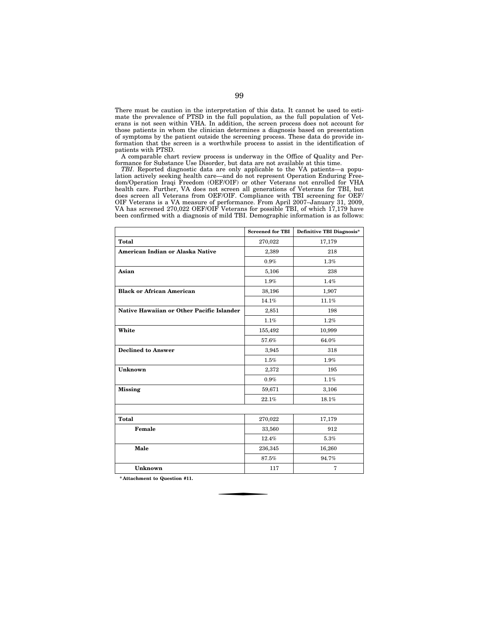There must be caution in the interpretation of this data. It cannot be used to estimate the prevalence of PTSD in the full population, as the full population of Veterans is not seen within VHA. In addition, the screen process does not account for those patients in whom the clinician determines a diagnosis based on presentation of symptoms by the patient outside the screening process. These data do provide information that the screen is a worthwhile process to assist in the identification of patients with PTSD.

A comparable chart review process is underway in the Office of Quality and Performance for Substance Use Disorder, but data are not available at this time.

*TBI*. Reported diagnostic data are only applicable to the VA patients—a population actively seeking health care—and do not represent Operation Enduring Freedom/Operation Iraqi Freedom (OEF/OIF) or other Veterans not enrolled for VHA health care. Further, VA does not screen all generations of Veterans for TBI, but does screen all Veterans from OEF/OIF. Compliance with TBI screening for OEF/ OIF Veterans is a VA measure of performance. From April 2007–January 31, 2009, VA has screened 270,022 OEF/OIF Veterans for possible TBI, of which 17,179 have been confirmed with a diagnosis of mild TBI. Demographic information is as follows:

|                                           | <b>Screened for TBI</b> | <b>Definitive TBI Diagnosis*</b> |
|-------------------------------------------|-------------------------|----------------------------------|
| Total                                     | 270,022                 | 17,179                           |
| American Indian or Alaska Native          | 2,389                   | 218                              |
|                                           | 0.9%                    | $1.3\%$                          |
| Asian                                     | 5,106                   | 238                              |
|                                           | 1.9%                    | 1.4%                             |
| <b>Black or African American</b>          | 38,196                  | 1,907                            |
|                                           | 14.1%                   | 11.1%                            |
| Native Hawaiian or Other Pacific Islander | 2,851                   | 198                              |
|                                           | 1.1%                    | 1.2%                             |
| White                                     | 155,492                 | 10,999                           |
|                                           | 57.6%                   | 64.0%                            |
| <b>Declined to Answer</b>                 | 3,945                   | 318                              |
|                                           | 1.5%                    | 1.9%                             |
| <b>Unknown</b>                            | 2,372                   | 195                              |
|                                           | $0.9\%$                 | 1.1%                             |
| <b>Missing</b>                            | 59,671                  | 3,106                            |
|                                           | 22.1%                   | 18.1%                            |
|                                           |                         |                                  |
| <b>Total</b>                              | 270,022                 | 17,179                           |
| Female                                    | 33,560                  | 912                              |
|                                           | 12.4%                   | 5.3%                             |
| Male                                      | 236,345                 | 16,260                           |
|                                           | 87.5%                   | 94.7%                            |
| Unknown                                   | 117                     | 7                                |

**\* Attachment to Question #11.**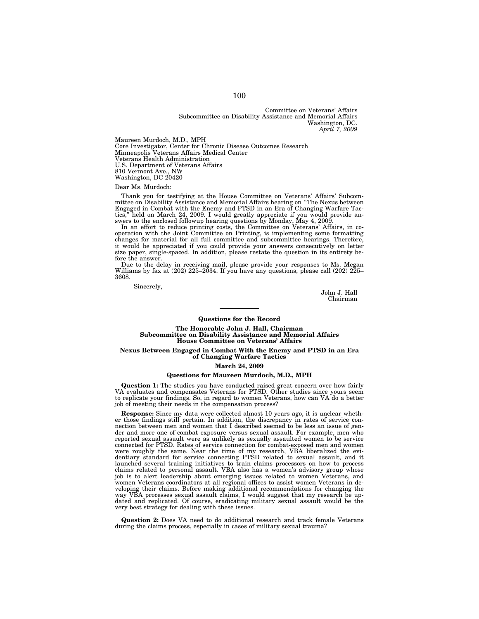Committee on Veterans' Affairs Subcommittee on Disability Assistance and Memorial Affairs Washington, DC. *April 7, 2009* 

Maureen Murdoch, M.D., MPH Core Investigator, Center for Chronic Disease Outcomes Research Minneapolis Veterans Affairs Medical Center Veterans Health Administration U.S. Department of Veterans Affairs 810 Vermont Ave., NW Washington, DC 20420

#### Dear Ms. Murdoch:

Thank you for testifying at the House Committee on Veterans' Affairs' Subcommittee on Disability Assistance and Memorial Affairs hearing on ''The Nexus between Engaged in Combat with the Enemy and PTSD in an Era of Changing Warfare Tactics,'' held on March 24, 2009. I would greatly appreciate if you would provide an-

swers to the enclosed followup hearing questions by Monday, May 4, 2009. In an effort to reduce printing costs, the Committee on Veterans' Affairs, in cooperation with the Joint Committee on Printing, is implementing some formatting changes for material for all full committee and subcommittee hearings. Therefore, it would be appreciated if you could provide your answers consecutively on letter size paper, single-spaced. In addition, please restate the question in its entirety before the answer.

Due to the delay in receiving mail, please provide your responses to Ms. Megan Williams by fax at (202) 225-2034. If you have any questions, please call (202) 225-3608.

Sincerely,

John J. Hall Chairman

#### **Questions for the Record**

#### **The Honorable John J. Hall, Chairman Subcommittee on Disability Assistance and Memorial Affairs House Committee on Veterans' Affairs**

#### **Nexus Between Engaged in Combat With the Enemy and PTSD in an Era of Changing Warfare Tactics**

## **March 24, 2009**

#### **Questions for Maureen Murdoch, M.D., MPH**

**Question 1:** The studies you have conducted raised great concern over how fairly VA evaluates and compensates Veterans for PTSD. Other studies since yours seem to replicate your findings. So, in regard to women Veterans, how can VA do a better job of meeting their needs in the compensation process?

**Response:** Since my data were collected almost 10 years ago, it is unclear whether those findings still pertain. In addition, the discrepancy in rates of service connection between men and women that I described seemed to be less an issue of gender and more one of combat exposure versus sexual assault. For example, men who reported sexual assault were as unlikely as sexually assaulted women to be service connected for PTSD. Rates of service connection for combat-exposed men and women were roughly the same. Near the time of my research, VBA liberalized the evidentiary standard for service connecting PTSD related to sexual assault, and it launched several training initiatives to train claims processors on how to process claims related to personal assault. VBA also has a women's advisory group whose job is to alert leadership about emerging issues related to women Veterans, and women Veterans coordinators at all regional offices to assist women Veterans in developing their claims. Before making additional recommendations for changing the way VBA processes sexual assault claims, I would suggest that my research be updated and replicated. Of course, eradicating military sexual assault would be the very best strategy for dealing with these issues.

**Question 2:** Does VA need to do additional research and track female Veterans during the claims process, especially in cases of military sexual trauma?